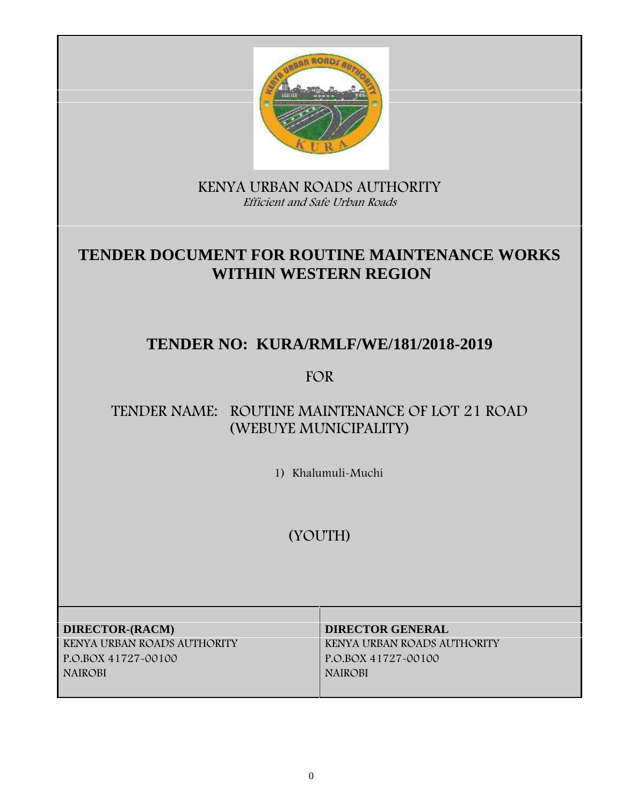

**KENYA URBAN ROADS AUTHORITY** *Efficient and Safe Urban Roads*

# **TENDER DOCUMENT FOR ROUTINE MAINTENANCE WORKS WITHIN WESTERN REGION**

# **TENDER NO: KURA/RMLF/WE/181/2018-2019**

# **FOR**

# **TENDER NAME: ROUTINE MAINTENANCE OF LOT 21 ROAD (WEBUYE MUNICIPALITY)**

**1) Khalumuli-Muchi**

**(YOUTH)**

**DIRECTOR-(RACM) DIRECTOR GENERAL KENYA URBAN ROADS AUTHORITY KENYA URBAN ROADS AUTHORITY P.O.BOX 41727-00100 P.O.BOX 41727-00100 NAIROBI NAIROBI**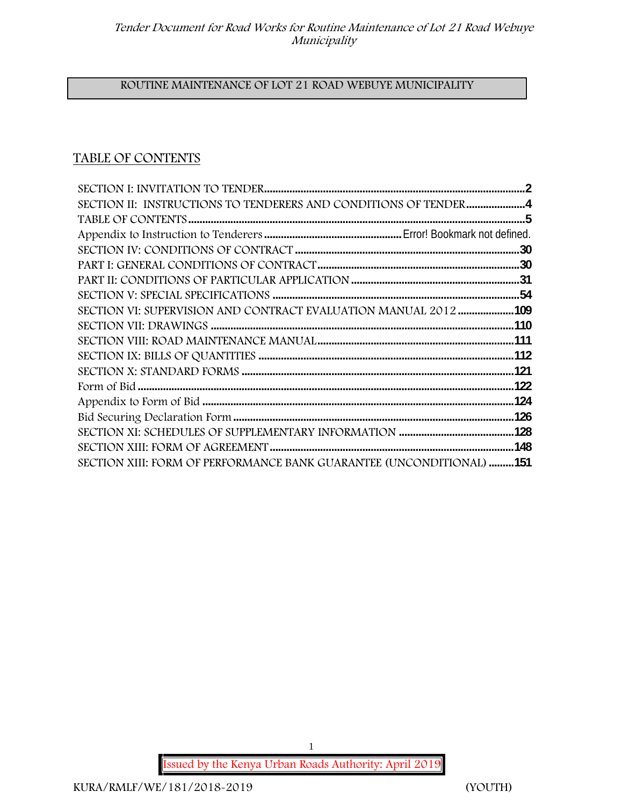#### **ROUTINE MAINTENANCE OF LOT 21 ROAD WEBUYE MUNICIPALITY**

# **TABLE OF CONTENTS**

| SECTION II: INSTRUCTIONS TO TENDERERS AND CONDITIONS OF TENDER4      |
|----------------------------------------------------------------------|
|                                                                      |
|                                                                      |
|                                                                      |
|                                                                      |
|                                                                      |
|                                                                      |
| SECTION VI: SUPERVISION AND CONTRACT EVALUATION MANUAL 2012 109      |
|                                                                      |
|                                                                      |
|                                                                      |
|                                                                      |
|                                                                      |
|                                                                      |
|                                                                      |
|                                                                      |
|                                                                      |
| SECTION XIII: FORM OF PERFORMANCE BANK GUARANTEE (UNCONDITIONAL) 151 |

**Issued by the Kenya Urban Roads Authority: April 2019**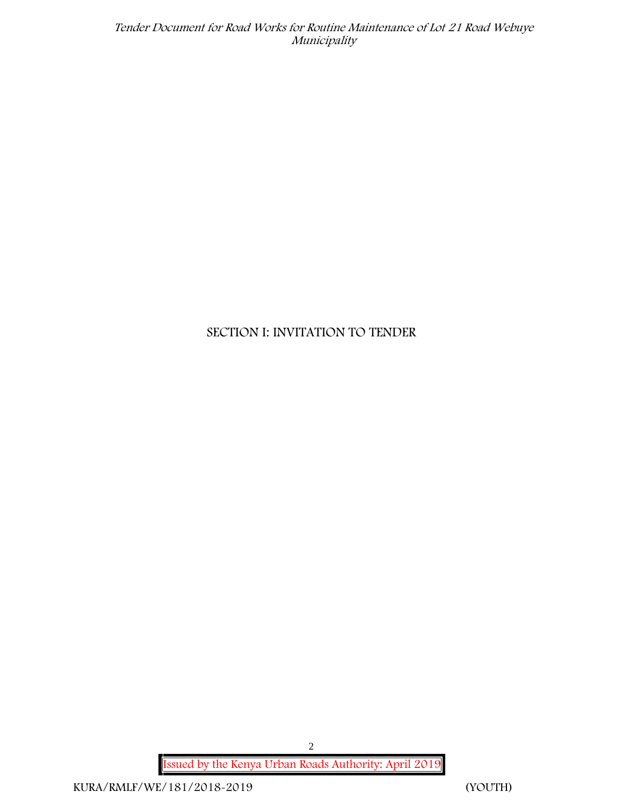# **SECTION I: INVITATION TO TENDER**

**Issued by the Kenya Urban Roads Authority: April 2019**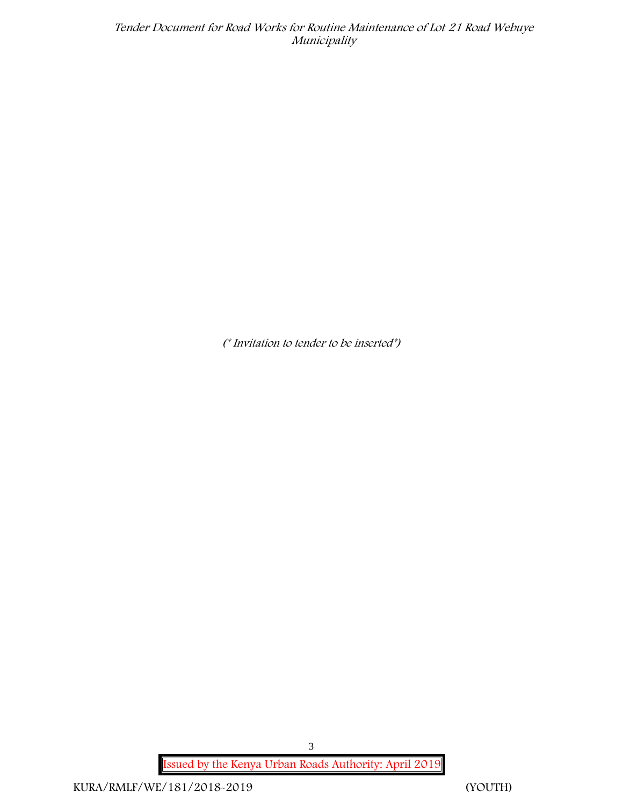*(\* Invitation to tender to be inserted\*)*

**Issued by the Kenya Urban Roads Authority: April 2019**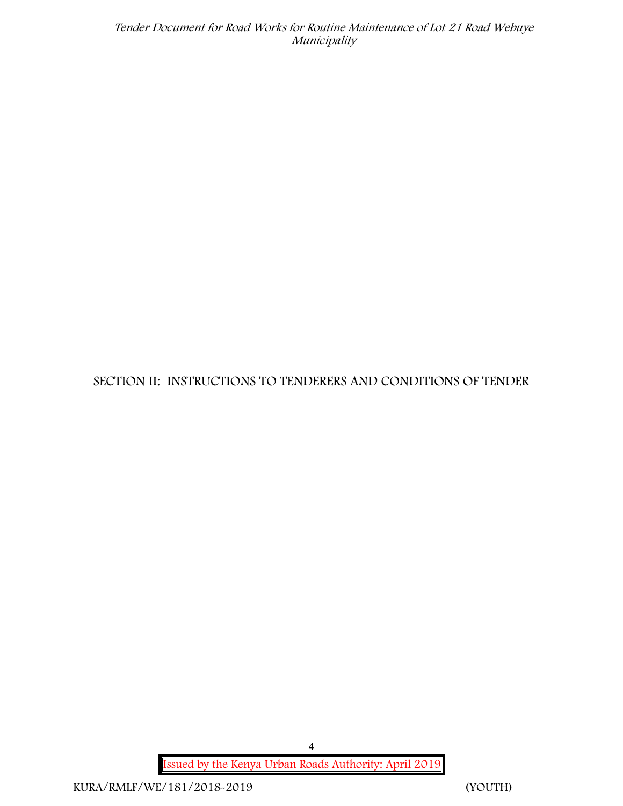**SECTION II: INSTRUCTIONS TO TENDERERS AND CONDITIONS OF TENDER**

**Issued by the Kenya Urban Roads Authority: April 2019**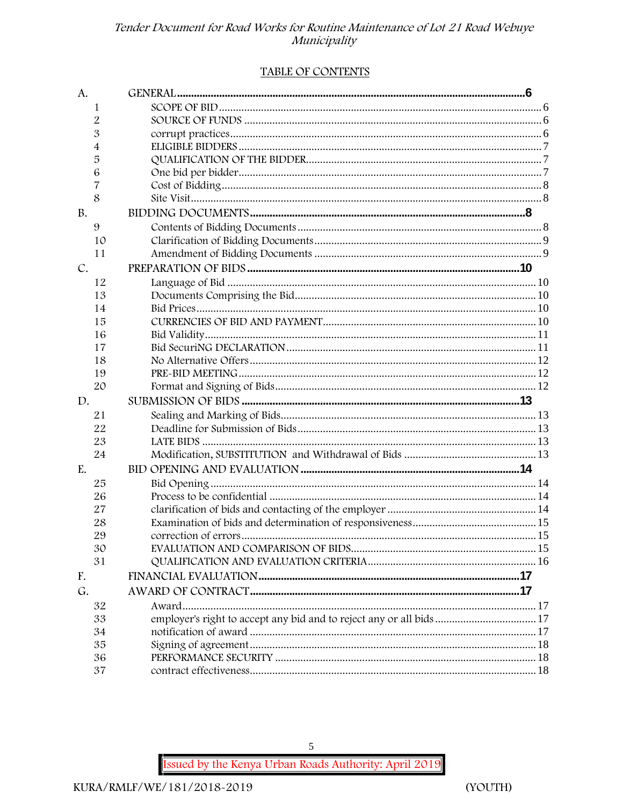#### TABLE OF CONTENTS

| A.        |                                                                      |  |
|-----------|----------------------------------------------------------------------|--|
| 1         |                                                                      |  |
| 2         |                                                                      |  |
| 3         |                                                                      |  |
| 4         |                                                                      |  |
| 5         |                                                                      |  |
| 6         |                                                                      |  |
| 7         |                                                                      |  |
| 8         |                                                                      |  |
| <b>B.</b> |                                                                      |  |
| 9         |                                                                      |  |
| 10        |                                                                      |  |
| 11        |                                                                      |  |
| C.        |                                                                      |  |
| 12        |                                                                      |  |
| 13        |                                                                      |  |
| 14        |                                                                      |  |
| 15        |                                                                      |  |
| 16        |                                                                      |  |
| 17        |                                                                      |  |
| 18        |                                                                      |  |
| 19        |                                                                      |  |
| 20        |                                                                      |  |
| D.        |                                                                      |  |
| 21        |                                                                      |  |
| 22        |                                                                      |  |
| 23        |                                                                      |  |
| 24        |                                                                      |  |
| E.        |                                                                      |  |
| 25        |                                                                      |  |
| 26        |                                                                      |  |
| 27        |                                                                      |  |
| 28        |                                                                      |  |
| 29        |                                                                      |  |
| 30        |                                                                      |  |
| 31        |                                                                      |  |
| F.        |                                                                      |  |
| G.        |                                                                      |  |
| 32        |                                                                      |  |
| 33        | employer's right to accept any bid and to reject any or all bids  17 |  |
| 34        |                                                                      |  |
| 35        |                                                                      |  |
| 36        |                                                                      |  |
| 37        |                                                                      |  |

Issued by the Kenya Urban Roads Authority: April 2019

 $\sqrt{5}$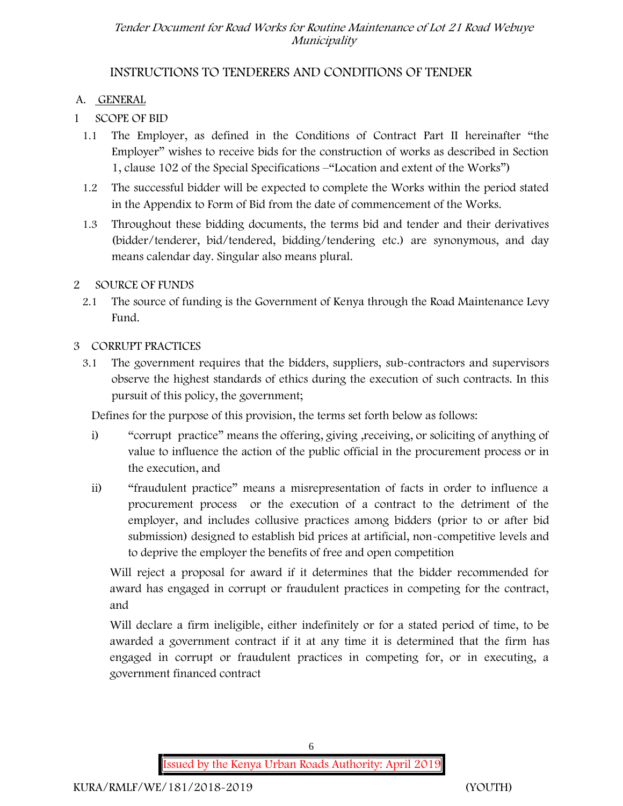# **INSTRUCTIONS TO TENDERERS AND CONDITIONS OF TENDER**

### **A. GENERAL**

# **1 SCOPE OF BID**

- 1.1 The Employer, as defined in the Conditions of Contract Part II hereinafter "the Employer" wishes to receive bids for the construction of works as described in Section 1, clause 102 of the Special Specifications –"Location and extent of the Works")
- 1.2 The successful bidder will be expected to complete the Works within the period stated in the Appendix to Form of Bid from the date of commencement of the Works.
- 1.3 Throughout these bidding documents, the terms bid and tender and their derivatives (bidder/tenderer, bid/tendered, bidding/tendering etc.) are synonymous, and day means calendar day. Singular also means plural.

#### **2 SOURCE OF FUNDS**

2.1 The source of funding is the Government of Kenya through the Road Maintenance Levy Fund.

#### **3 CORRUPT PRACTICES**

3.1 The government requires that the bidders, suppliers, sub-contractors and supervisors observe the highest standards of ethics during the execution of such contracts. In this pursuit of this policy, the government;

Defines for the purpose of this provision, the terms set forth below as follows:

- i) "corrupt practice" means the offering, giving ,receiving, or soliciting of anything of value to influence the action of the public official in the procurement process or in the execution, and
- ii) "fraudulent practice" means a misrepresentation of facts in order to influence a procurement process or the execution of a contract to the detriment of the employer, and includes collusive practices among bidders (prior to or after bid submission) designed to establish bid prices at artificial, non-competitive levels and to deprive the employer the benefits of free and open competition

Will reject a proposal for award if it determines that the bidder recommended for award has engaged in corrupt or fraudulent practices in competing for the contract, and

Will declare a firm ineligible, either indefinitely or for a stated period of time, to be awarded a government contract if it at any time it is determined that the firm has engaged in corrupt or fraudulent practices in competing for, or in executing, a government financed contract

**Issued by the Kenya Urban Roads Authority: April 2019**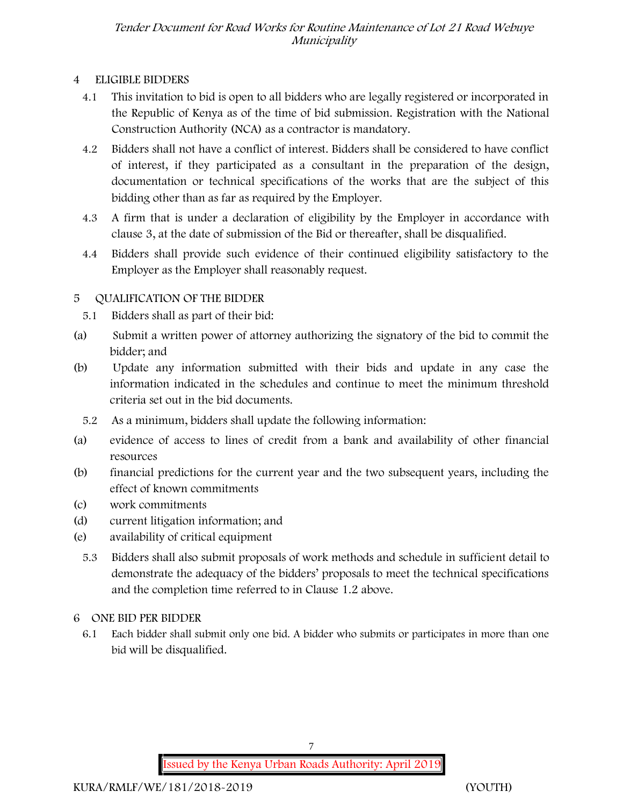### **4 ELIGIBLE BIDDERS**

- 4.1 This invitation to bid is open to all bidders who are legally registered or incorporated in the Republic of Kenya as of the time of bid submission. Registration with the National Construction Authority (NCA) as a contractor is mandatory.
- 4.2 Bidders shall not have a conflict of interest. Bidders shall be considered to have conflict of interest, if they participated as a consultant in the preparation of the design, documentation or technical specifications of the works that are the subject of this bidding other than as far as required by the Employer.
- 4.3 A firm that is under a declaration of eligibility by the Employer in accordance with clause 3, at the date of submission of the Bid or thereafter, shall be disqualified.
- 4.4 Bidders shall provide such evidence of their continued eligibility satisfactory to the Employer as the Employer shall reasonably request.

# **5 QUALIFICATION OF THE BIDDER**

- 5.1 Bidders shall as part of their bid:
- (a) Submit a written power of attorney authorizing the signatory of the bid to commit the bidder; and
- (b) Update any information submitted with their bids and update in any case the information indicated in the schedules and continue to meet the minimum threshold criteria set out in the bid documents.
	- 5.2 As a minimum, bidders shall update the following information:
- (a) evidence of access to lines of credit from a bank and availability of other financial resources
- (b) financial predictions for the current year and the two subsequent years, including the effect of known commitments
- (c) work commitments
- (d) current litigation information; and
- (e) availability of critical equipment
	- 5.3 Bidders shall also submit proposals of work methods and schedule in sufficient detail to demonstrate the adequacy of the bidders' proposals to meet the technical specifications and the completion time referred to in Clause 1.2 above.
- **6 ONE BID PER BIDDER**
	- 6.1 Each bidder shall submit only one bid. A bidder who submits or participates in more than one bid will be disqualified.

7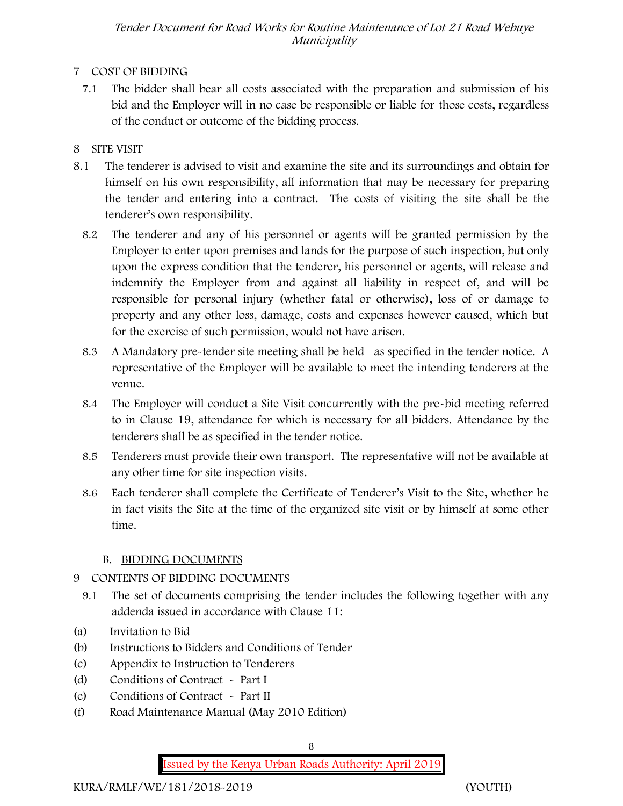### **7 COST OF BIDDING**

7.1 The bidder shall bear all costs associated with the preparation and submission of his bid and the Employer will in no case be responsible or liable for those costs, regardless of the conduct or outcome of the bidding process.

# **8 SITE VISIT**

- 8.1 The tenderer is advised to visit and examine the site and its surroundings and obtain for himself on his own responsibility, all information that may be necessary for preparing the tender and entering into a contract. The costs of visiting the site shall be the tenderer's own responsibility.
	- 8.2 The tenderer and any of his personnel or agents will be granted permission by the Employer to enter upon premises and lands for the purpose of such inspection, but only upon the express condition that the tenderer, his personnel or agents, will release and indemnify the Employer from and against all liability in respect of, and will be responsible for personal injury (whether fatal or otherwise), loss of or damage to property and any other loss, damage, costs and expenses however caused, which but for the exercise of such permission, would not have arisen.
	- 8.3 A Mandatory pre-tender site meeting shall be held as specified in the tender notice. A representative of the Employer will be available to meet the intending tenderers at the venue.
	- 8.4 The Employer will conduct a Site Visit concurrently with the pre-bid meeting referred to in Clause 19, attendance for which is necessary for all bidders. Attendance by the tenderers shall be as specified in the tender notice.
	- 8.5 Tenderers must provide their own transport. The representative will not be available at any other time for site inspection visits.
	- 8.6 Each tenderer shall complete the Certificate of Tenderer's Visit to the Site, whether he in fact visits the Site at the time of the organized site visit or by himself at some other time.

# **B. BIDDING DOCUMENTS**

# 9 CONTENTS OF BIDDING DOCUMENTS

- 9.1 The set of documents comprising the tender includes the following together with any addenda issued in accordance with Clause 11:
- (a) Invitation to Bid
- (b) Instructions to Bidders and Conditions of Tender
- (c) Appendix to Instruction to Tenderers
- (d) Conditions of Contract Part I
- (e) Conditions of Contract Part II
- (f) Road Maintenance Manual (May 2010 Edition)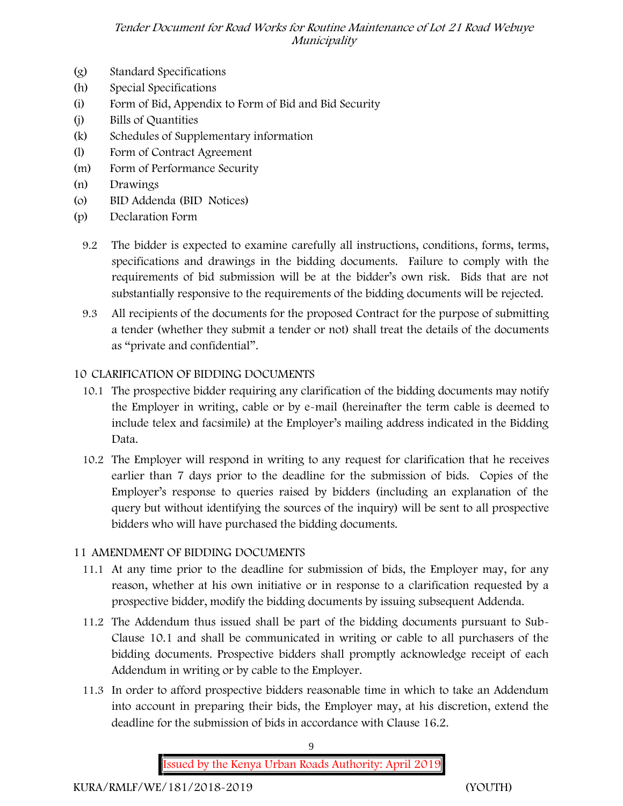- (g) Standard Specifications
- (h) Special Specifications
- (i) Form of Bid, Appendix to Form of Bid and Bid Security
- (j) Bills of Quantities
- (k) Schedules of Supplementary information
- (l) Form of Contract Agreement
- (m) Form of Performance Security
- (n) Drawings
- (o) BID Addenda (BID Notices)
- (p) Declaration Form
	- 9.2 The bidder is expected to examine carefully all instructions, conditions, forms, terms, specifications and drawings in the bidding documents. Failure to comply with the requirements of bid submission will be at the bidder's own risk. Bids that are not substantially responsive to the requirements of the bidding documents will be rejected.
	- 9.3 All recipients of the documents for the proposed Contract for the purpose of submitting a tender (whether they submit a tender or not) shall treat the details of the documents as "private and confidential".

# **10 CLARIFICATION OF BIDDING DOCUMENTS**

- 10.1 The prospective bidder requiring any clarification of the bidding documents may notify the Employer in writing, cable or by e-mail (hereinafter the term cable is deemed to include telex and facsimile) at the Employer's mailing address indicated in the Bidding Data.
- 10.2 The Employer will respond in writing to any request for clarification that he receives earlier than 7 days prior to the deadline for the submission of bids. Copies of the Employer's response to queries raised by bidders (including an explanation of the query but without identifying the sources of the inquiry) will be sent to all prospective bidders who will have purchased the bidding documents.

# **11 AMENDMENT OF BIDDING DOCUMENTS**

- 11.1 At any time prior to the deadline for submission of bids, the Employer may, for any reason, whether at his own initiative or in response to a clarification requested by a prospective bidder, modify the bidding documents by issuing subsequent Addenda.
- 11.2 The Addendum thus issued shall be part of the bidding documents pursuant to Sub- Clause 10.1 and shall be communicated in writing or cable to all purchasers of the bidding documents. Prospective bidders shall promptly acknowledge receipt of each Addendum in writing or by cable to the Employer.
- 11.3 In order to afford prospective bidders reasonable time in which to take an Addendum into account in preparing their bids, the Employer may, at his discretion, extend the deadline for the submission of bids in accordance with Clause 16.2.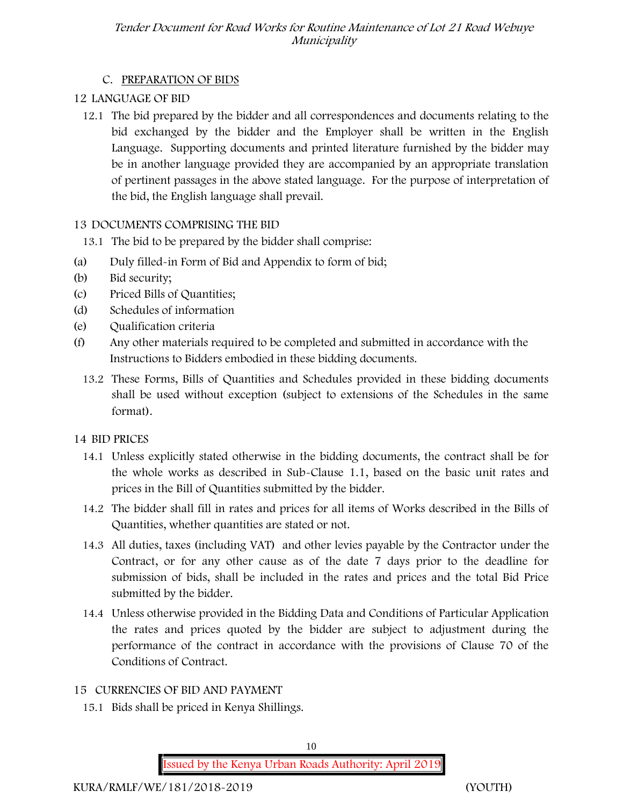# **C. PREPARATION OF BIDS**

# **12 LANGUAGE OF BID**

12.1 The bid prepared by the bidder and all correspondences and documents relating to the bid exchanged by the bidder and the Employer shall be written in the English Language. Supporting documents and printed literature furnished by the bidder may be in another language provided they are accompanied by an appropriate translation of pertinent passages in the above stated language. For the purpose of interpretation of the bid, the English language shall prevail.

# **13 DOCUMENTS COMPRISING THE BID**

- 13.1 The bid to be prepared by the bidder shall comprise:
- (a) Duly filled-in Form of Bid and Appendix to form of bid;
- (b) Bid security;
- (c) Priced Bills of Quantities;
- (d) Schedules of information
- (e) Qualification criteria
- (f) Any other materials required to be completed and submitted in accordance with the Instructions to Bidders embodied in these bidding documents.
	- 13.2 These Forms, Bills of Quantities and Schedules provided in these bidding documents shall be used without exception (subject to extensions of the Schedules in the same format).

# **14 BID PRICES**

- 14.1 Unless explicitly stated otherwise in the bidding documents, the contract shall be for the whole works as described in Sub-Clause 1.1, based on the basic unit rates and prices in the Bill of Quantities submitted by the bidder.
- 14.2 The bidder shall fill in rates and prices for all items of Works described in the Bills of Quantities, whether quantities are stated or not.
- 14.3 All duties, taxes (including VAT) and other levies payable by the Contractor under the Contract, or for any other cause as of the date 7 days prior to the deadline for submission of bids, shall be included in the rates and prices and the total Bid Price submitted by the bidder.
- 14.4 Unless otherwise provided in the Bidding Data and Conditions of Particular Application the rates and prices quoted by the bidder are subject to adjustment during the performance of the contract in accordance with the provisions of Clause 70 of the Conditions of Contract.

# **15 CURRENCIES OF BID AND PAYMENT**

15.1 Bids shall be priced in Kenya Shillings.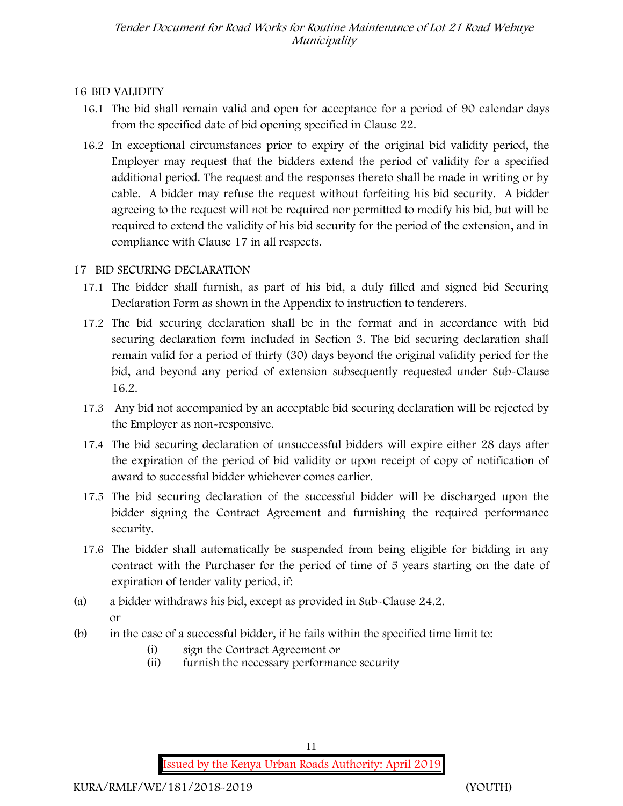### **16 BID VALIDITY**

- 16.1 The bid shall remain valid and open for acceptance for a period of 90 calendar days from the specified date of bid opening specified in Clause 22.
- 16.2 In exceptional circumstances prior to expiry of the original bid validity period, the Employer may request that the bidders extend the period of validity for a specified additional period. The request and the responses thereto shall be made in writing or by cable. A bidder may refuse the request without forfeiting his bid security. A bidder agreeing to the request will not be required nor permitted to modify his bid, but will be required to extend the validity of his bid security for the period of the extension, and in compliance with Clause 17 in all respects.

### **17 BID SECURING DECLARATION**

- 17.1 The bidder shall furnish, as part of his bid, a duly filled and signed bid Securing Declaration Form as shown in the Appendix to instruction to tenderers.
- 17.2 The bid securing declaration shall be in the format and in accordance with bid securing declaration form included in Section 3. The bid securing declaration shall remain valid for a period of thirty (30) days beyond the original validity period for the bid, and beyond any period of extension subsequently requested under Sub-Clause 16.2.
- 17.3 Any bid not accompanied by an acceptable bid securing declaration will be rejected by the Employer as non-responsive.
- 17.4 The bid securing declaration of unsuccessful bidders will expire either 28 days after the expiration of the period of bid validity or upon receipt of copy of notification of award to successful bidder whichever comes earlier.
- 17.5 The bid securing declaration of the successful bidder will be discharged upon the bidder signing the Contract Agreement and furnishing the required performance security.
- 17.6 The bidder shall automatically be suspended from being eligible for bidding in any contract with the Purchaser for the period of time of 5 years starting on the date of expiration of tender vality period, if:
- (a) a bidder withdraws his bid, except as provided in Sub-Clause 24.2. or
- (b) in the case of a successful bidder, if he fails within the specified time limit to:
	- (i) sign the Contract Agreement or
	- (ii) furnish the necessary performance security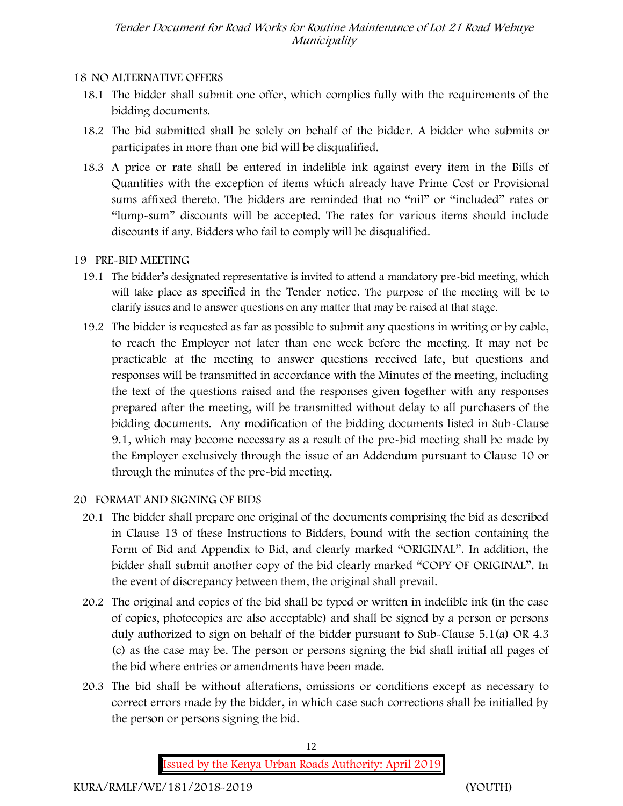### **18 NO ALTERNATIVE OFFERS**

- 18.1 The bidder shall submit one offer, which complies fully with the requirements of the bidding documents.
- 18.2 The bid submitted shall be solely on behalf of the bidder. A bidder who submits or participates in more than one bid will be disqualified.
- 18.3 A price or rate shall be entered in indelible ink against every item in the Bills of Quantities with the exception of items which already have Prime Cost or Provisional sums affixed thereto. The bidders are reminded that no "nil" or "included" rates or "lump-sum" discounts will be accepted. The rates for various items should include discounts if any. Bidders who fail to comply will be disqualified.

# **19 PRE-BID MEETING**

- 19.1 The bidder's designated representative is invited to attend a mandatory pre-bid meeting, which will take place as specified in the Tender notice. The purpose of the meeting will be to clarify issues and to answer questions on any matter that may be raised at that stage.
- 19.2 The bidder is requested as far as possible to submit any questions in writing or by cable, to reach the Employer not later than one week before the meeting. It may not be practicable at the meeting to answer questions received late, but questions and responses will be transmitted in accordance with the Minutes of the meeting, including the text of the questions raised and the responses given together with any responses prepared after the meeting, will be transmitted without delay to all purchasers of the bidding documents. Any modification of the bidding documents listed in Sub-Clause 9.1, which may become necessary as a result of the pre-bid meeting shall be made by the Employer exclusively through the issue of an Addendum pursuant to Clause 10 or through the minutes of the pre-bid meeting.
- **20 FORMAT AND SIGNING OF BIDS**
	- 20.1 The bidder shall prepare one original of the documents comprising the bid as described in Clause 13 of these Instructions to Bidders, bound with the section containing the Form of Bid and Appendix to Bid, and clearly marked "ORIGINAL". In addition, the bidder shall submit another copy of the bid clearly marked "COPY OF ORIGINAL". In the event of discrepancy between them, the original shall prevail.
	- 20.2 The original and copies of the bid shall be typed or written in indelible ink (in the case of copies, photocopies are also acceptable) and shall be signed by a person or persons duly authorized to sign on behalf of the bidder pursuant to Sub-Clause 5.1(a) OR 4.3 (c) as the case may be. The person or persons signing the bid shall initial all pages of the bid where entries or amendments have been made.
	- 20.3 The bid shall be without alterations, omissions or conditions except as necessary to correct errors made by the bidder, in which case such corrections shall be initialled by the person or persons signing the bid.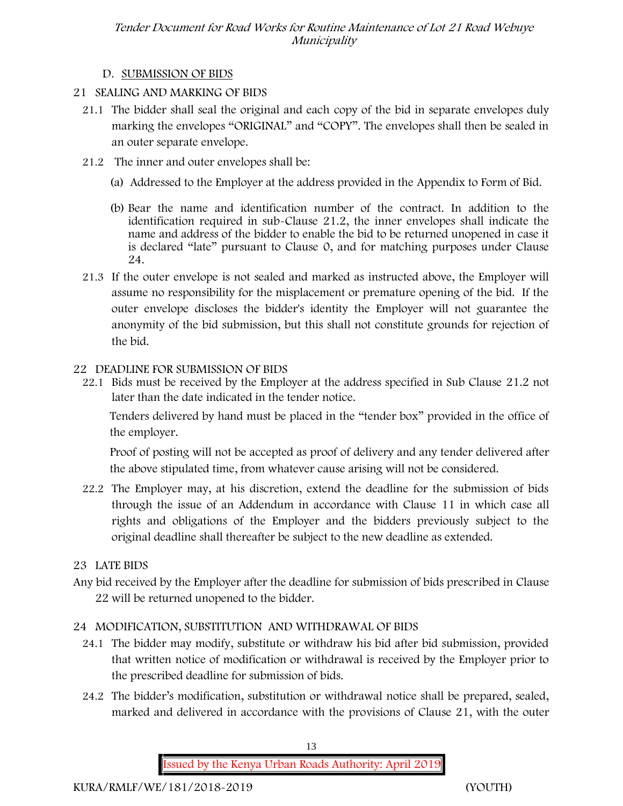### **D. SUBMISSION OF BIDS**

- **21 SEALING AND MARKING OF BIDS**
	- 21.1 The bidder shall seal the original and each copy of the bid in separate envelopes duly marking the envelopes "ORIGINAL" and "COPY". The envelopes shall then be sealed in an outer separate envelope.
	- 21.2 The inner and outer envelopes shall be:
		- (a) Addressed to the Employer at the address provided in the Appendix to Form of Bid.
		- (b) Bear the name and identification number of the contract. In addition to the identification required in sub-Clause 21.2, the inner envelopes shall indicate the name and address of the bidder to enable the bid to be returned unopened in case it is declared "late" pursuant to Clause 0, and for matching purposes under Clause 24.
	- 21.3 If the outer envelope is not sealed and marked as instructed above, the Employer will assume no responsibility for the misplacement or premature opening of the bid. If the outer envelope discloses the bidder's identity the Employer will not guarantee the anonymity of the bid submission, but this shall not constitute grounds for rejection of the bid.

### **22 DEADLINE FOR SUBMISSION OF BIDS**

22.1 Bids must be received by the Employer at the address specified in Sub Clause 21.2 not later than **the date indicated in the tender notice.**

Tenders delivered by hand must be placed in the "tender box" provided in the office of the employer.

Proof of posting will not be accepted as proof of delivery and any tender delivered after the above stipulated time, from whatever cause arising will not be considered.

22.2 The Employer may, at his discretion, extend the deadline for the submission of bids through the issue of an Addendum in accordance with Clause 11 in which case all rights and obligations of the Employer and the bidders previously subject to the original deadline shall thereafter be subject to the new deadline as extended.

# **23 LATE BIDS**

Any bid received by the Employer after the deadline for submission of bids prescribed in Clause 22 will be returned unopened to the bidder.

# **24 MODIFICATION, SUBSTITUTION AND WITHDRAWAL OF BIDS**

- 24.1 The bidder may modify, substitute or withdraw his bid after bid submission, provided that written notice of modification or withdrawal is received by the Employer prior to the prescribed deadline for submission of bids.
- 24.2 The bidder's modification, substitution or withdrawal notice shall be prepared, sealed, marked and delivered in accordance with the provisions of Clause 21, with the outer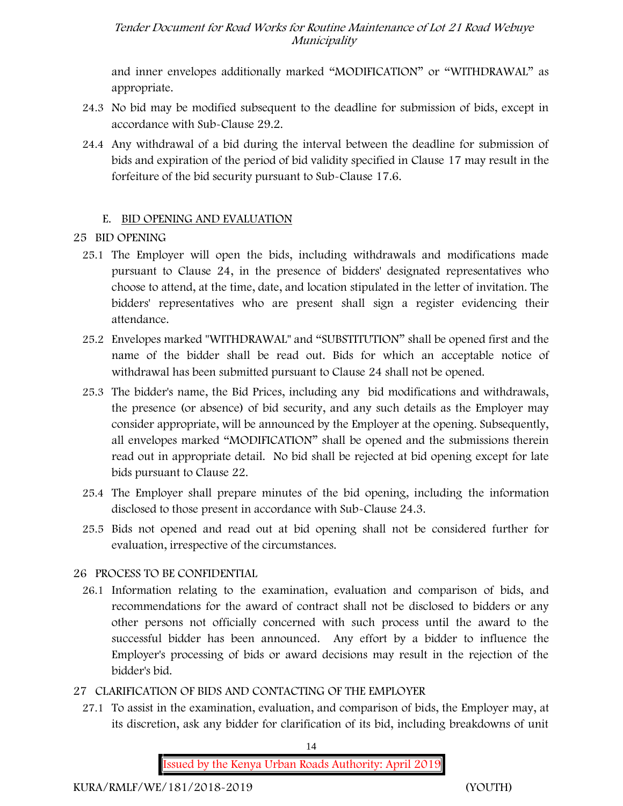and inner envelopes additionally marked "MODIFICATION" or "WITHDRAWAL" as appropriate.

- 24.3 No bid may be modified subsequent to the deadline for submission of bids, except in accordance with Sub-Clause 29.2.
- 24.4 Any withdrawal of a bid during the interval between the deadline for submission of bids and expiration of the period of bid validity specified in Clause 17 may result in the forfeiture of the bid security pursuant to Sub-Clause 17.6.

#### **E. BID OPENING AND EVALUATION**

# **25 BID OPENING**

- 25.1 The Employer will open the bids, including withdrawals and modifications made pursuant to Clause 24, in the presence of bidders' designated representatives who choose to attend, at the time, date, and location stipulated in the letter of invitation. The bidders' representatives who are present shall sign a register evidencing their attendance.
- 25.2 Envelopes marked "WITHDRAWAL" and "SUBSTITUTION" shall be opened first and the name of the bidder shall be read out. Bids for which an acceptable notice of withdrawal has been submitted pursuant to Clause 24 shall not be opened.
- 25.3 The bidder's name, the Bid Prices, including any bid modifications and withdrawals, the presence (or absence) of bid security, and any such details as the Employer may consider appropriate, will be announced by the Employer at the opening. Subsequently, all envelopes marked "MODIFICATION" shall be opened and the submissions therein read out in appropriate detail. No bid shall be rejected at bid opening except for late bids pursuant to Clause 22.
- 25.4 The Employer shall prepare minutes of the bid opening, including the information disclosed to those present in accordance with Sub-Clause 24.3.
- 25.5 Bids not opened and read out at bid opening shall not be considered further for evaluation, irrespective of the circumstances.

# **26 PROCESS TO BE CONFIDENTIAL**

26.1 Information relating to the examination, evaluation and comparison of bids, and recommendations for the award of contract shall not be disclosed to bidders or any other persons not officially concerned with such process until the award to the successful bidder has been announced. Any effort by a bidder to influence the Employer's processing of bids or award decisions may result in the rejection of the bidder's bid.

# **27 CLARIFICATION OF BIDS AND CONTACTING OF THE EMPLOYER**

27.1 To assist in the examination, evaluation, and comparison of bids, the Employer may, at its discretion, ask any bidder for clarification of its bid, including breakdowns of unit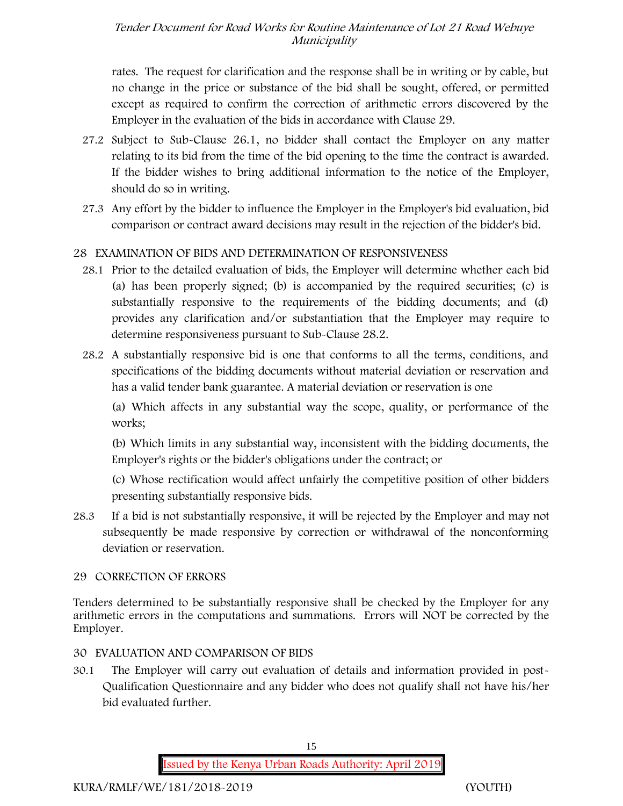rates. The request for clarification and the response shall be in writing or by cable, but no change in the price or substance of the bid shall be sought, offered, or permitted except as required to confirm the correction of arithmetic errors discovered by the Employer in the evaluation of the bids in accordance with Clause 29.

- 27.2 Subject to Sub-Clause 26.1, no bidder shall contact the Employer on any matter relating to its bid from the time of the bid opening to the time the contract is awarded. If the bidder wishes to bring additional information to the notice of the Employer, should do so in writing.
- 27.3 Any effort by the bidder to influence the Employer in the Employer's bid evaluation, bid comparison or contract award decisions may result in the rejection of the bidder's bid.

# **28 EXAMINATION OF BIDS AND DETERMINATION OF RESPONSIVENESS**

- 28.1 Prior to the detailed evaluation of bids, the Employer will determine whether each bid (a) has been properly signed; (b) is accompanied by the required securities; (c) is substantially responsive to the requirements of the bidding documents; and (d) provides any clarification and/or substantiation that the Employer may require to determine responsiveness pursuant to Sub-Clause 28.2.
- 28.2 A substantially responsive bid is one that conforms to all the terms, conditions, and specifications of the bidding documents without material deviation or reservation and has a valid tender bank guarantee. A material deviation or reservation is one

(a) Which affects in any substantial way the scope, quality, or performance of the works;

(b) Which limits in any substantial way, inconsistent with the bidding documents, the Employer's rights or the bidder's obligations under the contract; or

(c) Whose rectification would affect unfairly the competitive position of other bidders presenting substantially responsive bids.

28.3 If a bid is not substantially responsive, it will be rejected by the Employer and may not subsequently be made responsive by correction or withdrawal of the nonconforming deviation or reservation.

# **29 CORRECTION OF ERRORS**

Tenders determined to be substantially responsive shall be checked by the Employer for any arithmetic errors in the computations and summations. Errors will NOT be corrected by the Employer.

# **30 EVALUATION AND COMPARISON OF BIDS**

30.1 The Employer will carry out evaluation of details and information provided in post- Qualification Questionnaire and any bidder who does not qualify shall not have his/her bid evaluated further.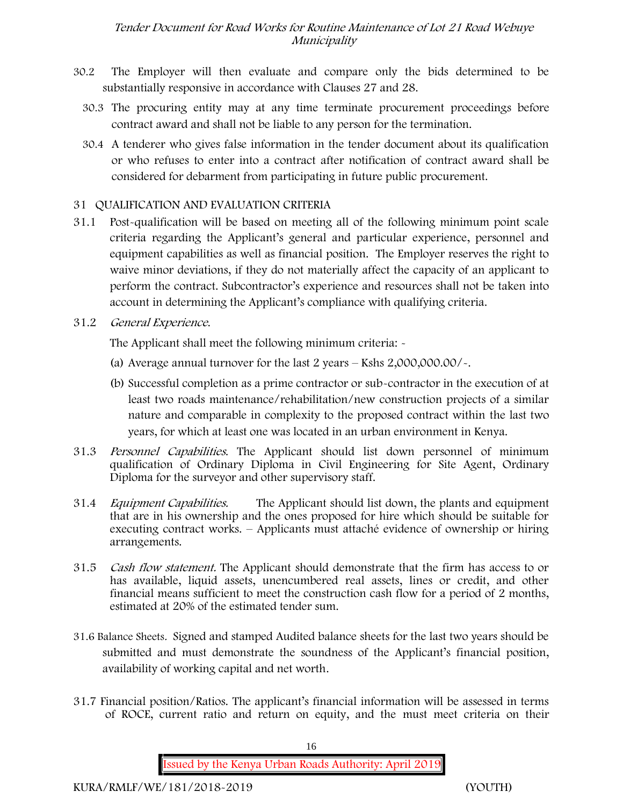- 30.2 The Employer will then evaluate and compare only the bids determined to be substantially responsive in accordance with Clauses 27 and 28.
	- 30.3 The procuring entity may at any time terminate procurement proceedings before contract award and shall not be liable to any person for the termination.
	- 30.4 A tenderer who gives false information in the tender document about its qualification or who refuses to enter into a contract after notification of contract award shall be considered for debarment from participating in future public procurement.

### **31 QUALIFICATION AND EVALUATION CRITERIA**

- 31.1 Post-qualification will be based on meeting all of the following minimum point scale criteria regarding the Applicant's general and particular experience, personnel and equipment capabilities as well as financial position. The Employer reserves the right to waive minor deviations, if they do not materially affect the capacity of an applicant to perform the contract. Subcontractor's experience and resources shall not be taken into account in determining the Applicant's compliance with qualifying criteria.
- **31.2** *General Experience***.**

The Applicant shall meet the following minimum criteria: -

- (a) Average annual turnover for the last 2 years **Kshs 2,000,000.00/-.**
- (b) Successful completion as a prime contractor or sub-contractor in the execution of at least two roads maintenance/rehabilitation/new construction projects of a similar nature and comparable in complexity to the proposed contract within the last two years, for which at least one was located in an urban environment in Kenya.
- 31.3 *Personnel Capabilities***.** The Applicant should list down personnel of minimum qualification of Ordinary Diploma in Civil Engineering for Site Agent, Ordinary Diploma for the surveyor and other supervisory staff.
- 31.4 *Equipment Capabilities.* The Applicant should list down, the plants and equipment that are in his ownership and the ones proposed for hire which should be suitable for executing contract works. – Applicants must attaché evidence of ownership or hiring arrangements.
- 31.5 *Cash flow statement.* The Applicant should demonstrate that the firm has access to or has available, liquid assets, unencumbered real assets, lines or credit, and other financial means sufficient to meet the construction cash flow for a period of 2 months, estimated at 20% of the estimated tender sum.
- **31.6 Balance Sheets***.* Signed and stamped Audited balance sheets for the last two years should be submitted and must demonstrate the soundness of the Applicant's financial position, availability of working capital and net worth.
- **31.7 Financial position/Ratios.** The applicant's financial information will be assessed in terms of ROCE, current ratio and return on equity, and the must meet criteria on their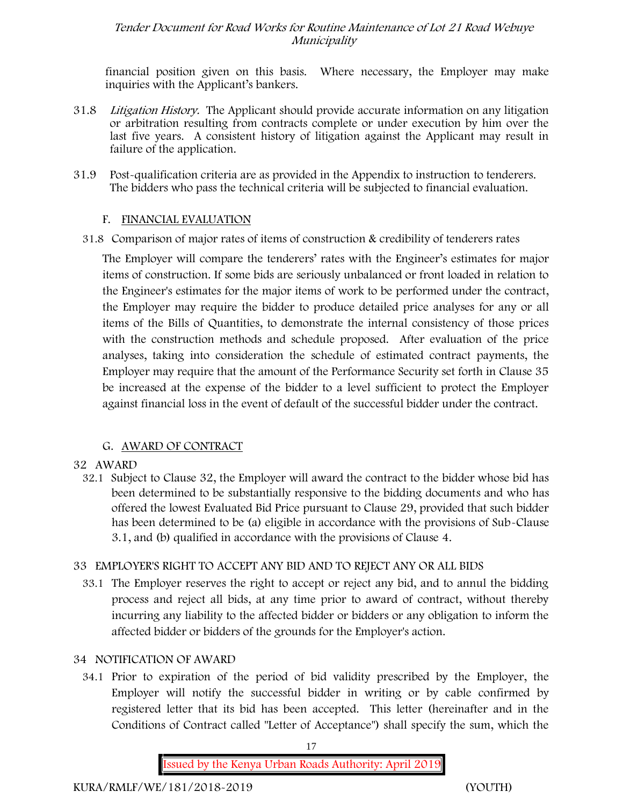financial position given on this basis. Where necessary, the Employer may make inquiries with the Applicant's bankers.

- 31.8 *Litigation History.* The Applicant should provide accurate information on any litigation or arbitration resulting from contracts complete or under execution by him over the last five years. A consistent history of litigation against the Applicant may result in failure of the application.
- 31.9 Post-qualification criteria are as provided in the Appendix to instruction to tenderers. The bidders who pass the technical criteria will be subjected to financial evaluation.

#### **F. FINANCIAL EVALUATION**

31.8 Comparison of major rates of items of construction & credibility of tenderers rates

The Employer will compare the tenderers' rates with the Engineer's estimates for major items of construction. If some bids are seriously unbalanced or front loaded in relation to the Engineer's estimates for the major items of work to be performed under the contract, the Employer may require the bidder to produce detailed price analyses for any or all items of the Bills of Quantities, to demonstrate the internal consistency of those prices with the construction methods and schedule proposed. After evaluation of the price analyses, taking into consideration the schedule of estimated contract payments, the Employer may require that the amount of the Performance Security set forth in Clause 35 be increased at the expense of the bidder to a level sufficient to protect the Employer against financial loss in the event of default of the successful bidder under the contract.

#### **G. AWARD OF CONTRACT**

#### **32 AWARD**

32.1 Subject to Clause 32, the Employer will award the contract to the bidder whose bid has been determined to be substantially responsive to the bidding documents and who has offered the lowest Evaluated Bid Price pursuant to Clause 29, provided that such bidder has been determined to be (a) eligible in accordance with the provisions of Sub-Clause 3.1, and (b) qualified in accordance with the provisions of Clause 4.

#### **33 EMPLOYER'S RIGHT TO ACCEPT ANY BID AND TO REJECT ANY OR ALL BIDS**

33.1 The Employer reserves the right to accept or reject any bid, and to annul the bidding process and reject all bids, at any time prior to award of contract, without thereby incurring any liability to the affected bidder or bidders or any obligation to inform the affected bidder or bidders of the grounds for the Employer's action.

#### **34 NOTIFICATION OF AWARD**

34.1 Prior to expiration of the period of bid validity prescribed by the Employer, the Employer will notify the successful bidder in writing or by cable confirmed by registered letter that its bid has been accepted. This letter (hereinafter and in the Conditions of Contract called "Letter of Acceptance") shall specify the sum, which the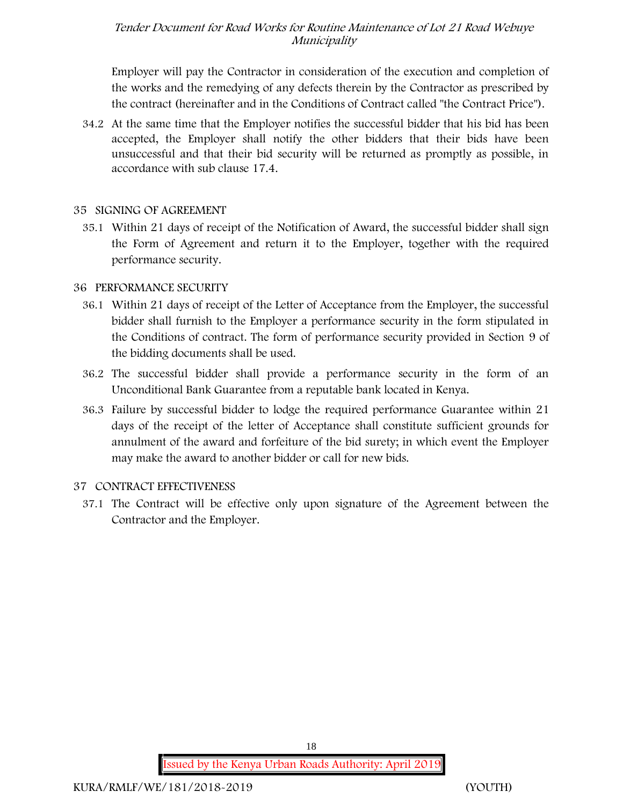Employer will pay the Contractor in consideration of the execution and completion of the works and the remedying of any defects therein by the Contractor as prescribed by the contract (hereinafter and in the Conditions of Contract called "the Contract Price").

34.2 At the same time that the Employer notifies the successful bidder that his bid has been accepted, the Employer shall notify the other bidders that their bids have been unsuccessful and that their bid security will be returned as promptly as possible, in accordance with sub clause 17.4.

#### **35 SIGNING OF AGREEMENT**

35.1 Within 21 days of receipt of the Notification of Award, the successful bidder shall sign the Form of Agreement and return it to the Employer, together with the required performance security.

#### **36 PERFORMANCE SECURITY**

- 36.1 Within 21 days of receipt of the Letter of Acceptance from the Employer, the successful bidder shall furnish to the Employer a performance security in the form stipulated in the Conditions of contract. The form of performance security provided in Section 9 of the bidding documents shall be used.
- 36.2 The successful bidder shall provide a performance security in the form of an Unconditional Bank Guarantee from a reputable bank located in Kenya.
- 36.3 Failure by successful bidder to lodge the required performance Guarantee within 21 days of the receipt of the letter of Acceptance shall constitute sufficient grounds for annulment of the award and forfeiture of the bid surety; in which event the Employer may make the award to another bidder or call for new bids.

#### **37 CONTRACT EFFECTIVENESS**

37.1 The Contract will be effective only upon signature of the Agreement between the Contractor and the Employer.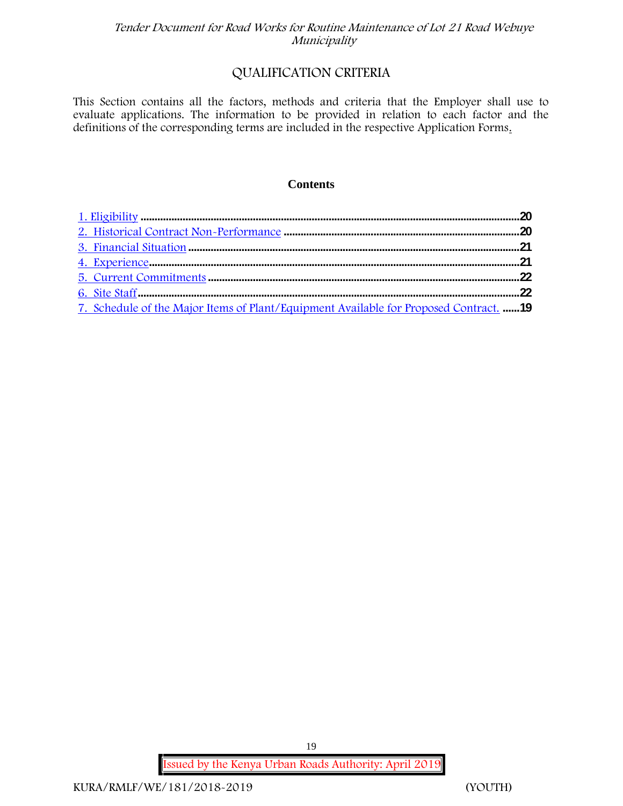# **QUALIFICATION CRITERIA**

This Section contains all the factors, methods and criteria that the Employer shall use to evaluate applications. The information to be provided in relation to each factor and the definitions of the corresponding terms are included in the respective Application Forms.

#### **Contents**

| 7. Schedule of the Major Items of Plant/Equipment Available for Proposed Contract. 19 |  |
|---------------------------------------------------------------------------------------|--|

**Issued by the Kenya Urban Roads Authority: April 2019**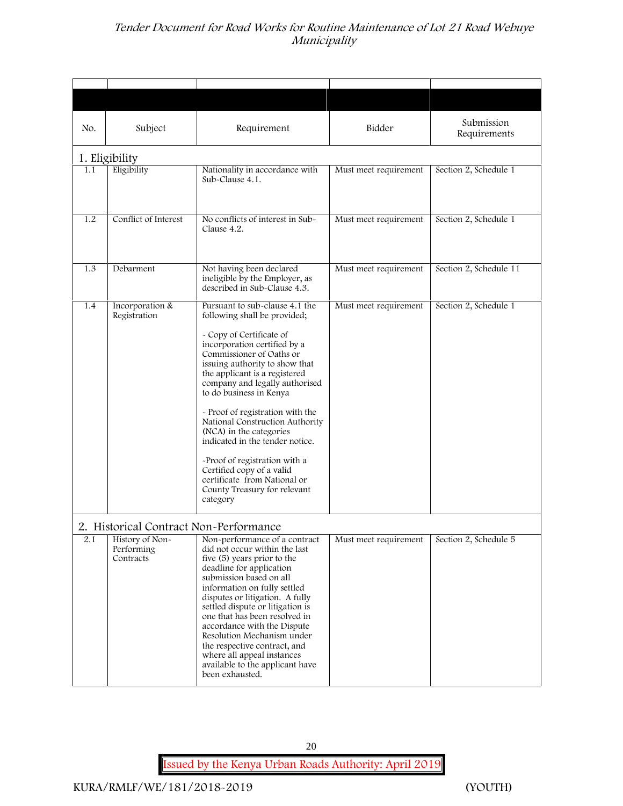| No. | Subject                                                                              | Requirement                                                                                                                                                                                                                                                                                                                                                                                                                                                                                                                                                           | Bidder                | Submission<br>Requirements |
|-----|--------------------------------------------------------------------------------------|-----------------------------------------------------------------------------------------------------------------------------------------------------------------------------------------------------------------------------------------------------------------------------------------------------------------------------------------------------------------------------------------------------------------------------------------------------------------------------------------------------------------------------------------------------------------------|-----------------------|----------------------------|
|     | 1. Eligibility                                                                       |                                                                                                                                                                                                                                                                                                                                                                                                                                                                                                                                                                       |                       |                            |
| 1.1 | Eligibility                                                                          | Nationality in accordance with<br>Sub-Clause 4.1.                                                                                                                                                                                                                                                                                                                                                                                                                                                                                                                     | Must meet requirement | Section 2, Schedule 1      |
| 1.2 | Conflict of Interest                                                                 | No conflicts of interest in Sub-<br>Clause 4.2.                                                                                                                                                                                                                                                                                                                                                                                                                                                                                                                       | Must meet requirement | Section 2, Schedule 1      |
| 1.3 | Debarment                                                                            | Not having been declared<br>ineligible by the Employer, as<br>described in Sub-Clause 4.3.                                                                                                                                                                                                                                                                                                                                                                                                                                                                            | Must meet requirement | Section 2, Schedule 11     |
| 1.4 | Incorporation &<br>Registration                                                      | Pursuant to sub-clause 4.1 the<br>following shall be provided;<br>- Copy of Certificate of<br>incorporation certified by a<br>Commissioner of Oaths or<br>issuing authority to show that<br>the applicant is a registered<br>company and legally authorised<br>to do business in Kenya<br>- Proof of registration with the<br>National Construction Authority<br>(NCA) in the categories<br>indicated in the tender notice.<br>-Proof of registration with a<br>Certified copy of a valid<br>certificate from National or<br>County Treasury for relevant<br>category | Must meet requirement | Section 2, Schedule 1      |
| 2.1 | 2. Historical Contract Non-Performance<br>History of Non-<br>Performing<br>Contracts | Non-performance of a contract<br>did not occur within the last<br>five (5) years prior to the<br>deadline for application<br>submission based on all<br>information on fully settled<br>disputes or litigation. A fully<br>settled dispute or litigation is<br>one that has been resolved in<br>accordance with the Dispute<br>Resolution Mechanism under<br>the respective contract, and<br>where all appeal instances<br>available to the applicant have<br>been exhausted.                                                                                         | Must meet requirement | Section 2, Schedule 5      |

20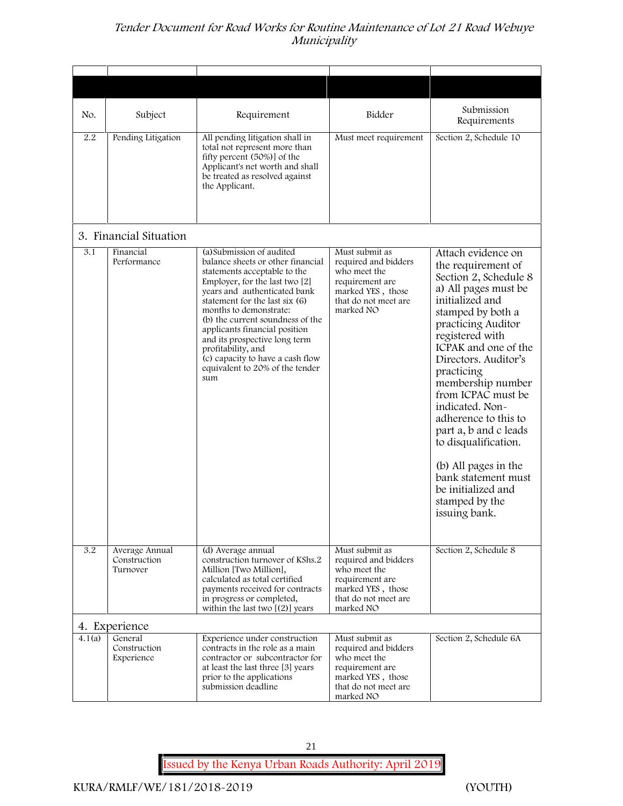| No.    | Subject                                    | Requirement                                                                                                                                                                                                                                                                                                                                                                                                                            | Bidder                                                                                                                              | Submission<br>Requirements                                                                                                                                                                                                                                                                                                                                                                                                                                                              |
|--------|--------------------------------------------|----------------------------------------------------------------------------------------------------------------------------------------------------------------------------------------------------------------------------------------------------------------------------------------------------------------------------------------------------------------------------------------------------------------------------------------|-------------------------------------------------------------------------------------------------------------------------------------|-----------------------------------------------------------------------------------------------------------------------------------------------------------------------------------------------------------------------------------------------------------------------------------------------------------------------------------------------------------------------------------------------------------------------------------------------------------------------------------------|
| 2.2    | Pending Litigation                         | All pending litigation shall in<br>total not represent more than<br>fifty percent (50%)] of the<br>Applicant's net worth and shall<br>be treated as resolved against<br>the Applicant.                                                                                                                                                                                                                                                 | Must meet requirement                                                                                                               | Section 2, Schedule 10                                                                                                                                                                                                                                                                                                                                                                                                                                                                  |
|        | 3. Financial Situation                     |                                                                                                                                                                                                                                                                                                                                                                                                                                        |                                                                                                                                     |                                                                                                                                                                                                                                                                                                                                                                                                                                                                                         |
| 3.1    | Financial<br>Performance                   | (a) Submission of audited<br>balance sheets or other financial<br>statements acceptable to the<br>Employer, for the last two [2]<br>years and authenticated bank<br>statement for the last six (6)<br>months to demonstrate:<br>(b) the current soundness of the<br>applicants financial position<br>and its prospective long term<br>profitability, and<br>(c) capacity to have a cash flow<br>equivalent to 20% of the tender<br>sum | Must submit as<br>required and bidders<br>who meet the<br>requirement are<br>marked YES, those<br>that do not meet are<br>marked NO | Attach evidence on<br>the requirement of<br>Section 2, Schedule 8<br>a) All pages must be<br>initialized and<br>stamped by both a<br>practicing Auditor<br>registered with<br>ICPAK and one of the<br>Directors. Auditor's<br>practicing<br>membership number<br>from ICPAC must be<br>indicated. Non-<br>adherence to this to<br>part a, b and c leads<br>to disqualification.<br>(b) All pages in the<br>bank statement must<br>be initialized and<br>stamped by the<br>issuing bank. |
| 3.2    | Average Annual<br>Construction<br>Turnover | (d) Average annual<br>construction turnover of KShs.2<br>Million [Two Million],<br>calculated as total certified<br>payments received for contracts<br>in progress or completed,<br>within the last two $[(2)]$ years                                                                                                                                                                                                                  | Must submit as<br>required and bidders<br>who meet the<br>requirement are<br>marked YES, those<br>that do not meet are<br>marked NO | Section 2, Schedule 8                                                                                                                                                                                                                                                                                                                                                                                                                                                                   |
|        | 4. Experience                              |                                                                                                                                                                                                                                                                                                                                                                                                                                        |                                                                                                                                     |                                                                                                                                                                                                                                                                                                                                                                                                                                                                                         |
| 4.1(a) | General<br>Construction<br>Experience      | Experience under construction<br>contracts in the role as a main<br>contractor or subcontractor for<br>at least the last three [3] years<br>prior to the applications<br>submission deadline                                                                                                                                                                                                                                           | Must submit as<br>required and bidders<br>who meet the<br>requirement are<br>marked YES, those<br>that do not meet are<br>marked NO | Section 2, Schedule 6A                                                                                                                                                                                                                                                                                                                                                                                                                                                                  |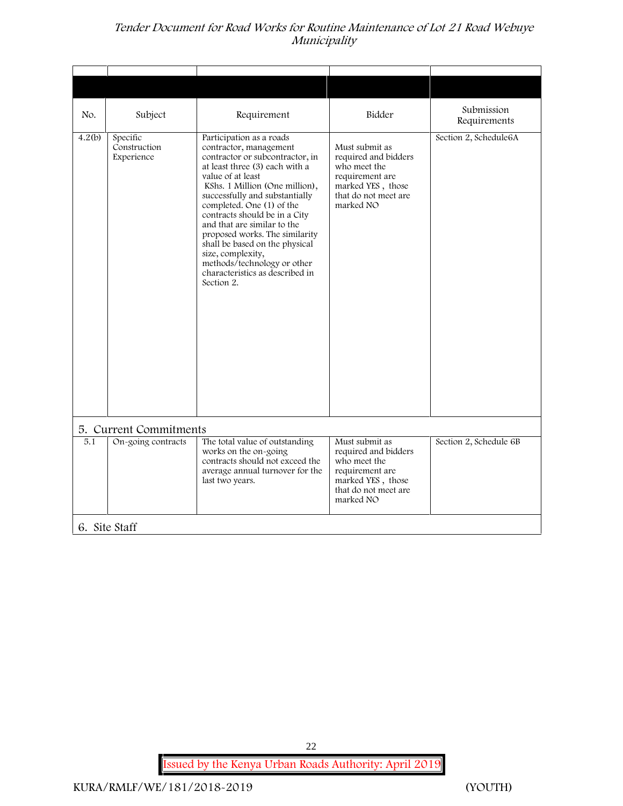| No.    | Subject                                | Requirement                                                                                                                                                                                                                                                                                                                                                                                                                                                                            | Bidder                                                                                                                              | Submission<br>Requirements |
|--------|----------------------------------------|----------------------------------------------------------------------------------------------------------------------------------------------------------------------------------------------------------------------------------------------------------------------------------------------------------------------------------------------------------------------------------------------------------------------------------------------------------------------------------------|-------------------------------------------------------------------------------------------------------------------------------------|----------------------------|
| 4.2(b) | Specific<br>Construction<br>Experience | Participation as a roads<br>contractor, management<br>contractor or subcontractor, in<br>at least three (3) each with a<br>value of at least<br>KShs. 1 Million (One million),<br>successfully and substantially<br>completed. One (1) of the<br>contracts should be in a City<br>and that are similar to the<br>proposed works. The similarity<br>shall be based on the physical<br>size, complexity,<br>methods/technology or other<br>characteristics as described in<br>Section 2. | Must submit as<br>required and bidders<br>who meet the<br>requirement are<br>marked YES, those<br>that do not meet are<br>marked NO | Section 2, Schedule6A      |
|        | 5. Current Commitments                 |                                                                                                                                                                                                                                                                                                                                                                                                                                                                                        |                                                                                                                                     |                            |
| 5.1    | On-going contracts                     | The total value of outstanding<br>works on the on-going<br>contracts should not exceed the<br>average annual turnover for the<br>last two years.                                                                                                                                                                                                                                                                                                                                       | Must submit as<br>required and bidders<br>who meet the<br>requirement are<br>marked YES, those<br>that do not meet are<br>marked NO | Section 2, Schedule 6B     |
|        | 6. Site Staff                          |                                                                                                                                                                                                                                                                                                                                                                                                                                                                                        |                                                                                                                                     |                            |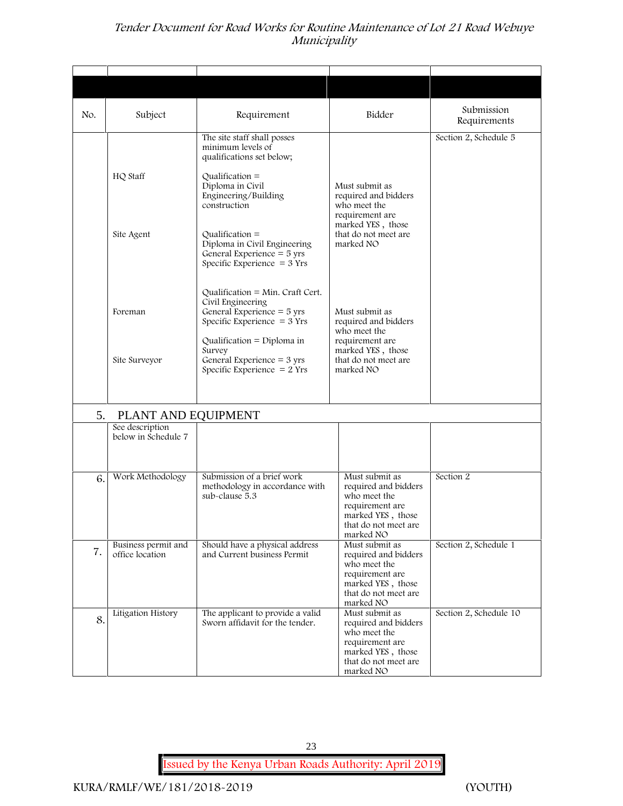| No. | Subject                                | Requirement                                                                                                                                                    | Bidder                                                                                                                              | Submission<br>Requirements |
|-----|----------------------------------------|----------------------------------------------------------------------------------------------------------------------------------------------------------------|-------------------------------------------------------------------------------------------------------------------------------------|----------------------------|
|     | HQ Staff                               | The site staff shall posses<br>minimum levels of<br>qualifications set below;<br>Qualification $=$<br>Diploma in Civil<br>Engineering/Building<br>construction | Must submit as<br>required and bidders<br>who meet the                                                                              | Section 2, Schedule 5      |
|     | Site Agent                             | Qualification $=$<br>Diploma in Civil Engineering<br>General Experience = 5 yrs<br>Specific Experience $=$ 3 Yrs                                               | requirement are<br>marked YES, those<br>that do not meet are<br>marked NO                                                           |                            |
|     | Foreman                                | Qualification = Min. Craft Cert.<br>Civil Engineering<br>General Experience $=$ 5 yrs<br>Specific Experience $=$ 3 Yrs                                         | Must submit as<br>required and bidders<br>who meet the                                                                              |                            |
|     | Site Surveyor                          | Qualification = Diploma in<br>Survey<br>General Experience $=$ 3 yrs<br>Specific Experience $= 2$ Yrs                                                          | requirement are<br>marked YES, those<br>that do not meet are<br>marked NO                                                           |                            |
| 5.  | PLANT AND EQUIPMENT                    |                                                                                                                                                                |                                                                                                                                     |                            |
|     | See description<br>below in Schedule 7 |                                                                                                                                                                |                                                                                                                                     |                            |
| 6.  | Work Methodology                       | Submission of a brief work<br>methodology in accordance with<br>sub-clause 5.3                                                                                 | Must submit as<br>required and bidders<br>who meet the<br>requirement are<br>marked YES, those<br>that do not meet are<br>marked NO | Section 2                  |
| 7.  | Business permit and<br>office location | Should have a physical address<br>and Current business Permit                                                                                                  | Must submit as<br>required and bidders<br>who meet the<br>requirement are<br>marked YES, those<br>that do not meet are<br>marked NO | Section 2, Schedule 1      |
| 8.  | Litigation History                     | The applicant to provide a valid<br>Sworn affidavit for the tender.                                                                                            | Must submit as<br>required and bidders<br>who meet the<br>requirement are<br>marked YES, those<br>that do not meet are<br>marked NO | Section 2, Schedule 10     |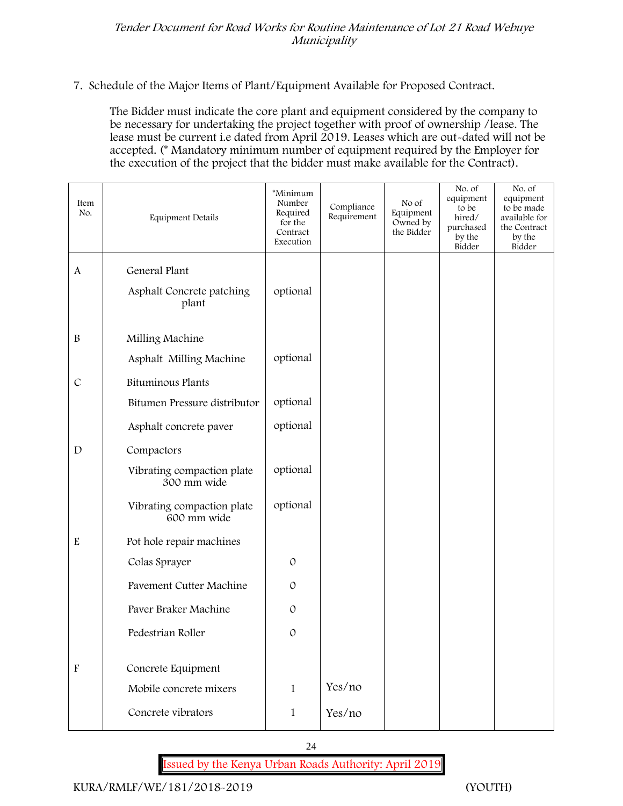**7. Schedule of the Major Items of Plant/Equipment Available for Proposed Contract.**

The Bidder must indicate the core plant and equipment considered by the company to be necessary for undertaking the project together with proof of ownership /lease. The lease must be current i.e dated from April 2019. Leases which are out-dated will not be accepted. (\* Mandatory minimum number of equipment required by the Employer for the execution of the project that the bidder must make available for the Contract).

| Item<br>No.               | <b>Equipment Details</b>                     | *Minimum<br>Number<br>Required<br>for the<br>Contract<br>Execution | Compliance<br>Requirement | No of<br>Equipment<br>Owned by<br>the Bidder | No. of<br>equipment<br>to be<br>hired/<br>purchased<br>by the<br>Bidder | No. of<br>equipment<br>to be made<br>available for<br>the Contract<br>by the<br>Bidder |
|---------------------------|----------------------------------------------|--------------------------------------------------------------------|---------------------------|----------------------------------------------|-------------------------------------------------------------------------|----------------------------------------------------------------------------------------|
| $\mathbf{A}$              | General Plant                                |                                                                    |                           |                                              |                                                                         |                                                                                        |
|                           | Asphalt Concrete patching<br>plant           | optional                                                           |                           |                                              |                                                                         |                                                                                        |
| $\, {\bf B}$              | Milling Machine                              |                                                                    |                           |                                              |                                                                         |                                                                                        |
|                           | Asphalt Milling Machine                      | optional                                                           |                           |                                              |                                                                         |                                                                                        |
| $\mathcal{C}$             | Bituminous Plants                            |                                                                    |                           |                                              |                                                                         |                                                                                        |
|                           | Bitumen Pressure distributor                 | optional                                                           |                           |                                              |                                                                         |                                                                                        |
|                           | Asphalt concrete paver                       | optional                                                           |                           |                                              |                                                                         |                                                                                        |
| $\mathbf D$               | Compactors                                   |                                                                    |                           |                                              |                                                                         |                                                                                        |
|                           | Vibrating compaction plate<br>300 mm wide    | optional                                                           |                           |                                              |                                                                         |                                                                                        |
|                           | Vibrating compaction plate<br>600 mm wide    | optional                                                           |                           |                                              |                                                                         |                                                                                        |
| $\mathbf E$               | Pot hole repair machines                     |                                                                    |                           |                                              |                                                                         |                                                                                        |
|                           | Colas Sprayer                                | $\mathcal{O}$                                                      |                           |                                              |                                                                         |                                                                                        |
|                           | Pavement Cutter Machine                      | $\mathcal{O}$                                                      |                           |                                              |                                                                         |                                                                                        |
|                           | Paver Braker Machine                         | $\mathcal{O}$                                                      |                           |                                              |                                                                         |                                                                                        |
|                           | Pedestrian Roller                            | $\mathcal{O}$                                                      |                           |                                              |                                                                         |                                                                                        |
|                           |                                              |                                                                    |                           |                                              |                                                                         |                                                                                        |
| $\boldsymbol{\mathrm{F}}$ | Concrete Equipment<br>Mobile concrete mixers |                                                                    | Yes/no                    |                                              |                                                                         |                                                                                        |
|                           |                                              | $\mathbf{1}$                                                       |                           |                                              |                                                                         |                                                                                        |
|                           | Concrete vibrators                           | $\mathbf 1$                                                        | Yes/no                    |                                              |                                                                         |                                                                                        |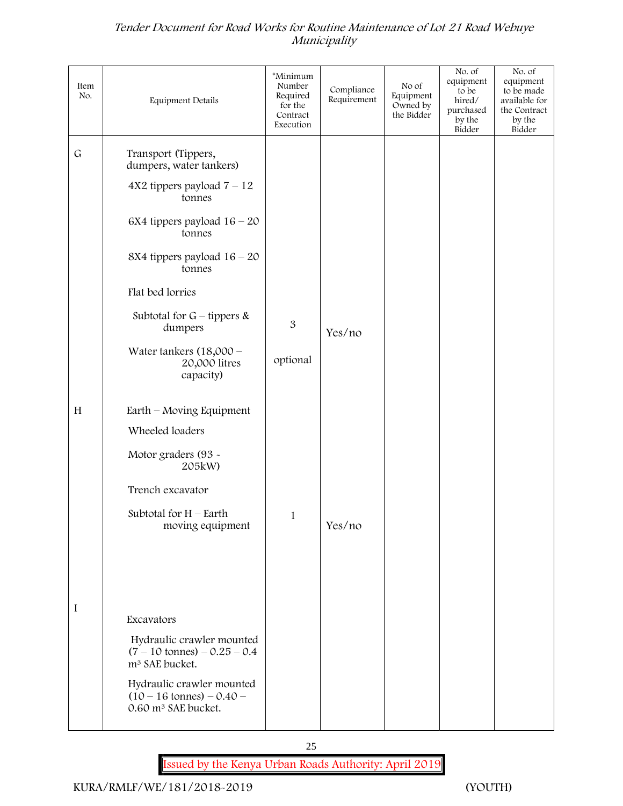| Item<br>No. | Equipment Details                                                                                                                                                                                                      | *Minimum<br>Number<br>Required<br>for the<br>Contract<br>Execution | Compliance<br>Requirement | No of<br>Equipment<br>Owned by<br>the Bidder | No. of<br>equipment<br>to be<br>hired/<br>purchased<br>by the<br>Bidder | No. of<br>equipment<br>to be made<br>available for<br>the Contract<br>by the<br>Bidder |
|-------------|------------------------------------------------------------------------------------------------------------------------------------------------------------------------------------------------------------------------|--------------------------------------------------------------------|---------------------------|----------------------------------------------|-------------------------------------------------------------------------|----------------------------------------------------------------------------------------|
| $\mathsf G$ | Transport (Tippers,<br>dumpers, water tankers)<br>$4X2$ tippers payload $7 - 12$<br>tonnes<br>6X4 tippers payload $16 - 20$<br>tonnes<br>8X4 tippers payload $16 - 20$<br>tonnes<br>Flat bed lorries                   |                                                                    |                           |                                              |                                                                         |                                                                                        |
|             | Subtotal for $G$ – tippers &<br>dumpers                                                                                                                                                                                | 3                                                                  |                           |                                              |                                                                         |                                                                                        |
|             | Water tankers $(18,000 -$<br>20,000 litres<br>capacity)                                                                                                                                                                | optional                                                           | Yes/no                    |                                              |                                                                         |                                                                                        |
| H           | Earth – Moving Equipment                                                                                                                                                                                               |                                                                    |                           |                                              |                                                                         |                                                                                        |
|             | Wheeled loaders                                                                                                                                                                                                        |                                                                    |                           |                                              |                                                                         |                                                                                        |
|             | Motor graders (93 -<br>205kW)                                                                                                                                                                                          |                                                                    |                           |                                              |                                                                         |                                                                                        |
|             | Trench excavator                                                                                                                                                                                                       |                                                                    |                           |                                              |                                                                         |                                                                                        |
|             | Subtotal for $H$ – Earth<br>moving equipment                                                                                                                                                                           | $\mathbf{1}$                                                       | Yes/no                    |                                              |                                                                         |                                                                                        |
|             |                                                                                                                                                                                                                        |                                                                    |                           |                                              |                                                                         |                                                                                        |
| $\mathbf I$ | Excavators<br>Hydraulic crawler mounted<br>$(7 - 10 \text{ tonnes}) - 0.25 - 0.4$<br>m <sup>3</sup> SAE bucket.<br>Hydraulic crawler mounted<br>$(10 - 16 \text{ tonnes}) - 0.40 -$<br>0.60 m <sup>3</sup> SAE bucket. |                                                                    |                           |                                              |                                                                         |                                                                                        |
|             |                                                                                                                                                                                                                        |                                                                    |                           |                                              |                                                                         |                                                                                        |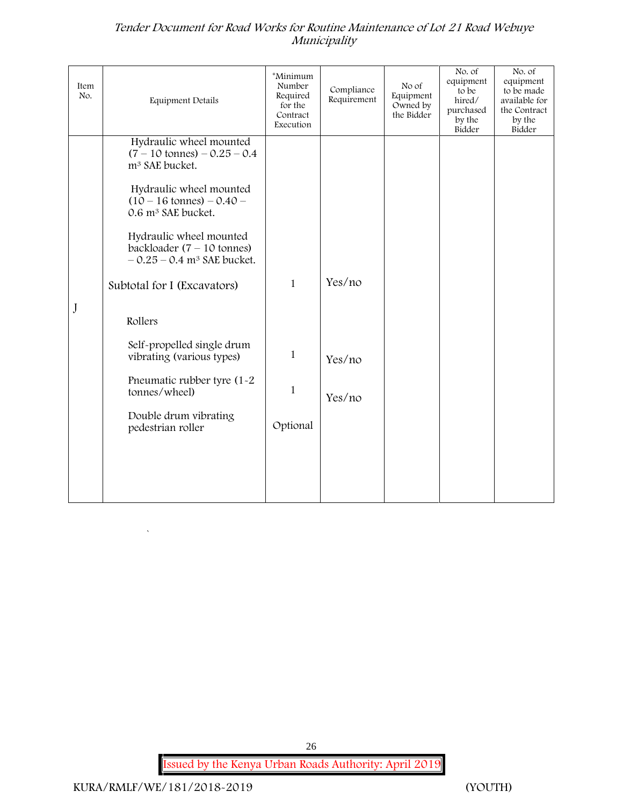| Item<br>No. | <b>Equipment Details</b>                                                                                                                                                                                                                                                                                                                  | *Minimum<br>Number<br>Required<br>for the<br>Contract<br>Execution | Compliance<br>Requirement | No of<br>Equipment<br>Owned by<br>the Bidder | No. of<br>equipment<br>to be<br>hired/<br>purchased<br>by the<br>Bidder | No. of<br>equipment<br>to be made<br>available for<br>the Contract<br>by the<br>Bidder |
|-------------|-------------------------------------------------------------------------------------------------------------------------------------------------------------------------------------------------------------------------------------------------------------------------------------------------------------------------------------------|--------------------------------------------------------------------|---------------------------|----------------------------------------------|-------------------------------------------------------------------------|----------------------------------------------------------------------------------------|
|             | Hydraulic wheel mounted<br>$(7 - 10 \text{ tonnes}) - 0.25 - 0.4$<br>m <sup>3</sup> SAE bucket.<br>Hydraulic wheel mounted<br>$(10 - 16 \text{ tonnes}) - 0.40 -$<br>0.6 m <sup>3</sup> SAE bucket.<br>Hydraulic wheel mounted<br>backloader $(7 - 10$ tonnes)<br>$-0.25 - 0.4$ m <sup>3</sup> SAE bucket.<br>Subtotal for I (Excavators) | $\mathbf{1}$                                                       | Yes/no                    |                                              |                                                                         |                                                                                        |
| J           | Rollers                                                                                                                                                                                                                                                                                                                                   |                                                                    |                           |                                              |                                                                         |                                                                                        |
|             | Self-propelled single drum<br>vibrating (various types)                                                                                                                                                                                                                                                                                   | $\mathbf{1}$                                                       | Yes/no                    |                                              |                                                                         |                                                                                        |
|             | Pneumatic rubber tyre (1-2<br>tonnes/wheel)                                                                                                                                                                                                                                                                                               | 1                                                                  | Yes/no                    |                                              |                                                                         |                                                                                        |
|             | Double drum vibrating<br>pedestrian roller                                                                                                                                                                                                                                                                                                | Optional                                                           |                           |                                              |                                                                         |                                                                                        |
|             |                                                                                                                                                                                                                                                                                                                                           |                                                                    |                           |                                              |                                                                         |                                                                                        |
|             |                                                                                                                                                                                                                                                                                                                                           |                                                                    |                           |                                              |                                                                         |                                                                                        |

**Issued by the Kenya Urban Roads Authority: April 2019**

26

 $\ddot{\phantom{a}}$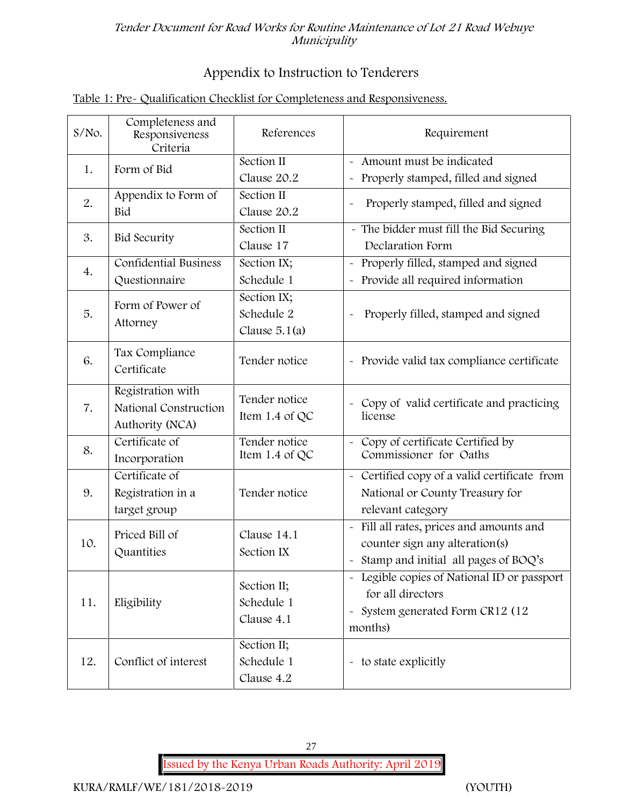# **Appendix to Instruction to Tenderers**

# **Table 1: Pre- Qualification Checklist for Completeness and Responsiveness.**

| $S/NO$ . | Completeness and<br>Responsiveness<br>Criteria                | References                                   | Requirement                                                                                                                                |
|----------|---------------------------------------------------------------|----------------------------------------------|--------------------------------------------------------------------------------------------------------------------------------------------|
| 1.       | Form of Bid                                                   | Section II<br>Clause 20.2                    | Amount must be indicated<br>Properly stamped, filled and signed<br>$\tilde{\phantom{a}}$                                                   |
| 2.       | Appendix to Form of<br>Bid                                    | Section II<br>Clause 20.2                    | Properly stamped, filled and signed<br>$\tilde{\phantom{a}}$                                                                               |
| 3.       | <b>Bid Security</b>                                           | Section II<br>Clause 17                      | - The bidder must fill the Bid Securing<br>Declaration Form                                                                                |
| 4.       | <b>Confidential Business</b><br>Questionnaire                 | Section IX;<br>Schedule 1                    | Properly filled, stamped and signed<br>$\tilde{\phantom{a}}$<br>Provide all required information                                           |
| 5.       | Form of Power of<br>Attorney                                  | Section IX;<br>Schedule 2<br>Clause $5.1(a)$ | Properly filled, stamped and signed                                                                                                        |
| 6.       | Tax Compliance<br>Certificate                                 | Tender notice                                | - Provide valid tax compliance certificate                                                                                                 |
| 7.       | Registration with<br>National Construction<br>Authority (NCA) | Tender notice<br>Item 1.4 of QC              | - Copy of valid certificate and practicing<br>license                                                                                      |
| 8.       | Certificate of<br>Incorporation                               | Tender notice<br>Item 1.4 of QC              | Copy of certificate Certified by<br>Commissioner for Oaths                                                                                 |
| 9.       | Certificate of<br>Registration in a<br>target group           | Tender notice                                | - Certified copy of a valid certificate from<br>National or County Treasury for<br>relevant category                                       |
| 10.      | Priced Bill of<br>Quantities                                  | Clause 14.1<br>Section IX                    | Fill all rates, prices and amounts and<br>$\tilde{\phantom{a}}$<br>counter sign any alteration(s)<br>Stamp and initial all pages of BOQ's  |
| 11.      | Eligibility                                                   | Section II;<br>Schedule 1<br>Clause 4.1      | - Legible copies of National ID or passport<br>for all directors<br>System generated Form CR12 (12<br>$\widetilde{\phantom{m}}$<br>months) |
| 12.      | Conflict of interest                                          | Section II;<br>Schedule 1<br>Clause 4.2      | - to state explicitly                                                                                                                      |

27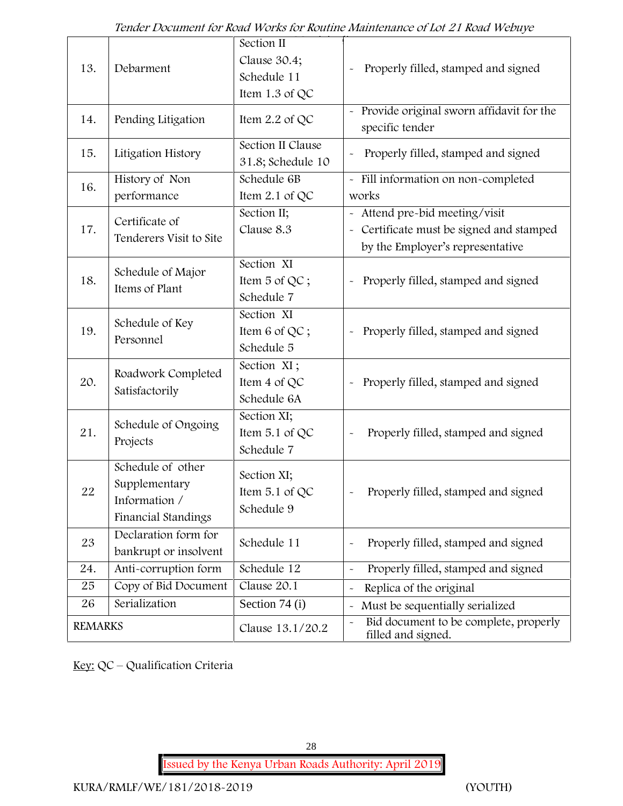| 13.            | Debarment                                                                  | Section II<br>Clause 30.4;<br>Schedule 11<br>Item 1.3 of QC | Properly filled, stamped and signed                                                                            |
|----------------|----------------------------------------------------------------------------|-------------------------------------------------------------|----------------------------------------------------------------------------------------------------------------|
| 14.            | Pending Litigation                                                         | Item $2.2$ of QC                                            | Provide original sworn affidavit for the<br>specific tender                                                    |
| 15.            | Litigation History                                                         | Section II Clause<br>31.8; Schedule 10                      | Properly filled, stamped and signed                                                                            |
| 16.            | History of Non<br>performance                                              | Schedule 6B<br>Item 2.1 of QC                               | - Fill information on non-completed<br>works                                                                   |
| 17.            | Certificate of<br>Tenderers Visit to Site                                  | Section II;<br>Clause 8.3                                   | - Attend pre-bid meeting/visit<br>- Certificate must be signed and stamped<br>by the Employer's representative |
| 18.            | Schedule of Major<br>Items of Plant                                        | Section XI<br>Item 5 of QC;<br>Schedule 7                   | Properly filled, stamped and signed                                                                            |
| 19.            | Schedule of Key<br>Personnel                                               | Section XI<br>Item 6 of QC;<br>Schedule 5                   | Properly filled, stamped and signed<br>$\tilde{\phantom{a}}$                                                   |
| 20.            | Roadwork Completed<br>Satisfactorily                                       | Section XI;<br>Item 4 of QC<br>Schedule 6A                  | Properly filled, stamped and signed                                                                            |
| 21.            | Schedule of Ongoing<br>Projects                                            | Section XI;<br>Item 5.1 of QC<br>Schedule 7                 | Properly filled, stamped and signed                                                                            |
| 22             | Schedule of other<br>Supplementary<br>Information /<br>Financial Standings | Section XI;<br>Item $5.1$ of QC<br>Schedule 9               | Properly filled, stamped and signed                                                                            |
| 23             | Declaration form for<br>bankrupt or insolvent                              | Schedule 11                                                 | Properly filled, stamped and signed                                                                            |
| 24.            | Anti-corruption form                                                       | Schedule 12                                                 | Properly filled, stamped and signed<br>$\tilde{\phantom{a}}$                                                   |
| 25             | Copy of Bid Document                                                       | Clause 20.1                                                 | Replica of the original                                                                                        |
| 26             | Serialization                                                              | Section 74 (i)                                              | Must be sequentially serialized                                                                                |
| <b>REMARKS</b> |                                                                            | Clause 13.1/20.2                                            | Bid document to be complete, properly<br>filled and signed.                                                    |

**Key:** QC – Qualification Criteria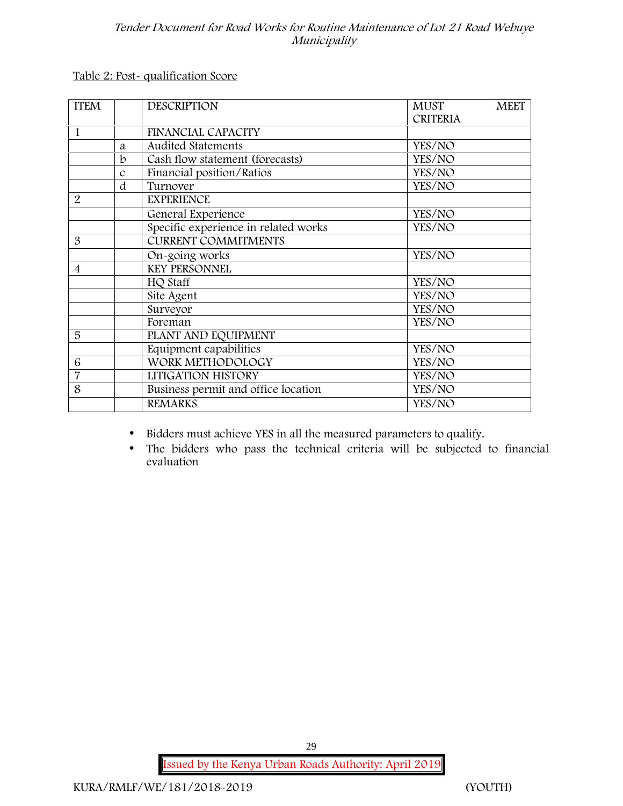**Table 2: Post- qualification Score**

| <b>ITEM</b>    |               | <b>DESCRIPTION</b>                   | <b>MUST</b>     | <b>MEET</b> |
|----------------|---------------|--------------------------------------|-----------------|-------------|
|                |               |                                      | <b>CRITERIA</b> |             |
| 1              |               | <b>FINANCIAL CAPACITY</b>            |                 |             |
|                | a             | <b>Audited Statements</b>            | YES/NO          |             |
|                | $\mathbf b$   | Cash flow statement (forecasts)      | YES/NO          |             |
|                | $\mathcal{C}$ | Financial position/Ratios            | YES/NO          |             |
|                | d             | Turnover                             | YES/NO          |             |
| $\overline{2}$ |               | <b>EXPERIENCE</b>                    |                 |             |
|                |               | General Experience                   | YES/NO          |             |
|                |               | Specific experience in related works | YES/NO          |             |
| 3              |               | <b>CURRENT COMMITMENTS</b>           |                 |             |
|                |               | On-going works                       | YES/NO          |             |
| $\overline{4}$ |               | <b>KEY PERSONNEL</b>                 |                 |             |
|                |               | HQ Staff                             | YES/NO          |             |
|                |               | Site Agent                           | YES/NO          |             |
|                |               | Surveyor                             | YES/NO          |             |
|                |               | Foreman                              | YES/NO          |             |
| 5              |               | PLANT AND EQUIPMENT                  |                 |             |
|                |               | Equipment capabilities               | YES/NO          |             |
| 6              |               | WORK METHODOLOGY                     | YES/NO          |             |
| $\overline{7}$ |               | LITIGATION HISTORY                   | YES/NO          |             |
| 8              |               | Business permit and office location  | YES/NO          |             |
|                |               | <b>REMARKS</b>                       | YES/NO          |             |
|                |               |                                      |                 |             |

Bidders must achieve YES in all the measured parameters to qualify.

 The bidders who pass the technical criteria will be subjected to financial evaluation

**Issued by the Kenya Urban Roads Authority: April 2019**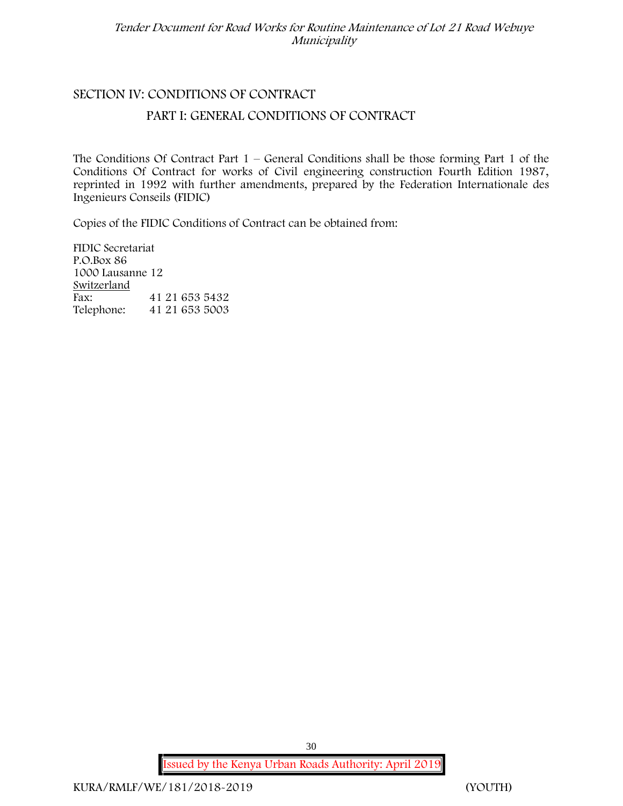# **SECTION IV: CONDITIONS OF CONTRACT**

### **PART I: GENERAL CONDITIONS OF CONTRACT**

The Conditions Of Contract Part  $1$  – General Conditions shall be those forming Part 1 of the Conditions Of Contract for works of Civil engineering construction Fourth Edition 1987, reprinted in 1992 with further amendments, prepared by the Federation Internationale des Ingenieurs Conseils (FIDIC)

Copies of the FIDIC Conditions of Contract can be obtained from:

FIDIC Secretariat P.O.Box 86 1000 Lausanne 12 **Switzerland** Fax: 41 21 653 5432 Telephone: 41 21 653 5003

**Issued by the Kenya Urban Roads Authority: April 2019**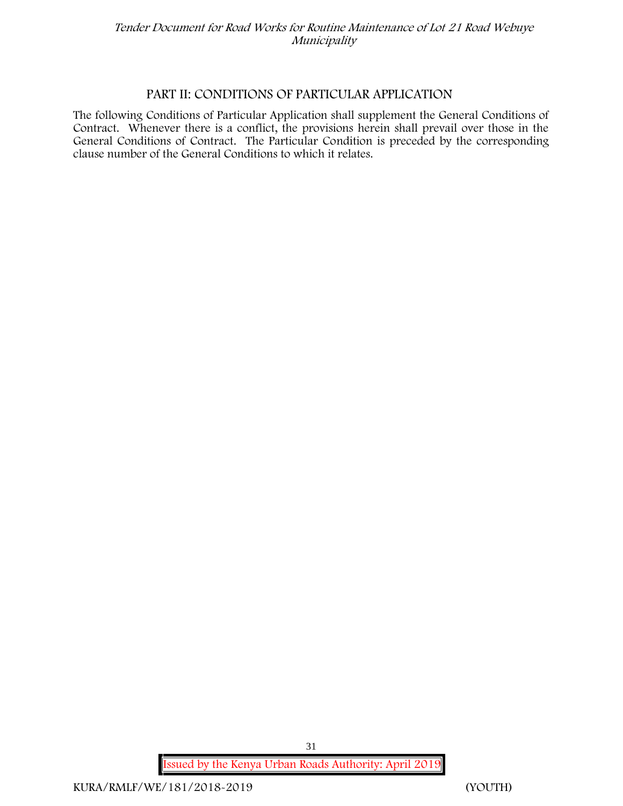### **PART II: CONDITIONS OF PARTICULAR APPLICATION**

The following Conditions of Particular Application shall supplement the General Conditions of Contract. Whenever there is a conflict, the provisions herein shall prevail over those in the General Conditions of Contract. The Particular Condition is preceded by the corresponding clause number of the General Conditions to which it relates.

**Issued by the Kenya Urban Roads Authority: April 2019**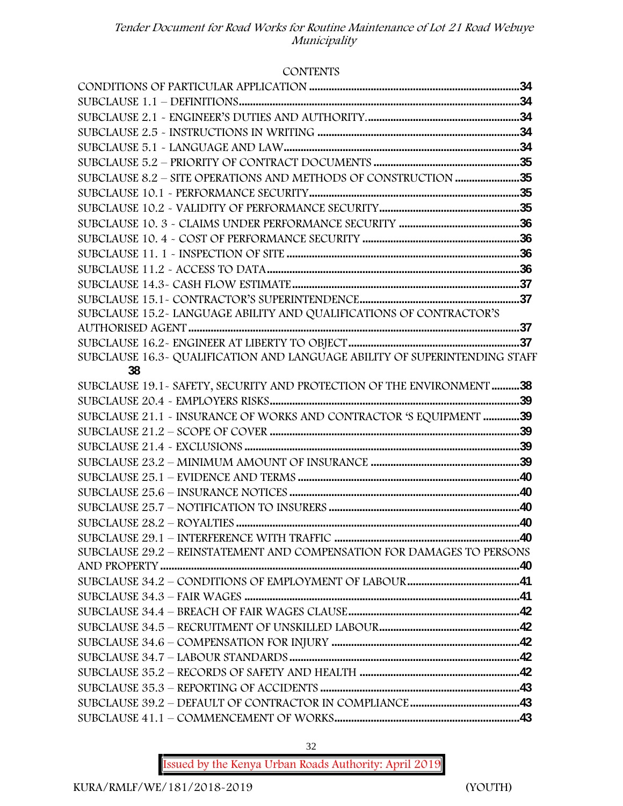#### **CONTENTS**

| SUBCLAUSE 8.2 – SITE OPERATIONS AND METHODS OF CONSTRUCTION 35             |  |
|----------------------------------------------------------------------------|--|
|                                                                            |  |
|                                                                            |  |
|                                                                            |  |
|                                                                            |  |
|                                                                            |  |
|                                                                            |  |
|                                                                            |  |
|                                                                            |  |
| SUBCLAUSE 15.2~ LANGUAGE ABILITY AND QUALIFICATIONS OF CONTRACTOR'S        |  |
|                                                                            |  |
|                                                                            |  |
| SUBCLAUSE 16.3~ QUALIFICATION AND LANGUAGE ABILITY OF SUPERINTENDING STAFF |  |
| 38                                                                         |  |
| SUBCLAUSE 19.1~ SAFETY, SECURITY AND PROTECTION OF THE ENVIRONMENT 38      |  |
|                                                                            |  |
| SUBCLAUSE 21.1 - INSURANCE OF WORKS AND CONTRACTOR 'S EQUIPMENT 39         |  |
|                                                                            |  |
|                                                                            |  |
|                                                                            |  |
|                                                                            |  |
|                                                                            |  |
|                                                                            |  |
|                                                                            |  |
|                                                                            |  |
| SUBCLAUSE 29.2 - REINSTATEMENT AND COMPENSATION FOR DAMAGES TO PERSONS     |  |
|                                                                            |  |
|                                                                            |  |
|                                                                            |  |
|                                                                            |  |
|                                                                            |  |
|                                                                            |  |
|                                                                            |  |
|                                                                            |  |
|                                                                            |  |
|                                                                            |  |
|                                                                            |  |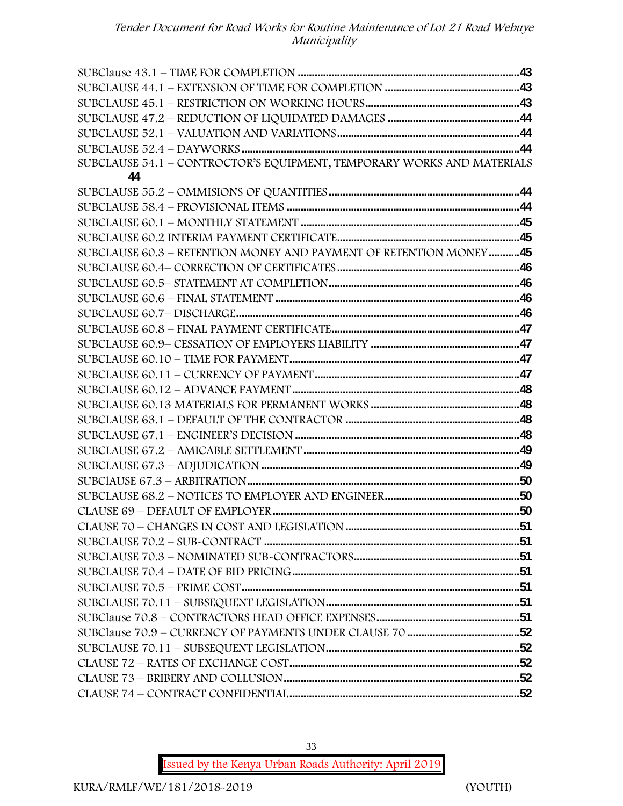| SUBCLAUSE 54.1 - CONTROCTOR'S EQUIPMENT, TEMPORARY WORKS AND MATERIALS |  |
|------------------------------------------------------------------------|--|
| 44                                                                     |  |
|                                                                        |  |
|                                                                        |  |
|                                                                        |  |
|                                                                        |  |
| SUBCLAUSE 60.3 - RETENTION MONEY AND PAYMENT OF RETENTION MONEY45      |  |
|                                                                        |  |
|                                                                        |  |
|                                                                        |  |
|                                                                        |  |
|                                                                        |  |
|                                                                        |  |
|                                                                        |  |
|                                                                        |  |
|                                                                        |  |
|                                                                        |  |
|                                                                        |  |
|                                                                        |  |
|                                                                        |  |
|                                                                        |  |
|                                                                        |  |
|                                                                        |  |
|                                                                        |  |
|                                                                        |  |
|                                                                        |  |
|                                                                        |  |
|                                                                        |  |
|                                                                        |  |
|                                                                        |  |
|                                                                        |  |
|                                                                        |  |
|                                                                        |  |
|                                                                        |  |
|                                                                        |  |
|                                                                        |  |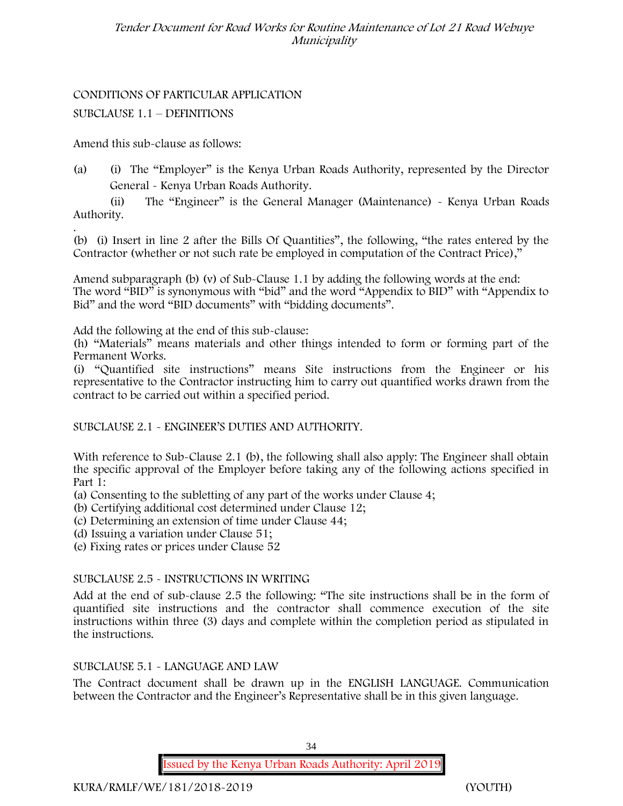# CONDITIONS OF PARTICULAR APPLICATION

SUBCLAUSE 1.1 – DEFINITIONS

Amend this sub-clause as follows:

(a) (i) The "Employer" is the Kenya Urban Roads Authority, represented by the Director General - Kenya Urban Roads Authority.

(ii) The "Engineer" is the General Manager (Maintenance) - Kenya Urban Roads Authority.

.(b) (i) Insert in line 2 after the Bills Of Quantities", the following, "the rates entered by the Contractor (whether or not such rate be employed in computation of the Contract Price),"

Amend subparagraph (b) (v) of Sub-Clause 1.1 by adding the following words at the end: The word "BID" is synonymous with "bid" and the word "Appendix to BID" with "Appendix to Bid" and the word "BID documents" with "bidding documents".

Add the following at the end of this sub-clause:

(h) "Materials" means materials and other things intended to form or forming part of the Permanent Works.

(i) "Quantified site instructions" means Site instructions from the Engineer or his representative to the Contractor instructing him to carry out quantified works drawn from the contract to be carried out within a specified period.

SUBCLAUSE 2.1 - ENGINEER'S DUTIES AND AUTHORITY.

With reference to Sub-Clause 2.1 (b), the following shall also apply: The Engineer shall obtain the specific approval of the Employer before taking any of the following actions specified in Part 1:

- (a) Consenting to the subletting of any part of the works under Clause 4;
- (b) Certifying additional cost determined under Clause 12;
- (c) Determining an extension of time under Clause 44;
- (d) Issuing a variation under Clause 51;
- (e) Fixing rates or prices under Clause 52

# SUBCLAUSE 2.5 - INSTRUCTIONS IN WRITING

Add at the end of sub-clause 2.5 the following: "The site instructions shall be in the form of quantified site instructions and the contractor shall commence execution of the site instructions within three (3) days and complete within the completion period as stipulated in the instructions.

# SUBCLAUSE 5.1 - LANGUAGE AND LAW

The Contract document shall be drawn up in the ENGLISH LANGUAGE. Communication between the Contractor and the Engineer's Representative shall be in this given language.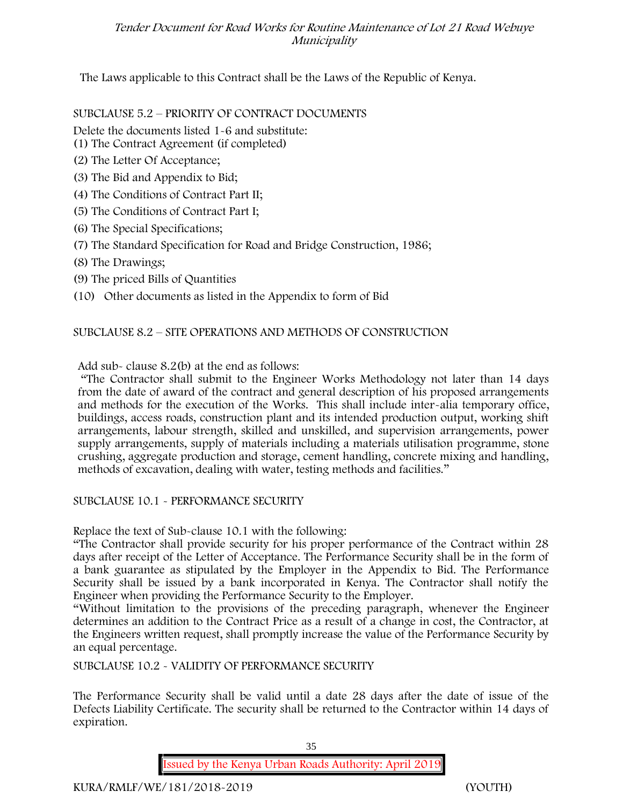The Laws applicable to this Contract shall be the Laws of the Republic of Kenya.

#### SUBCLAUSE 5.2 – PRIORITY OF CONTRACT DOCUMENTS

- Delete the documents listed 1-6 and substitute:
- (1) The Contract Agreement (if completed)
- (2) The Letter Of Acceptance;
- (3) The Bid and Appendix to Bid;
- (4) The Conditions of Contract Part II;
- (5) The Conditions of Contract Part I;
- (6) The Special Specifications;
- (7) The Standard Specification for Road and Bridge Construction, 1986;
- (8) The Drawings;
- (9) The priced Bills of Quantities
- (10) Other documents as listed in the Appendix to form of Bid

#### SUBCLAUSE 8.2 – SITE OPERATIONS AND METHODS OF CONSTRUCTION

Add sub- clause 8.2(b) at the end as follows:

"The Contractor shall submit to the Engineer Works Methodology not later than 14 days from the date of award of the contract and general description of his proposed arrangements and methods for the execution of the Works. This shall include inter-alia temporary office, buildings, access roads, construction plant and its intended production output, working shift arrangements, labour strength, skilled and unskilled, and supervision arrangements, power supply arrangements, supply of materials including a materials utilisation programme, stone crushing, aggregate production and storage, cement handling, concrete mixing and handling, methods of excavation, dealing with water, testing methods and facilities."

#### SUBCLAUSE 10.1 - PERFORMANCE SECURITY

Replace the text of Sub-clause 10.1 with the following:

"The Contractor shall provide security for his proper performance of the Contract within 28 days after receipt of the Letter of Acceptance. The Performance Security shall be in the form of a bank guarantee as stipulated by the Employer in the Appendix to Bid. The Performance Security shall be issued by a bank incorporated in Kenya. The Contractor shall notify the Engineer when providing the Performance Security to the Employer.

"Without limitation to the provisions of the preceding paragraph, whenever the Engineer determines an addition to the Contract Price as a result of a change in cost, the Contractor, at the Engineers written request, shall promptly increase the value of the Performance Security by an equal percentage.

SUBCLAUSE 10.2 - VALIDITY OF PERFORMANCE SECURITY

The Performance Security shall be valid until a date 28 days after the date of issue of the Defects Liability Certificate. The security shall be returned to the Contractor within 14 days of expiration.

35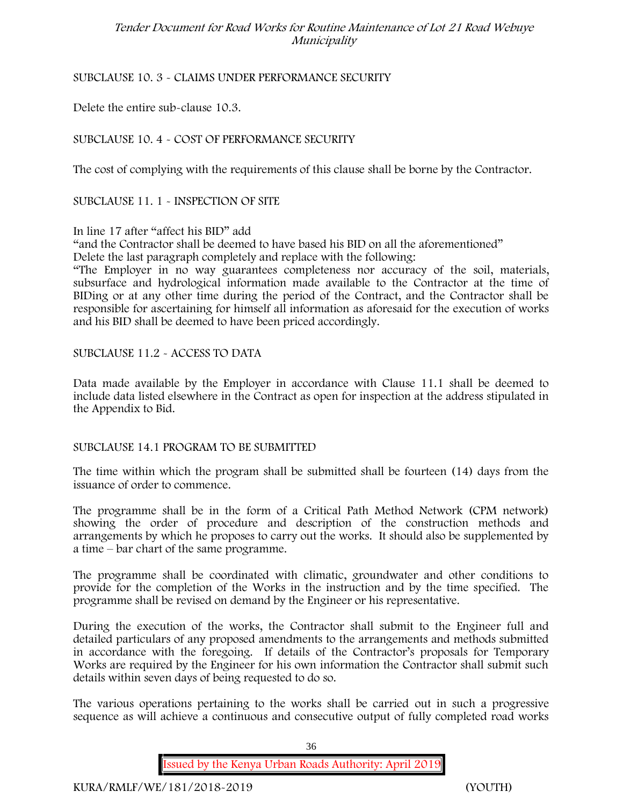# SUBCLAUSE 10. 3 - CLAIMS UNDER PERFORMANCE SECURITY

Delete the entire sub-clause 10.3.

# SUBCLAUSE 10. 4 - COST OF PERFORMANCE SECURITY

The cost of complying with the requirements of this clause shall be borne by the Contractor.

SUBCLAUSE 11. 1 - INSPECTION OF SITE

#### In line 17 after "affect his BID" add

"and the Contractor shall be deemed to have based his BID on all the aforementioned" Delete the last paragraph completely and replace with the following:

"The Employer in no way guarantees completeness nor accuracy of the soil, materials, subsurface and hydrological information made available to the Contractor at the time of BIDing or at any other time during the period of the Contract, and the Contractor shall be responsible for ascertaining for himself all information as aforesaid for the execution of works and his BID shall be deemed to have been priced accordingly.

# SUBCLAUSE 11.2 - ACCESS TO DATA

Data made available by the Employer in accordance with Clause 11.1 shall be deemed to include data listed elsewhere in the Contract as open for inspection at the address stipulated in the Appendix to Bid.

# SUBCLAUSE 14.1 PROGRAM TO BE SUBMITTED

The time within which the program shall be submitted shall be fourteen (14) days from the issuance of order to commence.

The programme shall be in the form of a Critical Path Method Network (CPM network) showing the order of procedure and description of the construction methods and arrangements by which he proposes to carry out the works. It should also be supplemented by a time – bar chart of the same programme.

The programme shall be coordinated with climatic, groundwater and other conditions to provide for the completion of the Works in the instruction and by the time specified. The programme shall be revised on demand by the Engineer or his representative.

During the execution of the works, the Contractor shall submit to the Engineer full and detailed particulars of any proposed amendments to the arrangements and methods submitted in accordance with the foregoing. If details of the Contractor's proposals for Temporary Works are required by the Engineer for his own information the Contractor shall submit such details within seven days of being requested to do so.

The various operations pertaining to the works shall be carried out in such a progressive sequence as will achieve a continuous and consecutive output of fully completed road works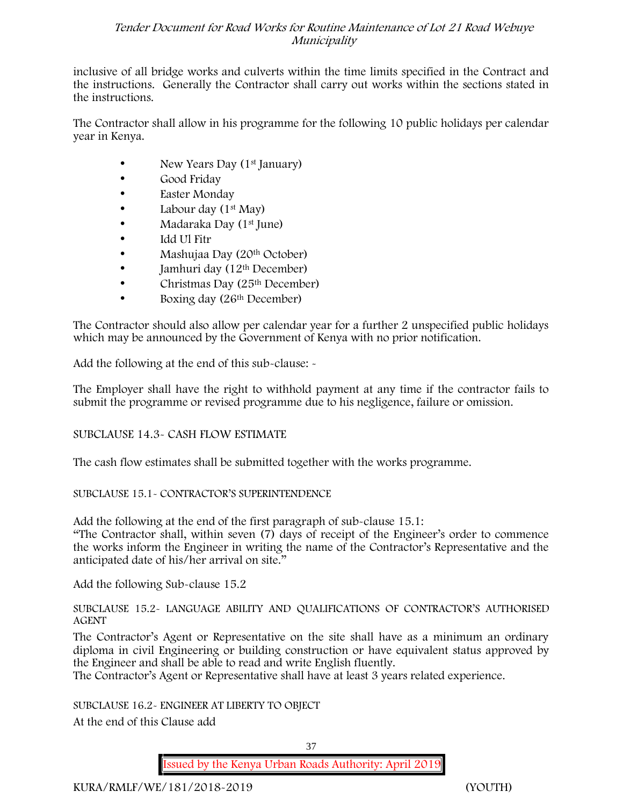inclusive of all bridge works and culverts within the time limits specified in the Contract and the instructions. Generally the Contractor shall carry out works within the sections stated in the instructions.

The Contractor shall allow in his programme for the following 10 public holidays per calendar year in Kenya.

- New Years Day (1st January)
- Good Friday
- Easter Monday
- Labour day  $(1<sup>st</sup>$  May)
- Madaraka Day (1st June)
- Idd Ul Fitr
- Mashujaa Day (20<sup>th</sup> October)
- $\bullet$  Jamhuri day (12<sup>th</sup> December)
- Christmas Day (25<sup>th</sup> December)
- Boxing day (26<sup>th</sup> December)

The Contractor should also allow per calendar year for a further 2 unspecified public holidays which may be announced by the Government of Kenya with no prior notification.

Add the following at the end of this sub-clause: -

The Employer shall have the right to withhold payment at any time if the contractor fails to submit the programme or revised programme due to his negligence, failure or omission.

# SUBCLAUSE 14.3- CASH FLOW ESTIMATE

The cash flow estimates shall be submitted together with the works programme.

# SUBCLAUSE 15.1- CONTRACTOR'S SUPERINTENDENCE

Add the following at the end of the first paragraph of sub-clause 15.1: "The Contractor shall, within seven (7) days of receipt of the Engineer's order to commence the works inform the Engineer in writing the name of the Contractor's Representative and the anticipated date of his/her arrival on site."

Add the following Sub-clause 15.2

SUBCLAUSE 15.2- LANGUAGE ABILITY AND QUALIFICATIONS OF CONTRACTOR'S AUTHORISED AGENT

The Contractor's Agent or Representative on the site shall have as a minimum an ordinary diploma in civil Engineering or building construction or have equivalent status approved by the Engineer and shall be able to read and write English fluently.

The Contractor's Agent or Representative shall have at least 3 years related experience.

SUBCLAUSE 16.2- ENGINEER AT LIBERTY TO OBJECT

At the end of this Clause add

**Issued by the Kenya Urban Roads Authority: April 2019**

**KURA/RMLF/WE/181/2018-2019 (YOUTH)**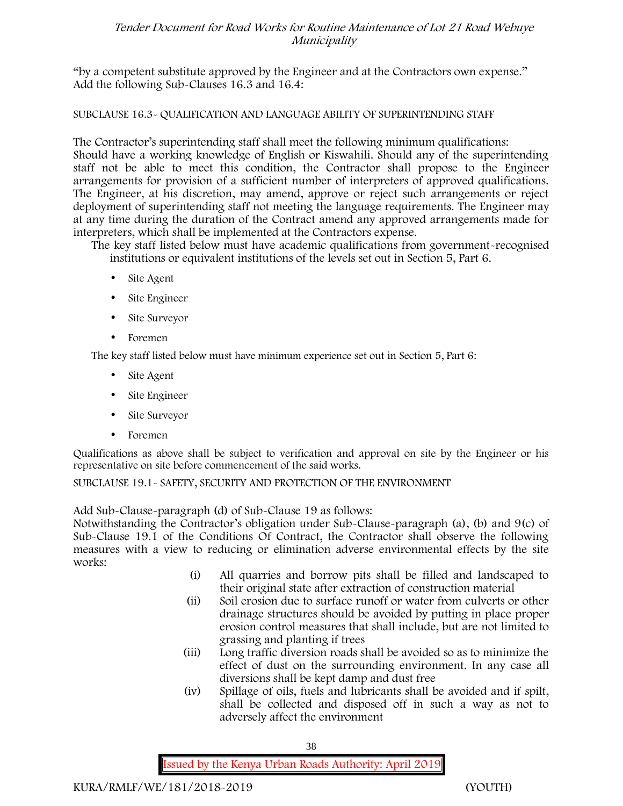"by a competent substitute approved by the Engineer and at the Contractors own expense." Add the following Sub-Clauses 16.3 and 16.4:

# SUBCLAUSE 16.3- QUALIFICATION AND LANGUAGE ABILITY OF SUPERINTENDING STAFF

The Contractor's superintending staff shall meet the following minimum qualifications: Should have a working knowledge of English or Kiswahili. Should any of the superintending staff not be able to meet this condition, the Contractor shall propose to the Engineer arrangements for provision of a sufficient number of interpreters of approved qualifications. The Engineer, at his discretion, may amend, approve or reject such arrangements or reject deployment of superintending staff not meeting the language requirements. The Engineer may at any time during the duration of the Contract amend any approved arrangements made for interpreters, which shall be implemented at the Contractors expense.

The key staff listed below must have academic qualifications from government-recognised institutions or equivalent institutions of the levels set out in Section 5, Part 6.

- Site Agent
- Site Engineer
- Site Surveyor
- Foremen

The key staff listed below must have minimum experience set out in Section 5, Part 6:

- Site Agent
- Site Engineer
- Site Surveyor
- Foremen

Qualifications as above shall be subject to verification and approval on site by the Engineer or his representative on site before commencement of the said works.

SUBCLAUSE 19.1- SAFETY, SECURITY AND PROTECTION OF THE ENVIRONMENT

Add Sub-Clause-paragraph (d) of Sub-Clause 19 as follows:

Notwithstanding the Contractor's obligation under Sub-Clause-paragraph (a), (b) and 9(c) of Sub-Clause 19.1 of the Conditions Of Contract, the Contractor shall observe the following measures with a view to reducing or elimination adverse environmental effects by the site works:

- (i) All quarries and borrow pits shall be filled and landscaped to their original state after extraction of construction material
- (ii) Soil erosion due to surface runoff or water from culverts or other drainage structures should be avoided by putting in place proper erosion control measures that shall include, but are not limited to grassing and planting if trees
- (iii) Long traffic diversion roads shall be avoided so as to minimize the effect of dust on the surrounding environment. In any case all diversions shall be kept damp and dust free
- (iv) Spillage of oils, fuels and lubricants shall be avoided and if spilt, shall be collected and disposed off in such a way as not to adversely affect the environment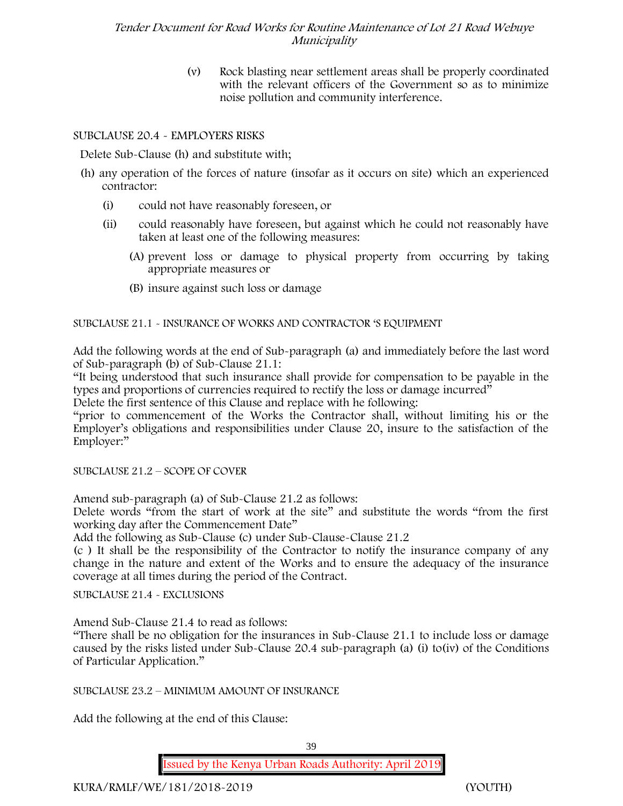(v) Rock blasting near settlement areas shall be properly coordinated with the relevant officers of the Government so as to minimize noise pollution and community interference.

# SUBCLAUSE 20.4 - EMPLOYERS RISKS

Delete Sub-Clause (h) and substitute with;

- (h) any operation of the forces of nature (insofar as it occurs on site) which an experienced contractor:
	- (i) could not have reasonably foreseen, or
	- (ii) could reasonably have foreseen, but against which he could not reasonably have taken at least one of the following measures:
		- (A) prevent loss or damage to physical property from occurring by taking appropriate measures or
		- (B) insure against such loss or damage

#### SUBCLAUSE 21.1 - INSURANCE OF WORKS AND CONTRACTOR 'S EQUIPMENT

Add the following words at the end of Sub-paragraph (a) and immediately before the last word of Sub-paragraph (b) of Sub-Clause 21.1:

"It being understood that such insurance shall provide for compensation to be payable in the types and proportions of currencies required to rectify the loss or damage incurred"

Delete the first sentence of this Clause and replace with he following:

"prior to commencement of the Works the Contractor shall, without limiting his or the Employer's obligations and responsibilities under Clause 20, insure to the satisfaction of the Employer:"

SUBCLAUSE 21.2 – SCOPE OF COVER

Amend sub-paragraph (a) of Sub-Clause 21.2 as follows:

Delete words "from the start of work at the site" and substitute the words "from the first working day after the Commencement Date"

Add the following as Sub-Clause (c) under Sub-Clause-Clause 21.2

(c ) It shall be the responsibility of the Contractor to notify the insurance company of any change in the nature and extent of the Works and to ensure the adequacy of the insurance coverage at all times during the period of the Contract.

SUBCLAUSE 21.4 - EXCLUSIONS

Amend Sub-Clause 21.4 to read as follows:

"There shall be no obligation for the insurances in Sub-Clause 21.1 to include loss or damage caused by the risks listed under Sub-Clause 20.4 sub-paragraph (a) (i) to(iv) of the Conditions of Particular Application."

SUBCLAUSE 23.2 – MINIMUM AMOUNT OF INSURANCE

Add the following at the end of this Clause:

**Issued by the Kenya Urban Roads Authority: April 2019**

**KURA/RMLF/WE/181/2018-2019 (YOUTH)**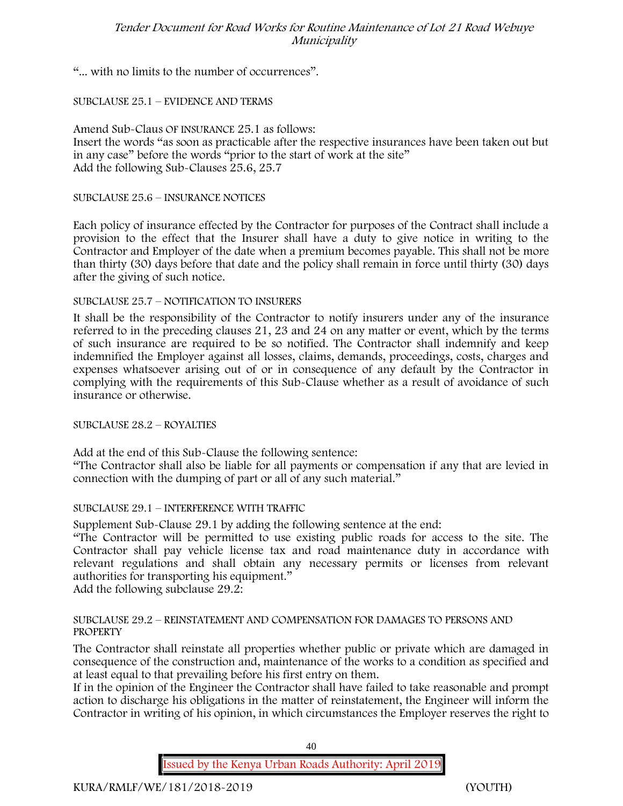"... with no limits to the number of occurrences".

# SUBCLAUSE 25.1 – EVIDENCE AND TERMS

Amend Sub-Claus OF INSURANCE 25.1 as follows: Insert the words "as soon as practicable after the respective insurances have been taken out but in any case" before the words "prior to the start of work at the site" Add the following Sub-Clauses 25.6, 25.7

SUBCLAUSE 25.6 – INSURANCE NOTICES

Each policy of insurance effected by the Contractor for purposes of the Contract shall include a provision to the effect that the Insurer shall have a duty to give notice in writing to the Contractor and Employer of the date when a premium becomes payable. This shall not be more than thirty (30) days before that date and the policy shall remain in force until thirty (30) days after the giving of such notice.

# SUBCLAUSE 25.7 – NOTIFICATION TO INSURERS

It shall be the responsibility of the Contractor to notify insurers under any of the insurance referred to in the preceding clauses 21, 23 and 24 on any matter or event, which by the terms of such insurance are required to be so notified. The Contractor shall indemnify and keep indemnified the Employer against all losses, claims, demands, proceedings, costs, charges and expenses whatsoever arising out of or in consequence of any default by the Contractor in complying with the requirements of this Sub-Clause whether as a result of avoidance of such insurance or otherwise.

# SUBCLAUSE 28.2 – ROYALTIES

Add at the end of this Sub-Clause the following sentence:

"The Contractor shall also be liable for all payments or compensation if any that are levied in connection with the dumping of part or all of any such material."

# SUBCLAUSE 29.1 – INTERFERENCE WITH TRAFFIC

Supplement Sub-Clause 29.1 by adding the following sentence at the end:

"The Contractor will be permitted to use existing public roads for access to the site. The Contractor shall pay vehicle license tax and road maintenance duty in accordance with relevant regulations and shall obtain any necessary permits or licenses from relevant authorities for transporting his equipment."

Add the following subclause 29.2:

#### SUBCLAUSE 29.2 – REINSTATEMENT AND COMPENSATION FOR DAMAGES TO PERSONS AND **PROPERTY**

The Contractor shall reinstate all properties whether public or private which are damaged in consequence of the construction and, maintenance of the works to a condition as specified and at least equal to that prevailing before his first entry on them.

If in the opinion of the Engineer the Contractor shall have failed to take reasonable and prompt action to discharge his obligations in the matter of reinstatement, the Engineer will inform the Contractor in writing of his opinion, in which circumstances the Employer reserves the right to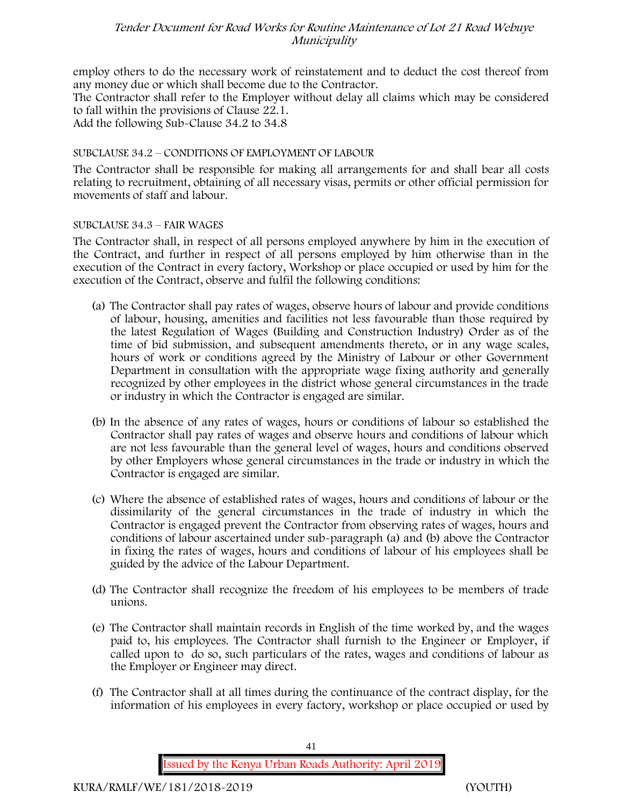employ others to do the necessary work of reinstatement and to deduct the cost thereof from any money due or which shall become due to the Contractor.

The Contractor shall refer to the Employer without delay all claims which may be considered to fall within the provisions of Clause 22.1.

Add the following Sub-Clause 34.2 to 34.8

# SUBCLAUSE 34.2 – CONDITIONS OF EMPLOYMENT OF LABOUR

The Contractor shall be responsible for making all arrangements for and shall bear all costs relating to recruitment, obtaining of all necessary visas, permits or other official permission for movements of staff and labour.

# SUBCLAUSE 34.3 – FAIR WAGES

The Contractor shall, in respect of all persons employed anywhere by him in the execution of the Contract, and further in respect of all persons employed by him otherwise than in the execution of the Contract in every factory, Workshop or place occupied or used by him for the execution of the Contract, observe and fulfil the following conditions:

- (a) The Contractor shall pay rates of wages, observe hours of labour and provide conditions of labour, housing, amenities and facilities not less favourable than those required by the latest Regulation of Wages (Building and Construction Industry) Order as of the time of bid submission, and subsequent amendments thereto, or in any wage scales, hours of work or conditions agreed by the Ministry of Labour or other Government Department in consultation with the appropriate wage fixing authority and generally recognized by other employees in the district whose general circumstances in the trade or industry in which the Contractor is engaged are similar.
- (b) In the absence of any rates of wages, hours or conditions of labour so established the Contractor shall pay rates of wages and observe hours and conditions of labour which are not less favourable than the general level of wages, hours and conditions observed by other Employers whose general circumstances in the trade or industry in which the Contractor is engaged are similar.
- (c) Where the absence of established rates of wages, hours and conditions of labour or the dissimilarity of the general circumstances in the trade of industry in which the Contractor is engaged prevent the Contractor from observing rates of wages, hours and conditions of labour ascertained under sub-paragraph (a) and (b) above the Contractor in fixing the rates of wages, hours and conditions of labour of his employees shall be guided by the advice of the Labour Department.
- (d) The Contractor shall recognize the freedom of his employees to be members of trade unions.
- (e) The Contractor shall maintain records in English of the time worked by, and the wages paid to, his employees. The Contractor shall furnish to the Engineer or Employer, if called upon to do so, such particulars of the rates, wages and conditions of labour as the Employer or Engineer may direct.
- (f) The Contractor shall at all times during the continuance of the contract display, for the information of his employees in every factory, workshop or place occupied or used by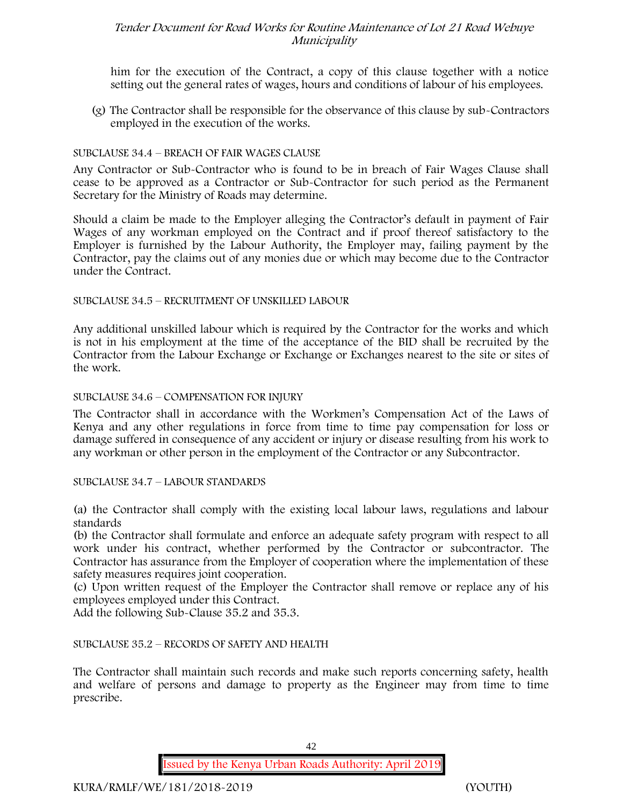him for the execution of the Contract, a copy of this clause together with a notice setting out the general rates of wages, hours and conditions of labour of his employees.

(g) The Contractor shall be responsible for the observance of this clause by sub-Contractors employed in the execution of the works.

# SUBCLAUSE 34.4 – BREACH OF FAIR WAGES CLAUSE

Any Contractor or Sub-Contractor who is found to be in breach of Fair Wages Clause shall cease to be approved as a Contractor or Sub-Contractor for such period as the Permanent Secretary for the Ministry of Roads may determine.

Should a claim be made to the Employer alleging the Contractor's default in payment of Fair Wages of any workman employed on the Contract and if proof thereof satisfactory to the Employer is furnished by the Labour Authority, the Employer may, failing payment by the Contractor, pay the claims out of any monies due or which may become due to the Contractor under the Contract.

SUBCLAUSE 34.5 – RECRUITMENT OF UNSKILLED LABOUR

Any additional unskilled labour which is required by the Contractor for the works and which is not in his employment at the time of the acceptance of the BID shall be recruited by the Contractor from the Labour Exchange or Exchange or Exchanges nearest to the site or sites of the work.

## SUBCLAUSE 34.6 – COMPENSATION FOR INJURY

The Contractor shall in accordance with the Workmen's Compensation Act of the Laws of Kenya and any other regulations in force from time to time pay compensation for loss or damage suffered in consequence of any accident or injury or disease resulting from his work to any workman or other person in the employment of the Contractor or any Subcontractor.

#### SUBCLAUSE 34.7 – LABOUR STANDARDS

(a) the Contractor shall comply with the existing local labour laws, regulations and labour standards

(b) the Contractor shall formulate and enforce an adequate safety program with respect to all work under his contract, whether performed by the Contractor or subcontractor. The Contractor has assurance from the Employer of cooperation where the implementation of these safety measures requires joint cooperation.

(c) Upon written request of the Employer the Contractor shall remove or replace any of his employees employed under this Contract.

Add the following Sub-Clause 35.2 and 35.3.

# SUBCLAUSE 35.2 – RECORDS OF SAFETY AND HEALTH

The Contractor shall maintain such records and make such reports concerning safety, health and welfare of persons and damage to property as the Engineer may from time to time prescribe.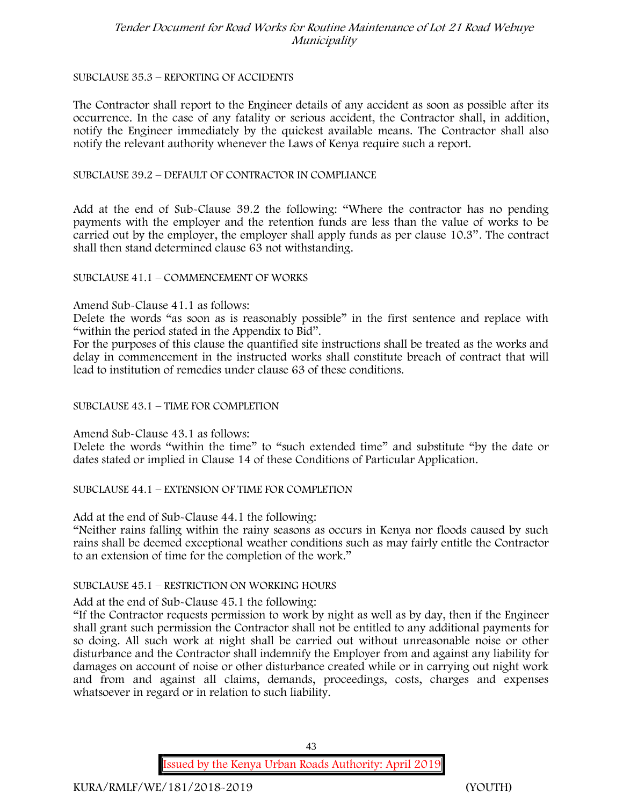#### SUBCLAUSE 35.3 – REPORTING OF ACCIDENTS

The Contractor shall report to the Engineer details of any accident as soon as possible after its occurrence. In the case of any fatality or serious accident, the Contractor shall, in addition, notify the Engineer immediately by the quickest available means. The Contractor shall also notify the relevant authority whenever the Laws of Kenya require such a report.

#### SUBCLAUSE 39.2 – DEFAULT OF CONTRACTOR IN COMPLIANCE

Add at the end of Sub-Clause 39.2 the following: "Where the contractor has no pending payments with the employer and the retention funds are less than the value of works to be carried out by the employer, the employer shall apply funds as per clause 10.3". The contract shall then stand determined clause 63 not withstanding.

#### SUBCLAUSE 41.1 – COMMENCEMENT OF WORKS

#### Amend Sub-Clause 41.1 as follows:

Delete the words "as soon as is reasonably possible" in the first sentence and replace with "within the period stated in the Appendix to Bid".

For the purposes of this clause the quantified site instructions shall be treated as the works and delay in commencement in the instructed works shall constitute breach of contract that will lead to institution of remedies under clause 63 of these conditions.

#### SUBCLAUSE 43.1 – TIME FOR COMPLETION

Amend Sub-Clause 43.1 as follows:

Delete the words "within the time" to "such extended time" and substitute "by the date or dates stated or implied in Clause 14 of these Conditions of Particular Application.

#### SUBCLAUSE 44.1 – EXTENSION OF TIME FOR COMPLETION

Add at the end of Sub-Clause 44.1 the following:

"Neither rains falling within the rainy seasons as occurs in Kenya nor floods caused by such rains shall be deemed exceptional weather conditions such as may fairly entitle the Contractor to an extension of time for the completion of the work."

#### SUBCLAUSE 45.1 – RESTRICTION ON WORKING HOURS

Add at the end of Sub-Clause 45.1 the following:

"If the Contractor requests permission to work by night as well as by day, then if the Engineer shall grant such permission the Contractor shall not be entitled to any additional payments for so doing. All such work at night shall be carried out without unreasonable noise or other disturbance and the Contractor shall indemnify the Employer from and against any liability for damages on account of noise or other disturbance created while or in carrying out night work and from and against all claims, demands, proceedings, costs, charges and expenses whatsoever in regard or in relation to such liability.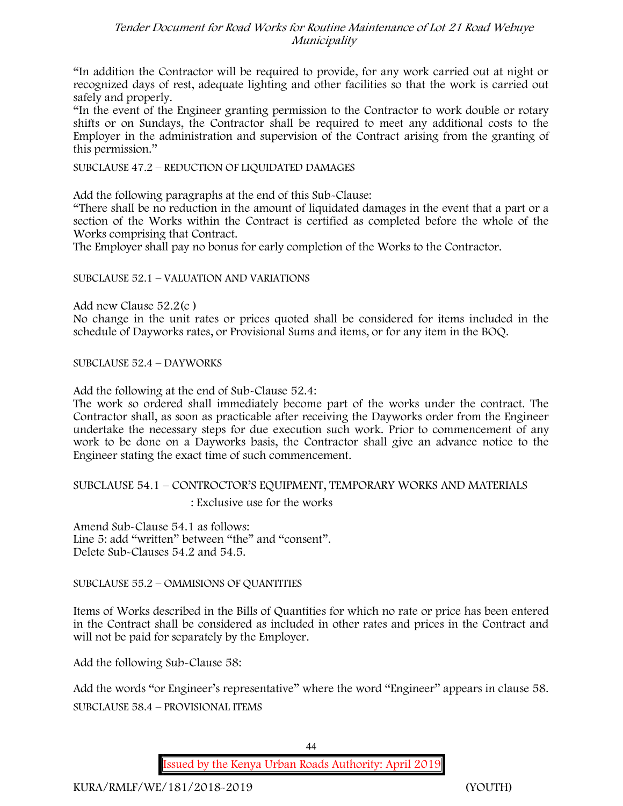"In addition the Contractor will be required to provide, for any work carried out at night or recognized days of rest, adequate lighting and other facilities so that the work is carried out safely and properly.

"In the event of the Engineer granting permission to the Contractor to work double or rotary shifts or on Sundays, the Contractor shall be required to meet any additional costs to the Employer in the administration and supervision of the Contract arising from the granting of this permission."

SUBCLAUSE 47.2 – REDUCTION OF LIQUIDATED DAMAGES

Add the following paragraphs at the end of this Sub-Clause:

"There shall be no reduction in the amount of liquidated damages in the event that a part or a section of the Works within the Contract is certified as completed before the whole of the Works comprising that Contract.

The Employer shall pay no bonus for early completion of the Works to the Contractor.

SUBCLAUSE 52.1 – VALUATION AND VARIATIONS

Add new Clause 52.2(c )

No change in the unit rates or prices quoted shall be considered for items included in the schedule of Dayworks rates, or Provisional Sums and items, or for any item in the BOQ.

SUBCLAUSE 52.4 – DAYWORKS

Add the following at the end of Sub-Clause 52.4:

The work so ordered shall immediately become part of the works under the contract. The Contractor shall, as soon as practicable after receiving the Dayworks order from the Engineer undertake the necessary steps for due execution such work. Prior to commencement of any work to be done on a Dayworks basis, the Contractor shall give an advance notice to the Engineer stating the exact time of such commencement.

SUBCLAUSE 54.1 – CONTROCTOR'S EQUIPMENT, TEMPORARY WORKS AND MATERIALS

: Exclusive use for the works

Amend Sub-Clause 54.1 as follows: Line 5: add "written" between "the" and "consent". Delete Sub-Clauses 54.2 and 54.5.

SUBCLAUSE 55.2 – OMMISIONS OF QUANTITIES

Items of Works described in the Bills of Quantities for which no rate or price has been entered in the Contract shall be considered as included in other rates and prices in the Contract and will not be paid for separately by the Employer.

Add the following Sub-Clause 58:

Add the words "or Engineer's representative" where the word "Engineer" appears in clause 58. SUBCLAUSE 58.4 – PROVISIONAL ITEMS

44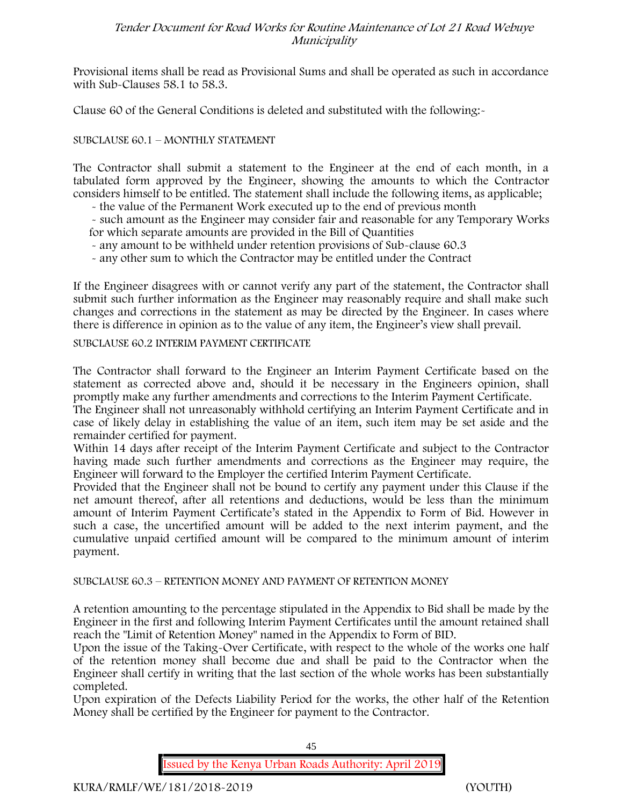Provisional items shall be read as Provisional Sums and shall be operated as such in accordance with Sub-Clauses 58.1 to 58.3.

Clause 60 of the General Conditions is deleted and substituted with the following:-

# SUBCLAUSE 60.1 – MONTHLY STATEMENT

The Contractor shall submit a statement to the Engineer at the end of each month, in a tabulated form approved by the Engineer, showing the amounts to which the Contractor considers himself to be entitled. The statement shall include the following items, as applicable;

- the value of the Permanent Work executed up to the end of previous month

- such amount as the Engineer may consider fair and reasonable for any Temporary Works for which separate amounts are provided in the Bill of Quantities

- any amount to be withheld under retention provisions of Sub-clause 60.3

- any other sum to which the Contractor may be entitled under the Contract

If the Engineer disagrees with or cannot verify any part of the statement, the Contractor shall submit such further information as the Engineer may reasonably require and shall make such changes and corrections in the statement as may be directed by the Engineer. In cases where there is difference in opinion as to the value of any item, the Engineer's view shall prevail.

#### SUBCLAUSE 60.2 INTERIM PAYMENT CERTIFICATE

The Contractor shall forward to the Engineer an Interim Payment Certificate based on the statement as corrected above and, should it be necessary in the Engineers opinion, shall promptly make any further amendments and corrections to the Interim Payment Certificate.

The Engineer shall not unreasonably withhold certifying an Interim Payment Certificate and in case of likely delay in establishing the value of an item, such item may be set aside and the remainder certified for payment.

Within 14 days after receipt of the Interim Payment Certificate and subject to the Contractor having made such further amendments and corrections as the Engineer may require, the Engineer will forward to the Employer the certified Interim Payment Certificate.

Provided that the Engineer shall not be bound to certify any payment under this Clause if the net amount thereof, after all retentions and deductions, would be less than the minimum amount of Interim Payment Certificate's stated in the Appendix to Form of Bid. However in such a case, the uncertified amount will be added to the next interim payment, and the cumulative unpaid certified amount will be compared to the minimum amount of interim payment.

# SUBCLAUSE 60.3 – RETENTION MONEY AND PAYMENT OF RETENTION MONEY

A retention amounting to the percentage stipulated in the Appendix to Bid shall be made by the Engineer in the first and following Interim Payment Certificates until the amount retained shall reach the "Limit of Retention Money" named in the Appendix to Form of BID.

Upon the issue of the Taking-Over Certificate, with respect to the whole of the works one half of the retention money shall become due and shall be paid to the Contractor when the Engineer shall certify in writing that the last section of the whole works has been substantially completed.

Upon expiration of the Defects Liability Period for the works, the other half of the Retention Money shall be certified by the Engineer for payment to the Contractor.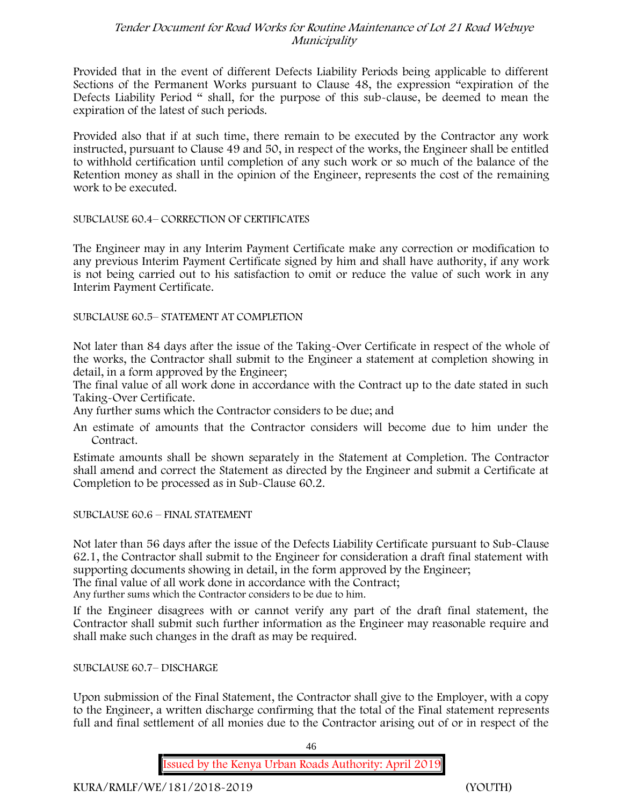Provided that in the event of different Defects Liability Periods being applicable to different Sections of the Permanent Works pursuant to Clause 48, the expression "expiration of the Defects Liability Period " shall, for the purpose of this sub-clause, be deemed to mean the expiration of the latest of such periods.

Provided also that if at such time, there remain to be executed by the Contractor any work instructed, pursuant to Clause 49 and 50, in respect of the works, the Engineer shall be entitled to withhold certification until completion of any such work or so much of the balance of the Retention money as shall in the opinion of the Engineer, represents the cost of the remaining work to be executed.

SUBCLAUSE 60.4– CORRECTION OF CERTIFICATES

The Engineer may in any Interim Payment Certificate make any correction or modification to any previous Interim Payment Certificate signed by him and shall have authority, if any work is not being carried out to his satisfaction to omit or reduce the value of such work in any Interim Payment Certificate.

SUBCLAUSE 60.5– STATEMENT AT COMPLETION

Not later than 84 days after the issue of the Taking-Over Certificate in respect of the whole of the works, the Contractor shall submit to the Engineer a statement at completion showing in detail, in a form approved by the Engineer;

The final value of all work done in accordance with the Contract up to the date stated in such Taking-Over Certificate.

Any further sums which the Contractor considers to be due; and

An estimate of amounts that the Contractor considers will become due to him under the Contract.

Estimate amounts shall be shown separately in the Statement at Completion. The Contractor shall amend and correct the Statement as directed by the Engineer and submit a Certificate at Completion to be processed as in Sub-Clause 60.2.

SUBCLAUSE 60.6 – FINAL STATEMENT

Not later than 56 days after the issue of the Defects Liability Certificate pursuant to Sub-Clause 62.1, the Contractor shall submit to the Engineer for consideration a draft final statement with supporting documents showing in detail, in the form approved by the Engineer;

The final value of all work done in accordance with the Contract;

Any further sums which the Contractor considers to be due to him.

If the Engineer disagrees with or cannot verify any part of the draft final statement, the Contractor shall submit such further information as the Engineer may reasonable require and shall make such changes in the draft as may be required.

SUBCLAUSE 60.7– DISCHARGE

Upon submission of the Final Statement, the Contractor shall give to the Employer, with a copy to the Engineer, a written discharge confirming that the total of the Final statement represents full and final settlement of all monies due to the Contractor arising out of or in respect of the

46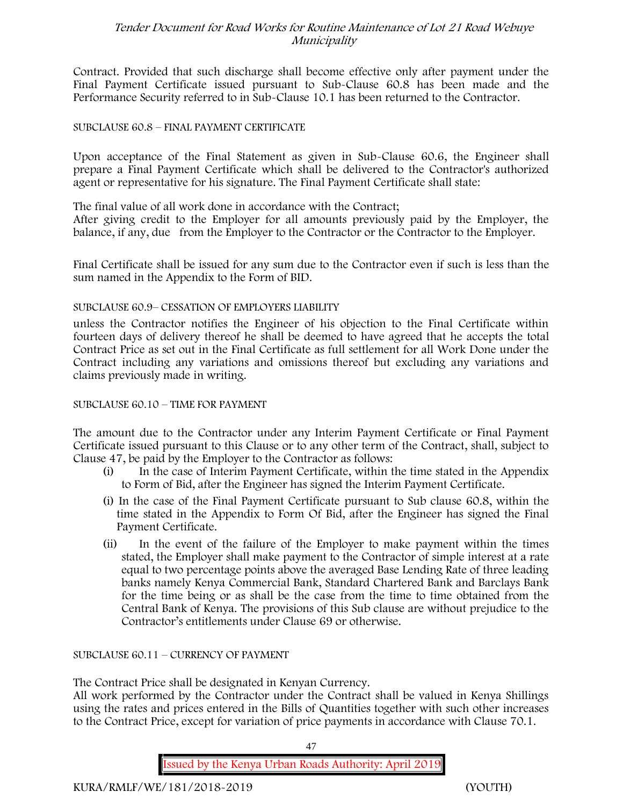Contract. Provided that such discharge shall become effective only after payment under the Final Payment Certificate issued pursuant to Sub-Clause 60.8 has been made and the Performance Security referred to in Sub-Clause 10.1 has been returned to the Contractor.

#### SUBCLAUSE 60.8 – FINAL PAYMENT CERTIFICATE

Upon acceptance of the Final Statement as given in Sub-Clause 60.6, the Engineer shall prepare a Final Payment Certificate which shall be delivered to the Contractor's authorized agent or representative for his signature. The Final Payment Certificate shall state:

The final value of all work done in accordance with the Contract;

After giving credit to the Employer for all amounts previously paid by the Employer, the balance, if any, due from the Employer to the Contractor or the Contractor to the Employer.

Final Certificate shall be issued for any sum due to the Contractor even if such is less than the sum named in the Appendix to the Form of BID.

#### SUBCLAUSE 60.9– CESSATION OF EMPLOYERS LIABILITY

unless the Contractor notifies the Engineer of his objection to the Final Certificate within fourteen days of delivery thereof he shall be deemed to have agreed that he accepts the total Contract Price as set out in the Final Certificate as full settlement for all Work Done under the Contract including any variations and omissions thereof but excluding any variations and claims previously made in writing.

SUBCLAUSE 60.10 – TIME FOR PAYMENT

The amount due to the Contractor under any Interim Payment Certificate or Final Payment Certificate issued pursuant to this Clause or to any other term of the Contract, shall, subject to Clause 47, be paid by the Employer to the Contractor as follows:

- (i) In the case of Interim Payment Certificate, within the time stated in the Appendix to Form of Bid, after the Engineer has signed the Interim Payment Certificate.
- (i) In the case of the Final Payment Certificate pursuant to Sub clause 60.8, within the time stated in the Appendix to Form Of Bid, after the Engineer has signed the Final Payment Certificate.
- (ii) In the event of the failure of the Employer to make payment within the times stated, the Employer shall make payment to the Contractor of simple interest at a rate equal to two percentage points above the averaged Base Lending Rate of three leading banks namely Kenya Commercial Bank, Standard Chartered Bank and Barclays Bank for the time being or as shall be the case from the time to time obtained from the Central Bank of Kenya. The provisions of this Sub clause are without prejudice to the Contractor's entitlements under Clause 69 or otherwise.

SUBCLAUSE 60.11 – CURRENCY OF PAYMENT

The Contract Price shall be designated in Kenyan Currency.

All work performed by the Contractor under the Contract shall be valued in Kenya Shillings using the rates and prices entered in the Bills of Quantities together with such other increases to the Contract Price, except for variation of price payments in accordance with Clause 70.1.

47

**Issued by the Kenya Urban Roads Authority: April 2019**

**KURA/RMLF/WE/181/2018-2019 (YOUTH)**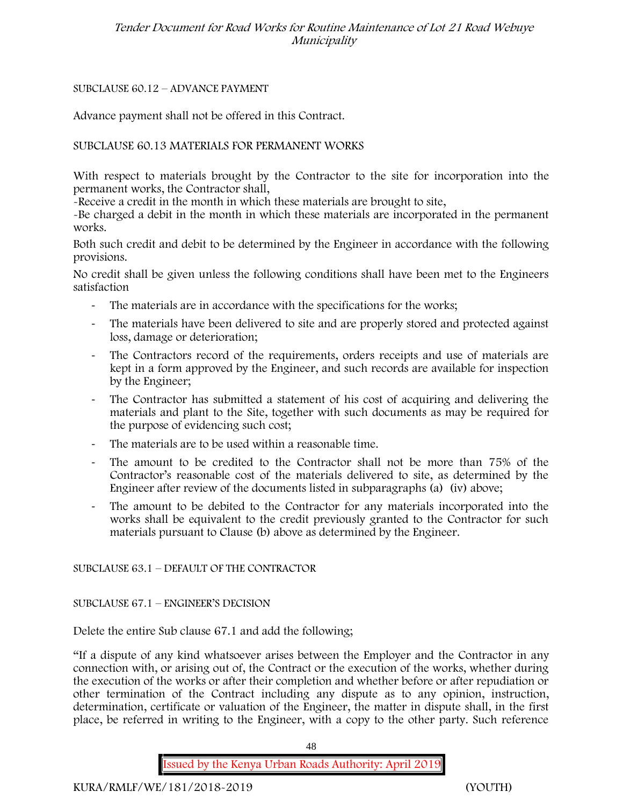# SUBCLAUSE 60.12 – ADVANCE PAYMENT

Advance payment shall not be offered in this Contract.

# SUBCLAUSE 60.13 MATERIALS FOR PERMANENT WORKS

With respect to materials brought by the Contractor to the site for incorporation into the permanent works, the Contractor shall,

-Receive a credit in the month in which these materials are brought to site,

-Be charged a debit in the month in which these materials are incorporated in the permanent works.

Both such credit and debit to be determined by the Engineer in accordance with the following provisions.

No credit shall be given unless the following conditions shall have been met to the Engineers satisfaction

- The materials are in accordance with the specifications for the works;
- The materials have been delivered to site and are properly stored and protected against loss, damage or deterioration;
- The Contractors record of the requirements, orders receipts and use of materials are kept in a form approved by the Engineer, and such records are available for inspection by the Engineer;
- The Contractor has submitted a statement of his cost of acquiring and delivering the materials and plant to the Site, together with such documents as may be required for the purpose of evidencing such cost;
- The materials are to be used within a reasonable time.
- The amount to be credited to the Contractor shall not be more than 75% of the Contractor's reasonable cost of the materials delivered to site, as determined by the Engineer after review of the documents listed in subparagraphs (a) (iv) above;
- The amount to be debited to the Contractor for any materials incorporated into the works shall be equivalent to the credit previously granted to the Contractor for such materials pursuant to Clause (b) above as determined by the Engineer.

# SUBCLAUSE 63.1 – DEFAULT OF THE CONTRACTOR

SUBCLAUSE 67.1 – ENGINEER'S DECISION

Delete the entire Sub clause 67.1 and add the following;

"If a dispute of any kind whatsoever arises between the Employer and the Contractor in any connection with, or arising out of, the Contract or the execution of the works, whether during the execution of the works or after their completion and whether before or after repudiation or other termination of the Contract including any dispute as to any opinion, instruction, determination, certificate or valuation of the Engineer, the matter in dispute shall, in the first place, be referred in writing to the Engineer, with a copy to the other party. Such reference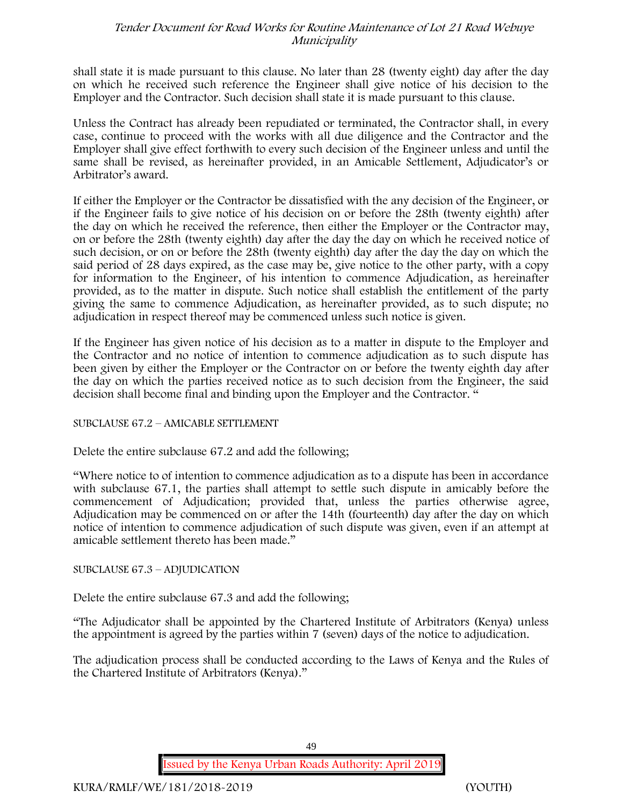shall state it is made pursuant to this clause. No later than 28 (twenty eight) day after the day on which he received such reference the Engineer shall give notice of his decision to the Employer and the Contractor. Such decision shall state it is made pursuant to this clause.

Unless the Contract has already been repudiated or terminated, the Contractor shall, in every case, continue to proceed with the works with all due diligence and the Contractor and the Employer shall give effect forthwith to every such decision of the Engineer unless and until the same shall be revised, as hereinafter provided, in an Amicable Settlement, Adjudicator's or Arbitrator's award.

If either the Employer or the Contractor be dissatisfied with the any decision of the Engineer, or if the Engineer fails to give notice of his decision on or before the 28th (twenty eighth) after the day on which he received the reference, then either the Employer or the Contractor may, on or before the 28th (twenty eighth) day after the day the day on which he received notice of such decision, or on or before the 28th (twenty eighth) day after the day the day on which the said period of 28 days expired, as the case may be, give notice to the other party, with a copy for information to the Engineer, of his intention to commence Adjudication, as hereinafter provided, as to the matter in dispute. Such notice shall establish the entitlement of the party giving the same to commence Adjudication, as hereinafter provided, as to such dispute; no adjudication in respect thereof may be commenced unless such notice is given.

If the Engineer has given notice of his decision as to a matter in dispute to the Employer and the Contractor and no notice of intention to commence adjudication as to such dispute has been given by either the Employer or the Contractor on or before the twenty eighth day after the day on which the parties received notice as to such decision from the Engineer, the said decision shall become final and binding upon the Employer and the Contractor. "

# SUBCLAUSE 67.2 – AMICABLE SETTLEMENT

Delete the entire subclause 67.2 and add the following;

"Where notice to of intention to commence adjudication as to a dispute has been in accordance with subclause 67.1, the parties shall attempt to settle such dispute in amicably before the commencement of Adjudication; provided that, unless the parties otherwise agree, Adjudication may be commenced on or after the 14th (fourteenth) day after the day on which notice of intention to commence adjudication of such dispute was given, even if an attempt at amicable settlement thereto has been made."

# SUBCLAUSE 67.3 – ADJUDICATION

Delete the entire subclause 67.3 and add the following;

"The Adjudicator shall be appointed by the Chartered Institute of Arbitrators (Kenya) unless the appointment is agreed by the parties within 7 (seven) days of the notice to adjudication.

The adjudication process shall be conducted according to the Laws of Kenya and the Rules of the Chartered Institute of Arbitrators (Kenya)."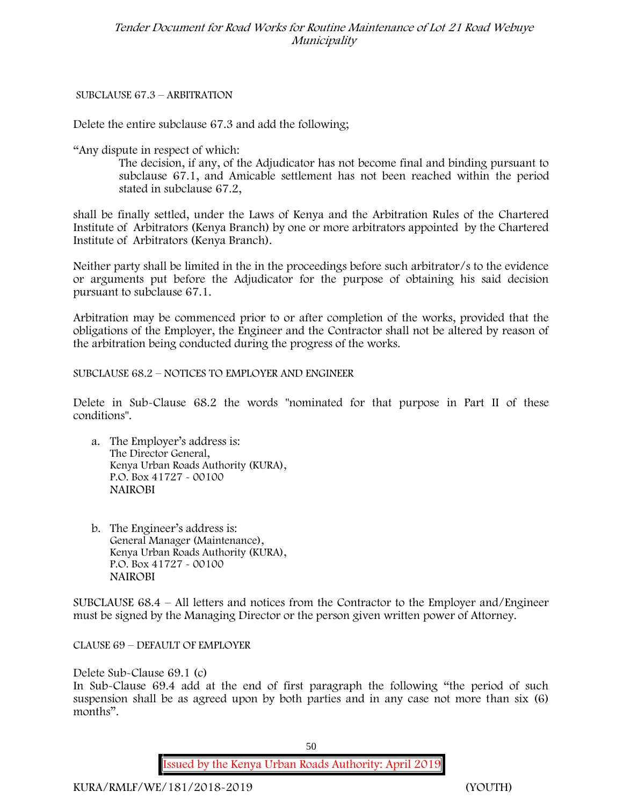# SUBCLAUSE 67.3 – ARBITRATION

Delete the entire subclause 67.3 and add the following;

"Any dispute in respect of which:

The decision, if any, of the Adjudicator has not become final and binding pursuant to subclause 67.1, and Amicable settlement has not been reached within the period stated in subclause 67.2,

shall be finally settled, under the Laws of Kenya and the Arbitration Rules of the Chartered Institute of Arbitrators (Kenya Branch) by one or more arbitrators appointed by the Chartered Institute of Arbitrators (Kenya Branch).

Neither party shall be limited in the in the proceedings before such arbitrator/s to the evidence or arguments put before the Adjudicator for the purpose of obtaining his said decision pursuant to subclause 67.1.

Arbitration may be commenced prior to or after completion of the works, provided that the obligations of the Employer, the Engineer and the Contractor shall not be altered by reason of the arbitration being conducted during the progress of the works.

SUBCLAUSE 68.2 – NOTICES TO EMPLOYER AND ENGINEER

Delete in Sub-Clause 68.2 the words "nominated for that purpose in Part II of these conditions".

- a. The Employer's address is: The Director General, Kenya Urban Roads Authority (KURA), P.O. Box 41727 - 00100 **NAIROBI**
- b. The Engineer's address is: General Manager (Maintenance), Kenya Urban Roads Authority (KURA), P.O. Box 41727 - 00100 **NAIROBI**

SUBCLAUSE 68.4 – All letters and notices from the Contractor to the Employer and/Engineer must be signed by the Managing Director or the person given written power of Attorney.

CLAUSE 69 – DEFAULT OF EMPLOYER

Delete Sub-Clause 69.1 (c)

In Sub-Clause 69.4 add at the end of first paragraph the following "the period of such suspension shall be as agreed upon by both parties and in any case not more than six (6) months".

**Issued by the Kenya Urban Roads Authority: April 2019**

**KURA/RMLF/WE/181/2018-2019 (YOUTH)**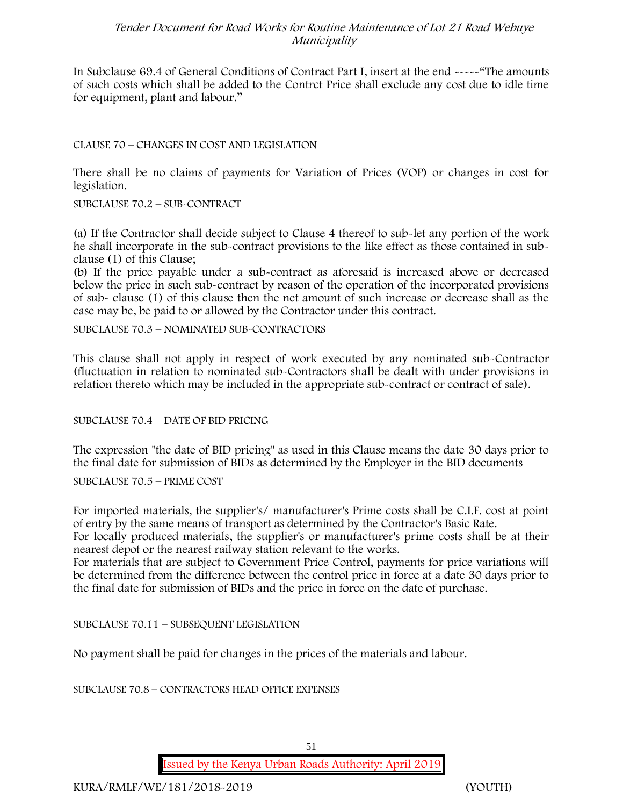In Subclause 69.4 of General Conditions of Contract Part I, insert at the end -----"The amounts of such costs which shall be added to the Contrct Price shall exclude any cost due to idle time for equipment, plant and labour."

#### CLAUSE 70 – CHANGES IN COST AND LEGISLATION

There shall be no claims of payments for Variation of Prices (VOP) or changes in cost for legislation.

SUBCLAUSE 70.2 – SUB-CONTRACT

(a) If the Contractor shall decide subject to Clause 4 thereof to sub-let any portion of the work he shall incorporate in the sub-contract provisions to the like effect as those contained in sub clause (1) of this Clause;

(b) If the price payable under a sub-contract as aforesaid is increased above or decreased below the price in such sub-contract by reason of the operation of the incorporated provisions of sub- clause (1) of this clause then the net amount of such increase or decrease shall as the case may be, be paid to or allowed by the Contractor under this contract.

SUBCLAUSE 70.3 – NOMINATED SUB-CONTRACTORS

This clause shall not apply in respect of work executed by any nominated sub-Contractor (fluctuation in relation to nominated sub-Contractors shall be dealt with under provisions in relation thereto which may be included in the appropriate sub-contract or contract of sale).

SUBCLAUSE 70.4 – DATE OF BID PRICING

The expression "the date of BID pricing" as used in this Clause means the date 30 days prior to the final date for submission of BIDs as determined by the Employer in the BID documents

SUBCLAUSE 70.5 – PRIME COST

For imported materials, the supplier's/ manufacturer's Prime costs shall be C.I.F. cost at point of entry by the same means of transport as determined by the Contractor's Basic Rate.

For locally produced materials, the supplier's or manufacturer's prime costs shall be at their nearest depot or the nearest railway station relevant to the works.

For materials that are subject to Government Price Control, payments for price variations will be determined from the difference between the control price in force at a date 30 days prior to the final date for submission of BIDs and the price in force on the date of purchase.

SUBCLAUSE 70.11 – SUBSEQUENT LEGISLATION

No payment shall be paid for changes in the prices of the materials and labour.

SUBCLAUSE 70.8 – CONTRACTORS HEAD OFFICE EXPENSES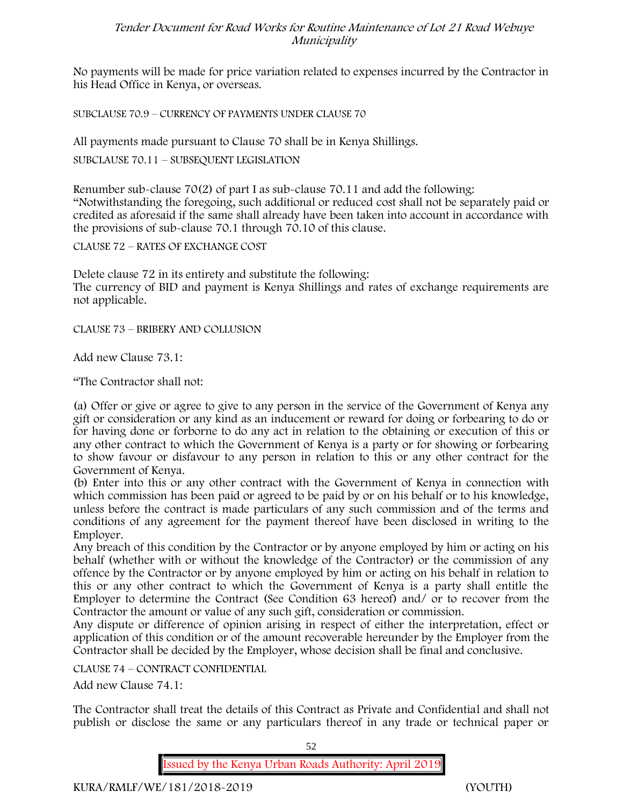No payments will be made for price variation related to expenses incurred by the Contractor in his Head Office in Kenya, or overseas.

SUBCLAUSE 70.9 – CURRENCY OF PAYMENTS UNDER CLAUSE 70

All payments made pursuant to Clause 70 shall be in Kenya Shillings.

SUBCLAUSE 70.11 – SUBSEQUENT LEGISLATION

Renumber sub-clause 70(2) of part I as sub-clause 70.11 and add the following: "Notwithstanding the foregoing, such additional or reduced cost shall not be separately paid or credited as aforesaid if the same shall already have been taken into account in accordance with the provisions of sub-clause 70.1 through 70.10 of this clause.

CLAUSE 72 – RATES OF EXCHANGE COST

Delete clause 72 in its entirety and substitute the following: The currency of BID and payment is Kenya Shillings and rates of exchange requirements are not applicable.

CLAUSE 73 – BRIBERY AND COLLUSION

Add new Clause 73.1:

"The Contractor shall not:

(a) Offer or give or agree to give to any person in the service of the Government of Kenya any gift or consideration or any kind as an inducement or reward for doing or forbearing to do or for having done or forborne to do any act in relation to the obtaining or execution of this or any other contract to which the Government of Kenya is a party or for showing or forbearing to show favour or disfavour to any person in relation to this or any other contract for the Government of Kenya.

(b) Enter into this or any other contract with the Government of Kenya in connection with which commission has been paid or agreed to be paid by or on his behalf or to his knowledge, unless before the contract is made particulars of any such commission and of the terms and conditions of any agreement for the payment thereof have been disclosed in writing to the Employer.

Any breach of this condition by the Contractor or by anyone employed by him or acting on his behalf (whether with or without the knowledge of the Contractor) or the commission of any offence by the Contractor or by anyone employed by him or acting on his behalf in relation to this or any other contract to which the Government of Kenya is a party shall entitle the Employer to determine the Contract (See Condition 63 hereof) and/ or to recover from the Contractor the amount or value of any such gift, consideration or commission.

Any dispute or difference of opinion arising in respect of either the interpretation, effect or application of this condition or of the amount recoverable hereunder by the Employer from the Contractor shall be decided by the Employer, whose decision shall be final and conclusive.

CLAUSE 74 – CONTRACT CONFIDENTIAL

Add new Clause 74.1:

The Contractor shall treat the details of this Contract as Private and Confidential and shall not publish or disclose the same or any particulars thereof in any trade or technical paper or

52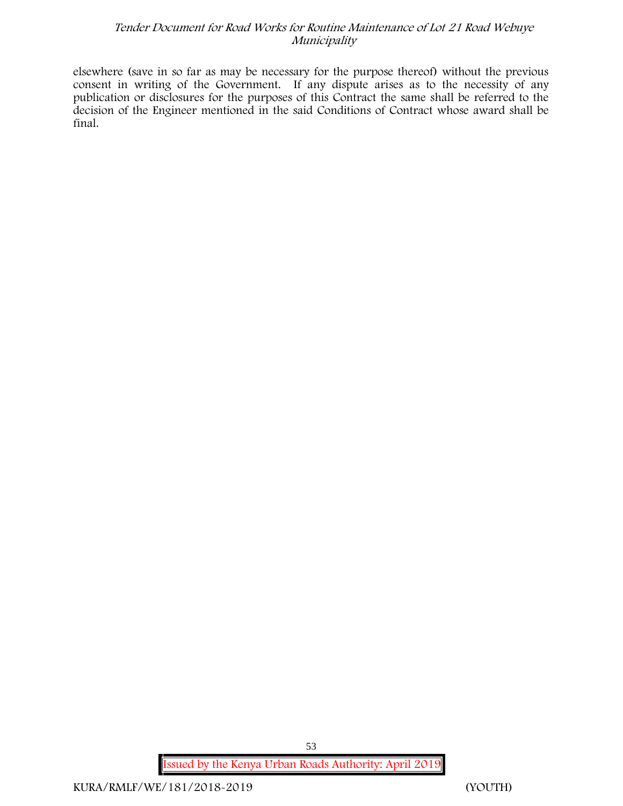elsewhere (save in so far as may be necessary for the purpose thereof) without the previous consent in writing of the Government. If any dispute arises as to the necessity of any publication or disclosures for the purposes of this Contract the same shall be referred to the decision of the Engineer mentioned in the said Conditions of Contract whose award shall be final.

**Issued by the Kenya Urban Roads Authority: April 2019**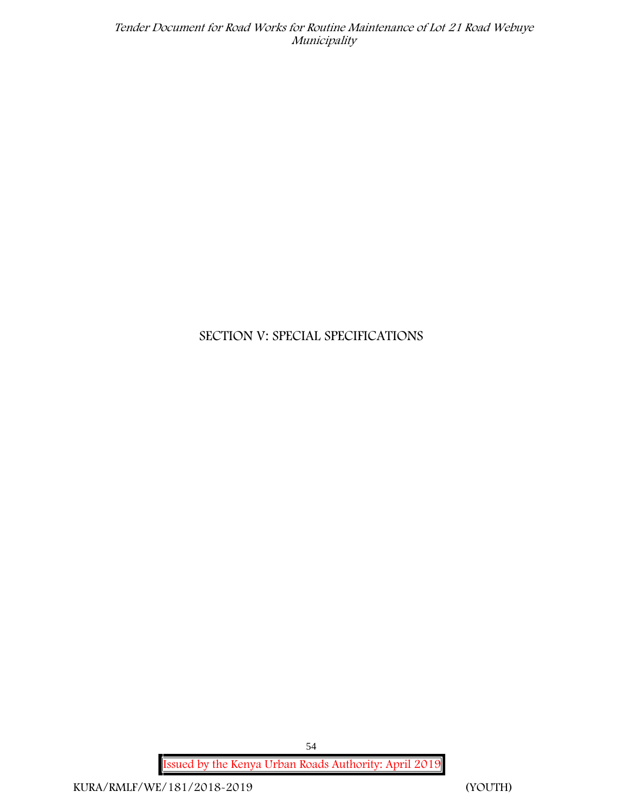# **SECTION V: SPECIAL SPECIFICATIONS**

**Issued by the Kenya Urban Roads Authority: April 2019**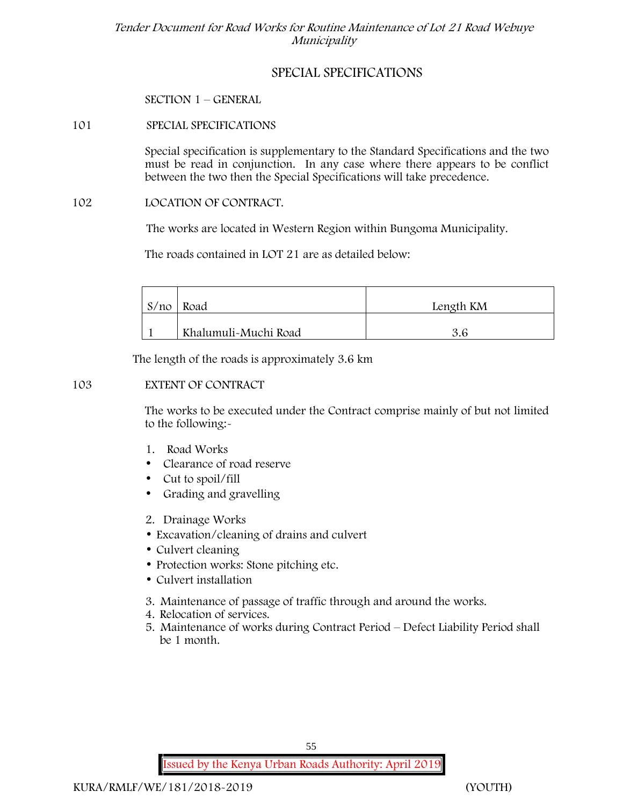# **SPECIAL SPECIFICATIONS**

**SECTION 1 – GENERAL**

## **101 SPECIAL SPECIFICATIONS**

Special specification is supplementary to the Standard Specifications and the two must be read in conjunction. In any case where there appears to be conflict between the two then the Special Specifications will take precedence.

#### **102 LOCATION OF CONTRACT.**

The works are located in Western Region within Bungoma Municipality.

The roads contained in LOT 21 are as detailed below:

| S/no | Road                 | Length KM |
|------|----------------------|-----------|
|      | Khalumuli-Muchi Road |           |

The length of the roads is approximately 3.6 km

#### **103 EXTENT OF CONTRACT**

The works to be executed under the Contract comprise mainly of but not limited to the following:-

- **1. Road Works**
- Clearance of road reserve
- Cut to spoil/fill
- Grading and gravelling
- **2. Drainage Works**
- Excavation/cleaning of drains and culvert
- Culvert cleaning
- Protection works: Stone pitching etc.
- Culvert installation
- **3. Maintenance of passage of traffic through and around the works.**
- **4. Relocation of services.**
- **5. Maintenance of works during Contract Period – Defect Liability Period shall be 1 month.**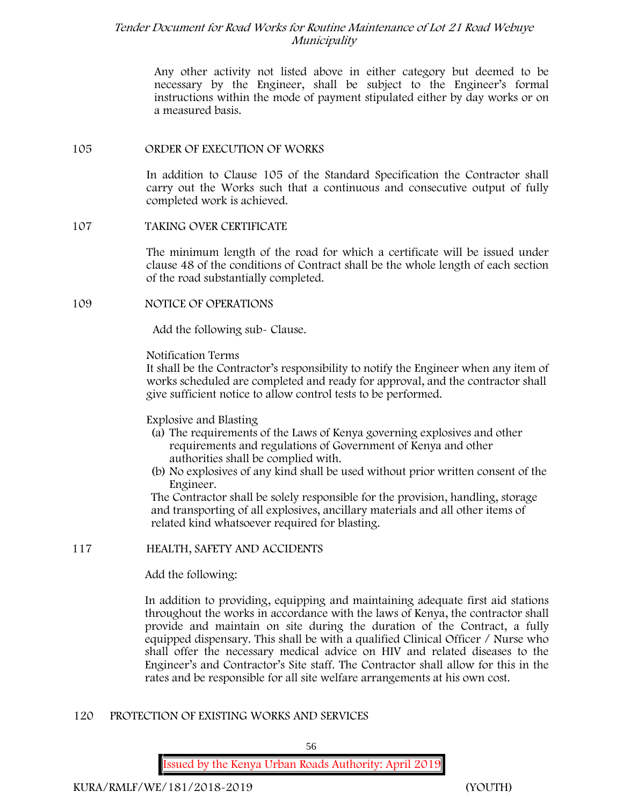Any other activity not listed above in either category but deemed to be necessary by the Engineer, shall be subject to the Engineer's formal instructions within the mode of payment stipulated either by day works or on a measured basis.

#### **105 ORDER OF EXECUTION OF WORKS**

In addition to Clause 105 of the Standard Specification the Contractor shall carry out the Works such that a continuous and consecutive output of fully completed work is achieved.

#### **107 TAKING OVER CERTIFICATE**

The minimum length of the road for which a certificate will be issued under clause 48 of the conditions of Contract shall be the whole length of each section of the road substantially completed.

#### **109 NOTICE OF OPERATIONS**

Add the following sub- Clause.

### Notification Terms

It shall be the Contractor's responsibility to notify the Engineer when any item of works scheduled are completed and ready for approval, and the contractor shall give sufficient notice to allow control tests to be performed.

# Explosive and Blasting

- (a) The requirements of the Laws of Kenya governing explosives and other requirements and regulations of Government of Kenya and other authorities shall be complied with.
- (b) No explosives of any kind shall be used without prior written consent of the Engineer.

The Contractor shall be solely responsible for the provision, handling, storage and transporting of all explosives, ancillary materials and all other items of related kind whatsoever required for blasting.

# **117 HEALTH, SAFETY AND ACCIDENTS**

Add the following:

In addition to providing, equipping and maintaining adequate first aid stations throughout the works in accordance with the laws of Kenya, the contractor shall provide and maintain on site during the duration of the Contract, a fully equipped dispensary. This shall be with a qualified Clinical Officer / Nurse who shall offer the necessary medical advice on HIV and related diseases to the Engineer's and Contractor's Site staff. The Contractor shall allow for this in the rates and be responsible for all site welfare arrangements at his own cost.

# **120 PROTECTION OF EXISTING WORKS AND SERVICES**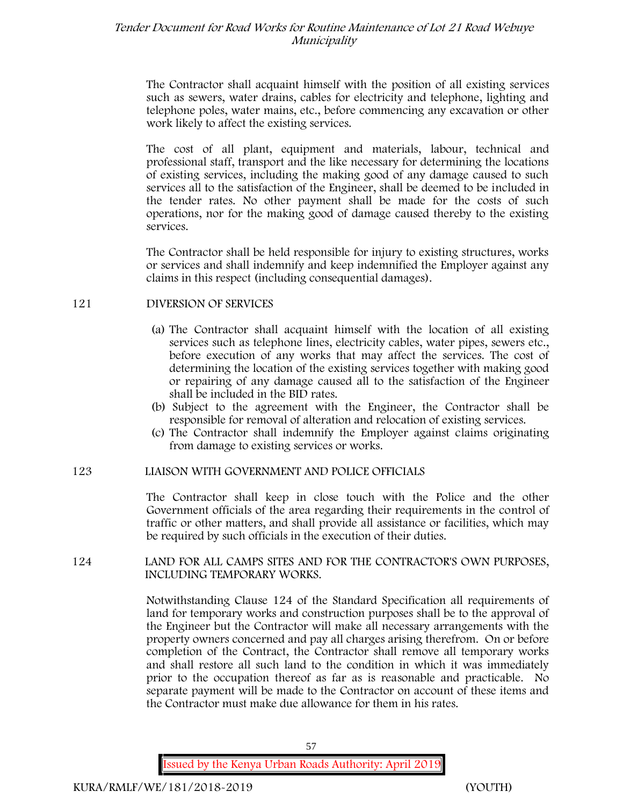The Contractor shall acquaint himself with the position of all existing services such as sewers, water drains, cables for electricity and telephone, lighting and telephone poles, water mains, etc., before commencing any excavation or other work likely to affect the existing services.

The cost of all plant, equipment and materials, labour, technical and professional staff, transport and the like necessary for determining the locations of existing services, including the making good of any damage caused to such services all to the satisfaction of the Engineer, shall be deemed to be included in the tender rates. No other payment shall be made for the costs of such operations, nor for the making good of damage caused thereby to the existing services.

The Contractor shall be held responsible for injury to existing structures, works or services and shall indemnify and keep indemnified the Employer against any claims in this respect (including consequential damages).

#### **121 DIVERSION OF SERVICES**

- (a) The Contractor shall acquaint himself with the location of all existing services such as telephone lines, electricity cables, water pipes, sewers etc., before execution of any works that may affect the services. The cost of determining the location of the existing services together with making good or repairing of any damage caused all to the satisfaction of the Engineer shall be included in the BID rates.
- (b) Subject to the agreement with the Engineer, the Contractor shall be responsible for removal of alteration and relocation of existing services.
- (c) The Contractor shall indemnify the Employer against claims originating from damage to existing services or works.

# **123 LIAISON WITH GOVERNMENT AND POLICE OFFICIALS**

The Contractor shall keep in close touch with the Police and the other Government officials of the area regarding their requirements in the control of traffic or other matters, and shall provide all assistance or facilities, which may be required by such officials in the execution of their duties.

#### **124 LAND FOR ALL CAMPS SITES AND FOR THE CONTRACTOR'S OWN PURPOSES, INCLUDING TEMPORARY WORKS.**

Notwithstanding Clause 124 of the Standard Specification all requirements of land for temporary works and construction purposes shall be to the approval of the Engineer but the Contractor will make all necessary arrangements with the property owners concerned and pay all charges arising therefrom. On or before completion of the Contract, the Contractor shall remove all temporary works and shall restore all such land to the condition in which it was immediately prior to the occupation thereof as far as is reasonable and practicable. No separate payment will be made to the Contractor on account of these items and the Contractor must make due allowance for them in his rates.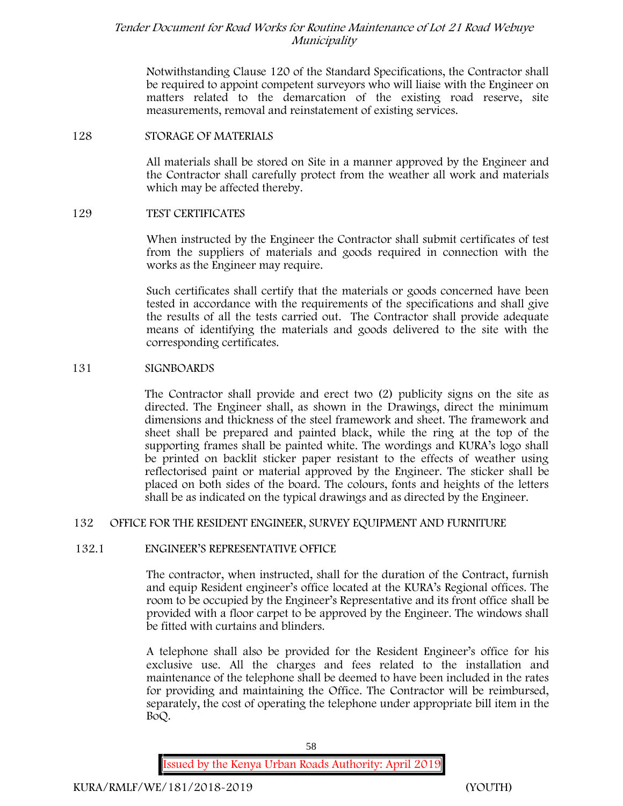Notwithstanding Clause 120 of the Standard Specifications, the Contractor shall be required to appoint competent surveyors who will liaise with the Engineer on matters related to the demarcation of the existing road reserve, site measurements, removal and reinstatement of existing services.

#### **128 STORAGE OF MATERIALS**

All materials shall be stored on Site in a manner approved by the Engineer and the Contractor shall carefully protect from the weather all work and materials which may be affected thereby.

#### **129 TEST CERTIFICATES**

When instructed by the Engineer the Contractor shall submit certificates of test from the suppliers of materials and goods required in connection with the works as the Engineer may require.

Such certificates shall certify that the materials or goods concerned have been tested in accordance with the requirements of the specifications and shall give the results of all the tests carried out. The Contractor shall provide adequate means of identifying the materials and goods delivered to the site with the corresponding certificates.

#### **131 SIGNBOARDS**

The Contractor shall provide and erect two (2) publicity signs on the site as directed. The Engineer shall, as shown in the Drawings, direct the minimum dimensions and thickness of the steel framework and sheet. The framework and sheet shall be prepared and painted black, while the ring at the top of the supporting frames shall be painted white. The wordings and KURA's logo shall be printed on backlit sticker paper resistant to the effects of weather using reflectorised paint or material approved by the Engineer. The sticker shall be placed on both sides of the board. The colours, fonts and heights of the letters shall be as indicated on the typical drawings and as directed by the Engineer.

# **132 OFFICE FOR THE RESIDENT ENGINEER, SURVEY EQUIPMENT AND FURNITURE**

# **132.1 ENGINEER'S REPRESENTATIVE OFFICE**

The contractor, when instructed, shall for the duration of the Contract, furnish and equip Resident engineer's office located at the KURA's Regional offices. The room to be occupied by the Engineer's Representative and its front office shall be provided with a floor carpet to be approved by the Engineer. The windows shall be fitted with curtains and blinders.

A telephone shall also be provided for the Resident Engineer's office for his exclusive use. All the charges and fees related to the installation and maintenance of the telephone shall be deemed to have been included in the rates for providing and maintaining the Office. The Contractor will be reimbursed, separately, the cost of operating the telephone under appropriate bill item in the BoQ.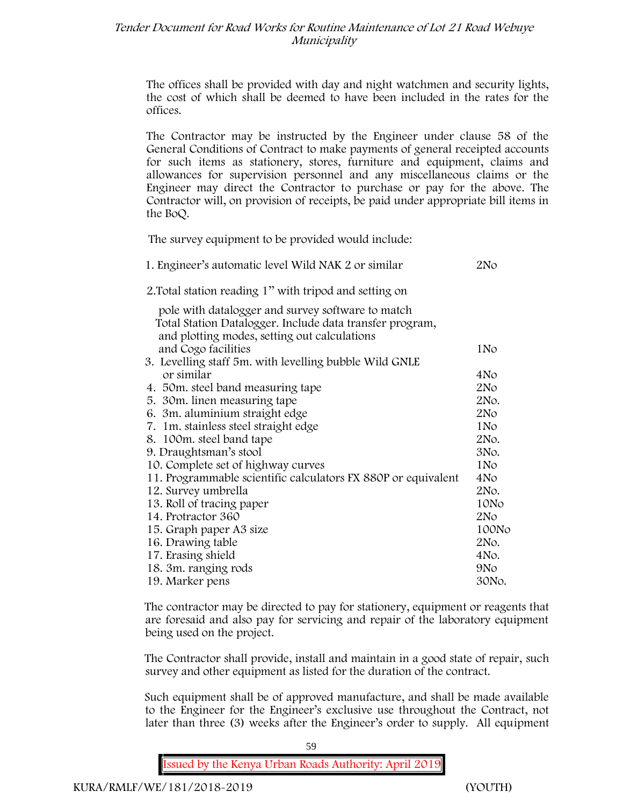The offices shall be provided with day and night watchmen and security lights, the cost of which shall be deemed to have been included in the rates for the offices.

The Contractor may be instructed by the Engineer under clause 58 of the General Conditions of Contract to make payments of general receipted accounts for such items as stationery, stores, furniture and equipment, claims and allowances for supervision personnel and any miscellaneous claims or the Engineer may direct the Contractor to purchase or pay for the above. The Contractor will, on provision of receipts, be paid under appropriate bill items in the BoQ.

**The survey equipment to be provided would include:**

| 1. Engineer's automatic level Wild NAK 2 or similar           | 2No             |
|---------------------------------------------------------------|-----------------|
| 2. Total station reading 1" with tripod and setting on        |                 |
| pole with datalogger and survey software to match             |                 |
| Total Station Datalogger. Include data transfer program,      |                 |
| and plotting modes, setting out calculations                  |                 |
| and Cogo facilities                                           | 1No             |
| 3. Levelling staff 5m. with levelling bubble Wild GNLE        |                 |
| or similar                                                    | 4No             |
| 4. 50 m. steel band measuring tape                            | 2N <sub>O</sub> |
| 5. 30 m. linen measuring tape                                 | 2No.            |
| 6. 3m. aluminium straight edge                                | 2N <sub>O</sub> |
| 7. 1m. stainless steel straight edge                          | 1No             |
| 8. 100m. steel band tape                                      | 2No.            |
| 9. Draughtsman's stool                                        | 3No.            |
| 10. Complete set of highway curves                            | 1N <sub>o</sub> |
| 11. Programmable scientific calculators FX 880P or equivalent | 4No             |
| 12. Survey umbrella                                           | 2No.            |
| 13. Roll of tracing paper                                     | 10No            |
| 14. Protractor 360                                            | 2N <sub>O</sub> |
| 15. Graph paper A3 size                                       | 100No           |
| 16. Drawing table                                             | 2No.            |
| 17. Erasing shield                                            | 4No.            |
| 18. 3m. ranging rods                                          | 9N <sub>o</sub> |
| 19. Marker pens                                               | 30No.           |

The contractor may be directed to pay for stationery, equipment or reagents that are foresaid and also pay for servicing and repair of the laboratory equipment being used on the project.

The Contractor shall provide, install and maintain in a good state of repair, such survey and other equipment as listed for the duration of the contract.

Such equipment shall be of approved manufacture, and shall be made available to the Engineer for the Engineer's exclusive use throughout the Contract, not later than three (3) weeks after the Engineer's order to supply. All equipment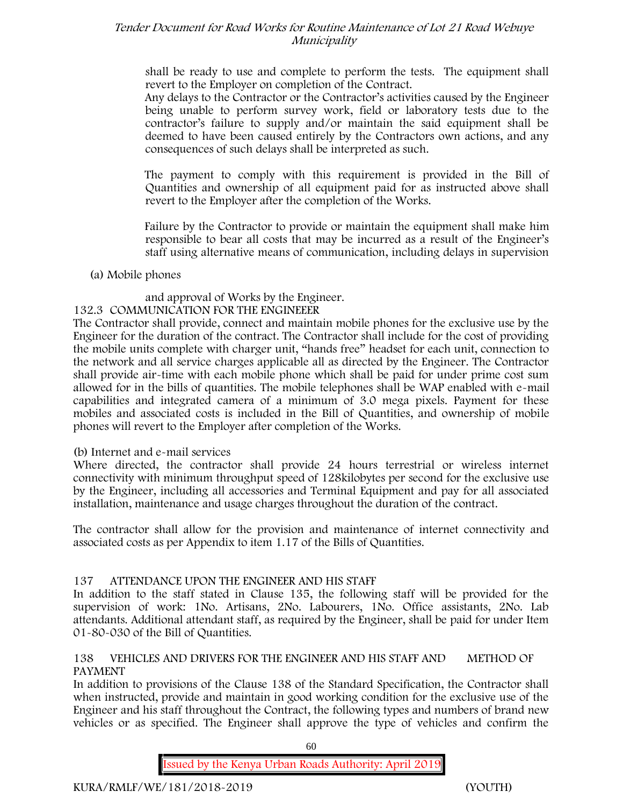shall be ready to use and complete to perform the tests. The equipment shall revert to the Employer on completion of the Contract.

Any delays to the Contractor or the Contractor's activities caused by the Engineer being unable to perform survey work, field or laboratory tests due to the contractor's failure to supply and/or maintain the said equipment shall be deemed to have been caused entirely by the Contractors own actions, and any consequences of such delays shall be interpreted as such.

The payment to comply with this requirement is provided in the Bill of Quantities and ownership of all equipment paid for as instructed above shall revert to the Employer after the completion of the Works.

Failure by the Contractor to provide or maintain the equipment shall make him responsible to bear all costs that may be incurred as a result of the Engineer's staff using alternative means of communication, including delays in supervision

# **(a) Mobile phones**

and approval of Works by the Engineer.

# **132.3 COMMUNICATION FOR THE ENGINEEER**

The Contractor shall provide, connect and maintain mobile phones for the exclusive use by the Engineer for the duration of the contract. The Contractor shall include for the cost of providing the mobile units complete with charger unit, "hands free" headset for each unit, connection to the network and all service charges applicable all as directed by the Engineer. The Contractor shall provide air-time with each mobile phone which shall be paid for under prime cost sum allowed for in the bills of quantities. The mobile telephones shall be WAP enabled with e-mail capabilities and integrated camera of a minimum of 3.0 mega pixels. Payment for these mobiles and associated costs is included in the Bill of Quantities, and ownership of mobile phones will revert to the Employer after completion of the Works.

# **(b) Internet and e-mail services**

Where directed, the contractor shall provide 24 hours terrestrial or wireless internet connectivity with minimum throughput speed of 128kilobytes per second for the exclusive use by the Engineer, including all accessories and Terminal Equipment and pay for all associated installation, maintenance and usage charges throughout the duration of the contract.

The contractor shall allow for the provision and maintenance of internet connectivity and associated costs as per Appendix to item 1.17 of the Bills of Quantities.

# **137 ATTENDANCE UPON THE ENGINEER AND HIS STAFF**

In addition to the staff stated in Clause 135, the following staff will be provided for the supervision of work: 1No. Artisans, 2No. Labourers, 1No. Office assistants, 2No. Lab attendants. Additional attendant staff, as required by the Engineer, shall be paid for under Item 01-80-030 of the Bill of Quantities.

# **138 VEHICLES AND DRIVERS FOR THE ENGINEER AND HIS STAFF AND METHOD OF PAYMENT**

In addition to provisions of the Clause 138 of the Standard Specification, the Contractor shall when instructed, provide and maintain in good working condition for the exclusive use of the Engineer and his staff throughout the Contract, the following types and numbers of brand new vehicles or as specified. The Engineer shall approve the type of vehicles and confirm the

60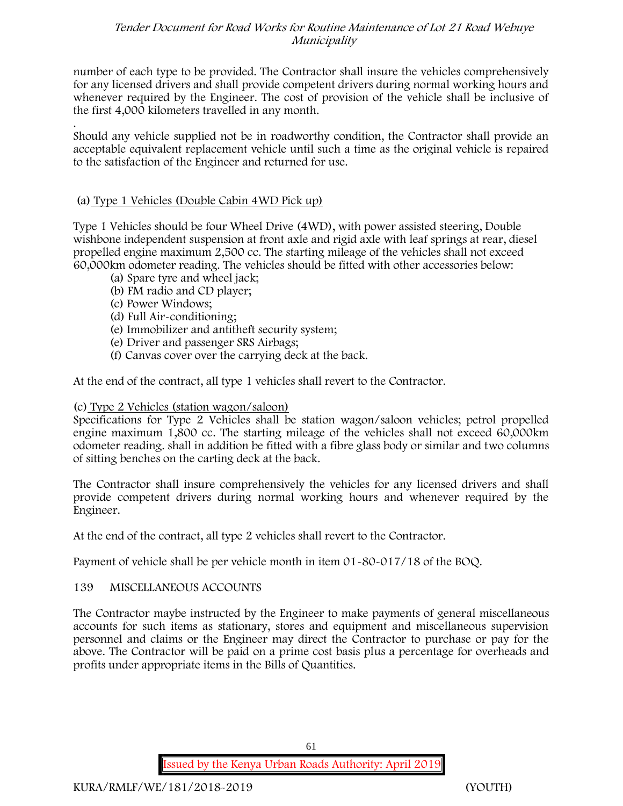number of each type to be provided. The Contractor shall insure the vehicles comprehensively for any licensed drivers and shall provide competent drivers during normal working hours and whenever required by the Engineer. The cost of provision of the vehicle shall be inclusive of the first 4,000 kilometers travelled in any month.

.Should any vehicle supplied not be in roadworthy condition, the Contractor shall provide an acceptable equivalent replacement vehicle until such a time as the original vehicle is repaired to the satisfaction of the Engineer and returned for use.

# **(a) Type 1 Vehicles (Double Cabin 4WD Pick up)**

Type 1 Vehicles should be four Wheel Drive (4WD), with power assisted steering, Double wishbone independent suspension at front axle and rigid axle with leaf springs at rear, diesel propelled engine maximum 2,500 cc. The starting mileage of the vehicles shall not exceed 60,000km odometer reading. The vehicles should be fitted with other accessories below:

- (a) Spare tyre and wheel jack;
- (b) FM radio and CD player;
- (c) Power Windows;
- (d) Full Air-conditioning;
- (e) Immobilizer and antitheft security system;
- (e) Driver and passenger SRS Airbags;
- (f) Canvas cover over the carrying deck at the back.

At the end of the contract, all type 1 vehicles shall revert to the Contractor.

# **(c) Type 2 Vehicles (station wagon/saloon)**

Specifications for Type 2 Vehicles shall be station wagon/saloon vehicles; petrol propelled engine maximum 1,800 cc. The starting mileage of the vehicles shall not exceed 60,000km odometer reading. shall in addition be fitted with a fibre glass body or similar and two columns of sitting benches on the carting deck at the back.

The Contractor shall insure comprehensively the vehicles for any licensed drivers and shall provide competent drivers during normal working hours and whenever required by the Engineer.

At the end of the contract, all type 2 vehicles shall revert to the Contractor.

Payment of vehicle shall be per vehicle month in item 01-80-017/18 of the BOQ.

# **139 MISCELLANEOUS ACCOUNTS**

The Contractor maybe instructed by the Engineer to make payments of general miscellaneous accounts for such items as stationary, stores and equipment and miscellaneous supervision personnel and claims or the Engineer may direct the Contractor to purchase or pay for the above. The Contractor will be paid on a prime cost basis plus a percentage for overheads and profits under appropriate items in the Bills of Quantities.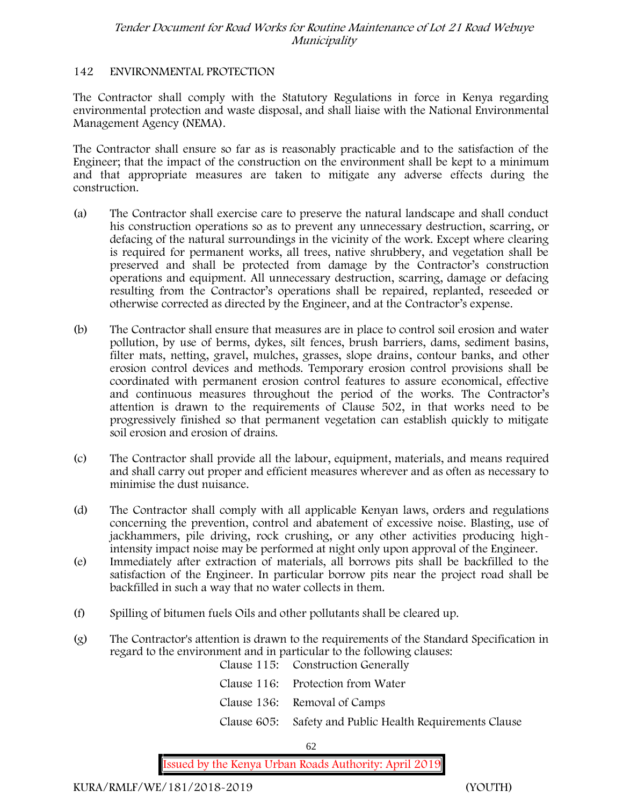#### **142 ENVIRONMENTAL PROTECTION**

The Contractor shall comply with the Statutory Regulations in force in Kenya regarding environmental protection and waste disposal, and shall liaise with the National Environmental Management Agency (NEMA).

The Contractor shall ensure so far as is reasonably practicable and to the satisfaction of the Engineer; that the impact of the construction on the environment shall be kept to a minimum and that appropriate measures are taken to mitigate any adverse effects during the construction.

- (a) The Contractor shall exercise care to preserve the natural landscape and shall conduct his construction operations so as to prevent any unnecessary destruction, scarring, or defacing of the natural surroundings in the vicinity of the work. Except where clearing is required for permanent works, all trees, native shrubbery, and vegetation shall be preserved and shall be protected from damage by the Contractor's construction operations and equipment. All unnecessary destruction, scarring, damage or defacing resulting from the Contractor's operations shall be repaired, replanted, reseeded or otherwise corrected as directed by the Engineer, and at the Contractor's expense.
- (b) The Contractor shall ensure that measures are in place to control soil erosion and water pollution, by use of berms, dykes, silt fences, brush barriers, dams, sediment basins, filter mats, netting, gravel, mulches, grasses, slope drains, contour banks, and other erosion control devices and methods. Temporary erosion control provisions shall be coordinated with permanent erosion control features to assure economical, effective and continuous measures throughout the period of the works. The Contractor's attention is drawn to the requirements of Clause 502, in that works need to be progressively finished so that permanent vegetation can establish quickly to mitigate soil erosion and erosion of drains.
- (c) The Contractor shall provide all the labour, equipment, materials, and means required and shall carry out proper and efficient measures wherever and as often as necessary to minimise the dust nuisance.
- (d) The Contractor shall comply with all applicable Kenyan laws, orders and regulations concerning the prevention, control and abatement of excessive noise. Blasting, use of jackhammers, pile driving, rock crushing, or any other activities producing highintensity impact noise may be performed at night only upon approval of the Engineer.
- (e) Immediately after extraction of materials, all borrows pits shall be backfilled to the satisfaction of the Engineer. In particular borrow pits near the project road shall be backfilled in such a way that no water collects in them.
- (f) Spilling of bitumen fuels Oils and other pollutants shall be cleared up.
- (g) The Contractor's attention is drawn to the requirements of the Standard Specification in regard to the environment and in particular to the following clauses: Clause 115: Construction Generally

| Clause 116: Protection from Water                        |
|----------------------------------------------------------|
| Clause 136: Removal of Camps                             |
| Clause 605: Safety and Public Health Requirements Clause |

62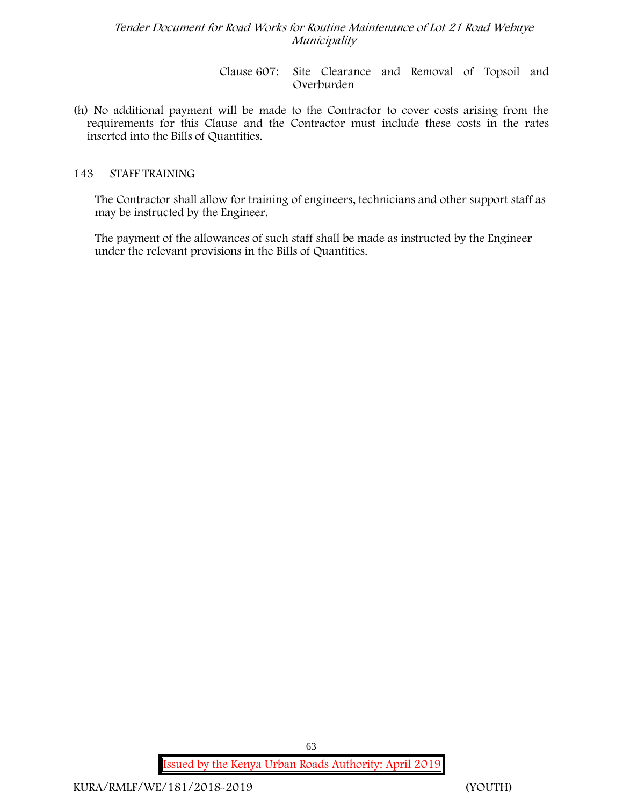Clause 607: Site Clearance and Removal of Topsoil and Overburden

(h) No additional payment will be made to the Contractor to cover costs arising from the requirements for this Clause and the Contractor must include these costs in the rates inserted into the Bills of Quantities.

## **143 STAFF TRAINING**

The Contractor shall allow for training of engineers, technicians and other support staff as may be instructed by the Engineer.

The payment of the allowances of such staff shall be made as instructed by the Engineer under the relevant provisions in the Bills of Quantities.

**Issued by the Kenya Urban Roads Authority: April 2019**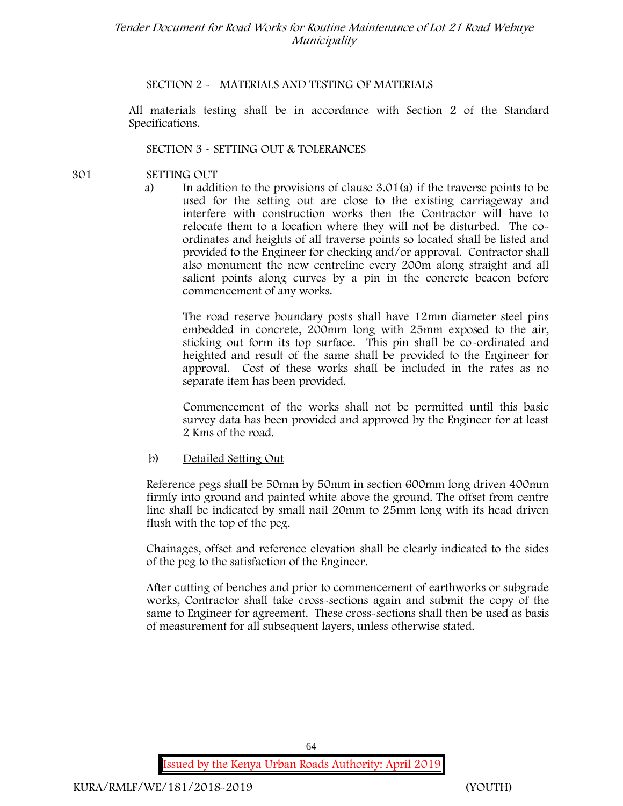## **SECTION 2 - MATERIALS AND TESTING OF MATERIALS**

All materials testing shall be in accordance with Section 2 of the Standard Specifications.

#### **SECTION 3 - SETTING OUT & TOLERANCES**

- **301 SETTING OUT**
	- a) In addition to the provisions of clause 3.01(a) if the traverse points to be used for the setting out are close to the existing carriageway and interfere with construction works then the Contractor will have to relocate them to a location where they will not be disturbed. The co ordinates and heights of all traverse points so located shall be listed and provided to the Engineer for checking and/or approval. Contractor shall also monument the new centreline every 200m along straight and all salient points along curves by a pin in the concrete beacon before commencement of any works.

The road reserve boundary posts shall have 12mm diameter steel pins embedded in concrete, 200mm long with 25mm exposed to the air, sticking out form its top surface. This pin shall be co-ordinated and heighted and result of the same shall be provided to the Engineer for approval. Cost of these works shall be included in the rates as no separate item has been provided.

Commencement of the works shall not be permitted until this basic survey data has been provided and approved by the Engineer for at least 2 Kms of the road.

#### b) Detailed Setting Out

Reference pegs shall be 50mm by 50mm in section 600mm long driven 400mm firmly into ground and painted white above the ground. The offset from centre line shall be indicated by small nail 20mm to 25mm long with its head driven flush with the top of the peg.

Chainages, offset and reference elevation shall be clearly indicated to the sides of the peg to the satisfaction of the Engineer.

After cutting of benches and prior to commencement of earthworks or subgrade works, Contractor shall take cross-sections again and submit the copy of the same to Engineer for agreement. These cross-sections shall then be used as basis of measurement for all subsequent layers, unless otherwise stated.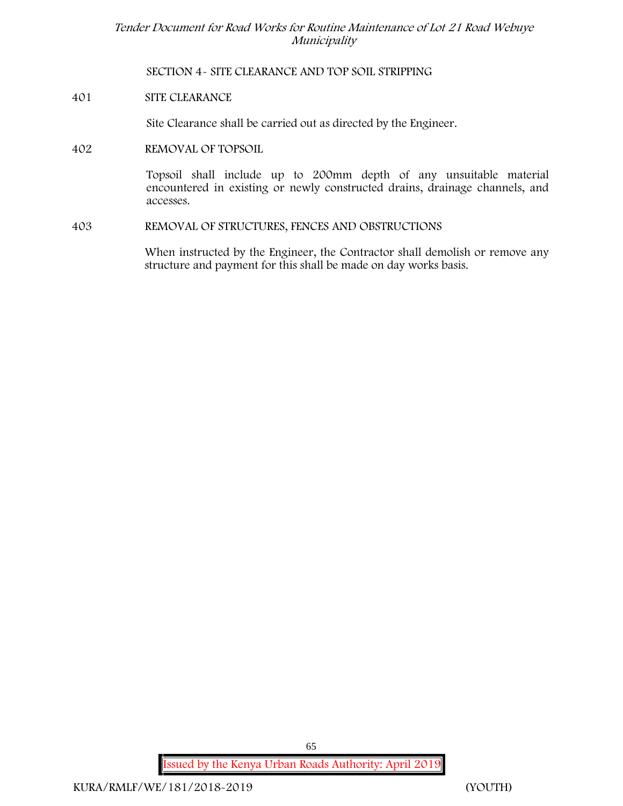**SECTION 4- SITE CLEARANCE AND TOP SOIL STRIPPING**

**401 SITE CLEARANCE**

Site Clearance shall be carried out as directed by the Engineer.

**402 REMOVAL OF TOPSOIL**

Topsoil shall include up to 200mm depth of any unsuitable material encountered in existing or newly constructed drains, drainage channels, and accesses.

**403 REMOVAL OF STRUCTURES, FENCES AND OBSTRUCTIONS**

When instructed by the Engineer, the Contractor shall demolish or remove any structure and payment for this shall be made on day works basis.

**Issued by the Kenya Urban Roads Authority: April 2019**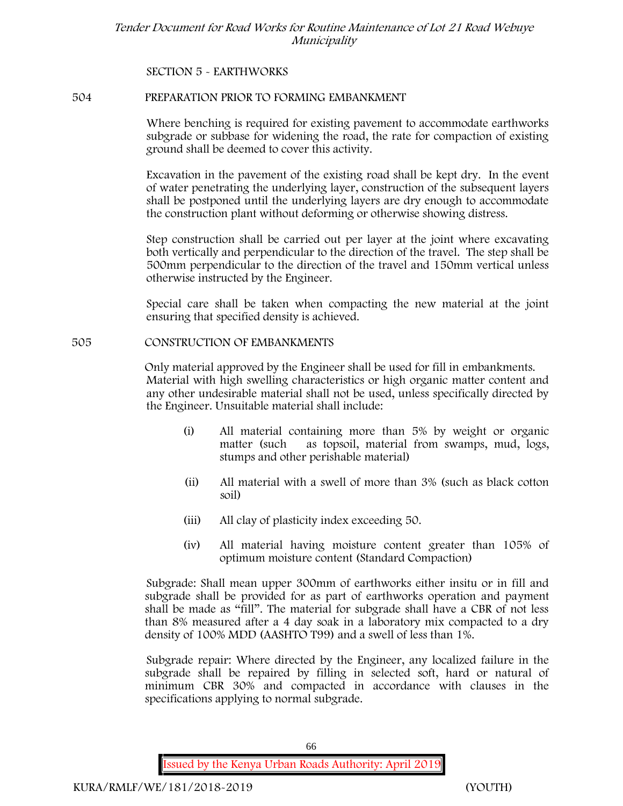**SECTION 5 - EARTHWORKS**

#### **504 PREPARATION PRIOR TO FORMING EMBANKMENT**

Where benching is required for existing pavement to accommodate earthworks subgrade or subbase for widening the road, the rate for compaction of existing ground shall be deemed to cover this activity.

Excavation in the pavement of the existing road shall be kept dry. In the event of water penetrating the underlying layer, construction of the subsequent layers shall be postponed until the underlying layers are dry enough to accommodate the construction plant without deforming or otherwise showing distress.

Step construction shall be carried out per layer at the joint where excavating both vertically and perpendicular to the direction of the travel. The step shall be 500mm perpendicular to the direction of the travel and 150mm vertical unless otherwise instructed by the Engineer.

Special care shall be taken when compacting the new material at the joint ensuring that specified density is achieved.

#### **505 CONSTRUCTION OF EMBANKMENTS**

Only material approved by the Engineer shall be used for fill in embankments. Material with high swelling characteristics or high organic matter content and any other undesirable material shall not be used, unless specifically directed by the Engineer. Unsuitable material shall include:

- (i) All material containing more than 5% by weight or organic matter (such as topsoil, material from swamps, mud, logs, stumps and other perishable material)
- (ii) All material with a swell of more than 3% (such as black cotton soil)
- (iii) All clay of plasticity index exceeding 50.
- (iv) All material having moisture content greater than 105% of optimum moisture content (Standard Compaction)

Subgrade: Shall mean upper 300mm of earthworks either insitu or in fill and subgrade shall be provided for as part of earthworks operation and payment shall be made as "fill". The material for subgrade shall have a CBR of not less than 8% measured after a 4 day soak in a laboratory mix compacted to a dry density of 100% MDD (AASHTO T99) and a swell of less than 1%.

Subgrade repair: Where directed by the Engineer, any localized failure in the subgrade shall be repaired by filling in selected soft, hard or natural of minimum CBR 30% and compacted in accordance with clauses in the specifications applying to normal subgrade.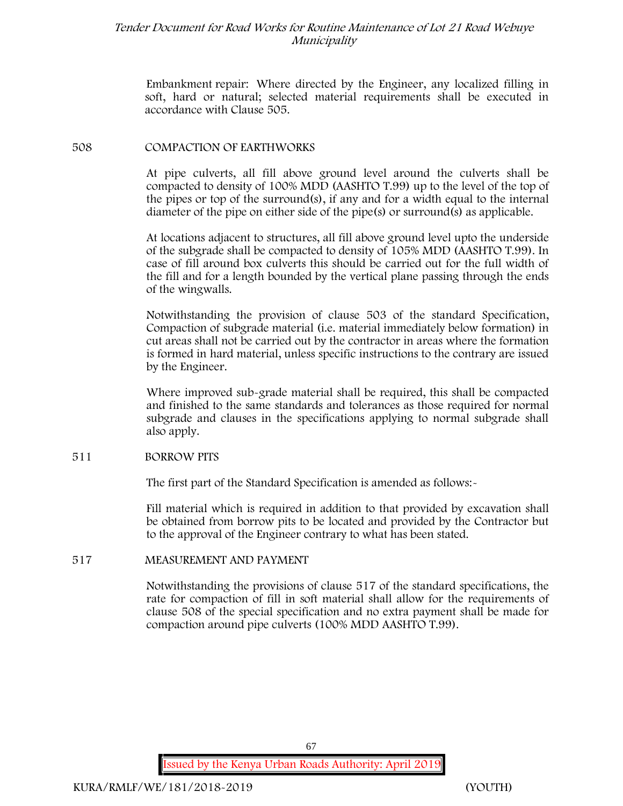Embankment repair: Where directed by the Engineer, any localized filling in soft, hard or natural; selected material requirements shall be executed in accordance with Clause 505.

#### **508 COMPACTION OF EARTHWORKS**

At pipe culverts, all fill above ground level around the culverts shall be compacted to density of 100% MDD (AASHTO T.99) up to the level of the top of the pipes or top of the surround(s), if any and for a width equal to the internal diameter of the pipe on either side of the pipe(s) or surround(s) as applicable.

At locations adjacent to structures, all fill above ground level upto the underside of the subgrade shall be compacted to density of 105% MDD (AASHTO T.99). In case of fill around box culverts this should be carried out for the full width of the fill and for a length bounded by the vertical plane passing through the ends of the wingwalls.

Notwithstanding the provision of clause 503 of the standard Specification, Compaction of subgrade material (i.e. material immediately below formation) in cut areas shall not be carried out by the contractor in areas where the formation is formed in hard material, unless specific instructions to the contrary are issued by the Engineer.

Where improved sub-grade material shall be required, this shall be compacted and finished to the same standards and tolerances as those required for normal subgrade and clauses in the specifications applying to normal subgrade shall also apply.

#### **511 BORROW PITS**

The first part of the Standard Specification is amended as follows:-

Fill material which is required in addition to that provided by excavation shall be obtained from borrow pits to be located and provided by the Contractor but to the approval of the Engineer contrary to what has been stated.

#### **517 MEASUREMENT AND PAYMENT**

Notwithstanding the provisions of clause 517 of the standard specifications, the rate for compaction of fill in soft material shall allow for the requirements of clause 508 of the special specification and no extra payment shall be made for compaction around pipe culverts (100% MDD AASHTO T.99).

67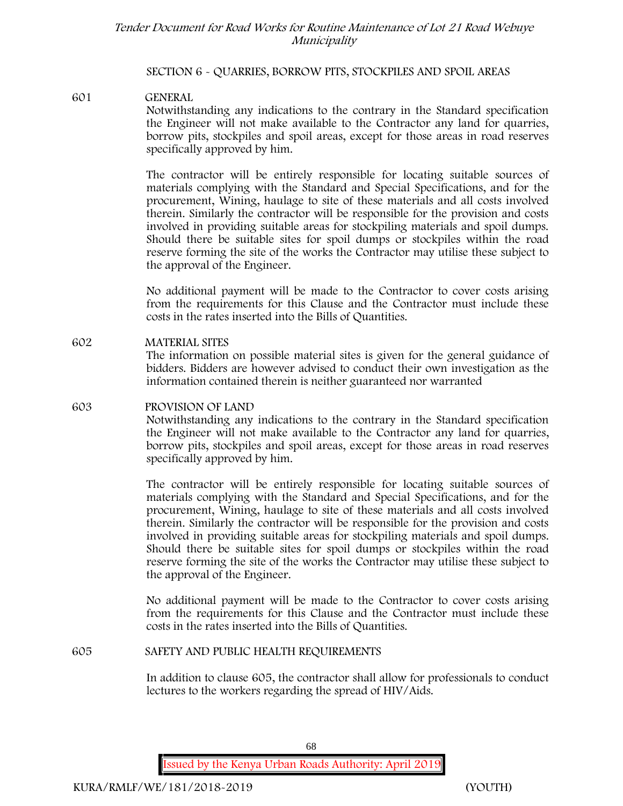#### **SECTION 6 - QUARRIES, BORROW PITS, STOCKPILES AND SPOIL AREAS**

**601 GENERAL** Notwithstanding any indications to the contrary in the Standard specification the Engineer will not make available to the Contractor any land for quarries, borrow pits, stockpiles and spoil areas, except for those areas in road reserves specifically approved by him.

> The contractor will be entirely responsible for locating suitable sources of materials complying with the Standard and Special Specifications, and for the procurement, Wining, haulage to site of these materials and all costs involved therein. Similarly the contractor will be responsible for the provision and costs involved in providing suitable areas for stockpiling materials and spoil dumps. Should there be suitable sites for spoil dumps or stockpiles within the road reserve forming the site of the works the Contractor may utilise these subject to the approval of the Engineer.

> No additional payment will be made to the Contractor to cover costs arising from the requirements for this Clause and the Contractor must include these costs in the rates inserted into the Bills of Quantities.

**602 MATERIAL SITES** The information on possible material sites is given for the general guidance of bidders. Bidders are however advised to conduct their own investigation as the information contained therein is neither guaranteed nor warranted

# **603 PROVISION OF LAND**

Notwithstanding any indications to the contrary in the Standard specification the Engineer will not make available to the Contractor any land for quarries, borrow pits, stockpiles and spoil areas, except for those areas in road reserves specifically approved by him.

The contractor will be entirely responsible for locating suitable sources of materials complying with the Standard and Special Specifications, and for the procurement, Wining, haulage to site of these materials and all costs involved therein. Similarly the contractor will be responsible for the provision and costs involved in providing suitable areas for stockpiling materials and spoil dumps. Should there be suitable sites for spoil dumps or stockpiles within the road reserve forming the site of the works the Contractor may utilise these subject to the approval of the Engineer.

No additional payment will be made to the Contractor to cover costs arising from the requirements for this Clause and the Contractor must include these costs in the rates inserted into the Bills of Quantities.

#### **605 SAFETY AND PUBLIC HEALTH REQUIREMENTS**

In addition to clause 605, the contractor shall allow for professionals to conduct lectures to the workers regarding the spread of HIV/Aids.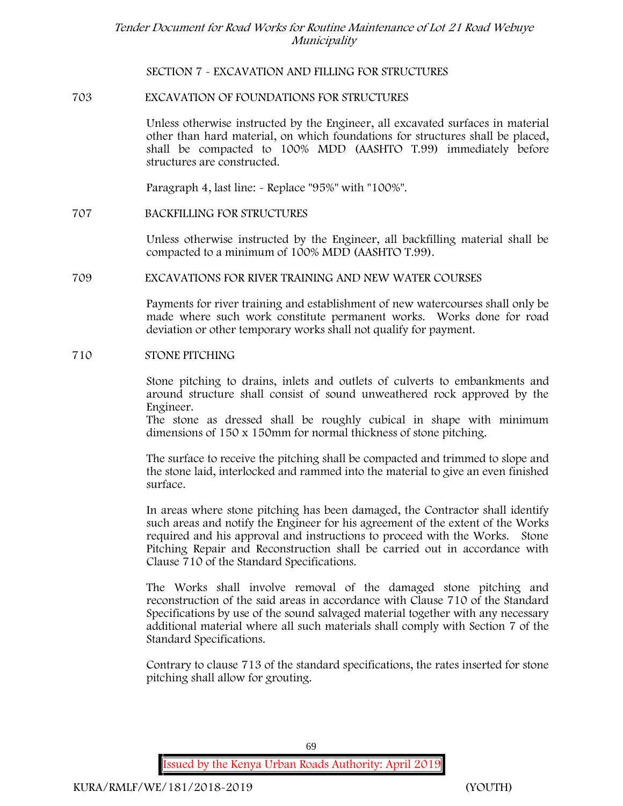**SECTION 7 - EXCAVATION AND FILLING FOR STRUCTURES**

## **703 EXCAVATION OF FOUNDATIONS FOR STRUCTURES**

Unless otherwise instructed by the Engineer, all excavated surfaces in material other than hard material, on which foundations for structures shall be placed, shall be compacted to 100% MDD (AASHTO T.99) immediately before structures are constructed.

Paragraph 4, last line: - Replace "95%" with "100%".

#### **707 BACKFILLING FOR STRUCTURES**

Unless otherwise instructed by the Engineer, all backfilling material shall be compacted to a minimum of 100% MDD (AASHTO T.99).

#### **709 EXCAVATIONS FOR RIVER TRAINING AND NEW WATER COURSES**

Payments for river training and establishment of new watercourses shall only be made where such work constitute permanent works. Works done for road deviation or other temporary works shall not qualify for payment.

#### **710 STONE PITCHING**

Stone pitching to drains, inlets and outlets of culverts to embankments and around structure shall consist of sound unweathered rock approved by the Engineer.

The stone as dressed shall be roughly cubical in shape with minimum dimensions of 150 x 150mm for normal thickness of stone pitching.

The surface to receive the pitching shall be compacted and trimmed to slope and the stone laid, interlocked and rammed into the material to give an even finished surface.

In areas where stone pitching has been damaged, the Contractor shall identify such areas and notify the Engineer for his agreement of the extent of the Works required and his approval and instructions to proceed with the Works. Stone Pitching Repair and Reconstruction shall be carried out in accordance with Clause 710 of the Standard Specifications.

The Works shall involve removal of the damaged stone pitching and reconstruction of the said areas in accordance with Clause 710 of the Standard Specifications by use of the sound salvaged material together with any necessary additional material where all such materials shall comply with Section 7 of the Standard Specifications.

Contrary to clause 713 of the standard specifications, the rates inserted for stone pitching shall allow for grouting.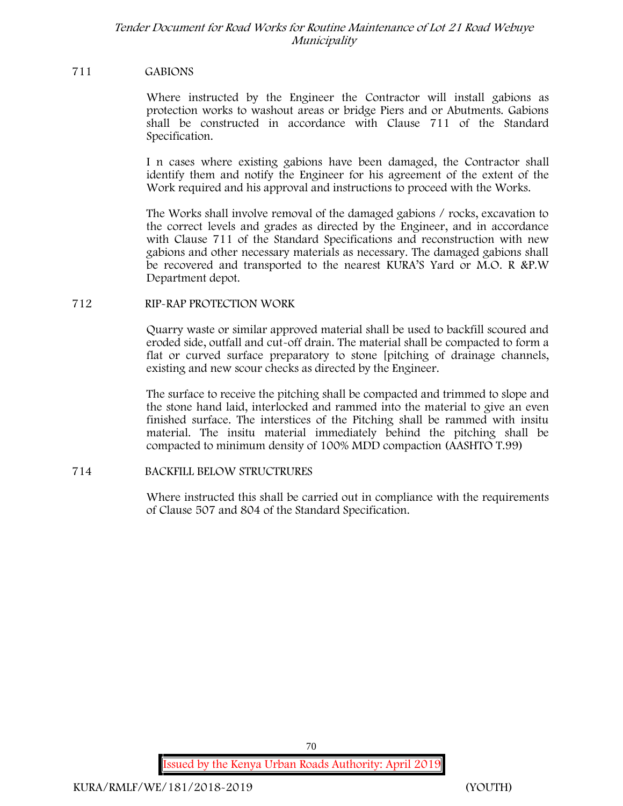#### **711 GABIONS**

Where instructed by the Engineer the Contractor will install gabions as protection works to washout areas or bridge Piers and or Abutments. Gabions shall be constructed in accordance with Clause 711 of the Standard Specification.

I n cases where existing gabions have been damaged, the Contractor shall identify them and notify the Engineer for his agreement of the extent of the Work required and his approval and instructions to proceed with the Works.

The Works shall involve removal of the damaged gabions / rocks, excavation to the correct levels and grades as directed by the Engineer, and in accordance with Clause 711 of the Standard Specifications and reconstruction with new gabions and other necessary materials as necessary. The damaged gabions shall be recovered and transported to the nearest KURA'S Yard or M.O. R &P.W Department depot.

#### **712 RIP-RAP PROTECTION WORK**

Quarry waste or similar approved material shall be used to backfill scoured and eroded side, outfall and cut-off drain. The material shall be compacted to form a flat or curved surface preparatory to stone [pitching of drainage channels, existing and new scour checks as directed by the Engineer.

The surface to receive the pitching shall be compacted and trimmed to slope and the stone hand laid, interlocked and rammed into the material to give an even finished surface. The interstices of the Pitching shall be rammed with insitu material. The insitu material immediately behind the pitching shall be compacted to minimum density of 100% MDD compaction (AASHTO T.99)

#### **714 BACKFILL BELOW STRUCTRURES**

Where instructed this shall be carried out in compliance with the requirements of Clause 507 and 804 of the Standard Specification.

**Issued by the Kenya Urban Roads Authority: April 2019**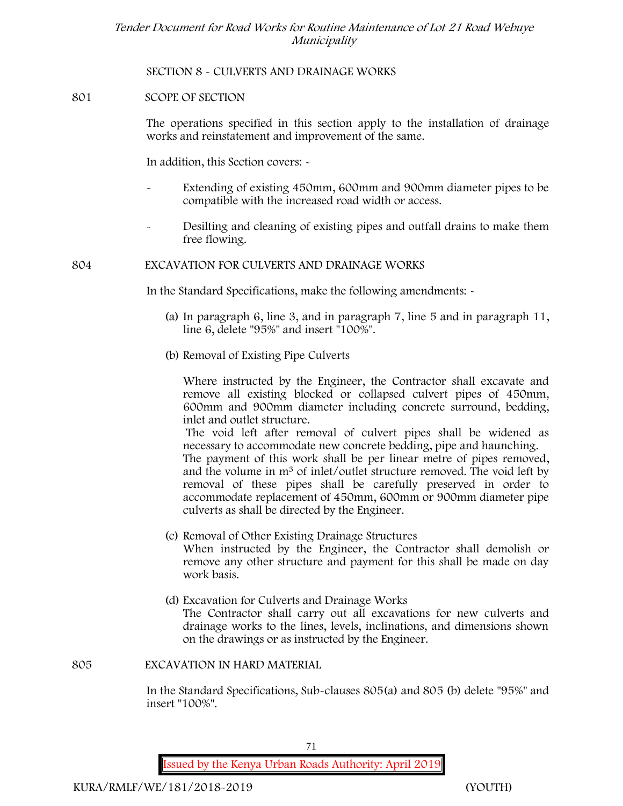**SECTION 8 - CULVERTS AND DRAINAGE WORKS**

#### **801 SCOPE OF SECTION**

The operations specified in this section apply to the installation of drainage works and reinstatement and improvement of the same.

In addition, this Section covers: -

- Extending of existing 450mm, 600mm and 900mm diameter pipes to be compatible with the increased road width or access.
- Desilting and cleaning of existing pipes and outfall drains to make them free flowing.

**804 EXCAVATION FOR CULVERTS AND DRAINAGE WORKS**

In the Standard Specifications, make the following amendments: -

- (a) In paragraph 6, line 3, and in paragraph 7, line 5 and in paragraph 11, line 6, delete "95%" and insert "100%".
- (b) Removal of Existing Pipe Culverts

Where instructed by the Engineer, the Contractor shall excavate and remove all existing blocked or collapsed culvert pipes of 450mm, 600mm and 900mm diameter including concrete surround, bedding, inlet and outlet structure.

The void left after removal of culvert pipes shall be widened as necessary to accommodate new concrete bedding, pipe and haunching.

The payment of this work shall be per linear metre of pipes removed, and the volume in m<sup>3</sup> of inlet/outlet structure removed. The void left by removal of these pipes shall be carefully preserved in order to accommodate replacement of 450mm, 600mm or 900mm diameter pipe culverts as shall be directed by the Engineer.

- (c) Removal of Other Existing Drainage Structures When instructed by the Engineer, the Contractor shall demolish or remove any other structure and payment for this shall be made on day work basis.
- (d) Excavation for Culverts and Drainage Works The Contractor shall carry out all excavations for new culverts and drainage works to the lines, levels, inclinations, and dimensions shown on the drawings or as instructed by the Engineer.

**805 EXCAVATION IN HARD MATERIAL**

In the Standard Specifications, Sub-clauses 805(a) and 805 (b) delete "95%" and insert "100%".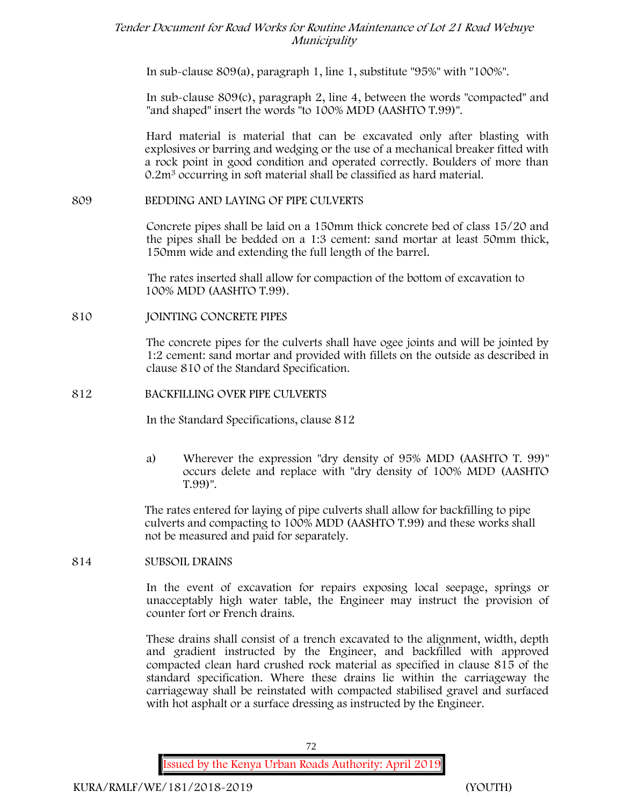In sub-clause 809(a), paragraph 1, line 1, substitute "95%" with "100%".

In sub-clause 809(c), paragraph 2, line 4, between the words "compacted" and "and shaped" insert the words "to 100% MDD (AASHTO T.99)".

Hard material is material that can be excavated only after blasting with explosives or barring and wedging or the use of a mechanical breaker fitted with a rock point in good condition and operated correctly. Boulders of more than 0.2m<sup>3</sup> occurring in soft material shall be classified as hard material.

### **809 BEDDING AND LAYING OF PIPE CULVERTS**

Concrete pipes shall be laid on a 150mm thick concrete bed of class 15/20 and the pipes shall be bedded on a 1:3 cement: sand mortar at least 50mm thick, 150mm wide and extending the full length of the barrel.

The rates inserted shall allow for compaction of the bottom of excavation to 100% MDD (AASHTO T.99).

## **810 JOINTING CONCRETE PIPES**

The concrete pipes for the culverts shall have ogee joints and will be jointed by 1:2 cement: sand mortar and provided with fillets on the outside as described in clause 810 of the Standard Specification.

### **812 BACKFILLING OVER PIPE CULVERTS**

In the Standard Specifications, clause 812

a) Wherever the expression "dry density of 95% MDD (AASHTO T. 99)" occurs delete and replace with "dry density of 100% MDD (AASHTO T.99)".

The rates entered for laying of pipe culverts shall allow for backfilling to pipe culverts and compacting to 100% MDD (AASHTO T.99) and these works shall not be measured and paid for separately.

## **814 SUBSOIL DRAINS**

In the event of excavation for repairs exposing local seepage, springs or unacceptably high water table, the Engineer may instruct the provision of counter fort or French drains.

These drains shall consist of a trench excavated to the alignment, width, depth and gradient instructed by the Engineer, and backfilled with approved compacted clean hard crushed rock material as specified in clause 815 of the standard specification. Where these drains lie within the carriageway the carriageway shall be reinstated with compacted stabilised gravel and surfaced with hot asphalt or a surface dressing as instructed by the Engineer.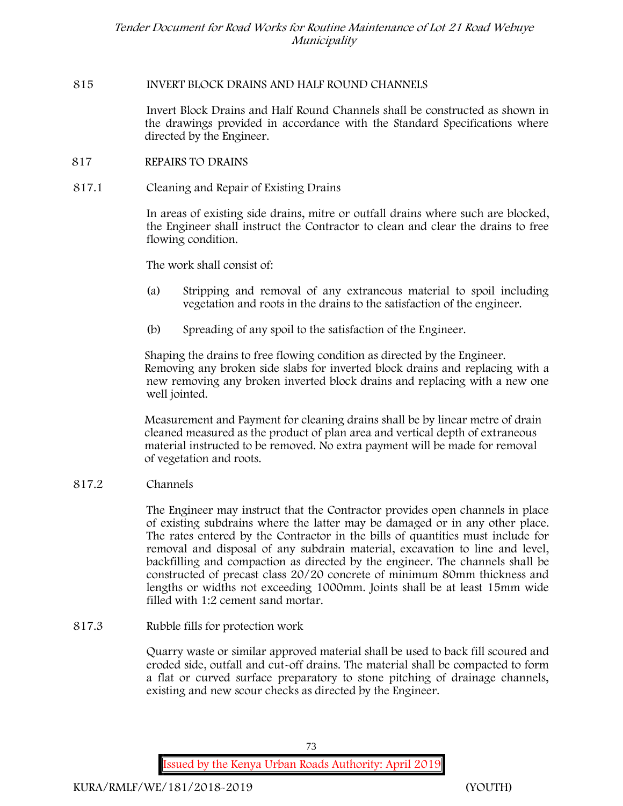### **815 INVERT BLOCK DRAINS AND HALF ROUND CHANNELS**

Invert Block Drains and Half Round Channels shall be constructed as shown in the drawings provided in accordance with the Standard Specifications where directed by the Engineer.

### **817 REPAIRS TO DRAINS**

### **817.1 Cleaning and Repair of Existing Drains**

In areas of existing side drains, mitre or outfall drains where such are blocked, the Engineer shall instruct the Contractor to clean and clear the drains to free flowing condition.

The work shall consist of:

- (a) Stripping and removal of any extraneous material to spoil including vegetation and roots in the drains to the satisfaction of the engineer.
- (b) Spreading of any spoil to the satisfaction of the Engineer.

Shaping the drains to free flowing condition as directed by the Engineer. Removing any broken side slabs for inverted block drains and replacing with a new removing any broken inverted block drains and replacing with a new one well jointed.

Measurement and Payment for cleaning drains shall be by linear metre of drain cleaned measured as the product of plan area and vertical depth of extraneous material instructed to be removed. No extra payment will be made for removal of vegetation and roots.

#### **817.2 Channels**

The Engineer may instruct that the Contractor provides open channels in place of existing subdrains where the latter may be damaged or in any other place. The rates entered by the Contractor in the bills of quantities must include for removal and disposal of any subdrain material, excavation to line and level, backfilling and compaction as directed by the engineer. The channels shall be constructed of precast class 20/20 concrete of minimum 80mm thickness and lengths or widths not exceeding 1000mm. Joints shall be at least 15mm wide filled with 1:2 cement sand mortar.

**817.3 Rubble fills for protection work**

Quarry waste or similar approved material shall be used to back fill scoured and eroded side, outfall and cut-off drains. The material shall be compacted to form a flat or curved surface preparatory to stone pitching of drainage channels, existing and new scour checks as directed by the Engineer.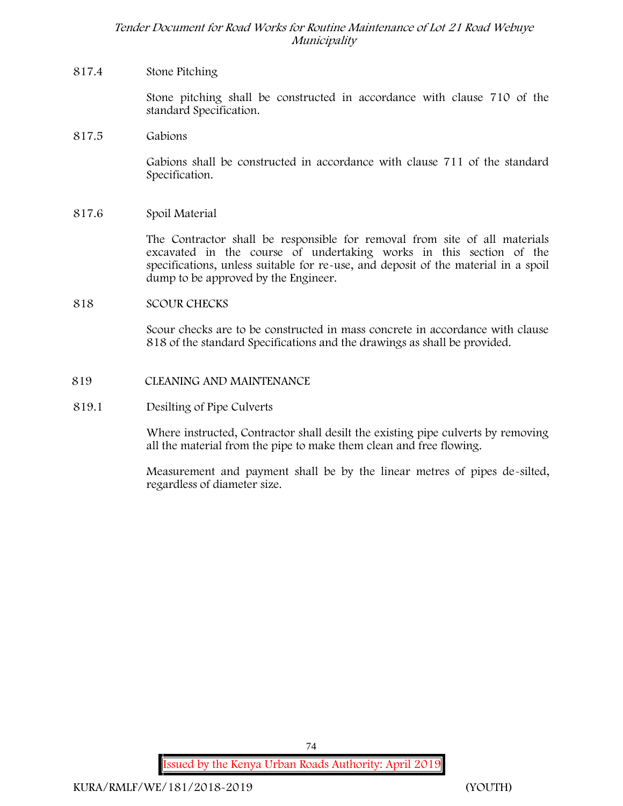### **817.4 Stone Pitching**

Stone pitching shall be constructed in accordance with clause 710 of the standard Specification.

**817.5 Gabions**

Gabions shall be constructed in accordance with clause 711 of the standard Specification.

**817.6 Spoil Material**

The Contractor shall be responsible for removal from site of all materials excavated in the course of undertaking works in this section of the specifications, unless suitable for re-use, and deposit of the material in a spoil dump to be approved by the Engineer.

### **818 SCOUR CHECKS**

Scour checks are to be constructed in mass concrete in accordance with clause 818 of the standard Specifications and the drawings as shall be provided.

### **819 CLEANING AND MAINTENANCE**

### **819.1 Desilting of Pipe Culverts**

Where instructed, Contractor shall desilt the existing pipe culverts by removing all the material from the pipe to make them clean and free flowing.

Measurement and payment shall be by the linear metres of pipes de-silted, regardless of diameter size.

74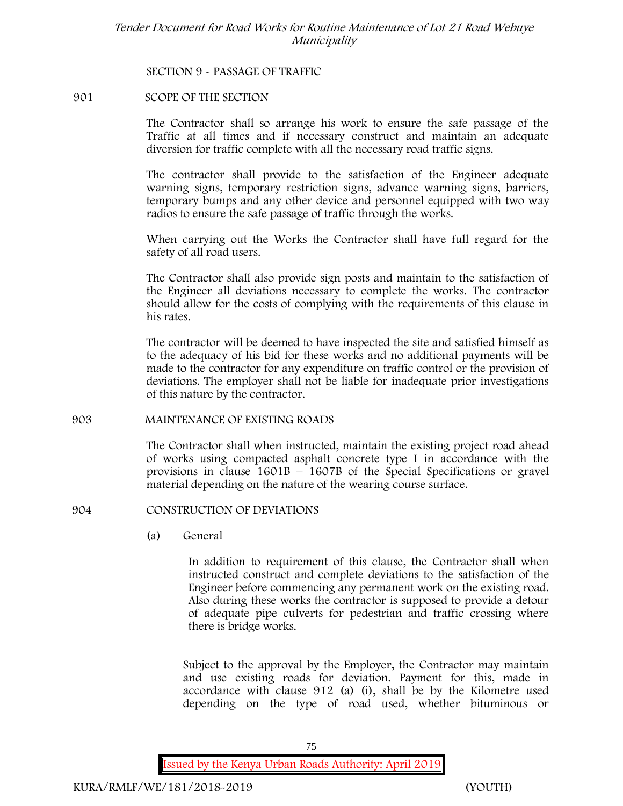**SECTION 9 - PASSAGE OF TRAFFIC**

#### **901 SCOPE OF THE SECTION**

The Contractor shall so arrange his work to ensure the safe passage of the Traffic at all times and if necessary construct and maintain an adequate diversion for traffic complete with all the necessary road traffic signs.

The contractor shall provide to the satisfaction of the Engineer adequate warning signs, temporary restriction signs, advance warning signs, barriers, temporary bumps and any other device and personnel equipped with two way radios to ensure the safe passage of traffic through the works.

When carrying out the Works the Contractor shall have full regard for the safety of all road users.

The Contractor shall also provide sign posts and maintain to the satisfaction of the Engineer all deviations necessary to complete the works. The contractor should allow for the costs of complying with the requirements of this clause in his rates.

The contractor will be deemed to have inspected the site and satisfied himself as to the adequacy of his bid for these works and no additional payments will be made to the contractor for any expenditure on traffic control or the provision of deviations. The employer shall not be liable for inadequate prior investigations of this nature by the contractor.

#### **903 MAINTENANCE OF EXISTING ROADS**

The Contractor shall when instructed, maintain the existing project road ahead of works using compacted asphalt concrete type I in accordance with the provisions in clause 1601B – 1607B of the Special Specifications or gravel material depending on the nature of the wearing course surface.

#### **904 CONSTRUCTION OF DEVIATIONS**

(a) **General**

In addition to requirement of this clause, the Contractor shall when instructed construct and complete deviations to the satisfaction of the Engineer before commencing any permanent work on the existing road. Also during these works the contractor is supposed to provide a detour of adequate pipe culverts for pedestrian and traffic crossing where there is bridge works.

Subject to the approval by the Employer, the Contractor may maintain and use existing roads for deviation. Payment for this, made in accordance with clause 912 (a) (i), shall be by the Kilometre used depending on the type of road used, whether bituminous or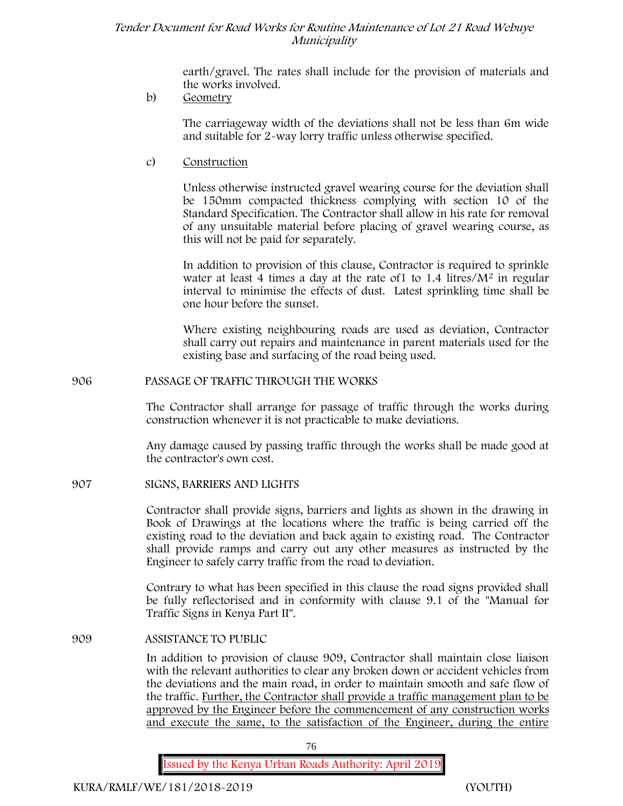earth/gravel. The rates shall include for the provision of materials and the works involved.

## b) **Geometry**

The carriageway width of the deviations shall not be less than 6m wide and suitable for 2-way lorry traffic unless otherwise specified.

c) **Construction**

Unless otherwise instructed gravel wearing course for the deviation shall be 150mm compacted thickness complying with section 10 of the Standard Specification. The Contractor shall allow in his rate for removal of any unsuitable material before placing of gravel wearing course, as this will not be paid for separately.

In addition to provision of this clause, Contractor is required to sprinkle water at least 4 times a day at the rate of 1 to  $1.4$  litres/ $M<sup>2</sup>$  in regular interval to minimise the effects of dust. Latest sprinkling time shall be one hour before the sunset.

Where existing neighbouring roads are used as deviation, Contractor shall carry out repairs and maintenance in parent materials used for the existing base and surfacing of the road being used.

### **906 PASSAGE OF TRAFFIC THROUGH THE WORKS**

The Contractor shall arrange for passage of traffic through the works during construction whenever it is not practicable to make deviations.

Any damage caused by passing traffic through the works shall be made good at the contractor's own cost.

## **907 SIGNS, BARRIERS AND LIGHTS**

Contractor shall provide signs, barriers and lights as shown in the drawing in Book of Drawings at the locations where the traffic is being carried off the existing road to the deviation and back again to existing road. The Contractor shall provide ramps and carry out any other measures as instructed by the Engineer to safely carry traffic from the road to deviation.

Contrary to what has been specified in this clause the road signs provided shall be fully reflectorised and in conformity with clause 9.1 of the "Manual for Traffic Signs in Kenya Part II".

#### **909 ASSISTANCE TO PUBLIC**

In addition to provision of clause 909, Contractor shall maintain close liaison with the relevant authorities to clear any broken down or accident vehicles from the deviations and the main road, in order to maintain smooth and safe flow of the traffic. Further, the Contractor shall provide a traffic management plan to be approved by the Engineer before the commencement of any construction works and execute the same, to the satisfaction of the Engineer, during the entire

76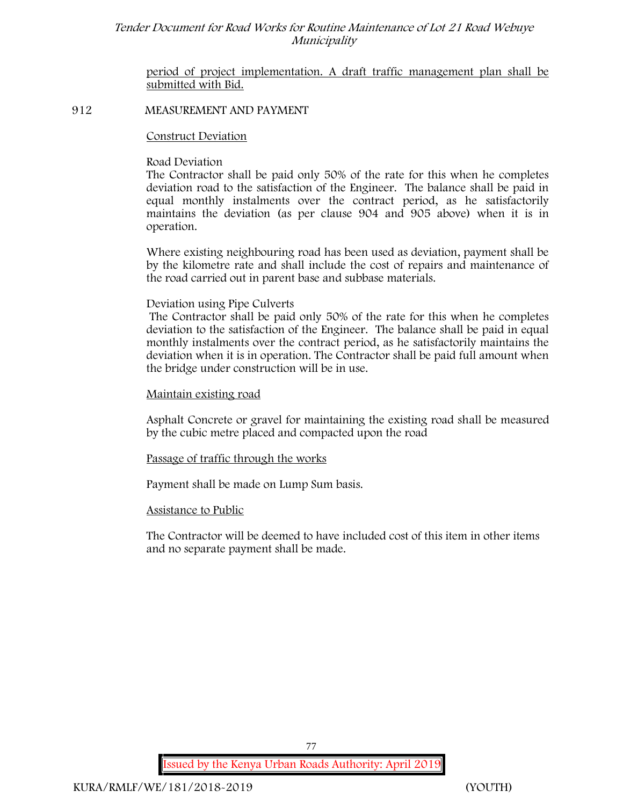period of project implementation. A draft traffic management plan shall be submitted with Bid.

#### **912 MEASUREMENT AND PAYMENT**

#### **Construct Deviation**

#### **Road Deviation**

The Contractor shall be paid only 50% of the rate for this when he completes deviation road to the satisfaction of the Engineer. The balance shall be paid in equal monthly instalments over the contract period, as he satisfactorily maintains the deviation (as per clause 904 and 905 above) when it is in operation.

Where existing neighbouring road has been used as deviation, payment shall be by the kilometre rate and shall include the cost of repairs and maintenance of the road carried out in parent base and subbase materials.

#### **Deviation using Pipe Culverts**

The Contractor shall be paid only 50% of the rate for this when he completes deviation to the satisfaction of the Engineer. The balance shall be paid in equal monthly instalments over the contract period, as he satisfactorily maintains the deviation when it is in operation. The Contractor shall be paid full amount when the bridge under construction will be in use.

### **Maintain existing road**

Asphalt Concrete or gravel for maintaining the existing road shall be measured by the cubic metre placed and compacted upon the road

#### **Passage of traffic through the works**

Payment shall be made on Lump Sum basis.

#### **Assistance to Public**

The Contractor will be deemed to have included cost of this item in other items and no separate payment shall be made.

77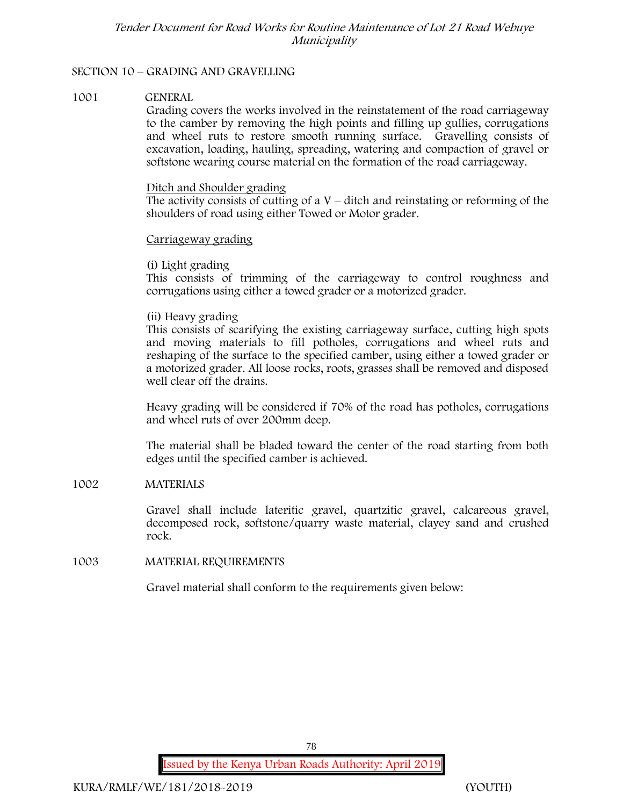### **SECTION 10 – GRADING AND GRAVELLING**

#### **1001 GENERAL**

Grading covers the works involved in the reinstatement of the road carriageway to the camber by removing the high points and filling up gullies, corrugations and wheel ruts to restore smooth running surface. Gravelling consists of excavation, loading, hauling, spreading, watering and compaction of gravel or softstone wearing course material on the formation of the road carriageway.

#### Ditch and Shoulder grading

The activity consists of cutting of a  $V$  – ditch and reinstating or reforming of the shoulders of road using either Towed or Motor grader.

### Carriageway grading

### **(i) Light grading**

This consists of trimming of the carriageway to control roughness and corrugations using either a towed grader or a motorized grader.

### **(ii) Heavy grading**

This consists of scarifying the existing carriageway surface, cutting high spots and moving materials to fill potholes, corrugations and wheel ruts and reshaping of the surface to the specified camber, using either a towed grader or a motorized grader. All loose rocks, roots, grasses shall be removed and disposed well clear off the drains.

Heavy grading will be considered if 70% of the road has potholes, corrugations and wheel ruts of over 200mm deep.

The material shall be bladed toward the center of the road starting from both edges until the specified camber is achieved.

## **1002 MATERIALS**

Gravel shall include lateritic gravel, quartzitic gravel, calcareous gravel, decomposed rock, softstone/quarry waste material, clayey sand and crushed rock.

#### **1003 MATERIAL REQUIREMENTS**

Gravel material shall conform to the requirements given below: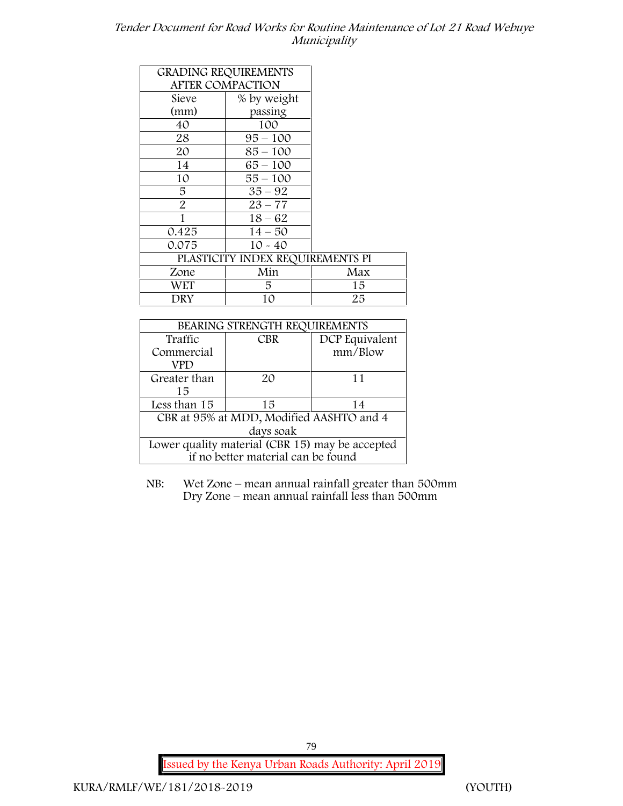|                         | <b>GRADING REQUIREMENTS</b>      |     |
|-------------------------|----------------------------------|-----|
| <b>AFTER COMPACTION</b> |                                  |     |
| Sieve                   | % by weight                      |     |
| (mm)                    | passing                          |     |
| 40                      | 100                              |     |
| 28                      | $95 - 100$                       |     |
| 20                      | $85 - 100$                       |     |
| 14                      | $65 - 100$                       |     |
| 10                      | $55 - 100$                       |     |
| 5                       | $35 - 92$                        |     |
| $\overline{2}$          | $23 - 77$                        |     |
| 1                       | $18 - 62$                        |     |
| 0.425                   | $14 - 50$                        |     |
| 0.075                   | $10 - 40$                        |     |
|                         | PLASTICITY INDEX REQUIREMENTS PI |     |
| Zone                    | Min                              | Max |
| WET                     | 5.                               | 15  |
| DRY                     | 10                               | 25  |

| BEARING STRENGTH REQUIREMENTS                   |            |                |  |
|-------------------------------------------------|------------|----------------|--|
| Traffic                                         | <b>CBR</b> | DCP Equivalent |  |
| Commercial                                      |            | mm/Blow        |  |
| VPD                                             |            |                |  |
| Greater than                                    | 20         | 11             |  |
| 15                                              |            |                |  |
| Less than 15                                    | 15         | 14             |  |
| CBR at 95% at MDD, Modified AASHTO and 4        |            |                |  |
| days soak                                       |            |                |  |
| Lower quality material (CBR 15) may be accepted |            |                |  |
| if no better material can be found              |            |                |  |

NB: Wet Zone – mean annual rainfall greater than 500mm Dry Zone – mean annual rainfall less than 500mm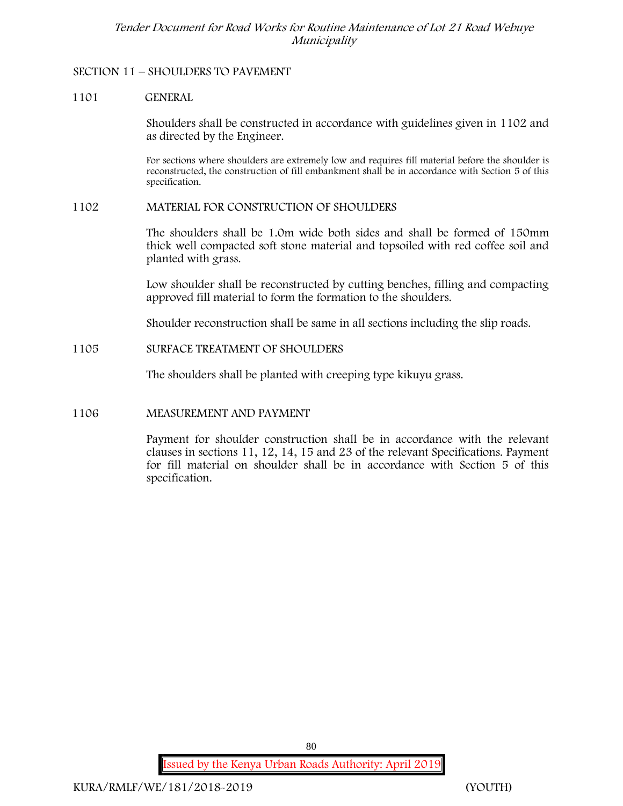### **SECTION 11 – SHOULDERS TO PAVEMENT**

### **1101 GENERAL**

Shoulders shall be constructed in accordance with guidelines given in 1102 and as directed by the Engineer.

For sections where shoulders are extremely low and requires fill material before the shoulder is reconstructed, the construction of fill embankment shall be in accordance with Section 5 of this specification.

#### **1102 MATERIAL FOR CONSTRUCTION OF SHOULDERS**

The shoulders shall be 1.0m wide both sides and shall be formed of 150mm thick well compacted soft stone material and topsoiled with red coffee soil and planted with grass.

Low shoulder shall be reconstructed by cutting benches, filling and compacting approved fill material to form the formation to the shoulders.

Shoulder reconstruction shall be same in all sections including the slip roads.

**1105 SURFACE TREATMENT OF SHOULDERS**

The shoulders shall be planted with creeping type kikuyu grass.

## **1106 MEASUREMENT AND PAYMENT**

Payment for shoulder construction shall be in accordance with the relevant clauses in sections 11, 12, 14, 15 and 23 of the relevant Specifications. Payment for fill material on shoulder shall be in accordance with Section 5 of this specification.

80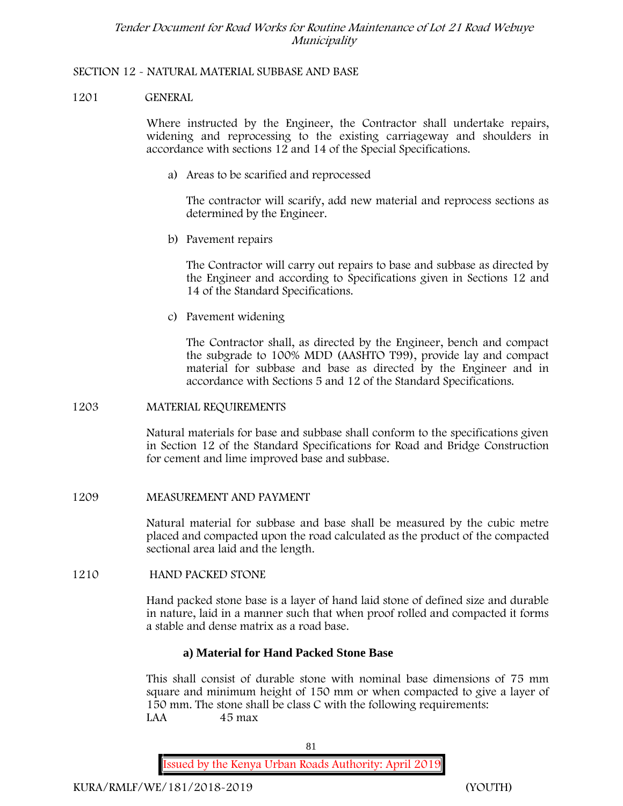### **SECTION 12 - NATURAL MATERIAL SUBBASE AND BASE**

### **1201 GENERAL**

Where instructed by the Engineer, the Contractor shall undertake repairs, widening and reprocessing to the existing carriageway and shoulders in accordance with sections 12 and 14 of the Special Specifications.

**a) Areas to be scarified and reprocessed**

The contractor will scarify, add new material and reprocess sections as determined by the Engineer.

**b) Pavement repairs**

The Contractor will carry out repairs to base and subbase as directed by the Engineer and according to Specifications given in Sections 12 and 14 of the Standard Specifications.

**c) Pavement widening**

The Contractor shall, as directed by the Engineer, bench and compact the subgrade to 100% MDD (AASHTO T99), provide lay and compact material for subbase and base as directed by the Engineer and in accordance with Sections 5 and 12 of the Standard Specifications.

#### **1203 MATERIAL REQUIREMENTS**

Natural materials for base and subbase shall conform to the specifications given in Section 12 of the Standard Specifications for Road and Bridge Construction for cement and lime improved base and subbase.

**1209 MEASUREMENT AND PAYMENT**

Natural material for subbase and base shall be measured by the cubic metre placed and compacted upon the road calculated as the product of the compacted sectional area laid and the length.

**1210 HAND PACKED STONE**

Hand packed stone base is a layer of hand laid stone of defined size and durable in nature, laid in a manner such that when proof rolled and compacted it forms a stable and dense matrix as a road base.

## **a) Material for Hand Packed Stone Base**

This shall consist of durable stone with nominal base dimensions of 75 mm square and minimum height of 150 mm or when compacted to give a layer of 150 mm. The stone shall be class C with the following requirements: **LAA 45 max**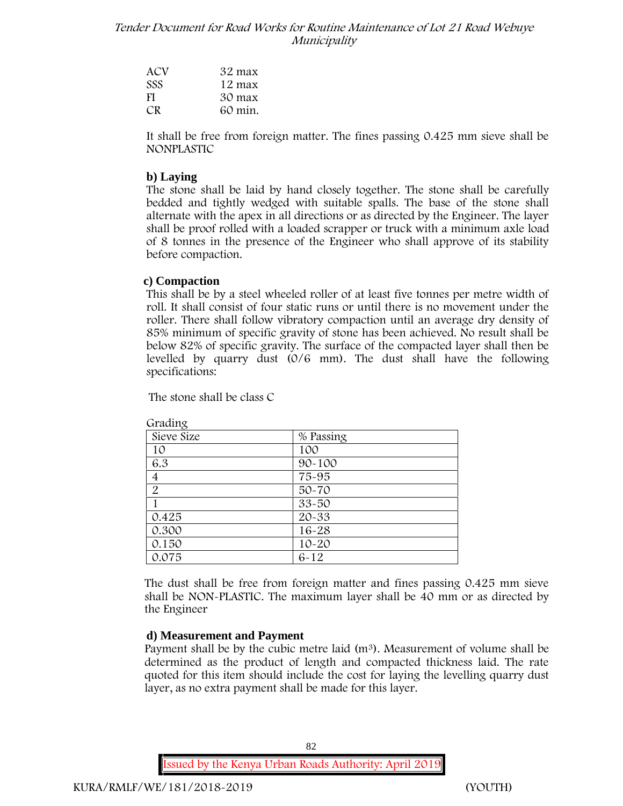| ACV        | 32 max  |
|------------|---------|
| <b>SSS</b> | 12 max  |
| FI         | 30 max  |
| CR.        | 60 min. |

It shall be free from foreign matter. The fines passing 0.425 mm sieve shall be **NONPLASTIC**

### **b) Laying**

The stone shall be laid by hand closely together. The stone shall be carefully bedded and tightly wedged with suitable spalls. The base of the stone shall alternate with the apex in all directions or as directed by the Engineer. The layer shall be proof rolled with a loaded scrapper or truck with a minimum axle load of 8 tonnes in the presence of the Engineer who shall approve of its stability before compaction.

#### **c) Compaction**

This shall be by a steel wheeled roller of at least five tonnes per metre width of roll. It shall consist of four static runs or until there is no movement under the roller. There shall follow vibratory compaction until an average dry density of 85% minimum of specific gravity of stone has been achieved. No result shall be below 82% of specific gravity. The surface of the compacted layer shall then be levelled by quarry dust (0/6 mm). The dust shall have the following specifications:

The stone shall be class C

| % Passing  |
|------------|
| 100        |
| $90 - 100$ |
| 75-95      |
| $50 - 70$  |
| $33 - 50$  |
| $20 - 33$  |
| 16-28      |
| $10 - 20$  |
| $6 - 12$   |
|            |

**Grading**

The dust shall be free from foreign matter and fines passing 0.425 mm sieve shall be **NON-PLASTIC**. The maximum layer shall be 40 mm or as directed by the Engineer

#### **d) Measurement and Payment**

Payment shall be by the cubic metre laid  $(m<sup>3</sup>)$ . Measurement of volume shall be determined as the product of length and compacted thickness laid. The rate quoted for this item should include the cost for laying the levelling quarry dust layer, as no extra payment shall be made for this layer.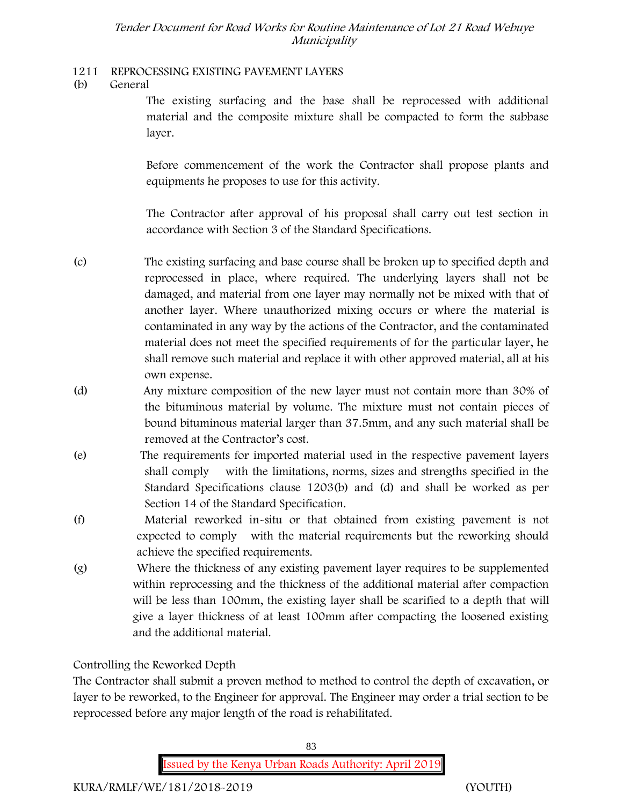## **1211 REPROCESSING EXISTING PAVEMENT LAYERS**

**(b) General**

The existing surfacing and the base shall be reprocessed with additional material and the composite mixture shall be compacted to form the subbase layer.

Before commencement of the work the Contractor shall propose plants and equipments he proposes to use for this activity.

The Contractor after approval of his proposal shall carry out test section in accordance with Section 3 of the Standard Specifications.

- (c) The existing surfacing and base course shall be broken up to specified depth and reprocessed in place, where required. The underlying layers shall not be damaged, and material from one layer may normally not be mixed with that of another layer. Where unauthorized mixing occurs or where the material is contaminated in any way by the actions of the Contractor, and the contaminated material does not meet the specified requirements of for the particular layer, he shall remove such material and replace it with other approved material, all at his own expense.
- (d) Any mixture composition of the new layer must not contain more than 30% of the bituminous material by volume. The mixture must not contain pieces of bound bituminous material larger than 37.5mm, and any such material shall be removed at the Contractor's cost.
- (e) The requirements for imported material used in the respective pavement layers shall comply with the limitations, norms, sizes and strengths specified in the Standard Specifications clause 1203(b) and (d) and shall be worked as per Section 14 of the Standard Specification.
- (f) Material reworked in-situ or that obtained from existing pavement is not expected to comply with the material requirements but the reworking should achieve the specified requirements.
- (g) Where the thickness of any existing pavement layer requires to be supplemented within reprocessing and the thickness of the additional material after compaction will be less than 100mm, the existing layer shall be scarified to a depth that will give a layer thickness of at least 100mm after compacting the loosened existing and the additional material.

# **Controlling the Reworked Depth**

The Contractor shall submit a proven method to method to control the depth of excavation, or layer to be reworked, to the Engineer for approval. The Engineer may order a trial section to be reprocessed before any major length of the road is rehabilitated.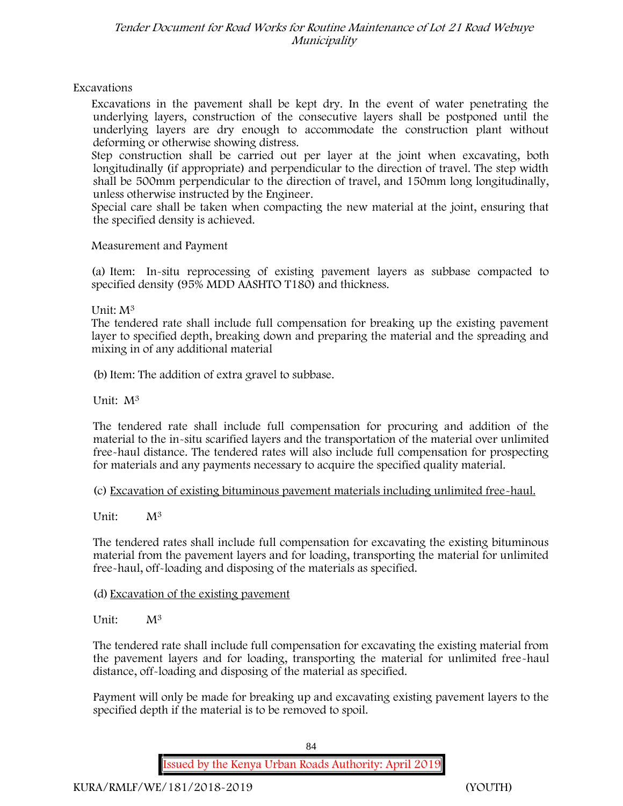## **Excavations**

Excavations in the pavement shall be kept dry. In the event of water penetrating the underlying layers, construction of the consecutive layers shall be postponed until the underlying layers are dry enough to accommodate the construction plant without deforming or otherwise showing distress.

Step construction shall be carried out per layer at the joint when excavating, both longitudinally (if appropriate) and perpendicular to the direction of travel. The step width shall be 500mm perpendicular to the direction of travel, and 150mm long longitudinally, unless otherwise instructed by the Engineer.

Special care shall be taken when compacting the new material at the joint, ensuring that the specified density is achieved.

### **Measurement and Payment**

(a) Item: In-situ reprocessing of existing pavement layers as subbase compacted to specified density (95% MDD AASHTO T180) and thickness.

### Unit: M<sup>3</sup>

The tendered rate shall include full compensation for breaking up the existing pavement layer to specified depth, breaking down and preparing the material and the spreading and mixing in of any additional material

(b) Item: The addition of extra gravel to subbase.

Unit: M<sup>3</sup>

The tendered rate shall include full compensation for procuring and addition of the material to the in-situ scarified layers and the transportation of the material over unlimited free-haul distance. The tendered rates will also include full compensation for prospecting for materials and any payments necessary to acquire the specified quality material.

(c) Excavation of existing bituminous pavement materials including unlimited free-haul.

Unit:  $M^3$ 

The tendered rates shall include full compensation for excavating the existing bituminous material from the pavement layers and for loading, transporting the material for unlimited free-haul, off-loading and disposing of the materials as specified.

## (d) Excavation of the existing pavement

Unit:  $M^3$ 

The tendered rate shall include full compensation for excavating the existing material from the pavement layers and for loading, transporting the material for unlimited free-haul distance, off-loading and disposing of the material as specified.

Payment will only be made for breaking up and excavating existing pavement layers to the specified depth if the material is to be removed to spoil.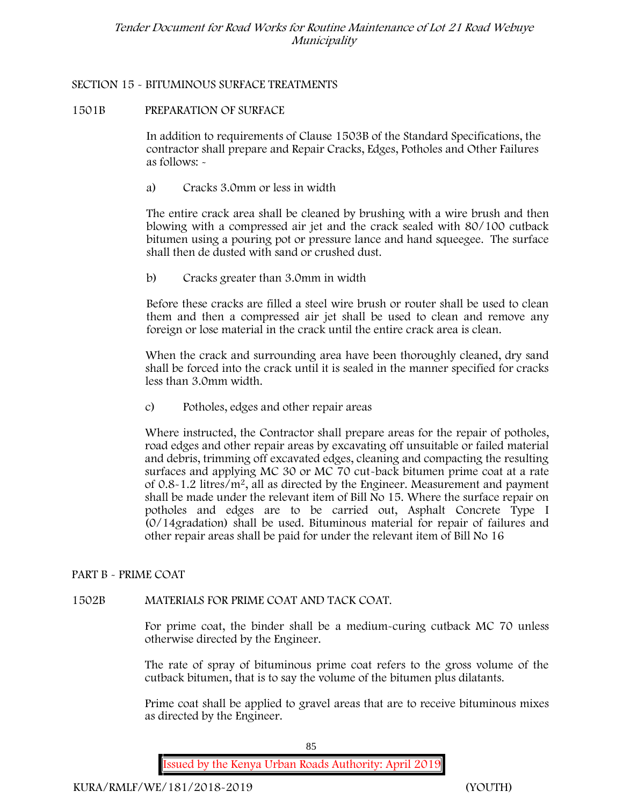## **SECTION 15 - BITUMINOUS SURFACE TREATMENTS**

### **1501B PREPARATION OF SURFACE**

In addition to requirements of Clause 1503B of the Standard Specifications, the contractor shall prepare and Repair Cracks, Edges, Potholes and Other Failures as follows: **-**

a) **Cracks 3.0mm or less in width**

The entire crack area shall be cleaned by brushing with a wire brush and then blowing with a compressed air jet and the crack sealed with 80/100 cutback bitumen using a pouring pot or pressure lance and hand squeegee. The surface shall then de dusted with sand or crushed dust.

b) **Cracks greater than 3.0mm in width**

Before these cracks are filled a steel wire brush or router shall be used to clean them and then a compressed air jet shall be used to clean and remove any foreign or lose material in the crack until the entire crack area is clean.

When the crack and surrounding area have been thoroughly cleaned, dry sand shall be forced into the crack until it is sealed in the manner specified for cracks less than 3.0mm width.

c) **Potholes, edges and other repair areas**

Where instructed, the Contractor shall prepare areas for the repair of potholes, road edges and other repair areas by excavating off unsuitable or failed material and debris, trimming off excavated edges, cleaning and compacting the resulting surfaces and applying MC 30 or MC 70 cut-back bitumen prime coat at a rate of 0.8-1.2 litres/m2, all as directed by the Engineer. Measurement and payment shall be made under the relevant item of Bill No 15. Where the surface repair on potholes and edges are to be carried out, Asphalt Concrete Type I (0/14gradation) shall be used. Bituminous material for repair of failures and other repair areas shall be paid for under the relevant item of Bill No 16

## **PART B - PRIME COAT**

## **1502B MATERIALS FOR PRIME COAT AND TACK COAT.**

For prime coat, the binder shall be a medium-curing cutback MC 70 unless otherwise directed by the Engineer.

The rate of spray of bituminous prime coat refers to the gross volume of the cutback bitumen, that is to say the volume of the bitumen plus dilatants.

Prime coat shall be applied to gravel areas that are to receive bituminous mixes as directed by the Engineer.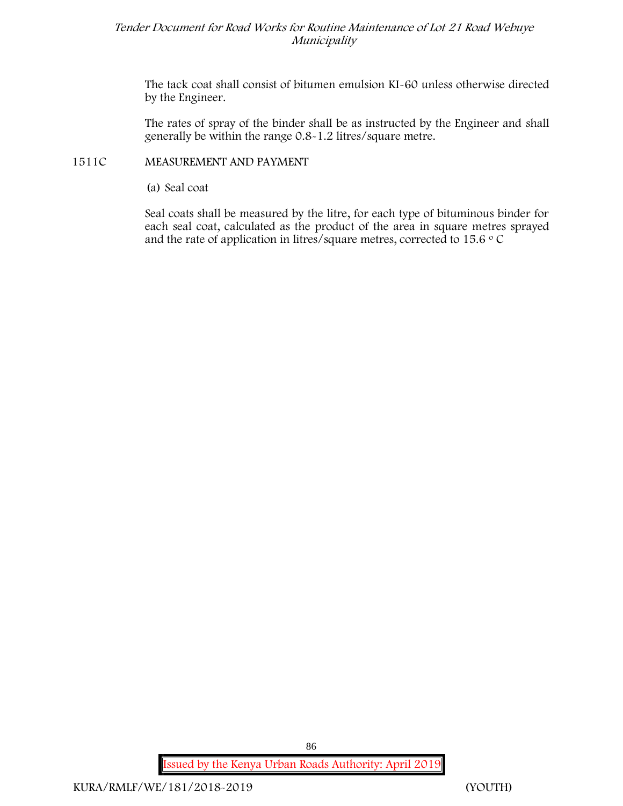The tack coat shall consist of bitumen emulsion KI-60 unless otherwise directed by the Engineer.

The rates of spray of the binder shall be as instructed by the Engineer and shall generally be within the range 0.8-1.2 litres/square metre.

## **1511C MEASUREMENT AND PAYMENT**

(a) Seal coat

Seal coats shall be measured by the litre, for each type of bituminous binder for each seal coat, calculated as the product of the area in square metres sprayed and the rate of application in litres/square metres, corrected to 15.6  $\circ$  C

**Issued by the Kenya Urban Roads Authority: April 2019**

86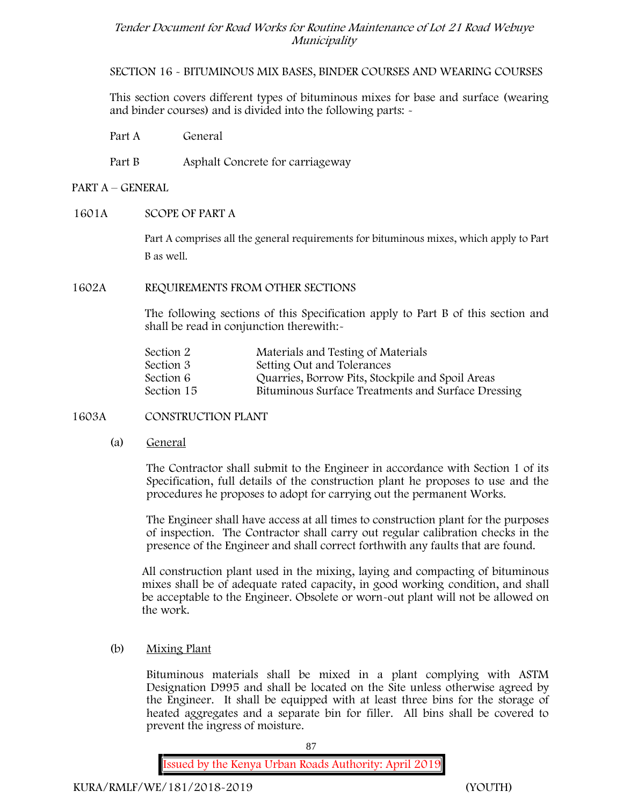**SECTION 16 - BITUMINOUS MIX BASES, BINDER COURSES AND WEARING COURSES**

This section covers different types of bituminous mixes for base and surface (wearing and binder courses) and is divided into the following parts: -

- Part A General
- Part B Asphalt Concrete for carriageway

### **PART A –GENERAL**

#### **1601A SCOPE OF PART A**

Part A comprises all the general requirements for bituminous mixes, which apply to Part B as well.

### **1602A REQUIREMENTS FROM OTHER SECTIONS**

The following sections of this Specification apply to Part B of this section and shall be read in conjunction therewith:-

| Section 2  | Materials and Testing of Materials                 |
|------------|----------------------------------------------------|
| Section 3  | Setting Out and Tolerances                         |
| Section 6  | Quarries, Borrow Pits, Stockpile and Spoil Areas   |
| Section 15 | Bituminous Surface Treatments and Surface Dressing |

## **1603A CONSTRUCTION PLANT**

(a) **General**

The Contractor shall submit to the Engineer in accordance with Section 1 of its Specification, full details of the construction plant he proposes to use and the procedures he proposes to adopt for carrying out the permanent Works.

The Engineer shall have access at all times to construction plant for the purposes of inspection. The Contractor shall carry out regular calibration checks in the presence of the Engineer and shall correct forthwith any faults that are found.

All construction plant used in the mixing, laying and compacting of bituminous mixes shall be of adequate rated capacity, in good working condition, and shall be acceptable to the Engineer. Obsolete or worn-out plant will not be allowed on the work.

(b) **Mixing Plant**

Bituminous materials shall be mixed in a plant complying with ASTM Designation D995 and shall be located on the Site unless otherwise agreed by the Engineer. It shall be equipped with at least three bins for the storage of heated aggregates and a separate bin for filler. All bins shall be covered to prevent the ingress of moisture.

87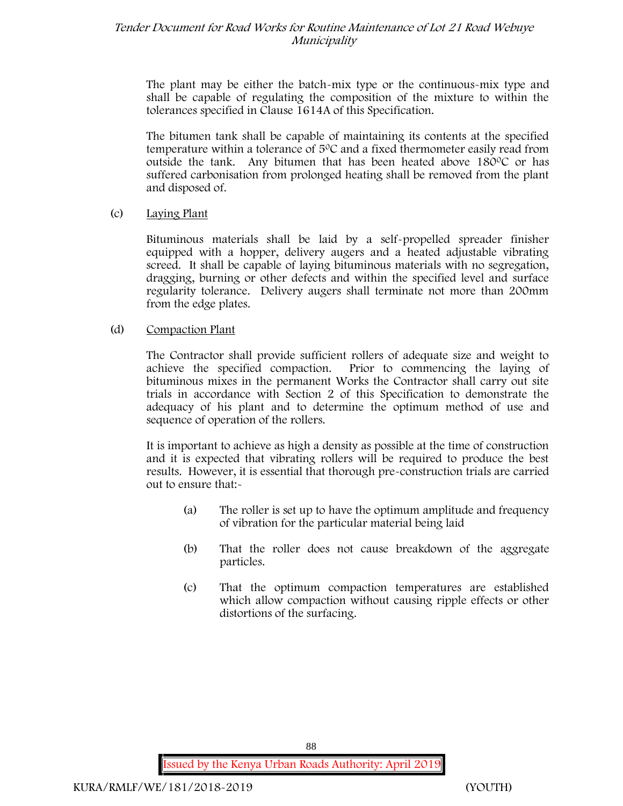The plant may be either the batch-mix type or the continuous-mix type and shall be capable of regulating the composition of the mixture to within the tolerances specified in Clause 1614A of this Specification.

The bitumen tank shall be capable of maintaining its contents at the specified temperature within a tolerance of  $5^{\circ}$ C and a fixed thermometer easily read from outside the tank. Any bitumen that has been heated above 180°C or has suffered carbonisation from prolonged heating shall be removed from the plant and disposed of.

### (c) **Laying Plant**

Bituminous materials shall be laid by a self-propelled spreader finisher equipped with a hopper, delivery augers and a heated adjustable vibrating screed. It shall be capable of laying bituminous materials with no segregation, dragging, burning or other defects and within the specified level and surface regularity tolerance. Delivery augers shall terminate not more than 200mm from the edge plates.

## (d) **Compaction Plant**

The Contractor shall provide sufficient rollers of adequate size and weight to achieve the specified compaction. Prior to commencing the laying of bituminous mixes in the permanent Works the Contractor shall carry out site trials in accordance with Section 2 of this Specification to demonstrate the adequacy of his plant and to determine the optimum method of use and sequence of operation of the rollers.

It is important to achieve as high a density as possible at the time of construction and it is expected that vibrating rollers will be required to produce the best results. However, it is essential that thorough pre-construction trials are carried out to ensure that:-

- (a) The roller is set up to have the optimum amplitude and frequency of vibration for the particular material being laid
- (b) That the roller does not cause breakdown of the aggregate particles.
- (c) That the optimum compaction temperatures are established which allow compaction without causing ripple effects or other distortions of the surfacing.

88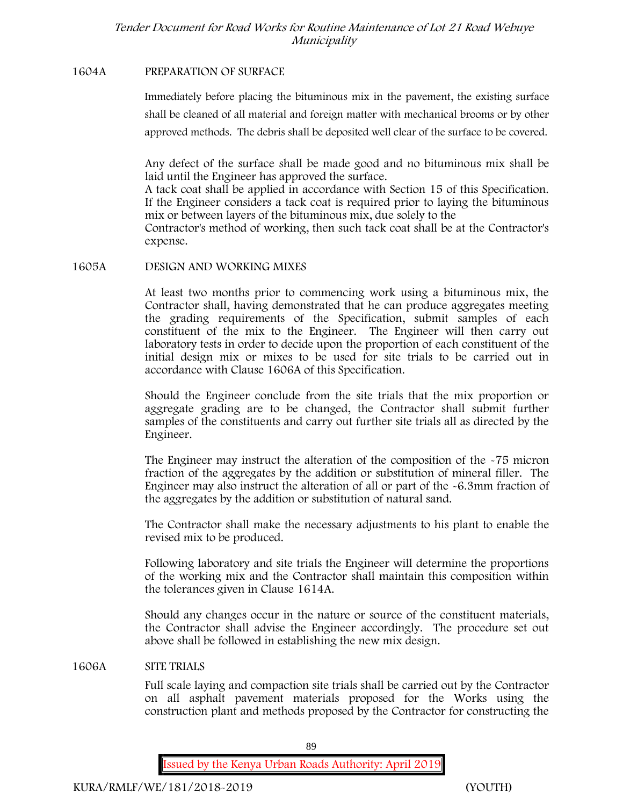### **1604A PREPARATION OF SURFACE**

Immediately before placing the bituminous mix in the pavement, the existing surface shall be cleaned of all material and foreign matter with mechanical brooms or by other approved methods. The debris shall be deposited well clear of the surface to be covered.

Any defect of the surface shall be made good and no bituminous mix shall be laid until the Engineer has approved the surface.

A tack coat shall be applied in accordance with Section 15 of this Specification. If the Engineer considers a tack coat is required prior to laying the bituminous mix or between layers of the bituminous mix, due solely to the

Contractor's method of working, then such tack coat shall be at the Contractor's expense.

### **1605A DESIGN AND WORKING MIXES**

At least two months prior to commencing work using a bituminous mix, the Contractor shall, having demonstrated that he can produce aggregates meeting the grading requirements of the Specification, submit samples of each constituent of the mix to the Engineer. The Engineer will then carry out laboratory tests in order to decide upon the proportion of each constituent of the initial design mix or mixes to be used for site trials to be carried out in accordance with Clause 1606A of this Specification.

Should the Engineer conclude from the site trials that the mix proportion or aggregate grading are to be changed, the Contractor shall submit further samples of the constituents and carry out further site trials all as directed by the Engineer.

The Engineer may instruct the alteration of the composition of the -75 micron fraction of the aggregates by the addition or substitution of mineral filler. The Engineer may also instruct the alteration of all or part of the -6.3mm fraction of the aggregates by the addition or substitution of natural sand.

The Contractor shall make the necessary adjustments to his plant to enable the revised mix to be produced.

Following laboratory and site trials the Engineer will determine the proportions of the working mix and the Contractor shall maintain this composition within the tolerances given in Clause 1614A.

Should any changes occur in the nature or source of the constituent materials, the Contractor shall advise the Engineer accordingly. The procedure set out above shall be followed in establishing the new mix design.

#### **1606A SITE TRIALS**

Full scale laying and compaction site trials shall be carried out by the Contractor on all asphalt pavement materials proposed for the Works using the construction plant and methods proposed by the Contractor for constructing the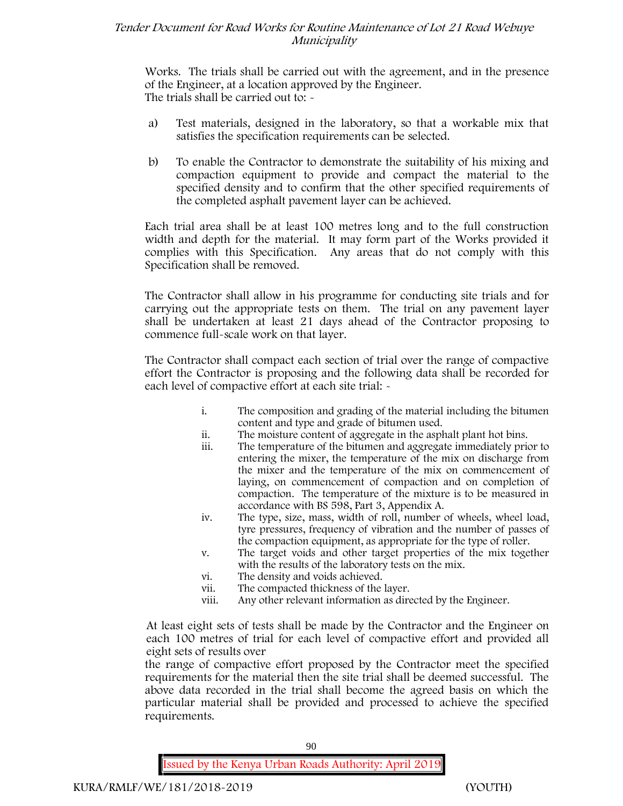Works. The trials shall be carried out with the agreement, and in the presence of the Engineer, at a location approved by the Engineer. The trials shall be carried out to:  $\sim$ 

- a) Test materials, designed in the laboratory, so that a workable mix that satisfies the specification requirements can be selected.
- b) To enable the Contractor to demonstrate the suitability of his mixing and compaction equipment to provide and compact the material to the specified density and to confirm that the other specified requirements of the completed asphalt pavement layer can be achieved.

Each trial area shall be at least 100 metres long and to the full construction width and depth for the material. It may form part of the Works provided it complies with this Specification. Any areas that do not comply with this Specification shall be removed.

The Contractor shall allow in his programme for conducting site trials and for carrying out the appropriate tests on them. The trial on any pavement layer shall be undertaken at least 21 days ahead of the Contractor proposing to commence full-scale work on that layer.

The Contractor shall compact each section of trial over the range of compactive effort the Contractor is proposing and the following data shall be recorded for each level of compactive effort at each site trial: -

- i. The composition and grading of the material including the bitumen content and type and grade of bitumen used.
- ii. The moisture content of aggregate in the asphalt plant hot bins.
- iii. The temperature of the bitumen and aggregate immediately prior to entering the mixer, the temperature of the mix on discharge from the mixer and the temperature of the mix on commencement of laying, on commencement of compaction and on completion of compaction. The temperature of the mixture is to be measured in accordance with BS 598, Part 3, Appendix A.
- iv. The type, size, mass, width of roll, number of wheels, wheel load, tyre pressures, frequency of vibration and the number of passes of the compaction equipment, as appropriate for the type of roller.
- v. The target voids and other target properties of the mix together with the results of the laboratory tests on the mix.
- vi. The density and voids achieved.
- vii. The compacted thickness of the layer.
- viii. Any other relevant information as directed by the Engineer.

At least eight sets of tests shall be made by the Contractor and the Engineer on each 100 metres of trial for each level of compactive effort and provided all eight sets of results over

the range of compactive effort proposed by the Contractor meet the specified requirements for the material then the site trial shall be deemed successful. The above data recorded in the trial shall become the agreed basis on which the particular material shall be provided and processed to achieve the specified requirements.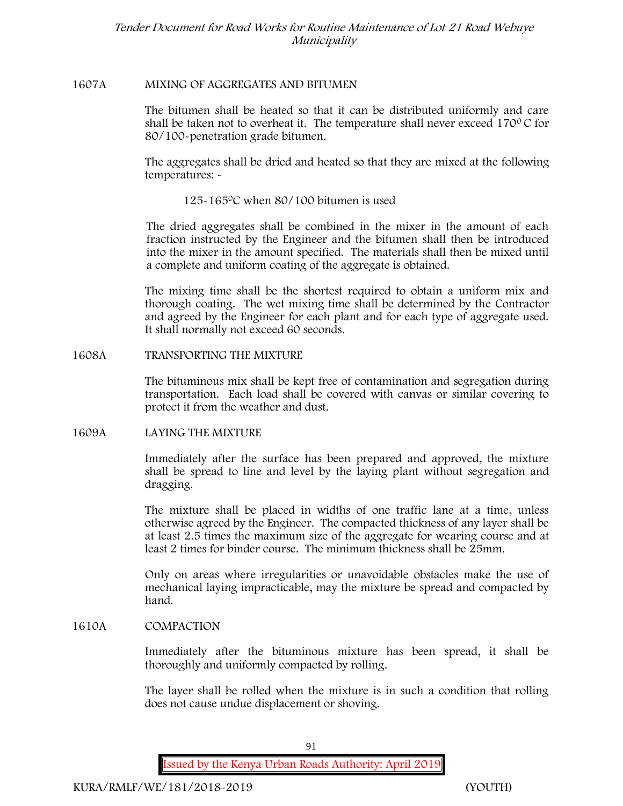### **1607A MIXING OF AGGREGATES AND BITUMEN**

The bitumen shall be heated so that it can be distributed uniformly and care shall be taken not to overheat it. The temperature shall never exceed  $170^{\circ}$ C for 80/100-penetration grade bitumen.

The aggregates shall be dried and heated so that they are mixed at the following temperatures: -

125-1650C when 80/100 bitumen is used

The dried aggregates shall be combined in the mixer in the amount of each fraction instructed by the Engineer and the bitumen shall then be introduced into the mixer in the amount specified. The materials shall then be mixed until a complete and uniform coating of the aggregate is obtained.

The mixing time shall be the shortest required to obtain a uniform mix and thorough coating. The wet mixing time shall be determined by the Contractor and agreed by the Engineer for each plant and for each type of aggregate used. It shall normally not exceed 60 seconds.

**1608A TRANSPORTING THE MIXTURE**

The bituminous mix shall be kept free of contamination and segregation during transportation. Each load shall be covered with canvas or similar covering to protect it from the weather and dust.

**1609A LAYING THE MIXTURE**

Immediately after the surface has been prepared and approved, the mixture shall be spread to line and level by the laying plant without segregation and dragging.

The mixture shall be placed in widths of one traffic lane at a time, unless otherwise agreed by the Engineer. The compacted thickness of any layer shall be at least 2.5 times the maximum size of the aggregate for wearing course and at least 2 times for binder course. The minimum thickness shall be 25mm.

Only on areas where irregularities or unavoidable obstacles make the use of mechanical laying impracticable, may the mixture be spread and compacted by hand.

## **1610A COMPACTION**

Immediately after the bituminous mixture has been spread, it shall be thoroughly and uniformly compacted by rolling.

The layer shall be rolled when the mixture is in such a condition that rolling does not cause undue displacement or shoving.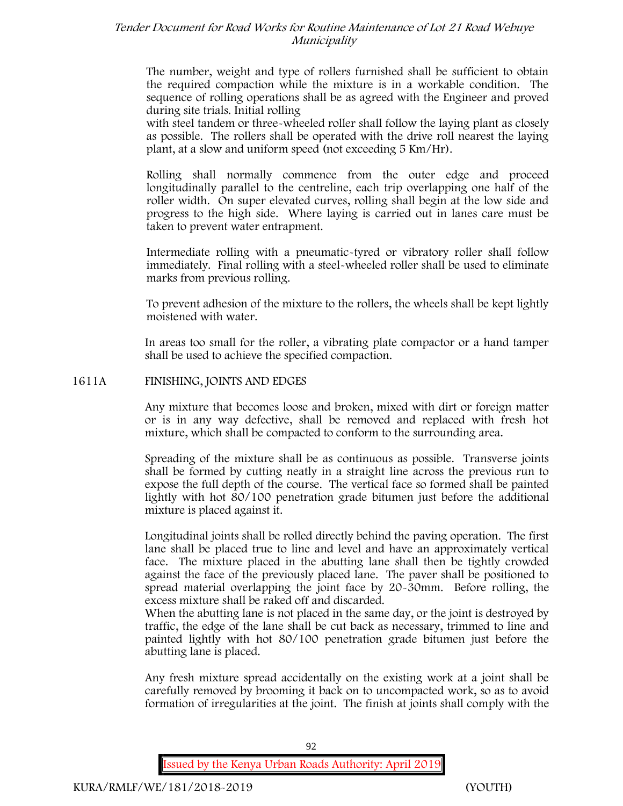The number, weight and type of rollers furnished shall be sufficient to obtain the required compaction while the mixture is in a workable condition. The sequence of rolling operations shall be as agreed with the Engineer and proved during site trials. Initial rolling

with steel tandem or three-wheeled roller shall follow the laying plant as closely as possible. The rollers shall be operated with the drive roll nearest the laying plant, at a slow and uniform speed (not exceeding 5 Km/Hr).

Rolling shall normally commence from the outer edge and proceed longitudinally parallel to the centreline, each trip overlapping one half of the roller width. On super elevated curves, rolling shall begin at the low side and progress to the high side. Where laying is carried out in lanes care must be taken to prevent water entrapment.

Intermediate rolling with a pneumatic-tyred or vibratory roller shall follow immediately. Final rolling with a steel-wheeled roller shall be used to eliminate marks from previous rolling.

To prevent adhesion of the mixture to the rollers, the wheels shall be kept lightly moistened with water.

In areas too small for the roller, a vibrating plate compactor or a hand tamper shall be used to achieve the specified compaction.

#### **1611A FINISHING, JOINTS AND EDGES**

Any mixture that becomes loose and broken, mixed with dirt or foreign matter or is in any way defective, shall be removed and replaced with fresh hot mixture, which shall be compacted to conform to the surrounding area.

Spreading of the mixture shall be as continuous as possible. Transverse joints shall be formed by cutting neatly in a straight line across the previous run to expose the full depth of the course. The vertical face so formed shall be painted lightly with hot 80/100 penetration grade bitumen just before the additional mixture is placed against it.

Longitudinal joints shall be rolled directly behind the paving operation. The first lane shall be placed true to line and level and have an approximately vertical face. The mixture placed in the abutting lane shall then be tightly crowded against the face of the previously placed lane. The paver shall be positioned to spread material overlapping the joint face by 20-30mm. Before rolling, the excess mixture shall be raked off and discarded.

When the abutting lane is not placed in the same day, or the joint is destroyed by traffic, the edge of the lane shall be cut back as necessary, trimmed to line and painted lightly with hot 80/100 penetration grade bitumen just before the abutting lane is placed.

Any fresh mixture spread accidentally on the existing work at a joint shall be carefully removed by brooming it back on to uncompacted work, so as to avoid formation of irregularities at the joint. The finish at joints shall comply with the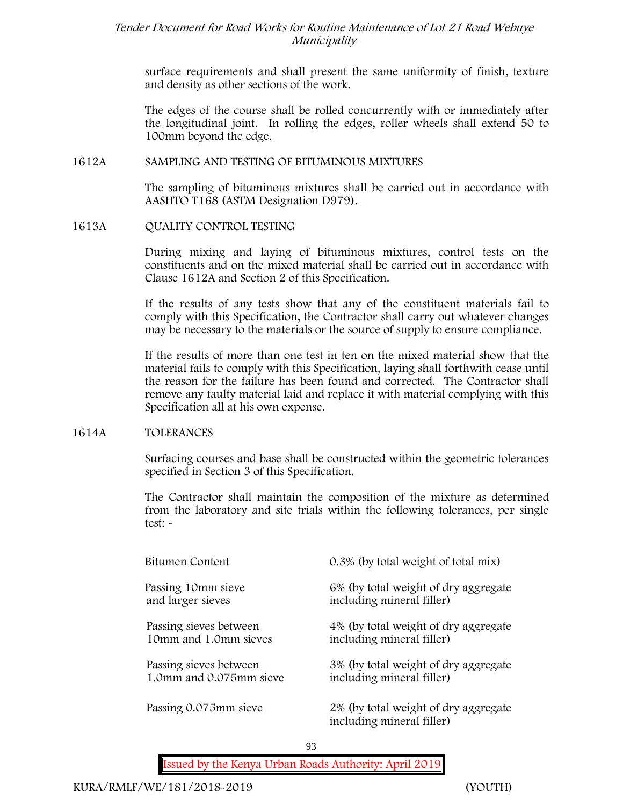surface requirements and shall present the same uniformity of finish, texture and density as other sections of the work.

The edges of the course shall be rolled concurrently with or immediately after the longitudinal joint. In rolling the edges, roller wheels shall extend 50 to 100mm beyond the edge.

### **1612A SAMPLING AND TESTING OF BITUMINOUS MIXTURES**

The sampling of bituminous mixtures shall be carried out in accordance with AASHTO T168 (ASTM Designation D979).

**1613A QUALITY CONTROL TESTING**

During mixing and laying of bituminous mixtures, control tests on the constituents and on the mixed material shall be carried out in accordance with Clause 1612A and Section 2 of this Specification.

If the results of any tests show that any of the constituent materials fail to comply with this Specification, the Contractor shall carry out whatever changes may be necessary to the materials or the source of supply to ensure compliance.

If the results of more than one test in ten on the mixed material show that the material fails to comply with this Specification, laying shall forthwith cease until the reason for the failure has been found and corrected. The Contractor shall remove any faulty material laid and replace it with material complying with this Specification all at his own expense.

#### **1614A TOLERANCES**

Surfacing courses and base shall be constructed within the geometric tolerances specified in Section 3 of this Specification.

The Contractor shall maintain the composition of the mixture as determined from the laboratory and site trials within the following tolerances, per single test: -

| Bitumen Content         | 0.3% (by total weight of total mix)                               |
|-------------------------|-------------------------------------------------------------------|
| Passing 10mm sieve      | 6% (by total weight of dry aggregate                              |
| and larger sieves       | including mineral filler)                                         |
| Passing sieves between  | 4% (by total weight of dry aggregate                              |
| 10mm and 1.0mm sieves   | including mineral filler)                                         |
| Passing sieves between  | 3% (by total weight of dry aggregate                              |
| 1.0mm and 0.075mm sieve | including mineral filler)                                         |
| Passing 0.075mm sieve   | 2% (by total weight of dry aggregate<br>including mineral filler) |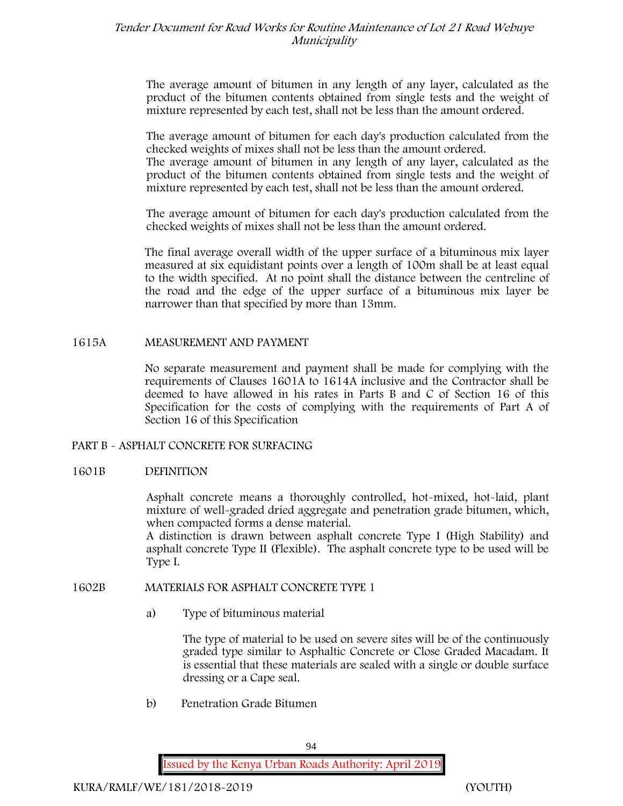The average amount of bitumen in any length of any layer, calculated as the product of the bitumen contents obtained from single tests and the weight of mixture represented by each test, shall not be less than the amount ordered.

The average amount of bitumen for each day's production calculated from the checked weights of mixes shall not be less than the amount ordered.

The average amount of bitumen in any length of any layer, calculated as the product of the bitumen contents obtained from single tests and the weight of mixture represented by each test, shall not be less than the amount ordered.

The average amount of bitumen for each day's production calculated from the checked weights of mixes shall not be less than the amount ordered.

The final average overall width of the upper surface of a bituminous mix layer measured at six equidistant points over a length of 100m shall be at least equal to the width specified. At no point shall the distance between the centreline of the road and the edge of the upper surface of a bituminous mix layer be narrower than that specified by more than 13mm.

#### **1615A MEASUREMENT AND PAYMENT**

No separate measurement and payment shall be made for complying with the requirements of Clauses 1601A to 1614A inclusive and the Contractor shall be deemed to have allowed in his rates in Parts B and C of Section 16 of this Specification for the costs of complying with the requirements of Part A of Section 16 of this Specification

#### **PART B - ASPHALT CONCRETE FOR SURFACING**

#### **1601B DEFINITION**

Asphalt concrete means a thoroughly controlled, hot-mixed, hot-laid, plant mixture of well-graded dried aggregate and penetration grade bitumen, which, when compacted forms a dense material.

A distinction is drawn between asphalt concrete Type I (High Stability) and asphalt concrete Type II (Flexible). The asphalt concrete type to be used will be Type I.

## **1602B MATERIALS FOR ASPHALT CONCRETE TYPE 1**

a) **Type of bituminous material**

The type of material to be used on severe sites will be of the continuously graded type similar to Asphaltic Concrete or Close Graded Macadam. It is essential that these materials are sealed with a single or double surface dressing or a Cape seal.

b) **Penetration Grade Bitumen**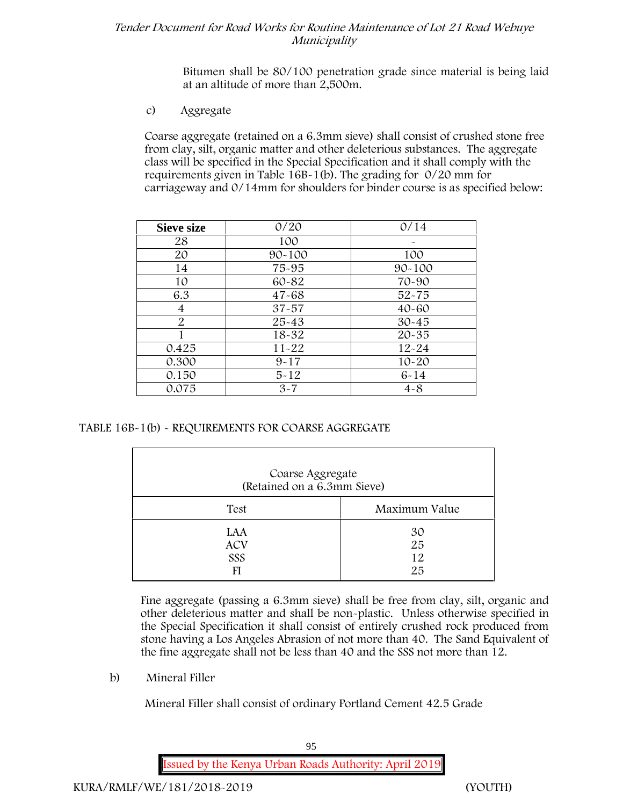Bitumen shall be 80/100 penetration grade since material is being laid at an altitude of more than 2,500m.

c) **Aggregate**

Coarse aggregate (retained on a 6.3mm sieve) shall consist of crushed stone free from clay, silt, organic matter and other deleterious substances. The aggregate class will be specified in the Special Specification and it shall comply with the requirements given in Table 16B-1(b). The grading for 0/20 mm for carriageway and 0/14mm for shoulders for binder course is as specified below:

| <b>Sieve size</b> | 0/20       | 0/14       |
|-------------------|------------|------------|
| 28                | 100        |            |
| 20                | $90 - 100$ | 100        |
| 14                | 75-95      | $90 - 100$ |
| 10                | 60-82      | 70-90      |
| 6.3               | $47 - 68$  | $52 - 75$  |
| 4                 | $37 - 57$  | $40 - 60$  |
| 2                 | $25 - 43$  | $30 - 45$  |
|                   | 18-32      | $20 - 35$  |
| 0.425             | $11 - 22$  | $12 - 24$  |
| 0.300             | $9 - 17$   | $10 - 20$  |
| 0.150             | $5 - 12$   | $6 - 14$   |
| 0.075             | $3 - 7$    | $4 - 8$    |

**TABLE 16B-1(b) - REQUIREMENTS FOR COARSE AGGREGATE**

| Coarse Aggregate<br>(Retained on a 6.3mm Sieve) |                      |
|-------------------------------------------------|----------------------|
| Test                                            | Maximum Value        |
| LAA<br><b>ACV</b><br>SSS<br>FI                  | 30<br>25<br>12<br>25 |

Fine aggregate (passing a 6.3mm sieve) shall be free from clay, silt, organic and other deleterious matter and shall be non-plastic. Unless otherwise specified in the Special Specification it shall consist of entirely crushed rock produced from stone having a Los Angeles Abrasion of not more than 40. The Sand Equivalent of the fine aggregate shall not be less than 40 and the SSS not more than 12.

**b) Mineral Filler**

Mineral Filler shall consist of ordinary Portland Cement 42.5 Grade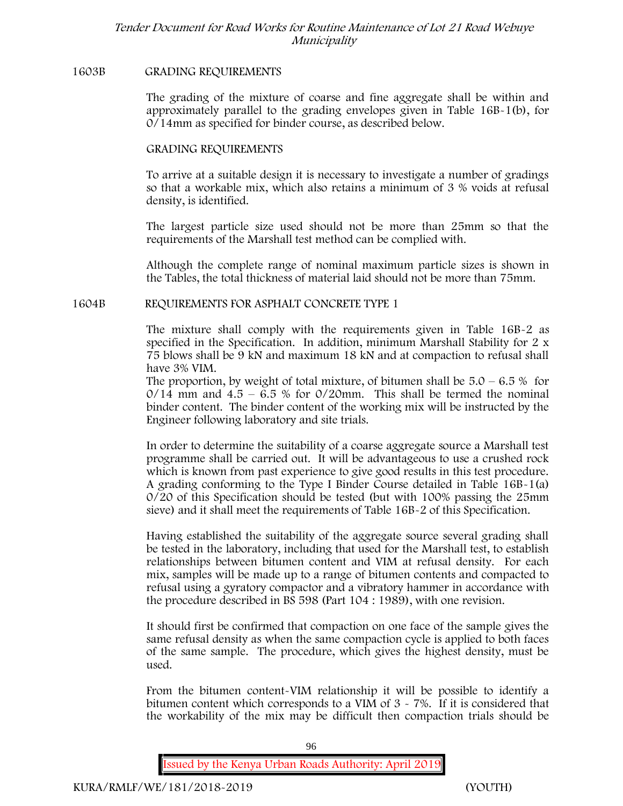#### **1603B GRADING REQUIREMENTS**

The grading of the mixture of coarse and fine aggregate shall be within and approximately parallel to the grading envelopes given in Table 16B-1(b), for 0/14mm as specified for binder course, as described below.

#### **GRADING REQUIREMENTS**

To arrive at a suitable design it is necessary to investigate a number of gradings so that a workable mix, which also retains a minimum of 3 % voids at refusal density, is identified.

The largest particle size used should not be more than 25mm so that the requirements of the Marshall test method can be complied with.

Although the complete range of nominal maximum particle sizes is shown in the Tables, the total thickness of material laid should not be more than 75mm.

#### **1604B REQUIREMENTS FOR ASPHALT CONCRETE TYPE 1**

The mixture shall comply with the requirements given in Table 16B-2 as specified in the Specification. In addition, minimum Marshall Stability for 2 x 75 blows shall be 9 kN and maximum 18 kN and at compaction to refusal shall have 3% VIM.

The proportion, by weight of total mixture, of bitumen shall be  $5.0 - 6.5 %$  for  $0/14$  mm and  $4.5 - 6.5$  % for  $0/20$ mm. This shall be termed the nominal binder content. The binder content of the working mix will be instructed by the Engineer following laboratory and site trials.

In order to determine the suitability of a coarse aggregate source a Marshall test programme shall be carried out. It will be advantageous to use a crushed rock which is known from past experience to give good results in this test procedure. A grading conforming to the Type I Binder Course detailed in Table 16B-1(a) 0/20 of this Specification should be tested (but with 100% passing the 25mm sieve) and it shall meet the requirements of Table 16B-2 of this Specification.

Having established the suitability of the aggregate source several grading shall be tested in the laboratory, including that used for the Marshall test, to establish relationships between bitumen content and VIM at refusal density. For each mix, samples will be made up to a range of bitumen contents and compacted to refusal using a gyratory compactor and a vibratory hammer in accordance with the procedure described in BS 598 (Part 104 : 1989), with one revision.

It should first be confirmed that compaction on one face of the sample gives the same refusal density as when the same compaction cycle is applied to both faces of the same sample. The procedure, which gives the highest density, must be used.

From the bitumen content-VIM relationship it will be possible to identify a bitumen content which corresponds to a VIM of 3 - 7%. If it is considered that the workability of the mix may be difficult then compaction trials should be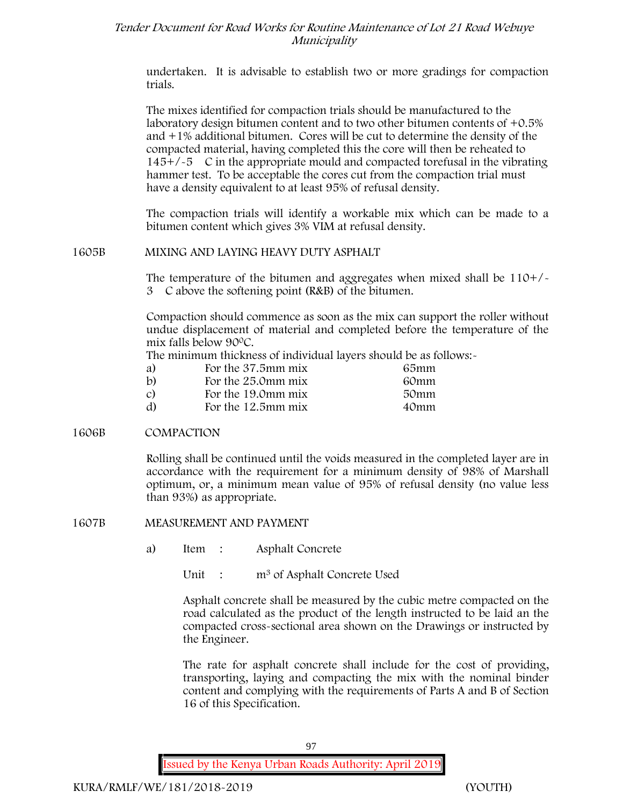undertaken. It is advisable to establish two or more gradings for compaction trials.

The mixes identified for compaction trials should be manufactured to the laboratory design bitumen content and to two other bitumen contents of  $+0.5\%$ and +1% additional bitumen. Cores will be cut to determine the density of the compacted material, having completed this the core will then be reheated to  $145+/-5$  C in the appropriate mould and compacted torefusal in the vibrating hammer test. To be acceptable the cores cut from the compaction trial must have a density equivalent to at least 95% of refusal density.

The compaction trials will identify a workable mix which can be made to a bitumen content which gives 3% VIM at refusal density.

### **1605B MIXING AND LAYING HEAVY DUTY ASPHALT**

The temperature of the bitumen and aggregates when mixed shall be  $110+/$ 3C above the softening point (R&B) of the bitumen.

Compaction should commence as soon as the mix can support the roller without undue displacement of material and completed before the temperature of the mix falls below 900C.

The minimum thickness of individual layers should be as follows:-

| a)            | For the 37.5mm mix | 65mm |  |
|---------------|--------------------|------|--|
| $\mathbf{b}$  | For the 25.0mm mix | 60mm |  |
| $\mathcal{C}$ | For the 19.0mm mix | 50mm |  |
| d)            | For the 12.5mm mix | 40mm |  |

## **1606B COMPACTION**

Rolling shall be continued until the voids measured in the completed layer are in accordance with the requirement for a minimum density of 98% of Marshall optimum, or, a minimum mean value of 95% of refusal density (no value less than 93%) as appropriate.

**1607B MEASUREMENT AND PAYMENT**

a) Item : Asphalt Concrete

Unit : m<sup>3</sup> of Asphalt Concrete Used

Asphalt concrete shall be measured by the cubic metre compacted on the road calculated as the product of the length instructed to be laid an the compacted cross-sectional area shown on the Drawings or instructed by the Engineer.

The rate for asphalt concrete shall include for the cost of providing, transporting, laying and compacting the mix with the nominal binder content and complying with the requirements of Parts A and B of Section 16 of this Specification.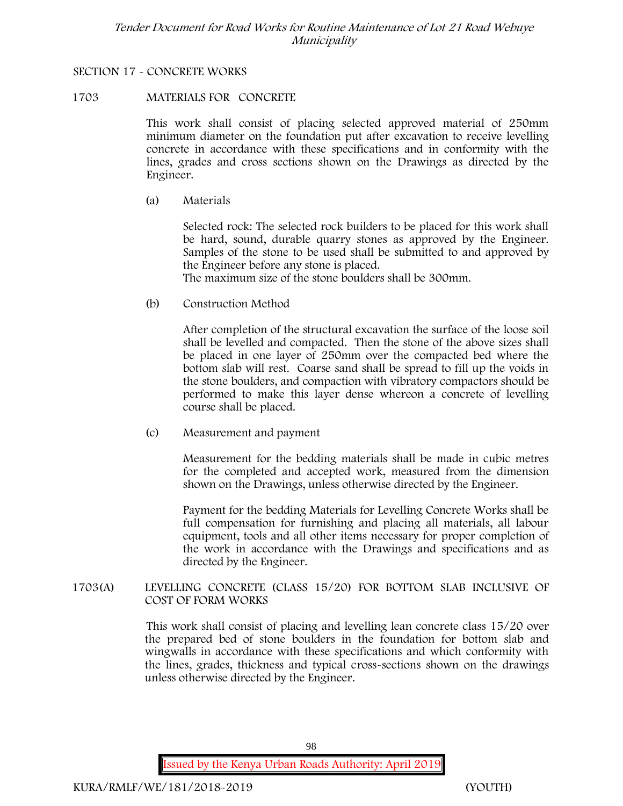### **SECTION 17 - CONCRETE WORKS**

### **1703 MATERIALS FOR CONCRETE**

This work shall consist of placing selected approved material of 250mm minimum diameter on the foundation put after excavation to receive levelling concrete in accordance with these specifications and in conformity with the lines, grades and cross sections shown on the Drawings as directed by the Engineer.

(a) **Materials**

Selected rock: The selected rock builders to be placed for this work shall be hard, sound, durable quarry stones as approved by the Engineer. Samples of the stone to be used shall be submitted to and approved by the Engineer before any stone is placed.

The maximum size of the stone boulders shall be 300mm.

(b) **Construction Method**

After completion of the structural excavation the surface of the loose soil shall be levelled and compacted. Then the stone of the above sizes shall be placed in one layer of 250mm over the compacted bed where the bottom slab will rest. Coarse sand shall be spread to fill up the voids in the stone boulders, and compaction with vibratory compactors should be performed to make this layer dense whereon a concrete of levelling course shall be placed.

(c) **Measurement and payment**

Measurement for the bedding materials shall be made in cubic metres for the completed and accepted work, measured from the dimension shown on the Drawings, unless otherwise directed by the Engineer.

Payment for the bedding Materials for Levelling Concrete Works shall be full compensation for furnishing and placing all materials, all labour equipment, tools and all other items necessary for proper completion of the work in accordance with the Drawings and specifications and as directed by the Engineer.

**1703(A) LEVELLING CONCRETE (CLASS 15/20) FOR BOTTOM SLAB INCLUSIVE OF COST OF FORM WORKS**

> This work shall consist of placing and levelling lean concrete class 15/20 over the prepared bed of stone boulders in the foundation for bottom slab and wingwalls in accordance with these specifications and which conformity with the lines, grades, thickness and typical cross-sections shown on the drawings unless otherwise directed by the Engineer.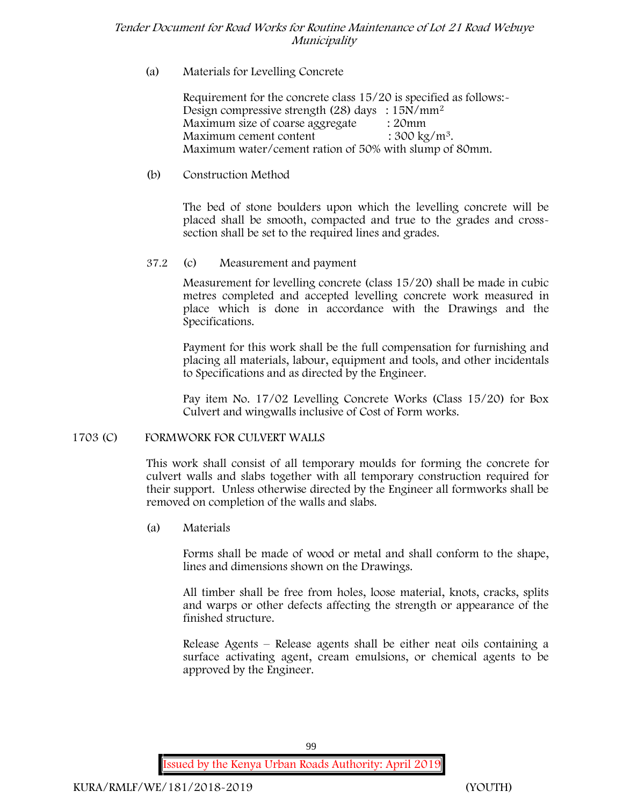## (a) **Materials for Levelling Concrete**

Requirement for the concrete class 15/20 is specified as follows:- Design compressive strength (28) days :  $15N/mm^2$ Maximum size of coarse aggregate : 20mm Maximum cement content  $: 300 \text{ kg/m}^3$ . Maximum water/cement ration of 50% with slump of 80mm.

## (b) **Construction Method**

The bed of stone boulders upon which the levelling concrete will be placed shall be smooth, compacted and true to the grades and crosssection shall be set to the required lines and grades.

## **37.2** (c) **Measurement and payment**

Measurement for levelling concrete (class 15/20) shall be made in cubic metres completed and accepted levelling concrete work measured in place which is done in accordance with the Drawings and the Specifications.

Payment for this work shall be the full compensation for furnishing and placing all materials, labour, equipment and tools, and other incidentals to Specifications and as directed by the Engineer.

Pay item No. 17/02 Levelling Concrete Works (Class 15/20) for Box Culvert and wingwalls inclusive of Cost of Form works.

## **1703 (C) FORMWORK FOR CULVERT WALLS**

This work shall consist of all temporary moulds for forming the concrete for culvert walls and slabs together with all temporary construction required for their support. Unless otherwise directed by the Engineer all formworks shall be removed on completion of the walls and slabs.

(a) **Materials**

Forms shall be made of wood or metal and shall conform to the shape, lines and dimensions shown on the Drawings.

All timber shall be free from holes, loose material, knots, cracks, splits and warps or other defects affecting the strength or appearance of the finished structure.

Release Agents – Release agents shall be either neat oils containing a surface activating agent, cream emulsions, or chemical agents to be approved by the Engineer.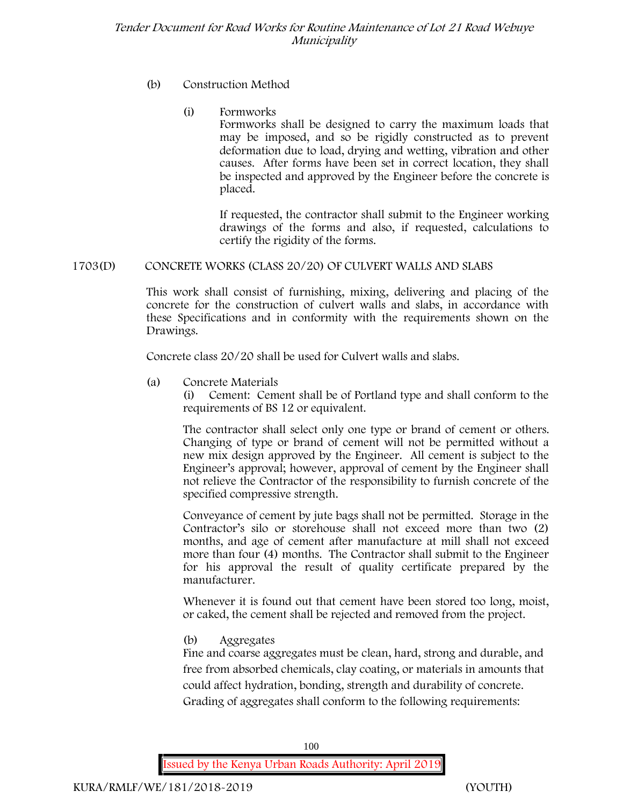## (b) **Construction Method**

## (i) **Formworks**

Formworks shall be designed to carry the maximum loads that may be imposed, and so be rigidly constructed as to prevent deformation due to load, drying and wetting, vibration and other causes. After forms have been set in correct location, they shall be inspected and approved by the Engineer before the concrete is placed.

If requested, the contractor shall submit to the Engineer working drawings of the forms and also, if requested, calculations to certify the rigidity of the forms.

## **1703(D) CONCRETE WORKS (CLASS 20/20) OF CULVERT WALLS AND SLABS**

This work shall consist of furnishing, mixing, delivering and placing of the concrete for the construction of culvert walls and slabs, in accordance with these Specifications and in conformity with the requirements shown on the Drawings.

Concrete class 20/20 shall be used for Culvert walls and slabs.

**(a) Concrete Materials**

(i) Cement: Cement shall be of Portland type and shall conform to the requirements of BS 12 or equivalent.

The contractor shall select only one type or brand of cement or others. Changing of type or brand of cement will not be permitted without a new mix design approved by the Engineer. All cement is subject to the Engineer's approval; however, approval of cement by the Engineer shall not relieve the Contractor of the responsibility to furnish concrete of the specified compressive strength.

Conveyance of cement by jute bags shall not be permitted. Storage in the Contractor's silo or storehouse shall not exceed more than two (2) months, and age of cement after manufacture at mill shall not exceed more than four (4) months. The Contractor shall submit to the Engineer for his approval the result of quality certificate prepared by the manufacturer.

Whenever it is found out that cement have been stored too long, moist, or caked, the cement shall be rejected and removed from the project.

## **(b) Aggregates**

Fine and coarse aggregates must be clean, hard, strong and durable, and free from absorbed chemicals, clay coating, or materials in amounts that could affect hydration, bonding, strength and durability of concrete. Grading of aggregates shall conform to the following requirements: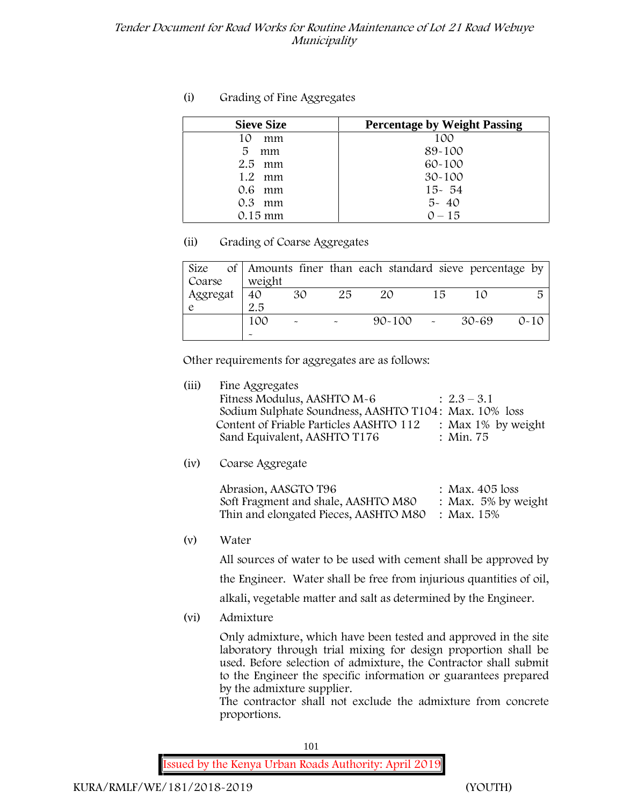## **(i) Grading of Fine Aggregates**

| <b>Sieve Size</b> | <b>Percentage by Weight Passing</b> |
|-------------------|-------------------------------------|
| mm<br>10          | 100                                 |
| 5<br>mm           | 89-100                              |
| $2.5$ mm          | $60 - 100$                          |
| $1.2$ mm          | $30 - 100$                          |
| $0.6$ mm          | $15 - 54$                           |
| $0.3$ mm          | $5 - 40$                            |
| 0.15 mm           | $0 - 15$                            |

**(ii) Grading of Coarse Aggregates**

|          |            |                           |                       | Size of Amounts finer than each standard sieve percentage by |    |       |          |
|----------|------------|---------------------------|-----------------------|--------------------------------------------------------------|----|-------|----------|
| Coarse   | weight     |                           |                       |                                                              |    |       |          |
| Aggregat | $\vert$ 40 | 30                        | 25                    | 20                                                           | 15 |       | 局        |
|          | 2.5        |                           |                       |                                                              |    |       |          |
|          | 100        | $\widetilde{\phantom{m}}$ | $\tilde{\phantom{a}}$ | $90 - 100$ -                                                 |    | 30-69 | $0 - 10$ |
|          | $\tilde{}$ |                           |                       |                                                              |    |       |          |

Other requirements for aggregates are as follows:

| : Max $1\%$ by weight |
|-----------------------|
|                       |
|                       |

**(iv) Coarse Aggregate**

Abrasion, AASGTO T96 : Max. 405 loss Soft Fragment and shale, AASHTO M80 : Max. 5% by weight Thin and elongated Pieces, AASHTO M80 : Max. 15%

**(v) Water**

All sources of water to be used with cement shall be approved by

the Engineer. Water shall be free from injurious quantities of oil,

alkali, vegetable matter and salt as determined by the Engineer.

**(vi) Admixture**

Only admixture, which have been tested and approved in the site laboratory through trial mixing for design proportion shall be used. Before selection of admixture, the Contractor shall submit to the Engineer the specific information or guarantees prepared by the admixture supplier.

The contractor shall not exclude the admixture from concrete proportions.

101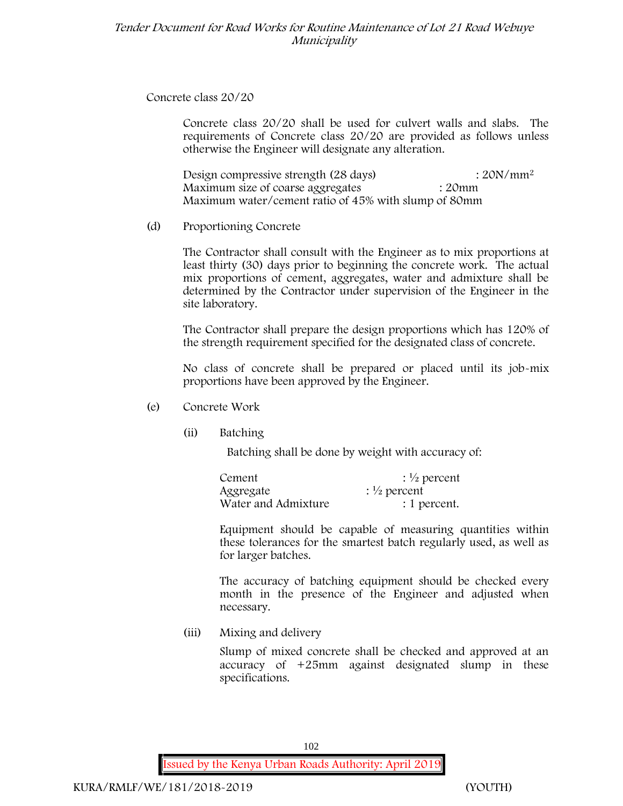**Concrete class 20/20**

Concrete class 20/20 shall be used for culvert walls and slabs. The requirements of Concrete class 20/20 are provided as follows unless otherwise the Engineer will designate any alteration.

Design compressive strength (28 days) : 20N/mm<sup>2</sup> Maximum size of coarse aggregates : 20mm Maximum water/cement ratio of 45% with slump of 80mm

(d) **Proportioning Concrete**

The Contractor shall consult with the Engineer as to mix proportions at least thirty (30) days prior to beginning the concrete work. The actual mix proportions of cement, aggregates, water and admixture shall be determined by the Contractor under supervision of the Engineer in the site laboratory.

The Contractor shall prepare the design proportions which has 120% of the strength requirement specified for the designated class of concrete.

No class of concrete shall be prepared or placed until its job-mix proportions have been approved by the Engineer.

- (e) **Concrete Work**
	- **(ii) Batching**

Batching shall be done by weight with accuracy of:

| Cement              | $\frac{1}{2}$ percent |
|---------------------|-----------------------|
| Aggregate           | $\frac{1}{2}$ percent |
| Water and Admixture | : 1 percent.          |

Equipment should be capable of measuring quantities within these tolerances for the smartest batch regularly used, as well as for larger batches.

The accuracy of batching equipment should be checked every month in the presence of the Engineer and adjusted when necessary.

**(iii) Mixing and delivery**

Slump of mixed concrete shall be checked and approved at an accuracy of +25mm against designated slump in these specifications.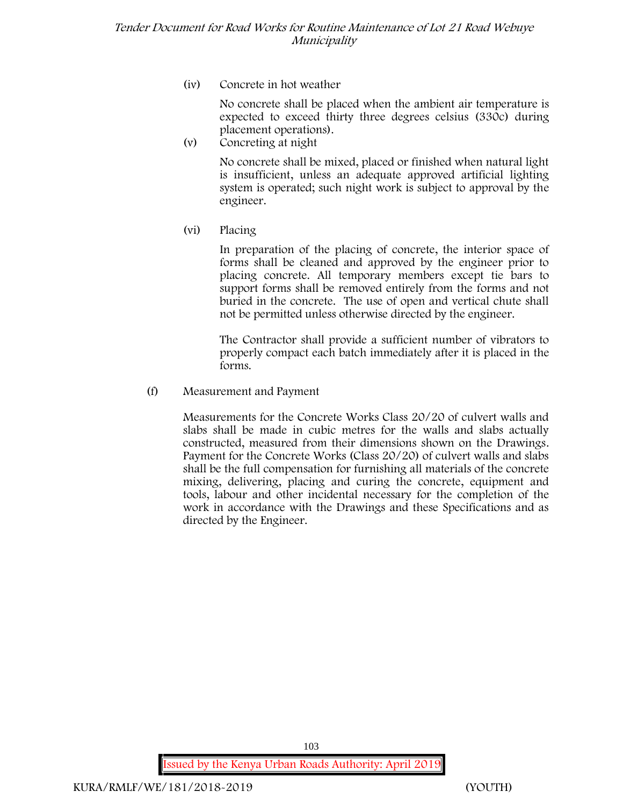**(iv) Concrete in hot weather**

No concrete shall be placed when the ambient air temperature is expected to exceed thirty three degrees celsius (330c) during placement operations).

**(v) Concreting at night**

No concrete shall be mixed, placed or finished when natural light is insufficient, unless an adequate approved artificial lighting system is operated; such night work is subject to approval by the engineer.

**(vi) Placing**

In preparation of the placing of concrete, the interior space of forms shall be cleaned and approved by the engineer prior to placing concrete. All temporary members except tie bars to support forms shall be removed entirely from the forms and not buried in the concrete. The use of open and vertical chute shall not be permitted unless otherwise directed by the engineer.

The Contractor shall provide a sufficient number of vibrators to properly compact each batch immediately after it is placed in the forms.

(f) **Measurement and Payment**

Measurements for the Concrete Works Class 20/20 of culvert walls and slabs shall be made in cubic metres for the walls and slabs actually constructed, measured from their dimensions shown on the Drawings. Payment for the Concrete Works (Class 20/20) of culvert walls and slabs shall be the full compensation for furnishing all materials of the concrete mixing, delivering, placing and curing the concrete, equipment and tools, labour and other incidental necessary for the completion of the work in accordance with the Drawings and these Specifications and as directed by the Engineer.

**Issued by the Kenya Urban Roads Authority: April 2019**

103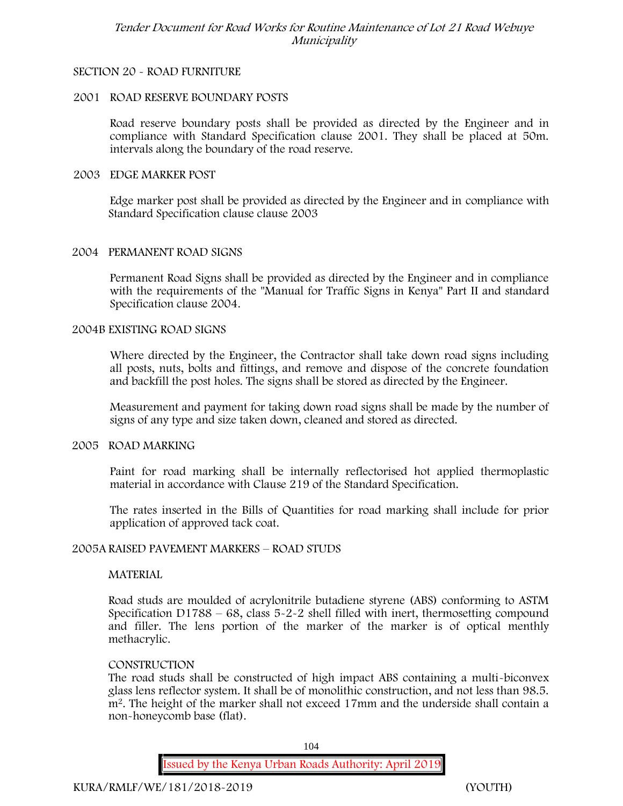### **SECTION 20 - ROAD FURNITURE**

### **2001 ROAD RESERVE BOUNDARY POSTS**

Road reserve boundary posts shall be provided as directed by the Engineer and in compliance with Standard Specification clause 2001. They shall be placed at 50m. intervals along the boundary of the road reserve.

#### **2003 EDGE MARKER POST**

Edge marker post shall be provided as directed by the Engineer and in compliance with Standard Specification clause clause 2003

#### **2004 PERMANENT ROAD SIGNS**

Permanent Road Signs shall be provided as directed by the Engineer and in compliance with the requirements of the "Manual for Traffic Signs in Kenya" Part II and standard Specification clause 2004.

#### **2004B EXISTING ROAD SIGNS**

Where directed by the Engineer, the Contractor shall take down road signs including all posts, nuts, bolts and fittings, and remove and dispose of the concrete foundation and backfill the post holes. The signs shall be stored as directed by the Engineer.

Measurement and payment for taking down road signs shall be made by the number of signs of any type and size taken down, cleaned and stored as directed.

#### **2005 ROAD MARKING**

Paint for road marking shall be internally reflectorised hot applied thermoplastic material in accordance with Clause 219 of the Standard Specification.

The rates inserted in the Bills of Quantities for road marking shall include for prior application of approved tack coat.

#### **2005A RAISED PAVEMENT MARKERS – ROAD STUDS**

#### **MATERIAL**

Road studs are moulded of acrylonitrile butadiene styrene (ABS) conforming to ASTM Specification D1788 –  $68$ , class  $5-2-2$  shell filled with inert, thermosetting compound and filler. The lens portion of the marker of the marker is of optical menthly methacrylic.

#### **CONSTRUCTION**

The road studs shall be constructed of high impact ABS containing a multi-biconvex glass lens reflector system. It shall be of monolithic construction, and not less than 98.5. m2. The height of the marker shall not exceed 17mm and the underside shall contain a non-honeycomb base (flat).

104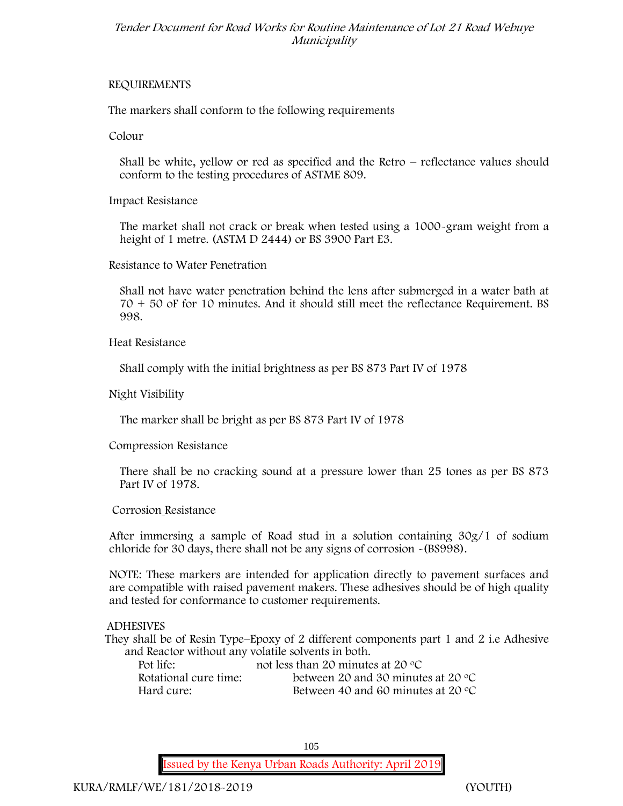## **REQUIREMENTS**

The markers shall conform to the following requirements

**Colour**

Shall be white, yellow or red as specified and the Retro – reflectance values should conform to the testing procedures of ASTME 809.

**Impact Resistance**

The market shall not crack or break when tested using a 1000**-**gram weight from a height of 1 metre. (ASTM D 2444) or BS 3900 Part E3.

**Resistance to Water Penetration**

Shall not have water penetration behind the lens after submerged in a water bath at 70 + 50 oF for 10 minutes. And it should still meet the reflectance Requirement. BS 998.

**Heat Resistance**

Shall comply with the initial brightness as per BS 873 Part IV of 1978

**Night Visibility**

The marker shall be bright as per BS 873 Part IV of 1978

**Compression Resistance**

There shall be no cracking sound at a pressure lower than 25 tones as per BS 873 Part IV of 1978.

**Corrosion Resistance**

After immersing a sample of Road stud in a solution containing 30g/1 of sodium chloride for 30 days, there shall not be any signs of corrosion **-**(BS998).

**NOTE**: These markers are intended for application directly to pavement surfaces and are compatible with raised pavement makers. These adhesives should be of high quality and tested for conformance to customer requirements.

**ADHESIVES**

They shall be of Resin Type–Epoxy of 2 different components part 1 and 2 i.e Adhesive and Reactor without any volatile solvents in both.

| Pot life:             | not less than 20 minutes at 20 $\mathrm{^{\circ}C}$ |
|-----------------------|-----------------------------------------------------|
| Rotational cure time: | between 20 and 30 minutes at 20 $\degree$ C         |
| Hard cure:            | Between 40 and 60 minutes at 20 $\degree$ C         |

105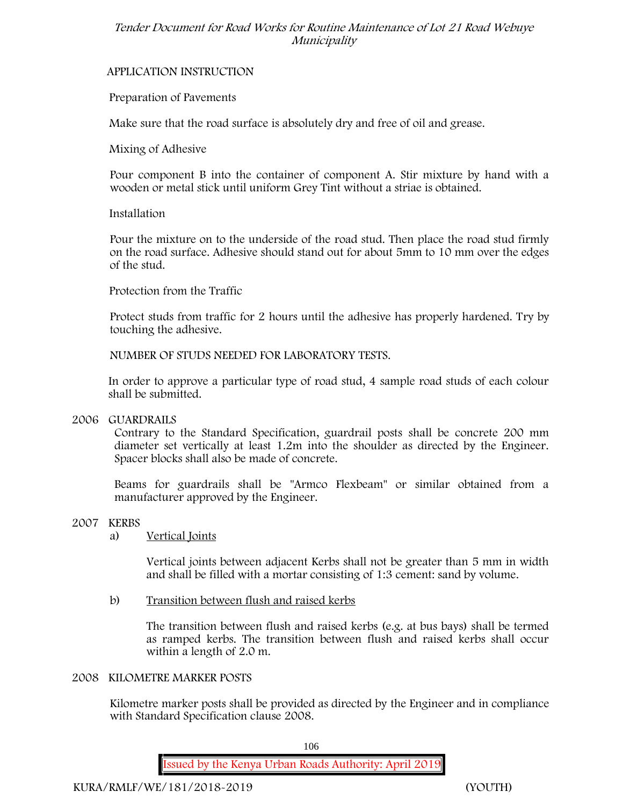## **APPLICATION INSTRUCTION**

## **Preparation of Pavements**

Make sure that the road surface is absolutely dry and free of oil and grease**.**

**Mixing of Adhesive**

Pour component B into the container of component A. Stir mixture by hand with a wooden or metal stick until uniform Grey Tint without a striae is obtained.

## **Installation**

Pour the mixture on to the underside of the road stud. Then place the road stud firmly on the road surface. Adhesive should stand out for about 5mm to 10 mm over the edges of the stud.

**Protection from the Traffic**

Protect studs from traffic for 2 hours until the adhesive has properly hardened. Try by touching the adhesive.

**NUMBER OF STUDS NEEDED FOR LABORATORY TESTS.**

In order to approve a particular type of road stud, 4 sample road studs of each colour shall be submitted.

## **2006 GUARDRAILS**

Contrary to the Standard Specification, guardrail posts shall be concrete 200 mm diameter set vertically at least 1.2m into the shoulder as directed by the Engineer. Spacer blocks shall also be made of concrete.

Beams for guardrails shall be "Armco Flexbeam" or similar obtained from a manufacturer approved by the Engineer.

## **2007 KERBS**

## a) **Vertical Joints**

Vertical joints between adjacent Kerbs shall not be greater than 5 mm in width and shall be filled with a mortar consisting of 1:3 cement: sand by volume.

b) **Transition between flush and raised kerbs**

The transition between flush and raised kerbs (e.g. at bus bays) shall be termed as ramped kerbs. The transition between flush and raised kerbs shall occur within a length of 2.0 m.

## **2008 KILOMETRE MARKER POSTS**

Kilometre marker posts shall be provided as directed by the Engineer and in compliance with Standard Specification clause 2008.

106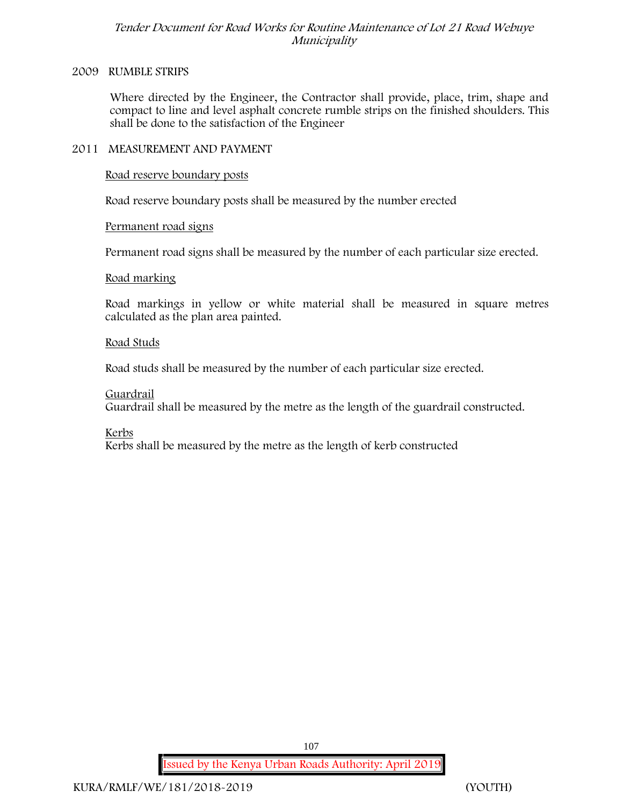#### **2009 RUMBLE STRIPS**

Where directed by the Engineer, the Contractor shall provide, place, trim, shape and compact to line and level asphalt concrete rumble strips on the finished shoulders. This shall be done to the satisfaction of the Engineer

### **2011 MEASUREMENT AND PAYMENT**

**Road reserve boundary posts**

Road reserve boundary posts shall be measured by the number erected

### **Permanent road signs**

Permanent road signs shall be measured by the number of each particular size erected.

### **Road marking**

Road markings in yellow or white material shall be measured in square metres calculated as the plan area painted.

#### **Road Studs**

Road studs shall be measured by the number of each particular size erected.

### **Guardrail**

Guardrail shall be measured by the metre as the length of the guardrail constructed.

**Kerbs**

Kerbs shall be measured by the metre as the length of kerb constructed

107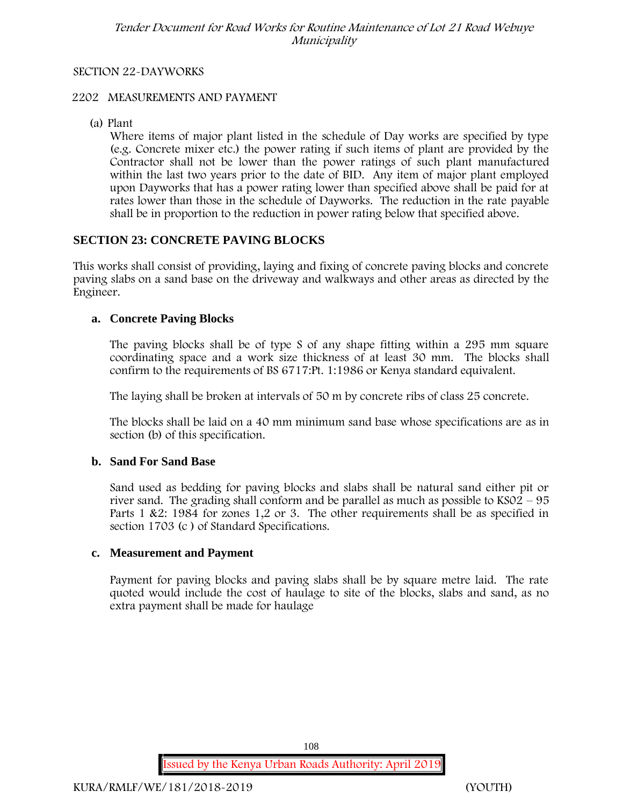#### **SECTION 22-DAYWORKS**

#### **2202 MEASUREMENTS AND PAYMENT**

(a) Plant

Where items of major plant listed in the schedule of Day works are specified by type (e.g. Concrete mixer etc.) the power rating if such items of plant are provided by the Contractor shall not be lower than the power ratings of such plant manufactured within the last two years prior to the date of BID. Any item of major plant employed upon Dayworks that has a power rating lower than specified above shall be paid for at rates lower than those in the schedule of Dayworks. The reduction in the rate payable shall be in proportion to the reduction in power rating below that specified above.

#### **SECTION 23: CONCRETE PAVING BLOCKS**

This works shall consist of providing, laying and fixing of concrete paving blocks and concrete paving slabs on a sand base on the driveway and walkways and other areas as directed by the Engineer.

#### **a. Concrete Paving Blocks**

The paving blocks shall be of type S of any shape fitting within a 295 mm square coordinating space and a work size thickness of at least 30 mm. The blocks shall confirm to the requirements of BS 6717:Pt. 1:1986 or Kenya standard equivalent.

The laying shall be broken at intervals of 50 m by concrete ribs of class 25 concrete.

The blocks shall be laid on a 40 mm minimum sand base whose specifications are as in section (b) of this specification.

#### **b. Sand For Sand Base**

Sand used as bedding for paving blocks and slabs shall be natural sand either pit or river sand. The grading shall conform and be parallel as much as possible to KS02 – 95 Parts 1 &2: 1984 for zones 1,2 or 3. The other requirements shall be as specified in section 1703 (c ) of Standard Specifications.

#### **c. Measurement and Payment**

Payment for paving blocks and paving slabs shall be by square metre laid. The rate quoted would include the cost of haulage to site of the blocks, slabs and sand, as no extra payment shall be made for haulage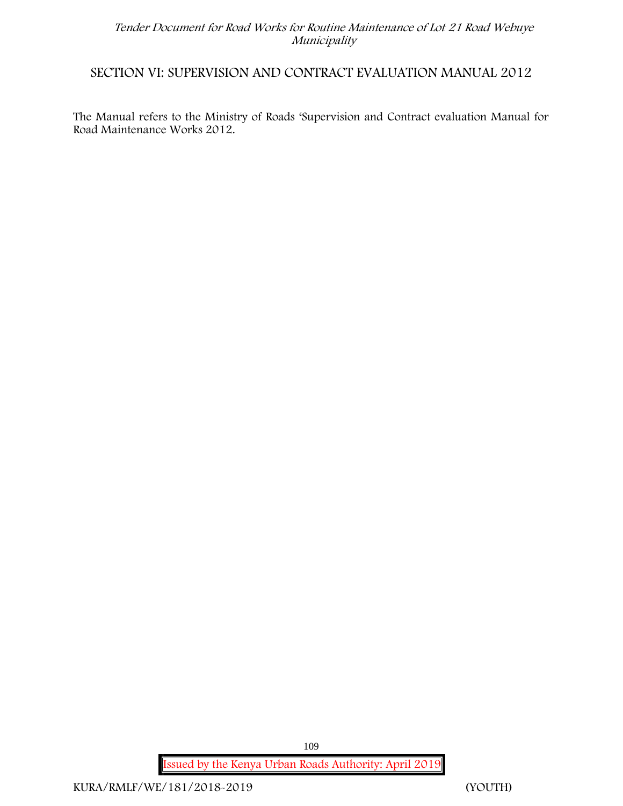### **SECTION VI: SUPERVISION AND CONTRACT EVALUATION MANUAL 2012**

The Manual refers to the Ministry of Roads 'Supervision and Contract evaluation Manual for Road Maintenance Works 2012.

> **Issued by the Kenya Urban Roads Authority: April 2019** 109

**KURA/RMLF/WE/181/2018-2019 (YOUTH)**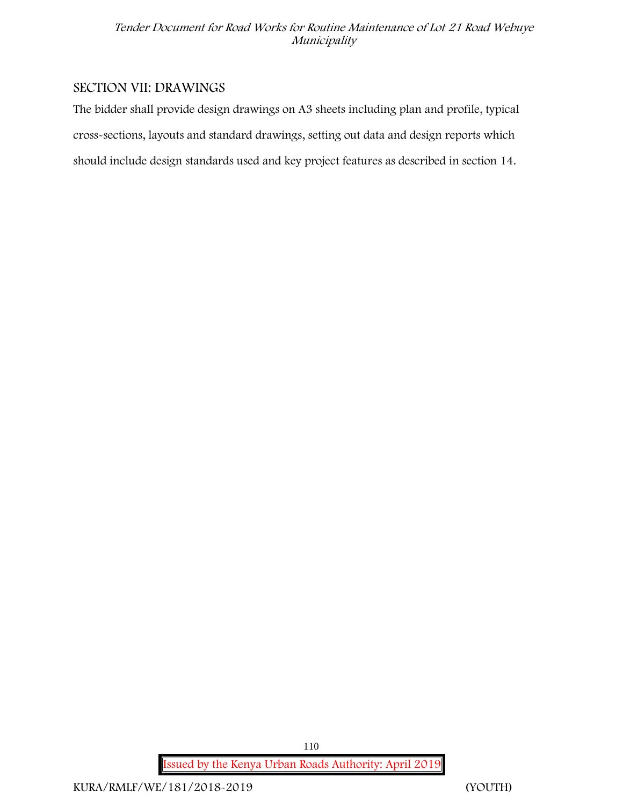## **SECTION VII: DRAWINGS**

The bidder shall provide design drawings on A3 sheets including plan and profile, typical cross-sections, layouts and standard drawings, setting out data and design reports which should include design standards used and key project features as described in section 14.

**Issued by the Kenya Urban Roads Authority: April 2019**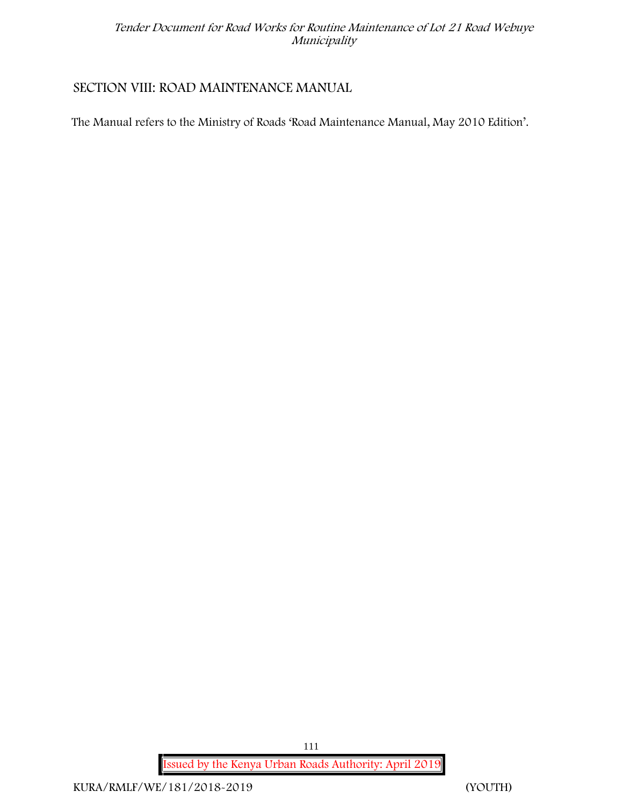# **SECTION VIII: ROAD MAINTENANCE MANUAL**

The Manual refers to the Ministry of Roads 'Road Maintenance Manual, May 2010 Edition'.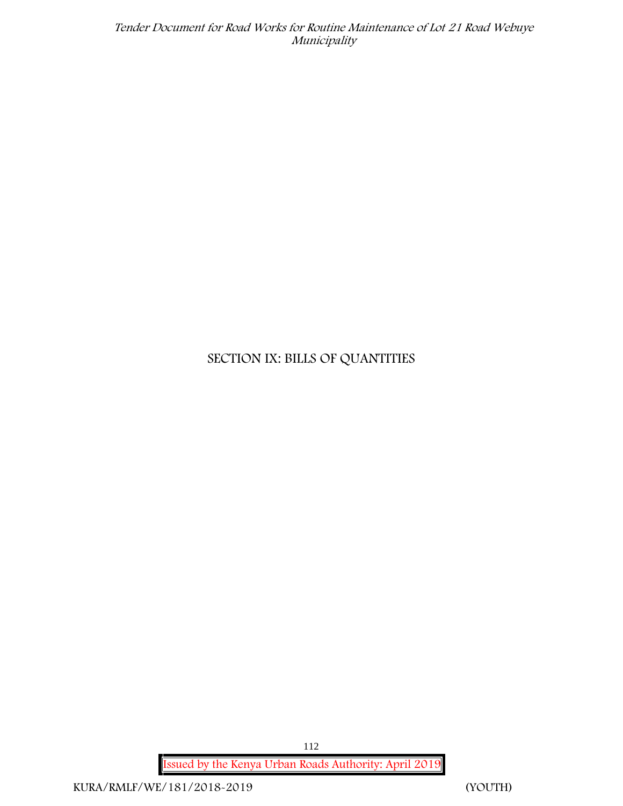# **SECTION IX: BILLS OF QUANTITIES**

**Issued by the Kenya Urban Roads Authority: April 2019** 112

**KURA/RMLF/WE/181/2018-2019 (YOUTH)**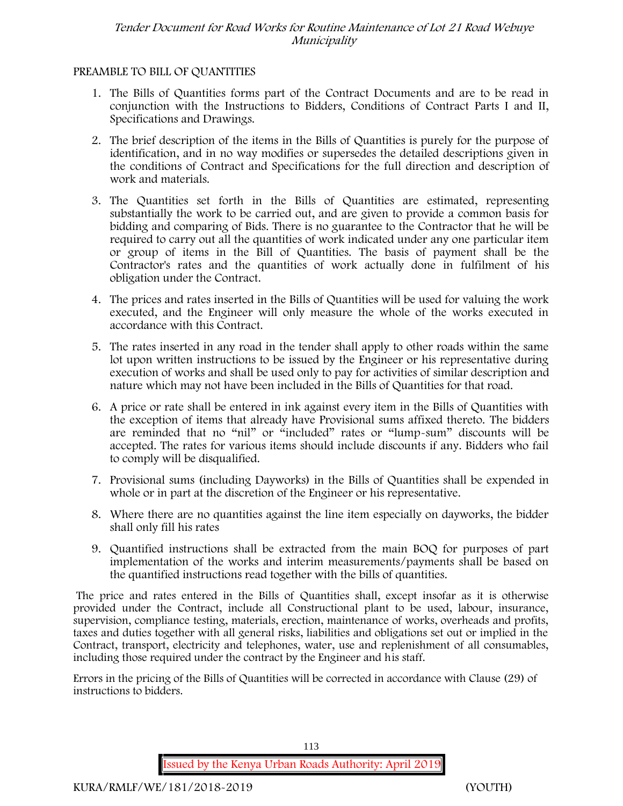#### **PREAMBLE TO BILL OF QUANTITIES**

- 1. The Bills of Quantities forms part of the Contract Documents and are to be read in conjunction with the Instructions to Bidders, Conditions of Contract Parts I and II, Specifications and Drawings.
- 2. The brief description of the items in the Bills of Quantities is purely for the purpose of identification, and in no way modifies or supersedes the detailed descriptions given in the conditions of Contract and Specifications for the full direction and description of work and materials.
- 3. The Quantities set forth in the Bills of Quantities are estimated, representing substantially the work to be carried out, and are given to provide a common basis for bidding and comparing of Bids. There is no guarantee to the Contractor that he will be required to carry out all the quantities of work indicated under any one particular item or group of items in the Bill of Quantities. The basis of payment shall be the Contractor's rates and the quantities of work actually done in fulfilment of his obligation under the Contract.
- 4. The prices and rates inserted in the Bills of Quantities will be used for valuing the work executed, and the Engineer will only measure the whole of the works executed in accordance with this Contract.
- 5. The rates inserted in any road in the tender shall apply to other roads within the same lot upon written instructions to be issued by the Engineer or his representative during execution of works and shall be used only to pay for activities of similar description and nature which may not have been included in the Bills of Quantities for that road.
- 6. A price or rate shall be entered in ink against every item in the Bills of Quantities with the exception of items that already have Provisional sums affixed thereto. The bidders are reminded that no "nil" or "included" rates or "lump-sum" discounts will be accepted. The rates for various items should include discounts if any. Bidders who fail to comply will be disqualified.
- 7. Provisional sums (including Dayworks) in the Bills of Quantities shall be expended in whole or in part at the discretion of the Engineer or his representative.
- 8. Where there are no quantities against the line item especially on dayworks, the bidder shall only fill his rates
- 9. Quantified instructions shall be extracted from the main BOQ for purposes of part implementation of the works and interim measurements/payments shall be based on the quantified instructions read together with the bills of quantities.

The price and rates entered in the Bills of Quantities shall, except insofar as it is otherwise provided under the Contract, include all Constructional plant to be used, labour, insurance, supervision, compliance testing, materials, erection, maintenance of works, overheads and profits, taxes and duties together with all general risks, liabilities and obligations set out or implied in the Contract, transport, electricity and telephones, water, use and replenishment of all consumables, including those required under the contract by the Engineer and his staff.

Errors in the pricing of the Bills of Quantities will be corrected in accordance with Clause (29) of instructions to bidders.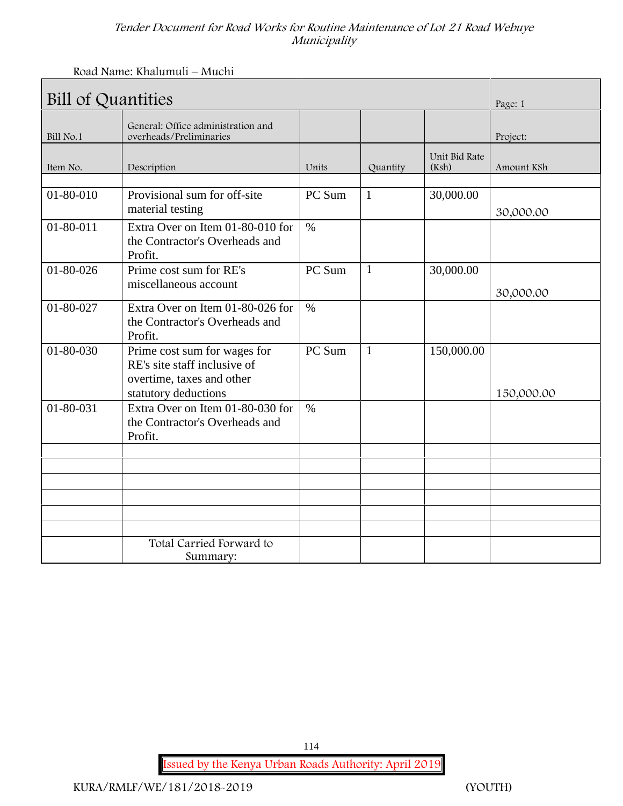Road Name: Khalumuli – Muchi

| <b>Bill of Quantities</b> | Page: 1                                                                                                           |               |              |                        |            |
|---------------------------|-------------------------------------------------------------------------------------------------------------------|---------------|--------------|------------------------|------------|
| Bill No.1                 | General: Office administration and<br>overheads/Preliminaries                                                     |               |              |                        | Project:   |
| Item No.                  | Description                                                                                                       | Units         | Quantity     | Unit Bid Rate<br>(Ksh) | Amount KSh |
| 01-80-010                 | Provisional sum for off-site<br>material testing                                                                  | PC Sum        | $\mathbf{1}$ | 30,000.00              | 30,000.00  |
| $01 - 80 - 011$           | Extra Over on Item 01-80-010 for<br>the Contractor's Overheads and<br>Profit.                                     | $\frac{0}{0}$ |              |                        |            |
| 01-80-026                 | Prime cost sum for RE's<br>miscellaneous account                                                                  | PC Sum        | $\mathbf{1}$ | 30,000.00              | 30,000.00  |
| 01-80-027                 | Extra Over on Item 01-80-026 for<br>the Contractor's Overheads and<br>Profit.                                     | $\%$          |              |                        |            |
| $01 - 80 - 030$           | Prime cost sum for wages for<br>RE's site staff inclusive of<br>overtime, taxes and other<br>statutory deductions | PC Sum        | $\mathbf{1}$ | 150,000.00             | 150,000.00 |
| 01-80-031                 | Extra Over on Item 01-80-030 for<br>the Contractor's Overheads and<br>Profit.                                     | $\%$          |              |                        |            |
|                           |                                                                                                                   |               |              |                        |            |
|                           |                                                                                                                   |               |              |                        |            |
|                           | Total Carried Forward to<br>Summary:                                                                              |               |              |                        |            |

**Issued by the Kenya Urban Roads Authority: April 2019**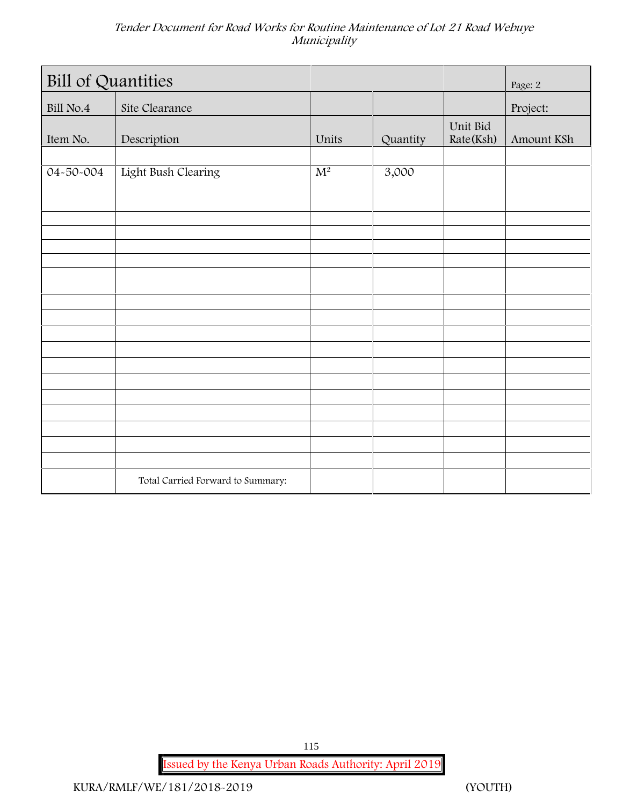| <b>Bill of Quantities</b> | Page: 2                           |       |          |                       |            |
|---------------------------|-----------------------------------|-------|----------|-----------------------|------------|
| Bill No.4                 | Site Clearance                    |       |          |                       | Project:   |
| Item No.                  | Description                       | Units | Quantity | Unit Bid<br>Rate(Ksh) | Amount KSh |
| 04-50-004                 | Light Bush Clearing               | $M^2$ | 3,000    |                       |            |
|                           |                                   |       |          |                       |            |
|                           |                                   |       |          |                       |            |
|                           |                                   |       |          |                       |            |
|                           |                                   |       |          |                       |            |
|                           |                                   |       |          |                       |            |
|                           |                                   |       |          |                       |            |
|                           |                                   |       |          |                       |            |
|                           |                                   |       |          |                       |            |
|                           | Total Carried Forward to Summary: |       |          |                       |            |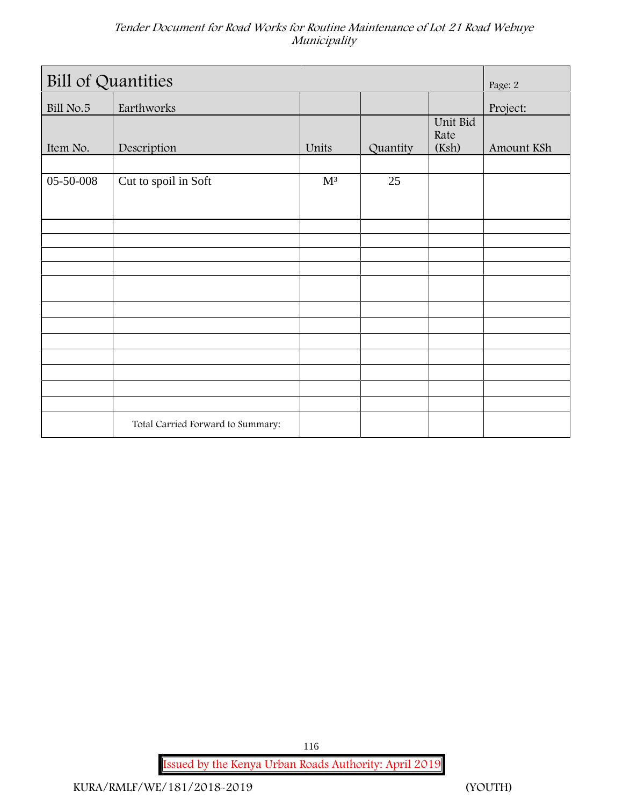| <b>Bill of Quantities</b> | Page: 2                           |                |          |                           |            |
|---------------------------|-----------------------------------|----------------|----------|---------------------------|------------|
| Bill No.5                 | Earthworks                        |                |          |                           | Project:   |
| Item No.                  | Description                       | Units          | Quantity | Unit Bid<br>Rate<br>(Ksh) | Amount KSh |
| 05-50-008                 | Cut to spoil in Soft              | $\mathbf{M}^3$ | 25       |                           |            |
|                           |                                   |                |          |                           |            |
|                           |                                   |                |          |                           |            |
|                           |                                   |                |          |                           |            |
|                           |                                   |                |          |                           |            |
|                           |                                   |                |          |                           |            |
|                           |                                   |                |          |                           |            |
|                           |                                   |                |          |                           |            |
|                           | Total Carried Forward to Summary: |                |          |                           |            |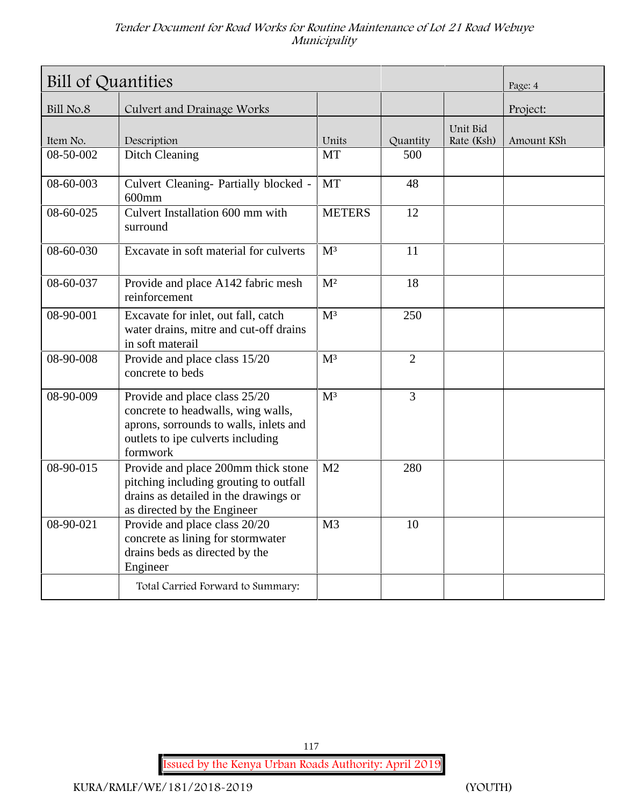| Bill of Quantities | Page: 4                                                                                                                                                        |                |                |                        |            |
|--------------------|----------------------------------------------------------------------------------------------------------------------------------------------------------------|----------------|----------------|------------------------|------------|
| Bill No.8          | Culvert and Drainage Works                                                                                                                                     |                |                |                        | Project:   |
| Item No.           | Description                                                                                                                                                    | Units          | Quantity       | Unit Bid<br>Rate (Ksh) | Amount KSh |
| 08-50-002          | Ditch Cleaning                                                                                                                                                 | MT             | 500            |                        |            |
| 08-60-003          | Culvert Cleaning- Partially blocked -<br>$600$ mm                                                                                                              | <b>MT</b>      | 48             |                        |            |
| 08-60-025          | Culvert Installation 600 mm with<br>surround                                                                                                                   | <b>METERS</b>  | 12             |                        |            |
| 08-60-030          | Excavate in soft material for culverts                                                                                                                         | $M^3$          | 11             |                        |            |
| 08-60-037          | Provide and place A142 fabric mesh<br>reinforcement                                                                                                            | M <sup>2</sup> | 18             |                        |            |
| 08-90-001          | Excavate for inlet, out fall, catch<br>water drains, mitre and cut-off drains<br>in soft materail                                                              | M <sup>3</sup> | 250            |                        |            |
| 08-90-008          | Provide and place class 15/20<br>concrete to beds                                                                                                              | M <sup>3</sup> | $\overline{2}$ |                        |            |
| 08-90-009          | Provide and place class 25/20<br>concrete to headwalls, wing walls,<br>aprons, sorrounds to walls, inlets and<br>outlets to ipe culverts including<br>formwork | $M^3$          | $\overline{3}$ |                        |            |
| 08-90-015          | Provide and place 200mm thick stone<br>pitching including grouting to outfall<br>drains as detailed in the drawings or<br>as directed by the Engineer          | M <sub>2</sub> | 280            |                        |            |
| 08-90-021          | Provide and place class 20/20<br>concrete as lining for stormwater<br>drains beds as directed by the<br>Engineer                                               | M <sub>3</sub> | 10             |                        |            |
|                    | Total Carried Forward to Summary:                                                                                                                              |                |                |                        |            |

**Issued by the Kenya Urban Roads Authority: April 2019**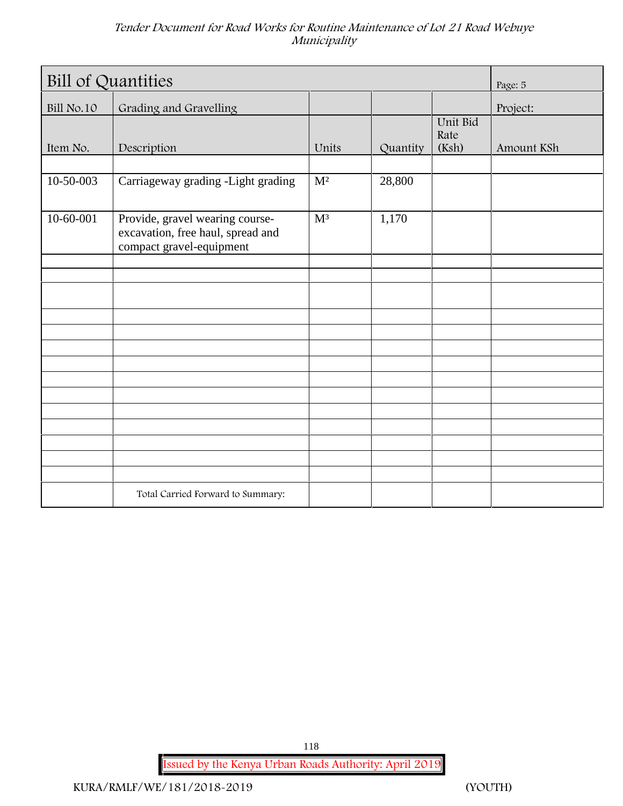| <b>Bill of Quantities</b> | Page: 5                                                                                          |                |          |                           |            |
|---------------------------|--------------------------------------------------------------------------------------------------|----------------|----------|---------------------------|------------|
| Bill No.10                | Grading and Gravelling                                                                           |                |          |                           | Project:   |
| Item No.                  | Description                                                                                      | Units          | Quantity | Unit Bid<br>Rate<br>(Ksh) | Amount KSh |
|                           |                                                                                                  |                |          |                           |            |
| 10-50-003                 | Carriageway grading -Light grading                                                               | $\mathbf{M}^2$ | 28,800   |                           |            |
| 10-60-001                 | Provide, gravel wearing course-<br>excavation, free haul, spread and<br>compact gravel-equipment | M <sup>3</sup> | 1,170    |                           |            |
|                           |                                                                                                  |                |          |                           |            |
|                           |                                                                                                  |                |          |                           |            |
|                           |                                                                                                  |                |          |                           |            |
|                           |                                                                                                  |                |          |                           |            |
|                           |                                                                                                  |                |          |                           |            |
|                           |                                                                                                  |                |          |                           |            |
|                           |                                                                                                  |                |          |                           |            |
|                           |                                                                                                  |                |          |                           |            |
|                           |                                                                                                  |                |          |                           |            |
|                           |                                                                                                  |                |          |                           |            |
|                           |                                                                                                  |                |          |                           |            |
|                           | Total Carried Forward to Summary:                                                                |                |          |                           |            |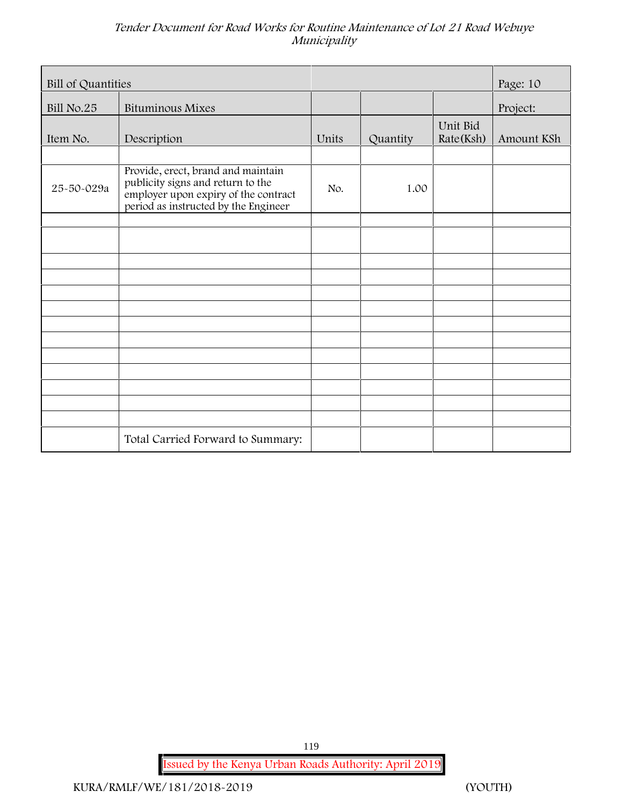| Bill of Quantities |                                                                                                                                                         |       |          |                       |            |
|--------------------|---------------------------------------------------------------------------------------------------------------------------------------------------------|-------|----------|-----------------------|------------|
| <b>Bill No.25</b>  | <b>Bituminous Mixes</b>                                                                                                                                 |       |          |                       | Project:   |
| Item No.           | Description                                                                                                                                             | Units | Quantity | Unit Bid<br>Rate(Ksh) | Amount KSh |
|                    |                                                                                                                                                         |       |          |                       |            |
| 25-50-029a         | Provide, erect, brand and maintain<br>publicity signs and return to the<br>employer upon expiry of the contract<br>period as instructed by the Engineer | No.   | 1.00     |                       |            |
|                    |                                                                                                                                                         |       |          |                       |            |
|                    |                                                                                                                                                         |       |          |                       |            |
|                    |                                                                                                                                                         |       |          |                       |            |
|                    |                                                                                                                                                         |       |          |                       |            |
|                    |                                                                                                                                                         |       |          |                       |            |
|                    |                                                                                                                                                         |       |          |                       |            |
|                    |                                                                                                                                                         |       |          |                       |            |
|                    |                                                                                                                                                         |       |          |                       |            |
|                    |                                                                                                                                                         |       |          |                       |            |
|                    |                                                                                                                                                         |       |          |                       |            |
|                    |                                                                                                                                                         |       |          |                       |            |
|                    | Total Carried Forward to Summary:                                                                                                                       |       |          |                       |            |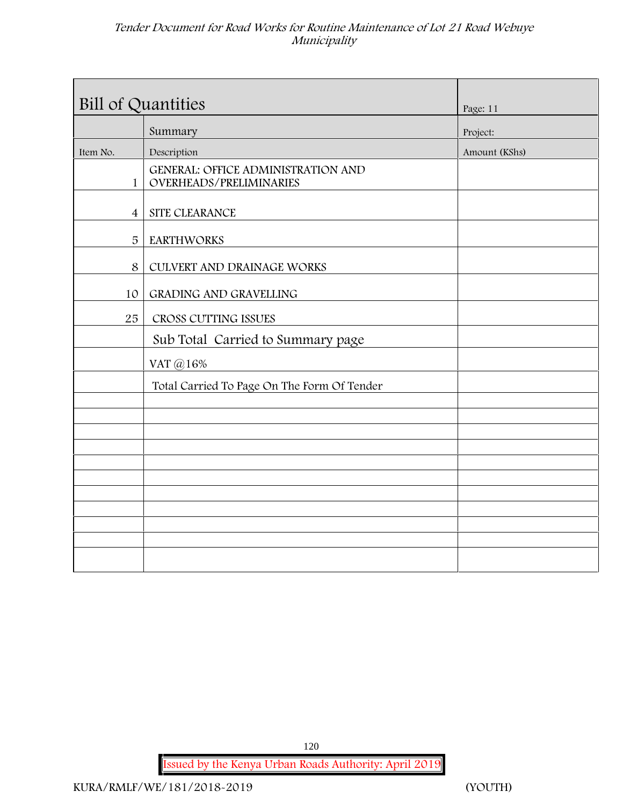| Bill of Quantities |                                                                      | Page: 11      |
|--------------------|----------------------------------------------------------------------|---------------|
|                    | Summary                                                              | Project:      |
| Item No.           | Description                                                          | Amount (KShs) |
| $\mathbf{1}$       | <b>GENERAL: OFFICE ADMINISTRATION AND</b><br>OVERHEADS/PRELIMINARIES |               |
| $\overline{4}$     | SITE CLEARANCE                                                       |               |
| 5                  | <b>EARTHWORKS</b>                                                    |               |
| $\,8\,$            | CULVERT AND DRAINAGE WORKS                                           |               |
| 10                 | GRADING AND GRAVELLING                                               |               |
| 25                 | CROSS CUTTING ISSUES                                                 |               |
|                    | Sub Total Carried to Summary page                                    |               |
|                    | VAT @16%                                                             |               |
|                    | Total Carried To Page On The Form Of Tender                          |               |
|                    |                                                                      |               |
|                    |                                                                      |               |
|                    |                                                                      |               |
|                    |                                                                      |               |
|                    |                                                                      |               |
|                    |                                                                      |               |
|                    |                                                                      |               |
|                    |                                                                      |               |
|                    |                                                                      |               |
|                    |                                                                      |               |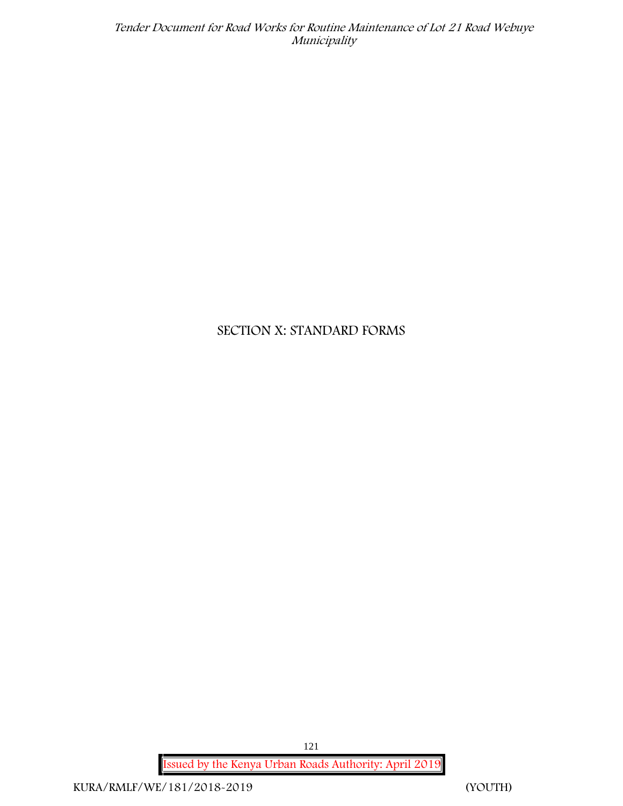# **SECTION X: STANDARD FORMS**

**Issued by the Kenya Urban Roads Authority: April 2019** 121

**KURA/RMLF/WE/181/2018-2019 (YOUTH)**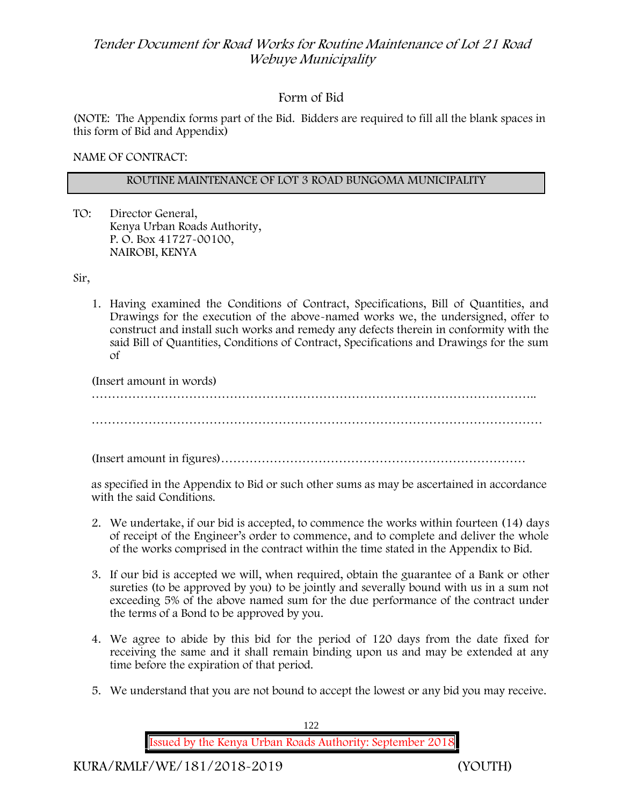## **Form of Bid**

(NOTE: The Appendix forms part of the Bid. Bidders are required to fill all the blank spaces in this form of Bid and Appendix)

**NAME OF CONTRACT:**

#### **ROUTINE MAINTENANCE OF LOT 3 ROAD BUNGOMA MUNICIPALITY**

TO: Director General, Kenya Urban Roads Authority, P. O. Box 41727-00100, **NAIROBI, KENYA**

Sir,

1. Having examined the Conditions of Contract, Specifications, Bill of Quantities, and Drawings for the execution of the above-named works we, the undersigned, offer to construct and install such works and remedy any defects therein in conformity with the said Bill of Quantities, Conditions of Contract, Specifications and Drawings for the sum of

(Insert amount in words) ………………………………………………………………………………………………..

…………………………………………………………………………………………………

(Insert amount in figures)…………………………………………………………………

as specified in the Appendix to Bid or such other sums as may be ascertained in accordance with the said Conditions.

- 2. We undertake, if our bid is accepted, to commence the works within fourteen (14) days of receipt of the Engineer's order to commence, and to complete and deliver the whole of the works comprised in the contract within the time stated in the Appendix to Bid.
- 3. If our bid is accepted we will, when required, obtain the guarantee of a Bank or other sureties (to be approved by you) to be jointly and severally bound with us in a sum not exceeding 5% of the above named sum for the due performance of the contract under the terms of a Bond to be approved by you.
- 4. We agree to abide by this bid for the period of 120 days from the date fixed for receiving the same and it shall remain binding upon us and may be extended at any time before the expiration of that period.
- 5. We understand that you are not bound to accept the lowest or any bid you may receive.

**Issued by the Kenya Urban Roads Authority: September 2018**

122

**KURA/RMLF/WE/181/2018-2019 (YOUTH)**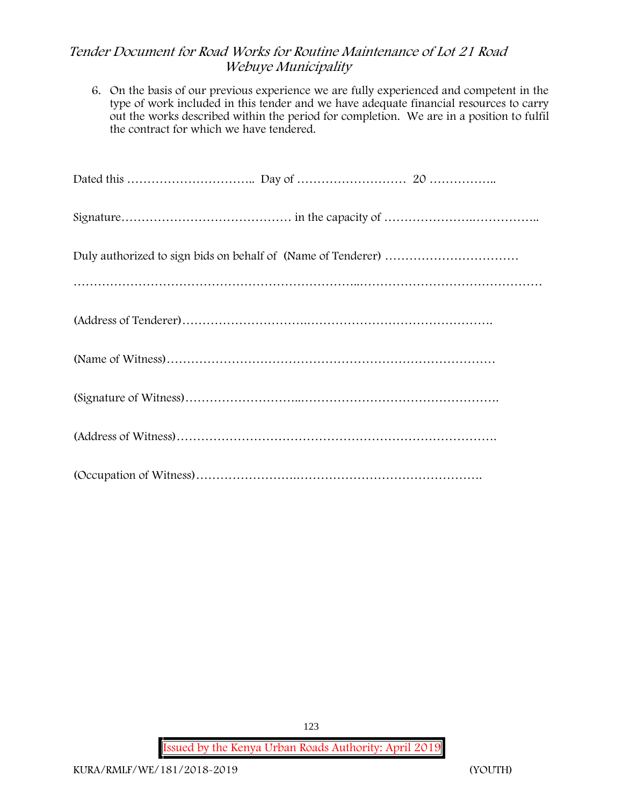6. On the basis of our previous experience we are fully experienced and competent in the type of work included in this tender and we have adequate financial resources to carry out the works described within the period for completion. We are in a position to fulfil the contract for which we have tendered.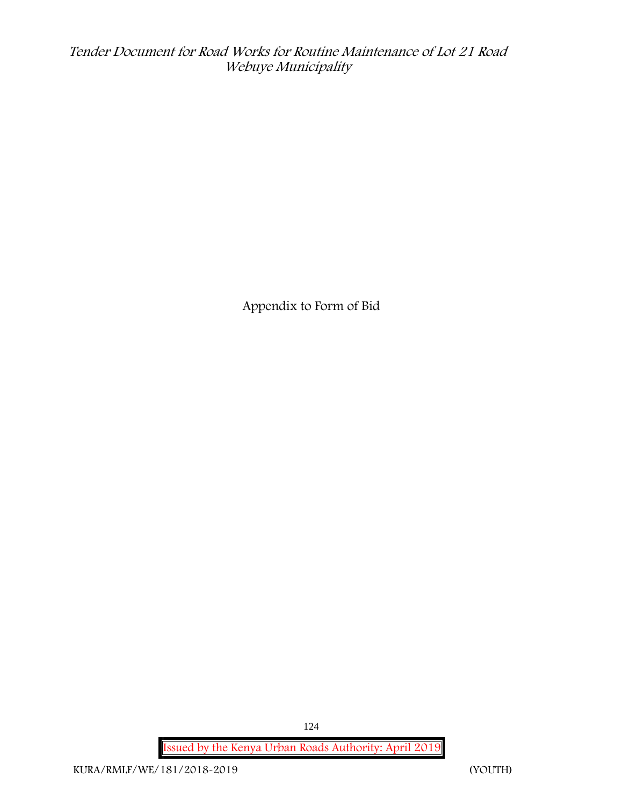**Appendix to Form of Bid**

**Issued by the Kenya Urban Roads Authority: April 2019**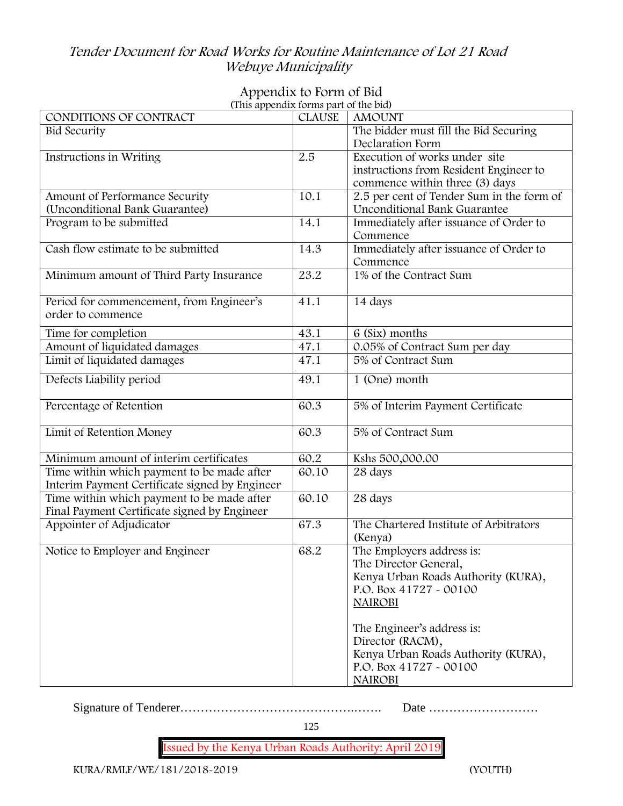# **Appendix to Form of Bid**

| (This appendix forms part of the bid)          |               |                                           |
|------------------------------------------------|---------------|-------------------------------------------|
| CONDITIONS OF CONTRACT                         | <b>CLAUSE</b> | <b>AMOUNT</b>                             |
| <b>Bid Security</b>                            |               | The bidder must fill the Bid Securing     |
|                                                |               | Declaration Form                          |
| Instructions in Writing                        | 2.5           | Execution of works under site             |
|                                                |               | instructions from Resident Engineer to    |
|                                                |               | commence within three (3) days            |
| Amount of Performance Security                 | 10.1          | 2.5 per cent of Tender Sum in the form of |
| (Unconditional Bank Guarantee)                 |               | Unconditional Bank Guarantee              |
| Program to be submitted                        | 14.1          | Immediately after issuance of Order to    |
|                                                |               | Commence                                  |
| Cash flow estimate to be submitted             | 14.3          | Immediately after issuance of Order to    |
|                                                |               | Commence                                  |
| Minimum amount of Third Party Insurance        | 23.2          | 1% of the Contract Sum                    |
|                                                |               |                                           |
| Period for commencement, from Engineer's       | 41.1          | 14 days                                   |
| order to commence                              |               |                                           |
|                                                | 43.1          | 6 (Six) months                            |
| Time for completion                            | 47.1          | 0.05% of Contract Sum per day             |
| Amount of liquidated damages                   |               | 5% of Contract Sum                        |
| Limit of liquidated damages                    | 47.1          |                                           |
| Defects Liability period                       | 49.1          | 1 (One) month                             |
|                                                |               |                                           |
| Percentage of Retention                        | 60.3          | 5% of Interim Payment Certificate         |
|                                                |               |                                           |
| Limit of Retention Money                       | 60.3          | 5% of Contract Sum                        |
|                                                |               |                                           |
| Minimum amount of interim certificates         | 60.2          | Kshs 500,000.00                           |
| Time within which payment to be made after     | 60.10         | 28 days                                   |
| Interim Payment Certificate signed by Engineer |               |                                           |
| Time within which payment to be made after     | 60.10         | 28 days                                   |
| Final Payment Certificate signed by Engineer   |               |                                           |
| Appointer of Adjudicator                       | 67.3          | The Chartered Institute of Arbitrators    |
|                                                |               | (Kenya)                                   |
| Notice to Employer and Engineer                | 68.2          | The Employers address is:                 |
|                                                |               | The Director General,                     |
|                                                |               | Kenya Urban Roads Authority (KURA),       |
|                                                |               | P.O. Box 41727 - 00100                    |
|                                                |               | <b>NAIROBI</b>                            |
|                                                |               |                                           |
|                                                |               |                                           |
|                                                |               | The Engineer's address is:                |
|                                                |               | Director (RACM),                          |
|                                                |               | Kenya Urban Roads Authority (KURA),       |
|                                                |               | P.O. Box 41727 - 00100                    |
|                                                |               | <b>NAIROBI</b>                            |

Signature of Tenderer…………………………………….……. Date ………………………

125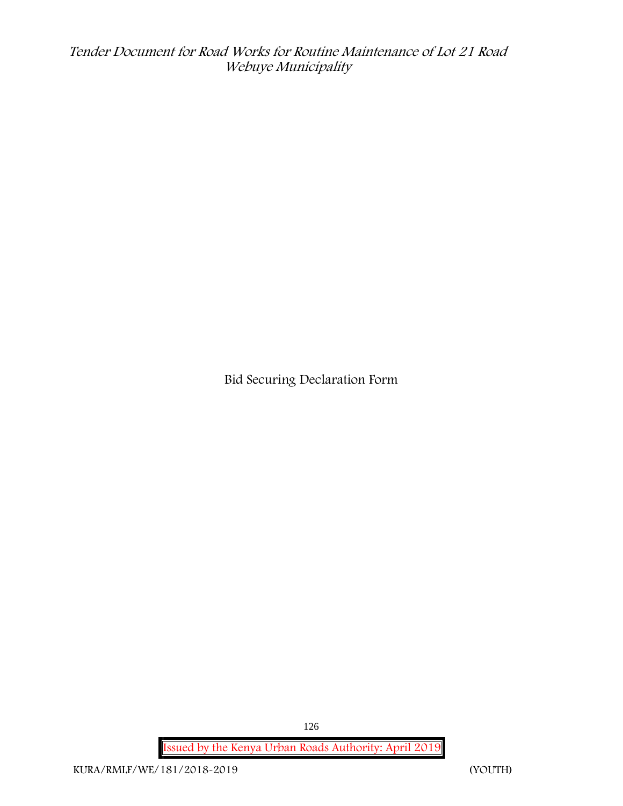**Bid Securing Declaration Form**

**Issued by the Kenya Urban Roads Authority: April 2019**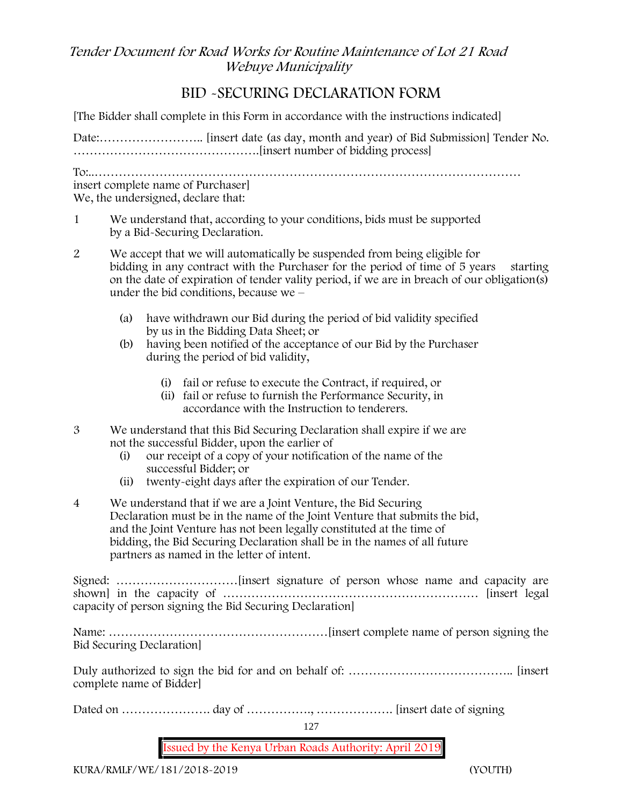# **BID -SECURING DECLARATION FORM**

[The Bidder shall complete in this Form in accordance with the instructions indicated]

Date:…………………….. [insert date (as day, month and year) of Bid Submission] Tender No. ……………………………………….[insert number of bidding process]

To:..…………………………………………………………………………………………… insert complete name of Purchaser] We, the undersigned, declare that:

1 We understand that, according to your conditions, bids must be supported by a Bid-Securing Declaration.

- 2 We accept that we will automatically be suspended from being eligible for bidding in any contract with the Purchaser for the period of time of 5 years starting on the date of expiration of tender vality period, if we are in breach of our obligation(s) under the bid conditions, because we –
	- (a) have withdrawn our Bid during the period of bid validity specified by us in the Bidding Data Sheet; or
	- (b) having been notified of the acceptance of our Bid by the Purchaser during the period of bid validity,
		- (i) fail or refuse to execute the Contract, if required, or
		- (ii) fail or refuse to furnish the Performance Security, in accordance with the Instruction to tenderers.
- 3 We understand that this Bid Securing Declaration shall expire if we are not the successful Bidder, upon the earlier of
	- (i) our receipt of a copy of your notification of the name of the successful Bidder; or
	- (ii) twenty-eight days after the expiration of our Tender.
- 4 We understand that if we are a Joint Venture, the Bid Securing Declaration must be in the name of the Joint Venture that submits the bid, and the Joint Venture has not been legally constituted at the time of bidding, the Bid Securing Declaration shall be in the names of all future partners as named in the letter of intent.

Signed: …………………………[insert signature of person whose name and capacity are shown] in the capacity of ……………………………………………………… [insert legal capacity of person signing the Bid Securing Declaration]

Name: ………………………………………………[insert complete name of person signing the Bid Securing Declaration]

Duly authorized to sign the bid for and on behalf of: ………………………………….. [insert complete name of Bidder]

Dated on …………………. day of ……………., ………………. [insert date of signing

127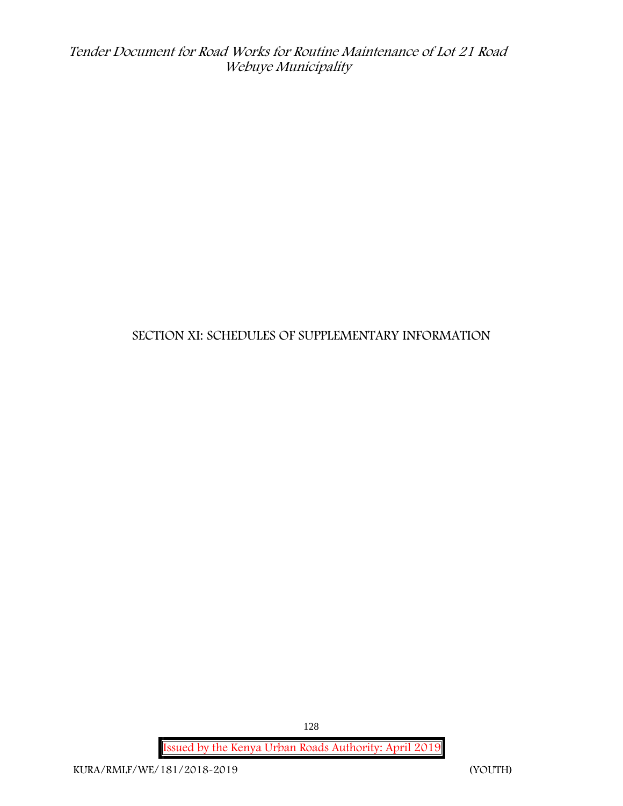# **SECTION XI: SCHEDULES OF SUPPLEMENTARY INFORMATION**

**Issued by the Kenya Urban Roads Authority: April 2019**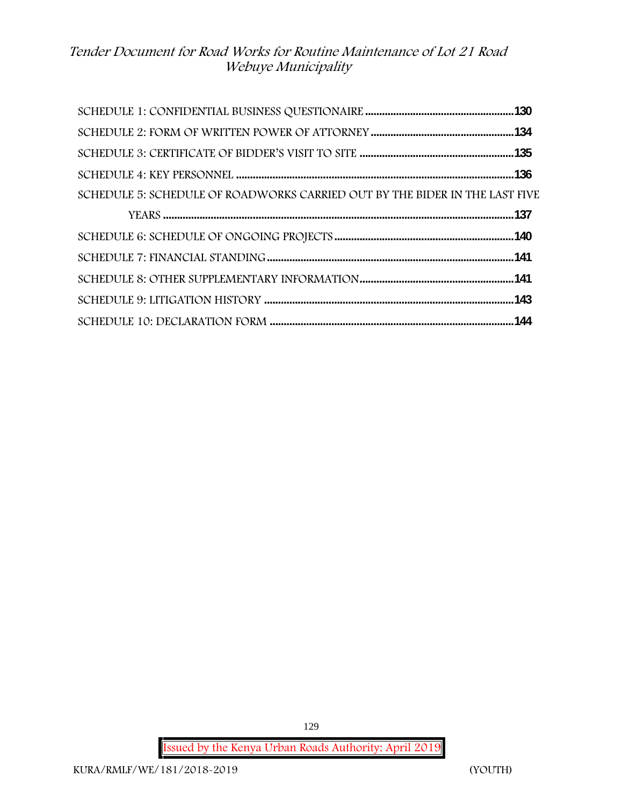| SCHEDULE 5: SCHEDULE OF ROADWORKS CARRIED OUT BY THE BIDER IN THE LAST FIVE |  |
|-----------------------------------------------------------------------------|--|
|                                                                             |  |
|                                                                             |  |
|                                                                             |  |
|                                                                             |  |
|                                                                             |  |
|                                                                             |  |

**Issued by the Kenya Urban Roads Authority: April 2019**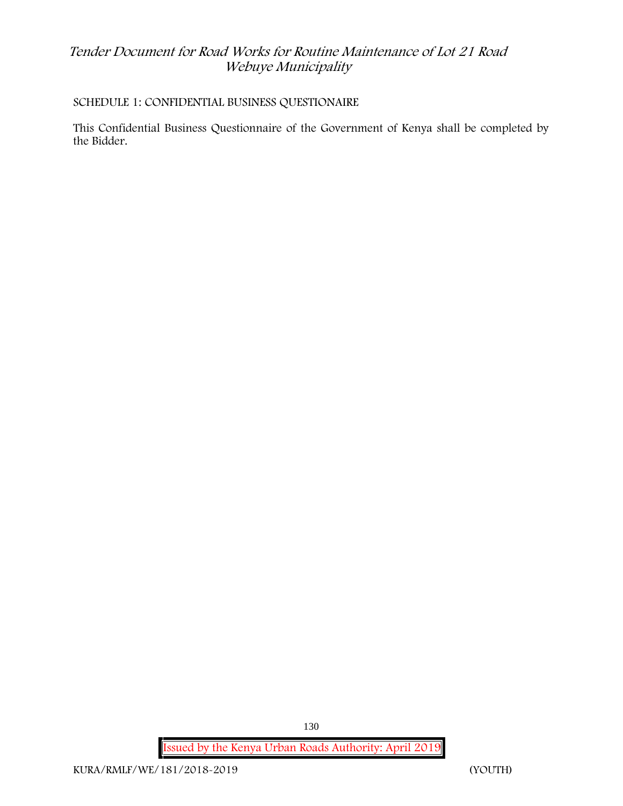### **SCHEDULE 1: CONFIDENTIAL BUSINESS QUESTIONAIRE**

This Confidential Business Questionnaire of the Government of Kenya shall be completed by the Bidder.

**Issued by the Kenya Urban Roads Authority: April 2019**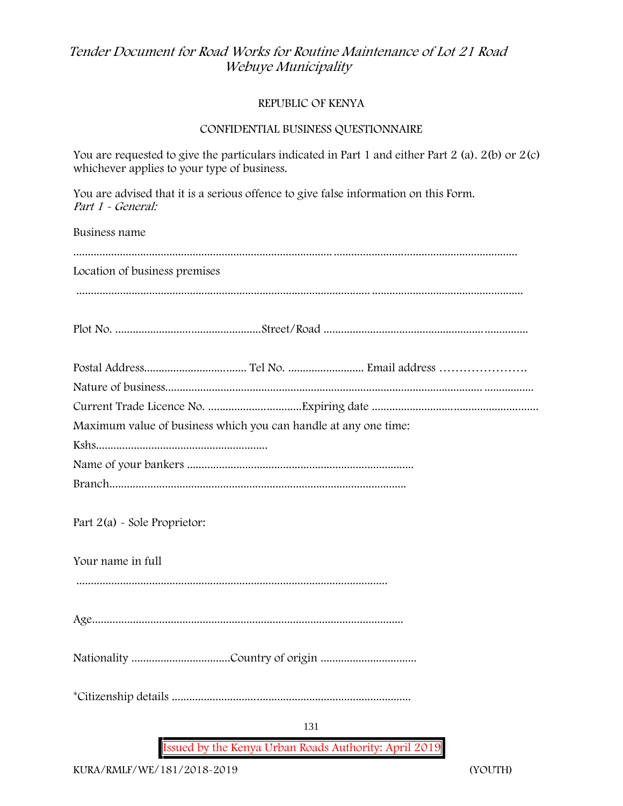#### **REPUBLIC OF KENYA**

#### **CONFIDENTIAL BUSINESS QUESTIONNAIRE**

You are requested to give the particulars indicated in Part 1 and either Part 2 (a). 2(b) or 2(c) whichever applies to your type of business.

You are advised that it is a serious offence to give false information on this Form. *Part 1 - General:*

Business name

| Location of business premises                                   |  |
|-----------------------------------------------------------------|--|
|                                                                 |  |
|                                                                 |  |
|                                                                 |  |
|                                                                 |  |
|                                                                 |  |
|                                                                 |  |
|                                                                 |  |
| Maximum value of business which you can handle at any one time: |  |
|                                                                 |  |
|                                                                 |  |
|                                                                 |  |
|                                                                 |  |
| Part $2(a)$ - Sole Proprietor:                                  |  |
|                                                                 |  |
| Your name in full                                               |  |
|                                                                 |  |
|                                                                 |  |
|                                                                 |  |
|                                                                 |  |
|                                                                 |  |
|                                                                 |  |
|                                                                 |  |
|                                                                 |  |

131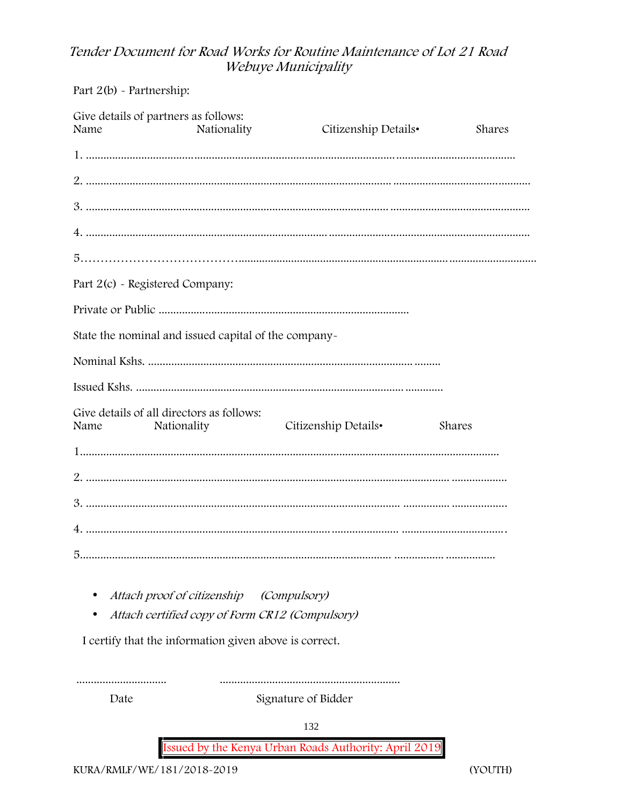Part 2(b) - Partnership:

|                                 | Give details of partners as follows:                     |                                                                                            |        |
|---------------------------------|----------------------------------------------------------|--------------------------------------------------------------------------------------------|--------|
| Name                            | Nationality                                              | Citizenship Details•                                                                       | Shares |
|                                 |                                                          |                                                                                            |        |
|                                 |                                                          |                                                                                            |        |
|                                 |                                                          |                                                                                            |        |
|                                 |                                                          |                                                                                            |        |
|                                 |                                                          |                                                                                            |        |
| Part 2(c) - Registered Company: |                                                          |                                                                                            |        |
|                                 |                                                          |                                                                                            |        |
|                                 | State the nominal and issued capital of the company-     |                                                                                            |        |
|                                 |                                                          |                                                                                            |        |
|                                 |                                                          |                                                                                            |        |
| Name                            | Give details of all directors as follows:<br>Nationality | Citizenship Details•                                                                       | Shares |
|                                 |                                                          |                                                                                            |        |
|                                 |                                                          |                                                                                            |        |
|                                 |                                                          | 2<br>3. maanuuta maanaanna maanuuta maanuuta maanuuta maanuuta maanuuta maanuuta maanuutan |        |
|                                 |                                                          |                                                                                            |        |
|                                 |                                                          |                                                                                            |        |
|                                 |                                                          |                                                                                            |        |

- Attach proof of citizenship (Compulsory)
- Attach certified copy of Form CR12 (Compulsory)

I certify that the information given above is correct.

.............................. Date

Signature of Bidder

132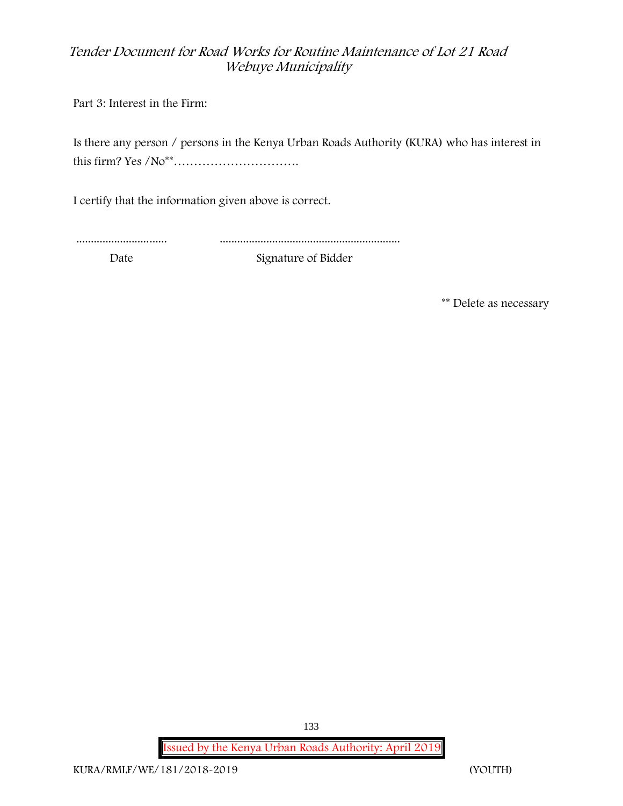Part 3: Interest in the Firm:

Is there any person / persons in the Kenya Urban Roads Authority (KURA) who has interest in this firm? Yes /No\*\*………………………….

I certify that the information given above is correct.

............................... ..............................................................

Date Signature of Bidder

**\*\* Delete as necessary**

**Issued by the Kenya Urban Roads Authority: April 2019**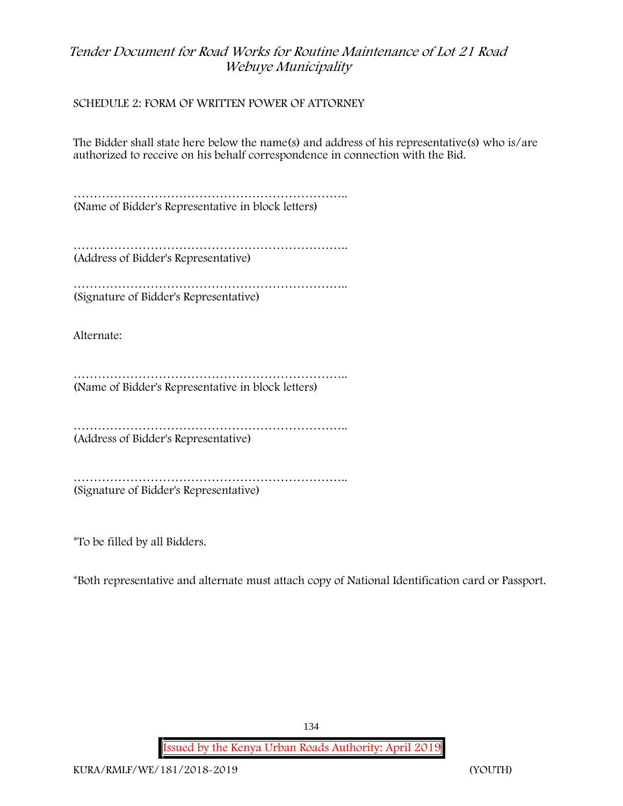#### **SCHEDULE 2: FORM OF WRITTEN POWER OF ATTORNEY**

The Bidder shall state here below the name(s) and address of his representative(s) who is/are authorized to receive on his behalf correspondence in connection with the Bid.

………………………………………………………….. (Name of Bidder's Representative in block letters)

……………………………………………………………………… (Address of Bidder's Representative)

………………………………………………………….. (Signature of Bidder's Representative)

Alternate:

……………………………………………………………………… (Name of Bidder's Representative in block letters)

………………………………………………………….. (Address of Bidder's Representative)

………………………………………………………….. (Signature of Bidder's Representative)

\*To be filled by all Bidders.

\*Both representative and alternate **must** attach copy of National Identification card or Passport.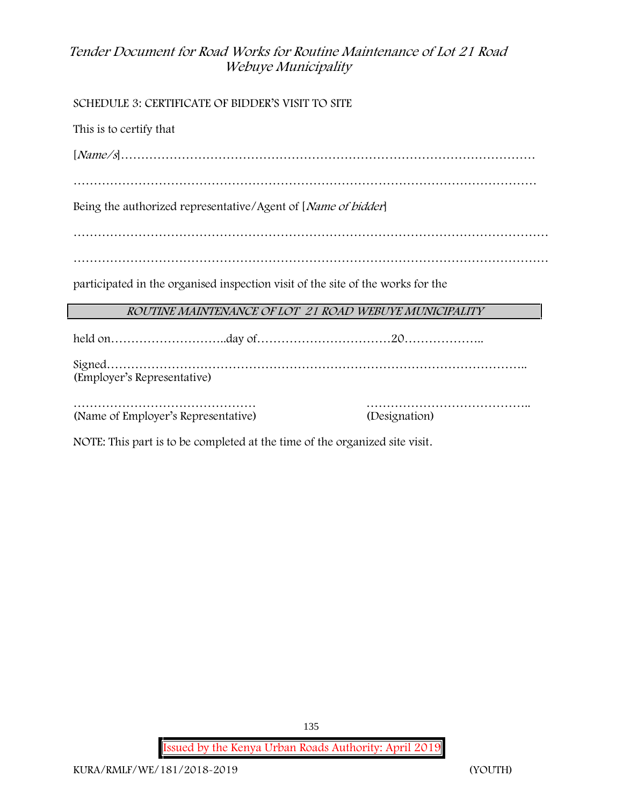**SCHEDULE 3: CERTIFICATE OF BIDDER'S VISIT TO SITE**

This is to certify that

[*Name/s*]…………………………………………………………………………………………

……………………………………………………………………………………………………

Being the authorized representative/Agent of [*Name of bidder*]

………………………………………………………………………………………………………

………………………………………………………………………………………………………

participated in the organised inspection visit of the site of the works for the

#### *ROUTINE MAINTENANCE OF LOT 21 ROAD WEBUYE MUNICIPALITY*

held on………………………..day of……………………………20……………….. Signed………………………………………………………………………………………….. (Employer's Representative)

……………………………………… ………………………………….. (Name of Employer's Representative) (Designation)

NOTE: This part is to be completed at the time of the organized site visit.

**Issued by the Kenya Urban Roads Authority: April 2019**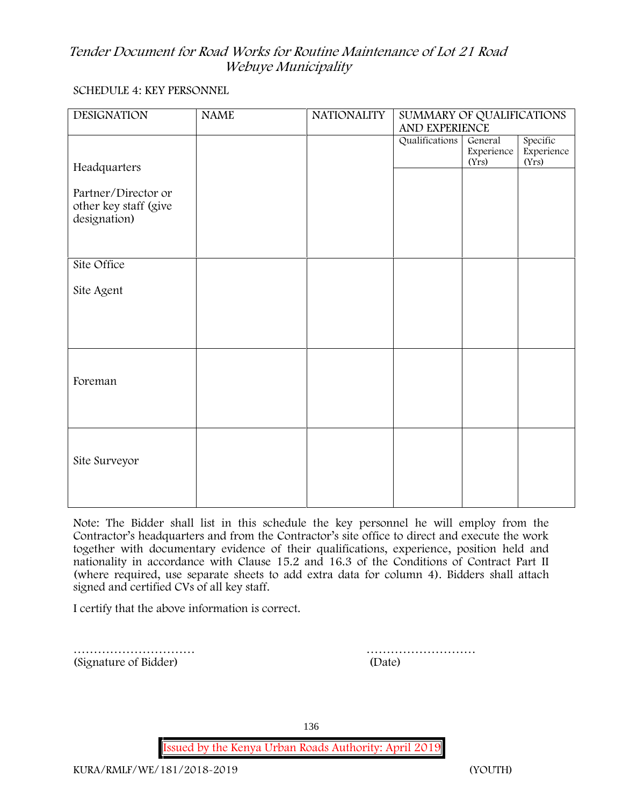### **SCHEDULE 4: KEY PERSONNEL**

| <b>DESIGNATION</b>                                           | <b>NAME</b> | <b>NATIONALITY</b> | SUMMARY OF QUALIFICATIONS<br>AND EXPERIENCE |                                |                                 |  |
|--------------------------------------------------------------|-------------|--------------------|---------------------------------------------|--------------------------------|---------------------------------|--|
|                                                              |             |                    | Qualifications                              | General<br>Experience<br>(Yrs) | Specific<br>Experience<br>(Yrs) |  |
| Headquarters                                                 |             |                    |                                             |                                |                                 |  |
| Partner/Director or<br>other key staff (give<br>designation) |             |                    |                                             |                                |                                 |  |
| Site Office                                                  |             |                    |                                             |                                |                                 |  |
| Site Agent                                                   |             |                    |                                             |                                |                                 |  |
|                                                              |             |                    |                                             |                                |                                 |  |
| Foreman                                                      |             |                    |                                             |                                |                                 |  |
|                                                              |             |                    |                                             |                                |                                 |  |
| Site Surveyor                                                |             |                    |                                             |                                |                                 |  |
|                                                              |             |                    |                                             |                                |                                 |  |

**Note:** The Bidder shall list in this schedule the key personnel he will employ from the Contractor's headquarters and from the Contractor's site office to direct and execute the work together with documentary evidence of their qualifications, experience, position held and nationality in accordance with Clause 15.2 and 16.3 of the Conditions of Contract Part II (where required, use separate sheets to add extra data for column 4). Bidders shall attach signed and certified CVs of all key staff.

I certify that the above information is correct.

………………………… (Signature of Bidder)

| (Date) |  |  |  |  |  |  |  |  |
|--------|--|--|--|--|--|--|--|--|

136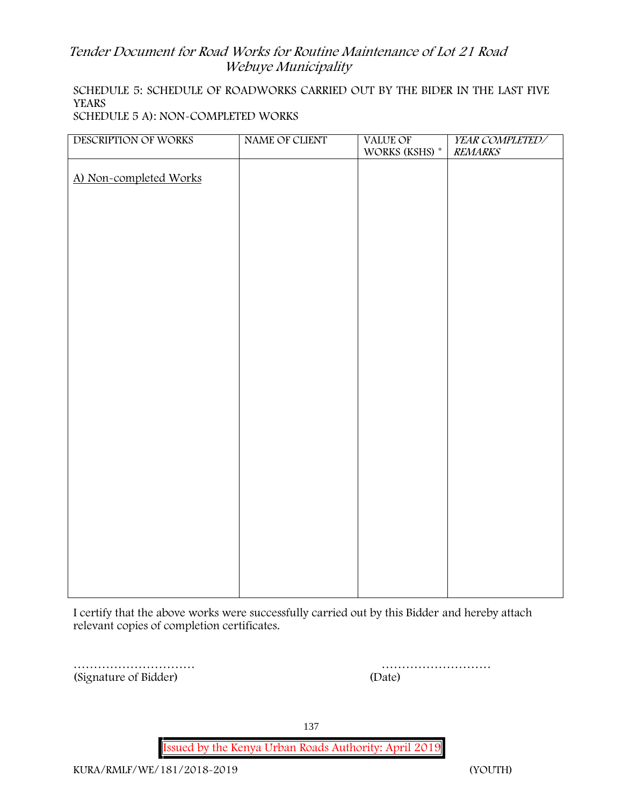# **SCHEDULE 5: SCHEDULE OF ROADWORKS CARRIED OUT BY THE BIDER IN THE LAST FIVE YEARS**

**SCHEDULE 5 A): NON-COMPLETED WORKS**

| DESCRIPTION OF WORKS   | NAME OF CLIENT | <b>VALUE OF</b><br>WORKS (KSHS) $^\ast$ | YEAR COMPLETED/<br><b>REMARKS</b> |
|------------------------|----------------|-----------------------------------------|-----------------------------------|
| A) Non-completed Works |                |                                         |                                   |
|                        |                |                                         |                                   |
|                        |                |                                         |                                   |
|                        |                |                                         |                                   |
|                        |                |                                         |                                   |
|                        |                |                                         |                                   |
|                        |                |                                         |                                   |
|                        |                |                                         |                                   |
|                        |                |                                         |                                   |
|                        |                |                                         |                                   |
|                        |                |                                         |                                   |
|                        |                |                                         |                                   |
|                        |                |                                         |                                   |
|                        |                |                                         |                                   |
|                        |                |                                         |                                   |
|                        |                |                                         |                                   |
|                        |                |                                         |                                   |

I certify that the above works were successfully carried out by this Bidder and hereby attach relevant copies of completion certificates.

………………………… (Signature of Bidder)

| (Date) |  |  |  |  |  |  |  |  |  |  |  |  |  |  |
|--------|--|--|--|--|--|--|--|--|--|--|--|--|--|--|

137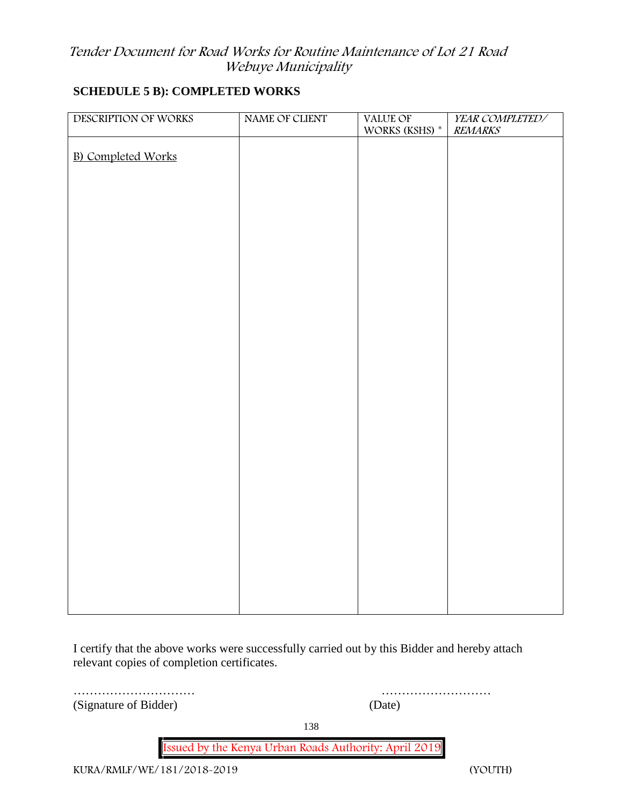#### **SCHEDULE 5 B): COMPLETED WORKS**

| DESCRIPTION OF WORKS      | NAME OF CLIENT | <b>VALUE OF</b><br>WORKS (KSHS) $^\ast$ | YEAR COMPLETED/<br><b>REMARKS</b> |
|---------------------------|----------------|-----------------------------------------|-----------------------------------|
| <b>B)</b> Completed Works |                |                                         |                                   |
|                           |                |                                         |                                   |
|                           |                |                                         |                                   |
|                           |                |                                         |                                   |
|                           |                |                                         |                                   |
|                           |                |                                         |                                   |
|                           |                |                                         |                                   |
|                           |                |                                         |                                   |
|                           |                |                                         |                                   |
|                           |                |                                         |                                   |
|                           |                |                                         |                                   |
|                           |                |                                         |                                   |
|                           |                |                                         |                                   |
|                           |                |                                         |                                   |
|                           |                |                                         |                                   |
|                           |                |                                         |                                   |
|                           |                |                                         |                                   |
|                           |                |                                         |                                   |

I certify that the above works were successfully carried out by this Bidder and hereby attach relevant copies of completion certificates.

………………………… ……………………… (Signature of Bidder) (Date)

138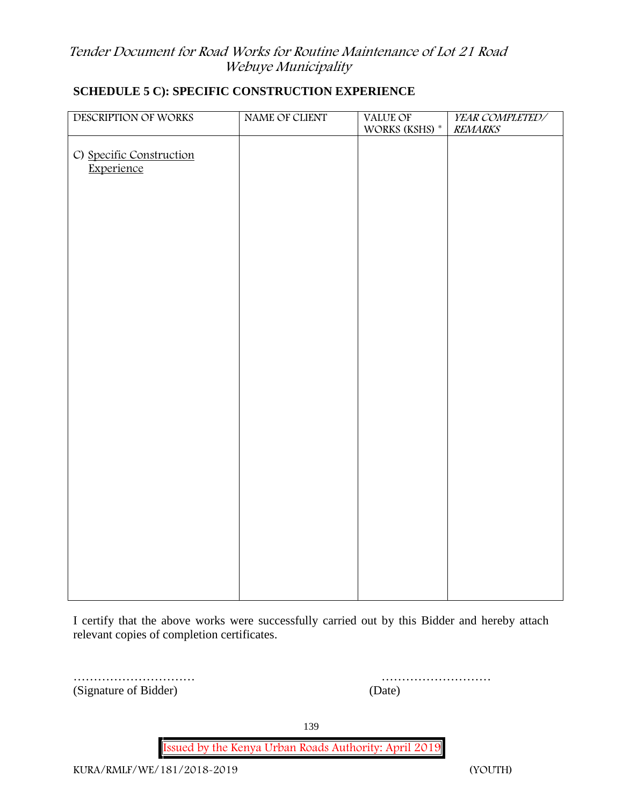| DESCRIPTION OF WORKS                   | NAME OF CLIENT | VALUE OF<br>WORKS (KSHS) * | YEAR COMPLETED/<br><b>REMARKS</b> |
|----------------------------------------|----------------|----------------------------|-----------------------------------|
| C) Specific Construction<br>Experience |                |                            |                                   |
|                                        |                |                            |                                   |
|                                        |                |                            |                                   |
|                                        |                |                            |                                   |
|                                        |                |                            |                                   |
|                                        |                |                            |                                   |
|                                        |                |                            |                                   |
|                                        |                |                            |                                   |
|                                        |                |                            |                                   |
|                                        |                |                            |                                   |
|                                        |                |                            |                                   |
|                                        |                |                            |                                   |

# **SCHEDULE 5 C): SPECIFIC CONSTRUCTION EXPERIENCE**

I certify that the above works were successfully carried out by this Bidder and hereby attach relevant copies of completion certificates.

………………………… ……………………… (Signature of Bidder) (Date)

139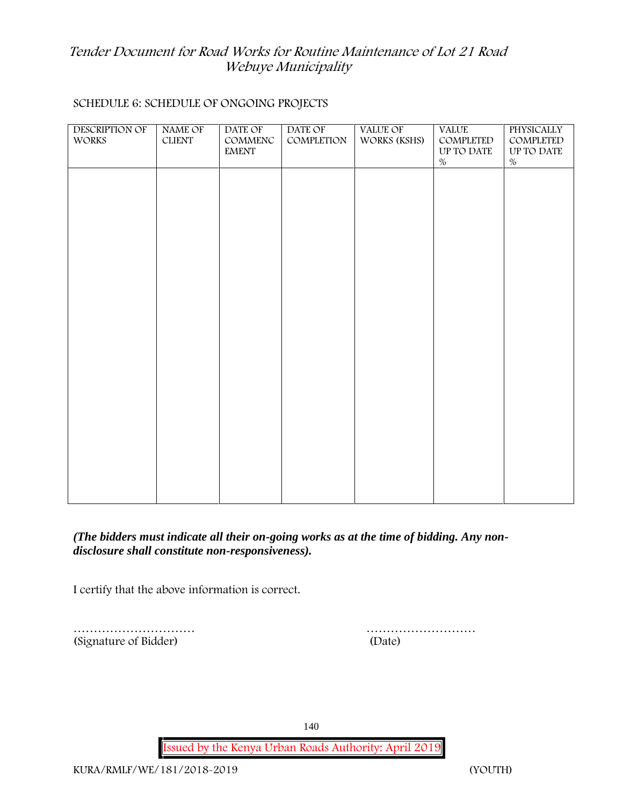#### **SCHEDULE 6: SCHEDULE OF ONGOING PROJECTS**

| DESCRIPTION OF<br>WORKS | NAME OF<br>${\rm CLIENT}$ | DATE OF<br>COMMENC<br><b>EMENT</b> | DATE OF<br>COMPLETION | VALUE OF<br>WORKS (KSHS) | <b>VALUE</b><br>COMPLETED<br>UP TO DATE<br>$\%$ | PHYSICALLY<br>COMPLETED<br>UP TO DATE<br>$\%$ |  |
|-------------------------|---------------------------|------------------------------------|-----------------------|--------------------------|-------------------------------------------------|-----------------------------------------------|--|
|                         |                           |                                    |                       |                          |                                                 |                                               |  |
|                         |                           |                                    |                       |                          |                                                 |                                               |  |
|                         |                           |                                    |                       |                          |                                                 |                                               |  |
|                         |                           |                                    |                       |                          |                                                 |                                               |  |
|                         |                           |                                    |                       |                          |                                                 |                                               |  |
|                         |                           |                                    |                       |                          |                                                 |                                               |  |
|                         |                           |                                    |                       |                          |                                                 |                                               |  |

*(The bidders must indicate all their on-going works as at the time of bidding. Any non disclosure shall constitute non-responsiveness).*

I certify that the above information is correct.

(Signature of Bidder) (Date)

………………………… ………………………

140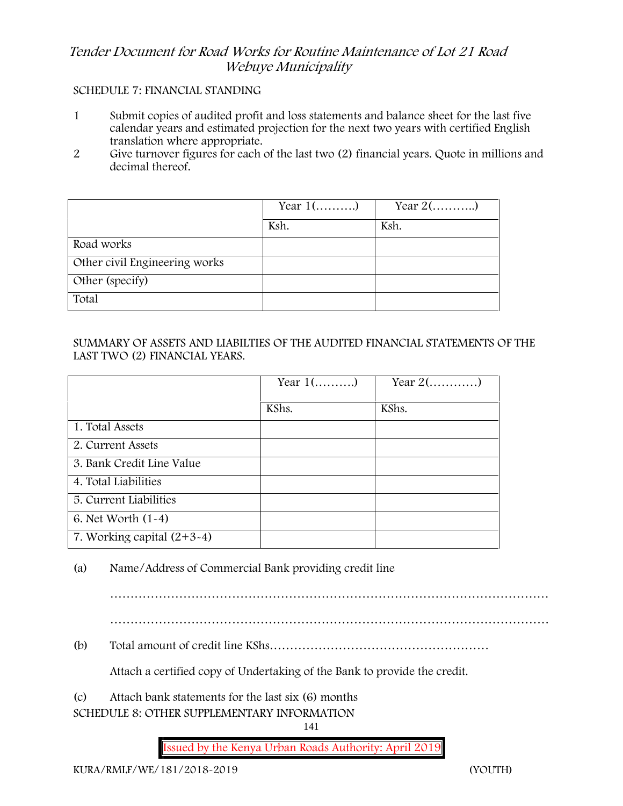#### **SCHEDULE 7: FINANCIAL STANDING**

- 1 Submit copies of audited profit and loss statements and balance sheet for the last five calendar years and estimated projection for the next two years with certified English translation where appropriate.
- 2 Give turnover figures for each of the last two (2) financial years. Quote in millions and decimal thereof.

|                               | Year $1$ () | Year $2$ () |
|-------------------------------|-------------|-------------|
|                               | Ksh.        | Ksh.        |
| Road works                    |             |             |
| Other civil Engineering works |             |             |
| Other (specify)               |             |             |
| Total                         |             |             |

#### SUMMARY OF ASSETS AND LIABILTIES OF THE AUDITED FINANCIAL STATEMENTS OF THE LAST TWO (2) FINANCIAL YEARS.

|                              | Year $1$ () | Year $2$ () |
|------------------------------|-------------|-------------|
|                              | KShs.       | KShs.       |
| 1. Total Assets              |             |             |
| 2. Current Assets            |             |             |
| 3. Bank Credit Line Value    |             |             |
| 4. Total Liabilities         |             |             |
| 5. Current Liabilities       |             |             |
| 6. Net Worth $(1-4)$         |             |             |
| 7. Working capital $(2+3-4)$ |             |             |

(a) Name/Address of Commercial Bank providing credit line

………………………………………………………………………………………………

………………………………………………………………………………………………

(b) Total amount of credit line KShs………………………………………………

Attach a certified copy of Undertaking of the Bank to provide the credit.

(c) Attach bank statements for the last six (6) months

**SCHEDULE 8: OTHER SUPPLEMENTARY INFORMATION**

141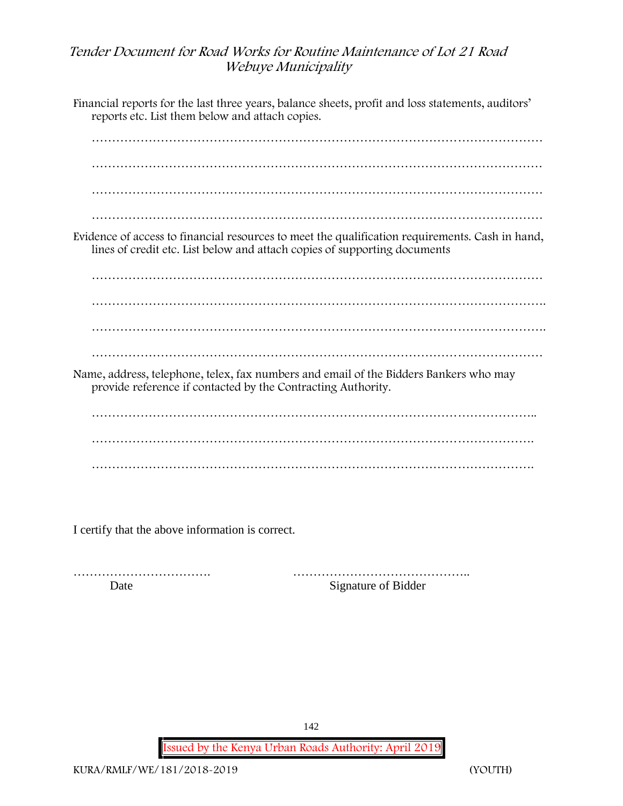Financial reports for the last three years, balance sheets, profit and loss statements, auditors' reports etc. List them below and attach copies. ………………………………………………………………………………………………… ………………………………………………………………………………………………… ………………………………………………………………………………………………… ………………………………………………………………………………………………… Evidence of access to financial resources to meet the qualification requirements. Cash in hand, lines of credit etc. List below and attach copies of supporting documents ………………………………………………………………………………………………… …………………………………………………………………………………………………. …………………………………………………………………………………………………. ………………………………………………………………………………………………… Name, address, telephone, telex, fax numbers and email of the Bidders Bankers who may provide reference if contacted by the Contracting Authority. ……………………………………………………………………………………………….. ………………………………………………………………………………………………. ……………………………………………………………………………………………….

I certify that the above information is correct.

……………………………. …………………………………….. Date Signature of Bidder

142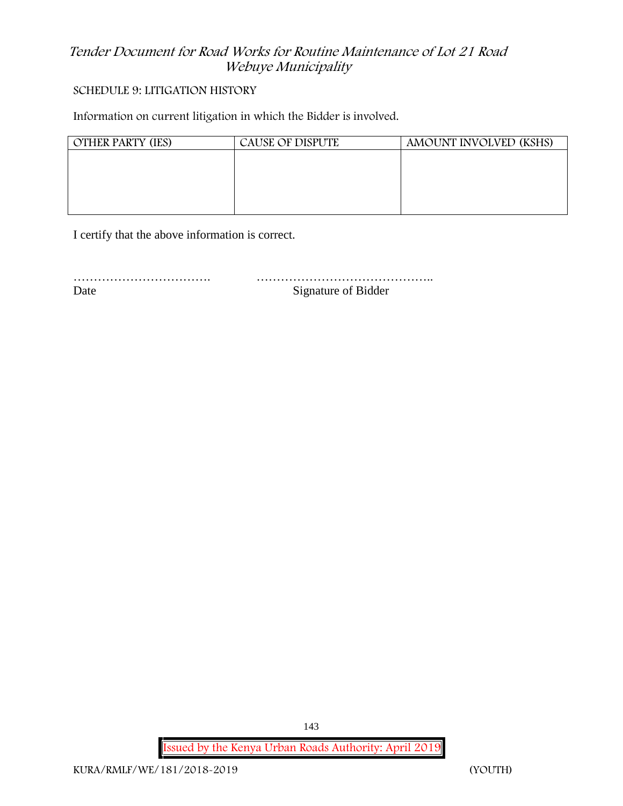#### **SCHEDULE 9: LITIGATION HISTORY**

Information on current litigation in which the Bidder is involved.

| AMOUNT INVOLVED (KSHS) |
|------------------------|
|                        |
|                        |
|                        |
|                        |
|                        |

I certify that the above information is correct.

……………………………. ……………………………………..

Date Signature of Bidder

**Issued by the Kenya Urban Roads Authority: April 2019**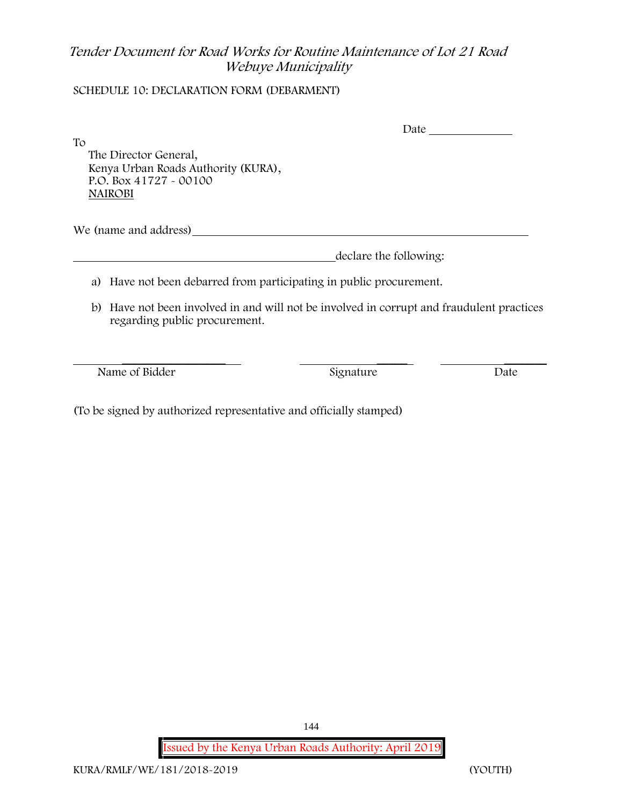### **SCHEDULE 10: DECLARATION FORM (DEBARMENT)**

To

Date and the Date of the same of the same state of the same state of the same state of the same state  $\sim$ 

The Director General, Kenya Urban Roads Authority (KURA), P.O. Box 41727 - 00100 **NAIROBI**

We (name and address)

declare the following:

- a) Have not been debarred from participating in public procurement.
- b) Have not been involved in and will not be involved in corrupt and fraudulent practices regarding public procurement.

Name of Bidder Signature Signature Date

\_\_\_\_\_\_\_\_\_\_\_\_\_\_\_\_\_ \_\_\_\_\_ \_\_\_\_\_\_\_

(To be signed by authorized representative and officially stamped)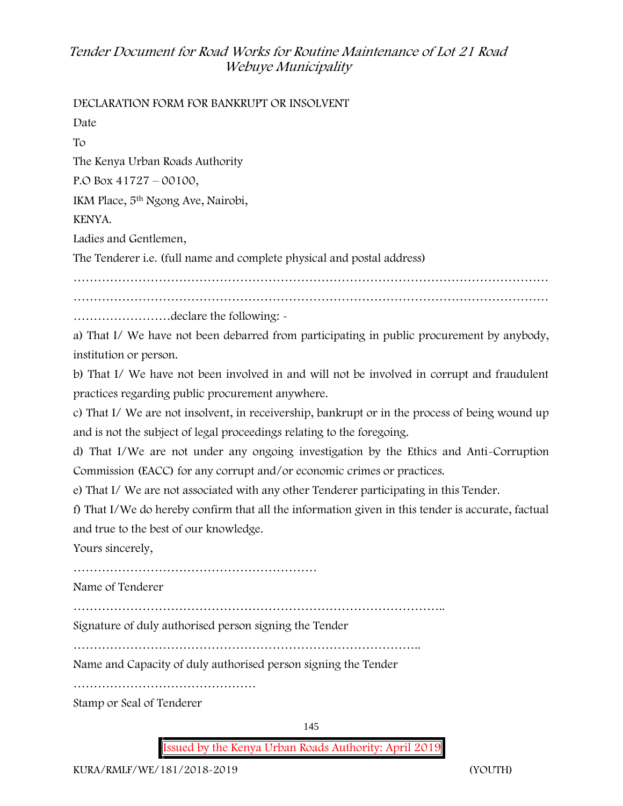**DECLARATION FORM FOR BANKRUPT OR INSOLVENT**

Date To The Kenya Urban Roads Authority P.O Box 41727 – 00100, IKM Place, 5th Ngong Ave, Nairobi, KENYA. Ladies and Gentlemen, The Tenderer i.e. (full name and complete physical and postal address) ……………………………………………………………………………………………………… ………………………………………………………………………………………………………

……………………declare the following: -

a) That I/ We have not been debarred from participating in public procurement by anybody, institution or person.

b) That I/ We have not been involved in and will not be involved in corrupt and fraudulent practices regarding public procurement anywhere.

c) That I/ We are not insolvent, in receivership, bankrupt or in the process of being wound up and is not the subject of legal proceedings relating to the foregoing.

d) That I/We are not under any ongoing investigation by the Ethics and Anti-Corruption Commission (EACC) for any corrupt and/or economic crimes or practices.

e) That I/ We are not associated with any other Tenderer participating in this Tender.

f) That I/We do hereby confirm that all the information given in this tender is accurate, factual and true to the best of our knowledge.

Yours sincerely,

……………………………………………………

Name of Tenderer

………………………………………………………………………………..

Signature of duly authorised person signing the Tender

…………………………………………………………………………..

Name and Capacity of duly authorised person signing the Tender

………………………………………

Stamp or Seal of Tenderer

145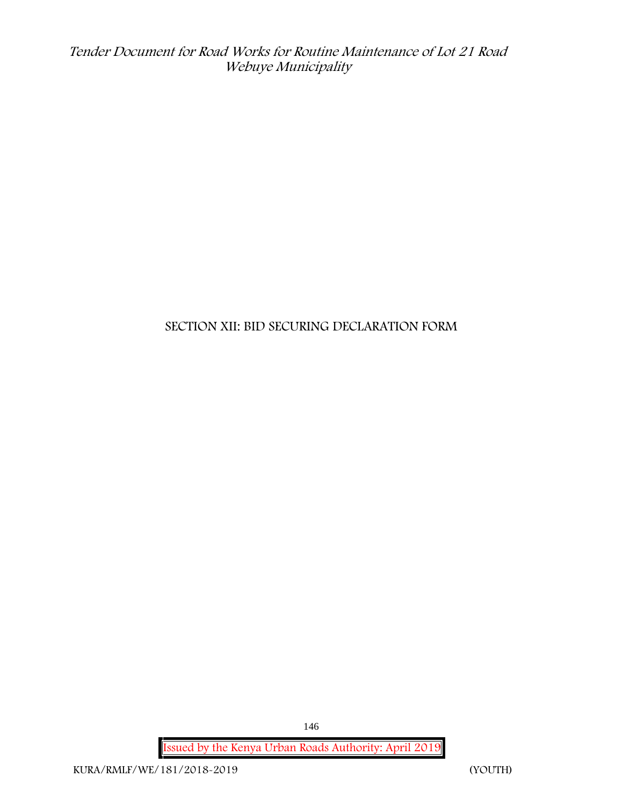### **SECTION XII: BID SECURING DECLARATION FORM**

**Issued by the Kenya Urban Roads Authority: April 2019**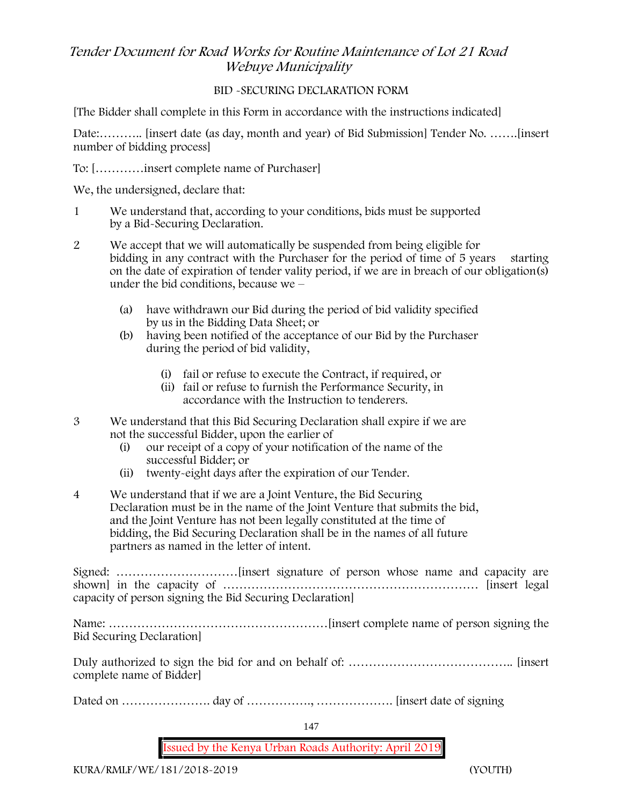### **BID -SECURING DECLARATION FORM**

[The Bidder shall complete in this Form in accordance with the instructions indicated]

Date:……….. [insert date (as day, month and year) of Bid Submission] Tender No. …….[insert number of bidding process]

To: […………insert complete name of Purchaser]

We, the undersigned, declare that:

- 1 We understand that, according to your conditions, bids must be supported by a Bid-Securing Declaration.
- 2 We accept that we will automatically be suspended from being eligible for bidding in any contract with the Purchaser for the period of time of 5 years starting on the date of expiration of tender vality period, if we are in breach of our obligation(s) under the bid conditions, because we –
	- (a) have withdrawn our Bid during the period of bid validity specified by us in the Bidding Data Sheet; or
	- (b) having been notified of the acceptance of our Bid by the Purchaser during the period of bid validity,
		- (i) fail or refuse to execute the Contract, if required, or
		- (ii) fail or refuse to furnish the Performance Security, in accordance with the Instruction to tenderers.
- 3 We understand that this Bid Securing Declaration shall expire if we are not the successful Bidder, upon the earlier of
	- (i) our receipt of a copy of your notification of the name of the successful Bidder; or
	- (ii) twenty-eight days after the expiration of our Tender.
- 4 We understand that if we are a Joint Venture, the Bid Securing Declaration must be in the name of the Joint Venture that submits the bid, and the Joint Venture has not been legally constituted at the time of bidding, the Bid Securing Declaration shall be in the names of all future partners as named in the letter of intent.

Signed: …………………………[insert signature of person whose name and capacity are shown] in the capacity of ……………………………………………………… [insert legal capacity of person signing the Bid Securing Declaration]

Name: ………………………………………………[insert complete name of person signing the Bid Securing Declaration]

Duly authorized to sign the bid for and on behalf of: ………………………………….. [insert complete name of Bidder]

Dated on …………………. day of ……………., ………………. [insert date of signing

147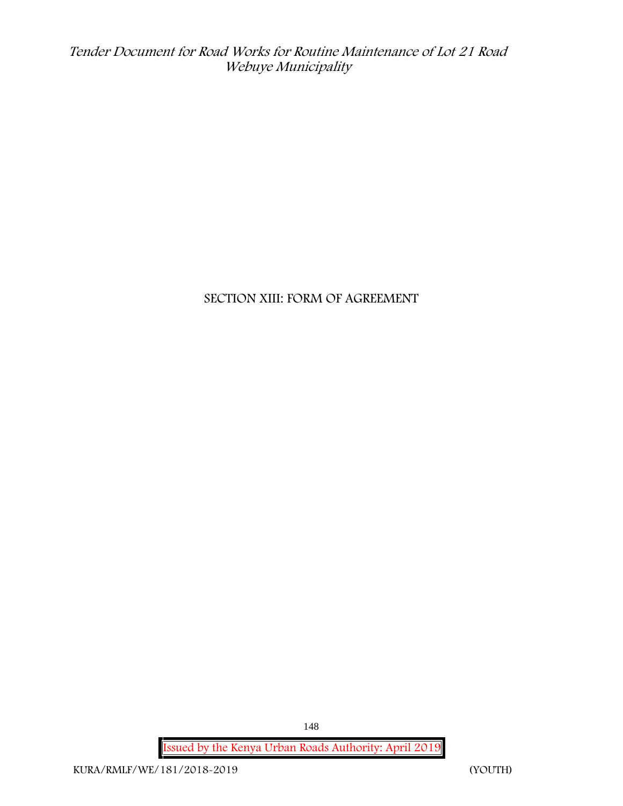**SECTION XIII: FORM OF AGREEMENT**

**Issued by the Kenya Urban Roads Authority: April 2019**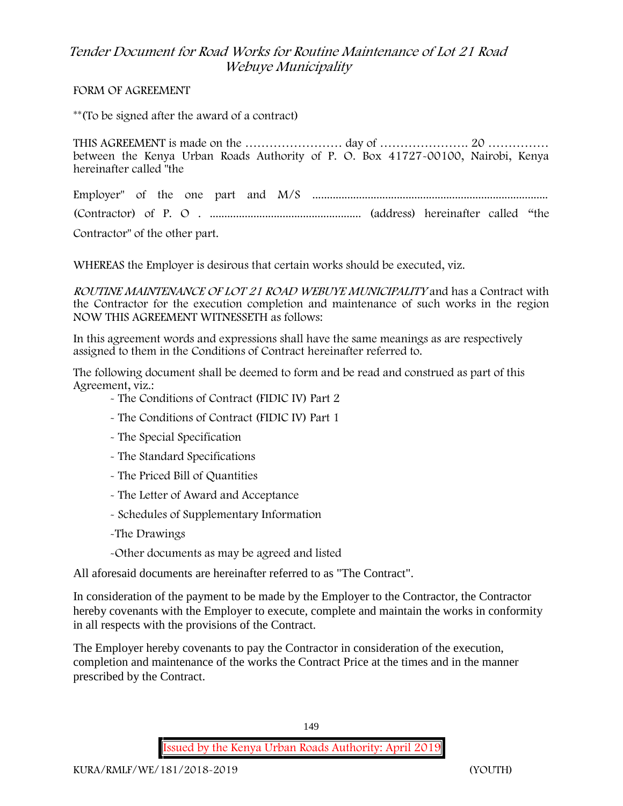#### **FORM OF AGREEMENT**

\*\*(To be signed after the award of a contract)

THIS AGREEMENT is made on the …………………… day of …………………. 20 …………… between the Kenya Urban Roads Authority of P. O. Box 41727-00100, Nairobi, Kenya hereinafter called "the

Employer" of the one part and M/S ................................................................................. (Contractor) of P. O . .................................................... (address) hereinafter called "the

Contractor" of the other part.

WHEREAS the Employer is desirous that certain works should be executed, viz.

*ROUTINE MAINTENANCE OF LOT <sup>21</sup> ROAD WEBUYE MUNICIPALITY* and has a Contract with the Contractor for the execution completion and maintenance of such works in the region NOW THIS AGREEMENT WITNESSETH as follows:

In this agreement words and expressions shall have the same meanings as are respectively assigned to them in the Conditions of Contract hereinafter referred to.

The following document shall be deemed to form and be read and construed as part of this Agreement, viz.:

- The Conditions of Contract (FIDIC IV) Part 2

- The Conditions of Contract (FIDIC IV) Part 1
- The Special Specification
- The Standard Specifications
- The Priced Bill of Quantities
- The Letter of Award and Acceptance
- Schedules of Supplementary Information
- -The Drawings
- -Other documents as may be agreed and listed

All aforesaid documents are hereinafter referred to as "The Contract".

In consideration of the payment to be made by the Employer to the Contractor, the Contractor hereby covenants with the Employer to execute, complete and maintain the works in conformity in all respects with the provisions of the Contract.

The Employer hereby covenants to pay the Contractor in consideration of the execution, completion and maintenance of the works the Contract Price at the times and in the manner prescribed by the Contract.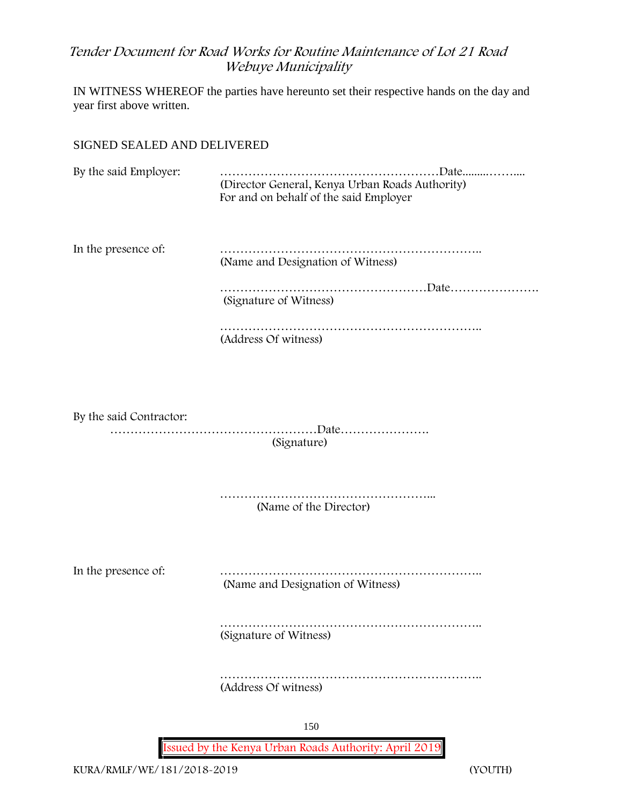IN WITNESS WHEREOF the parties have hereunto set their respective hands on the day and year first above written.

### SIGNED SEALED AND DELIVERED

By the said Employer: ………………………………………………Date.........…….... (Director General, Kenya Urban Roads Authority) For and on behalf of the said Employer

In the presence of: ……………………………………………………….. (Name and Designation of Witness)

> ……………………………………………………Date………………… (Signature of Witness)

……………………………………………………………… (Address Of witness)

By the said Contractor: ……………………………………………Date…………………. (Signature)

> ……………………………………………... (Name of the Director)

In the presence of: ……………………………………………………….. (Name and Designation of Witness)

> ……………………………………………………….. (Signature of Witness)

> ……………………………………………………….. (Address Of witness)

> > 150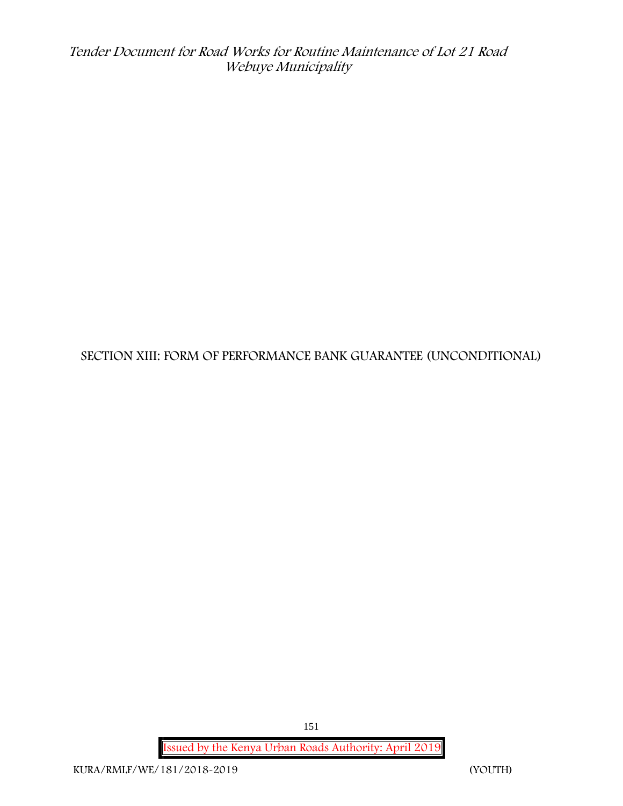**SECTION XIII: FORM OF PERFORMANCE BANK GUARANTEE (UNCONDITIONAL)**

**Issued by the Kenya Urban Roads Authority: April 2019**